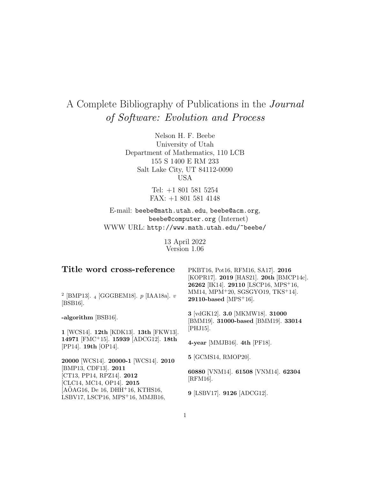# A Complete Bibliography of Publications in the Journal of Software: Evolution and Process

Nelson H. F. Beebe University of Utah Department of Mathematics, 110 LCB 155 S 1400 E RM 233 Salt Lake City, UT 84112-0090 USA

> Tel: +1 801 581 5254 FAX: +1 801 581 4148

E-mail: beebe@math.utah.edu, beebe@acm.org, beebe@computer.org (Internet) WWW URL: http://www.math.utah.edu/~beebe/

> 13 April 2022 Version 1.06

| Title word cross-reference                                                     | PKBT16, Pot16, RFM16, SA17]. 2016<br>[KOPR17]. 2019 [HAS21]. 20th [BMCP14c].<br>26262 [IK14]. 29110 [LSCP16, MPS <sup>+</sup> 16, |
|--------------------------------------------------------------------------------|-----------------------------------------------------------------------------------------------------------------------------------|
| <sup>2</sup> [BMP13]. $_4$ [GGGBEM18]. $p$ [IAA18a]. $v$<br>$ BSB16 $ .        | MM14, MPM <sup>+20</sup> , SGSGYO19, TKS <sup>+</sup> 14].<br>29110-based [MPS $+16$ ].                                           |
| -algorithm [BSB16].                                                            | 3 [vdGK12]. 3.0 [MKMW18]. 31000<br>[BMM19]. 31000-based [BMM19]. 33014                                                            |
| 1 [WCS14]. 12th [KDK13]. 13th [FKW13].                                         | $[PHJ15]$ .                                                                                                                       |
| 14971 [FMC <sup>+</sup> 15]. 15939 [ADCG12]. 18th<br>[PP14]. 19th [OP14].      | 4-year [MMJB16]. $4th$ [PF18].                                                                                                    |
| 20000 [WCS14]. 20000-1 [WCS14]. 2010                                           | 5 [GCMS14, RMOP20].                                                                                                               |
| [BMP13, CDF13]. 2011<br>[CT13, PP14, RPZ14]. 2012<br>[CLC14, MC14, OP14]. 2015 | 60880 [VNM14]. 61508 [VNM14]. 62304<br>[RFM16].                                                                                   |
| $[AOAG16, De 16, DHH+16, KTHS16,$<br>LSBV17, LSCP16, $MPS+16$ , MMJB16,        | 9 [LSBV17]. 9126 [ADCG12].                                                                                                        |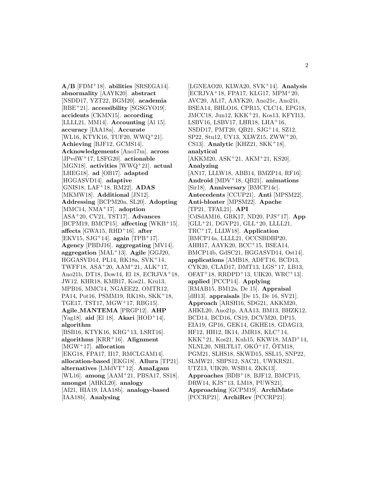**A/B** [FDM<sup>+</sup>18]. **abilities** [SRSEGA14]. **abnormality** [AAYK20]. **abstract** [NSDD17, YZT22, BGM20]. **academia** [RBE<sup>+</sup>21]. **accessibility** [SGSGYO19]. **accidents** [CKMN15]. **according** [LLLL21, MM14]. **Accounting** [Al 15]. **accuracy** [IAA18a]. **Accurate** [WL16, KTYK16, TUF20, WWQ<sup>+</sup>21]. **Achieving** [BJF12, GCMS14]. **Acknowledgements** [Ano17m]. **across** [JPvdW<sup>+</sup>17, LSFG20]. **actionable** [MGN18]. **activities** [WWQ<sup>+</sup>21]. **actual** [LHEG18]. **ad** [OB17]. **adapted** [HGGASVD14]. **adaptive** [GNIS18, LAF<sup>+</sup>18, RM22]. **ADAS** [MKMW18]. **Additional** [JN12]. **Addressing** [BCPM20a, SL20]. **Adopting** [MMC14, NMA<sup>+</sup>17]. **adoption** [ASA<sup>+</sup>20, CV21, TST17]. **Advances** [BCPM19, BMCP15]. **affecting** [WKB<sup>+</sup>15]. **affects** [GWA15, RHD<sup>+</sup>16]. **after** [EKV15, SJG<sup>+</sup>14]. **again** [TPB<sup>+</sup>17]. **Agency** [PBDJ16]. **aggregating** [MV14]. **aggregation** [MAL<sup>+</sup>13]. **Agile** [GGJ20, HGGASVD14, PL14, RK18a, SVK<sup>+</sup>14, TWFF18, ASA<sup>+</sup>20, AAM<sup>+</sup>21, ALK<sup>+</sup>17, Ano21b, DT18, Dow14, El 18, ECRJVA<sup>+</sup>18, JW12, KHR18, KMB17, Kos21, Kru13, MPB16, MMC14, NGAEE22, OMTR12, PA14, Pot16, PSMM19, RK18b, SKK<sup>+</sup>18, TGE17, TST17, MGW<sup>+</sup>17, RBG15]. **Agile MANTEMA** [PRGP12]. **AHP** [Yag18]. **aid** [El 18]. **Akari** [HOD<sup>+</sup>14]. **algorithm** [BSB16, KTYK16, KRG<sup>+</sup>13, LSRT16]. **algorithms** [KRR<sup>+</sup>16]. **Alignment** [MGW<sup>+</sup>17]. **allocation** [EKG18, FPA17, II17, RMCLGAM14]. **allocation-based** [EKG18]. **Allura** [TP21]. **alternatives** [LMdVT<sup>+</sup>12]. **AmaLgam** [WL16]. **among** [AAM<sup>+</sup>21, PBSA17, SS18]. **amongst** [AHKL20]. **analogy**

[AI21, HIA19, IAA18b]. **analogy-based** [IAA18b]. **Analysing**

[LGNEAO20, KLWA20, SVK<sup>+</sup>14]. **Analysis** [ECRJVA<sup>+</sup>18, FPA17, KLG17, MPM<sup>+</sup>20, AVC20, AL17, AAYK20, Ano21c, Ano21t, BSEA14, BHLO16, CPR15, CLC14, EPG18, JMCC18, Jun12, KKK<sup>+</sup>21, Kos13, KFYI13, LSBV16, LSBV17, LHR18, LHA $+16$ , NSDD17, PMT20, QB21, SJG<sup>+</sup>14, SZ12, SP22, Stu12, UY13, XLWZ15, ZWW<sup>+</sup>20, CS13]. **Analytic** [KHZ21, SKK<sup>+</sup>18]. **analytical** [AKKM20, ASK<sup>+</sup>21, AKM<sup>+</sup>21, KS20]. **Analyzing** [AN17, LLLW18, ABB14, BMZP14, RF16]. **Android** [MDV<sup>+</sup>18, QB21]. **animations** [Sir18]. **Anniversary** [BMCP14c]. **Antecedents** [CCUP21]. **Anti** [MPSM22]. **Anti-bloater** [MPSM22]. **Apache** [TP21, TFAL21]. **API** [CdSdAM16, GRK17, ND20, PJS<sup>+</sup>17]. **App** [GLL<sup>+</sup>21, DGVP21, GLL<sup>+</sup>20, LLLL21, TRC<sup>+</sup>17, LLLW18]. **Application** [BMCP14a, LLLL21, OCCSBDBP20, AHH17, AAYK20, BCC<sup>+</sup>15, BSEA14, BMCP14b, GdSC21, HGGASVD14, Ost14]. **applications** [AMB18, ADFT16, BCD13, CYK20, CLAD17, DMT13, LGS<sup>+</sup>17, LB13,  $OFAT+18$ , RRDPD<sup>+</sup>13, UIK20, WRC<sup>+</sup>13. **applied** [PCCP14]. **Applying** [RMAB15, BM12a, De 15]. **Appraisal** [dH13]. **appraisals** [De 15, De 16, SV21]. **Approach** [ARSH16, SDG21, AKKM20, AHKL20, Ano21p, AAA13, BM13, BHZK12, BCD14, BCD16, CS19, DCVM20, DP15, EIA19, GP16, GEK14, GKHE18, GDAG13, HF12, HH12, IK14, JMR18, KLC<sup>+</sup>14, KKK<sup>+</sup>21, Kos21, Kuh15, KKW18, MAD<sup>+</sup>14, NLNL20, NHLTL17,  $OKO+17$ ,  $OTM18$ , PGM21, SLHS18, SKWD15, SSL15, SNP22, SLMW21, SBPS12, SAC21, UWKRS21, UTZ13, UIK20, WSB14, ZKK13]. **Approaches** [BDB<sup>+</sup>18, BJF12, BMCP15, DRW14, KJS<sup>+</sup>13, LM18, PUWS21]. **Approaching** [GCPM19]. **ArchiMate** [PCCRP21]. **ArchiRev** [PCCRP21].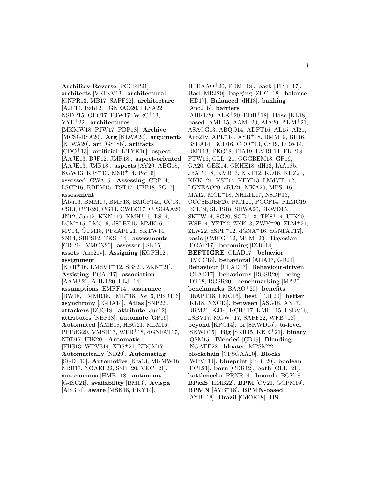**ArchiRev-Reverse** [PCCRP21]. **architects** [VKPvV13]. **architectural** [CNPR13, MB17, SAPF22]. **architecture** [AJP14, Bab12, LGNEAO20, LLSA22, NSDP15, OEC17, PJW17, WRC<sup>+</sup>13, YYF<sup>+</sup>22]. **architectures** [MKMW18, PJW17, PDP18]. **Archive** [MCSGBSA20]. **Arg** [KLWA20]. **arguments** [KLWA20]. **art** [GS18b]. **artifacts** [CDO<sup>+</sup>13]. **artificial** [KTYK16]. **aspect** [AAJE13, BJF12, JMR18]. **aspect-oriented** [AAJE13, JMR18]. **aspects** [AY20, ABG18, KGW13, KJS<sup>+</sup>13, MSB<sup>+</sup>14, Pot16]. **assessed** [GWA15]. **Assessing** [CRP14, LSCP16, RBFM15, TST17, UFF18, SG17]. **assessment** [Abu16, BMM19, BMP13, BMCP14a, CC13, CS13, CYK20, CG14, CWBC17, CPSGAA20, JN12, Jun12, KKN<sup>+</sup>19, KMH<sup>+</sup>15, LS14, LCM<sup>+</sup>15, LMC16, dSLBF15, MMK16, MV14, OTM18, PPdAPP21, SKTW14, ¨ SN14, SBPS12, TKS<sup>+</sup>14]. **assessments** [CRP14, VMCN20]. **assessor** [ISK15]. **assets** [Ano21v]. **Assigning** [KGPH12]. **assignment**  $[KRR<sup>+</sup>16, LMdVT<sup>+</sup>12, SBS20, ZKN<sup>+</sup>21].$ **Assisting** [PGAP17]. **association**  $[AAM+21, AHKL20, LLJ+14].$ **assumptions** [EMRF14]. **assurance** [BW18, HMMR18, LML<sup>+</sup>18, Pot16, PBDJ16]. **asynchrony** [JGHA14]. **Atlas** [SNP22]. **attackers** [IZJG18]. **attribute** [Jun12]. **attributes** [NBF18]. **automate** [GP16]. **Automated** [AMB18, HBG21, MLM16, PPPdG20, VMSH13, WFB<sup>+</sup>18, dGNFAT17, NBD17, UIK20]. **Automatic** [FHS13, WPVS14, XBS<sup>+</sup>21, NBCM17]. **Automatically** [ND20]. **Automating** [SGD<sup>+</sup>13]. **Automotive** [Kra13, MKMW18, NRB13, NGAEE22, SSB<sup>+</sup>20, VKC<sup>+</sup>21]. **autonomous** [HMB<sup>+</sup>18]. **autonomy** [GdSC21]. **availability** [BM13]. **Avispa** [ABB14]. **aware** [MSK18, PKY14].

**B** [BAAO<sup>+</sup>20, FDM<sup>+</sup>18]. **back** [TPB<sup>+</sup>17]. **Bad** [MRJ20]. **bagging** [ZHC<sup>+</sup>18]. **balance** [HD17]. **Balanced** [dH13]. **banking** [Ano21b]. **barriers** [AHKL20, ALK<sup>+</sup>20, BDB<sup>+</sup>18]. **Base** [KL18]. **based** [AMH15, AAM<sup>+</sup>20, AIA20, AKM<sup>+</sup>21, ASACG13, ABQO14, ADFT16, AL15, AI21, Ano21v, APL<sup>+</sup>14, AYB<sup>+</sup>18, BMM19, BH16, BSEA14, BCD16, CDO<sup>+</sup>13, CS19, DRW14, DMT13, EKG18, EIA19, EMRF14, EKP18, FTW16, GLL<sup>+</sup>21, GGGBEM18, GP16, GA20, GEK14, GKHE18, dH13, IAA18b, JbAPT18, KMB17, KKT12, KÓ16, KHZ21,  $KKK+21$ , KST14, KFYI13, LMdVT<sup>+</sup>12, LGNEAO20, aRL21, MKA20, MPS<sup>+</sup>16, MA12,  $MCL+18$ , NHLTL17, NSDP15, OCCSBDBP20, PMT20, PCCP14, RLMC19, RCL19, SLHS18, SDWA20, SKWD15, SKTW14, SG20, SGD<sup>+</sup>13, TKS<sup>+</sup>14, UIK20, WSB14, YZT22, ZKK13, ZWY<sup>+</sup>20, ZLM<sup>+</sup>21, ZLW22,  $dSPF+12$ ,  $dGNA+16$ ,  $dGNFAT17$ . **basic** [CMCG<sup>+</sup>12, MPM<sup>+</sup>20]. **Bayesian** [PGAP17]. **becoming** [IZJG18]. **BEFTIGRE** [CLAD17]. **behavior** [JMCC18]. **behavioral** [AHA17, GD21]. **Behaviour** [CLAD17]. **Behaviour-driven** [CLAD17]. **behaviours** [RGSR20]. **being** [DT18, RGSR20]. **benchmarking** [MA20]. **benchmarks** [BAAO<sup>+</sup>20]. **benefits** [JbAPT18, LMC16]. **best** [TUF20]. **better** [KL18, NXC13]. **between** [ASG18, AN17, DRM21, KJ14, KCH<sup>+</sup>17, KMH<sup>+</sup>15, LSBV16, LSBV17,  $MGW^+17$ ,  $SAPF22$ ,  $WFB^+18$ . **beyond** [KPG14]. **bi** [SKWD15]. **bi-level** [SKWD15]. **Big** [SKR15, KKK<sup>+</sup>21]. **binary** [QSM15]. **Blended** [CD19]. **Blending** [NGAEE22]. **bloater** [MPSM22]. **blockchain** [CPSGAA20]. **Blocks** [WPVS14]. **blueprint** [SSB<sup>+</sup>20]. **boolean** [PCL21]. **born** [CDR12]. **both** [GLL<sup>+</sup>21]. **bottlenecks** [PRNR14]. **bounds** [BGV18]. **BPaaS** [HMB22]. **BPM** [CV21, GCPM19]. **BPMN** [AYB<sup>+</sup>18]. **BPMN-based** [AYB<sup>+</sup>18]. **Brazil** [GdOK18]. **BS**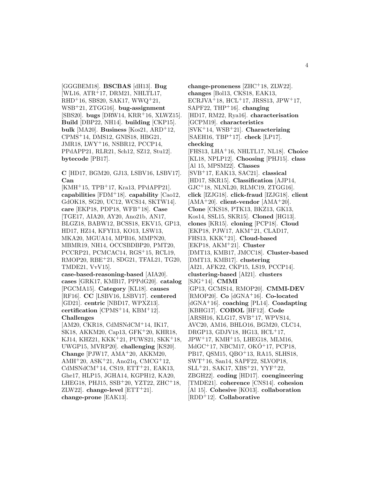[GGGBEM18]. **BSCBAS** [dH13]. **Bug** [WL16, ATR<sup>+</sup>17, DRM21, NHLTL17,  $RHD+16$ , SBS20, SAK17, WWQ<sup>+</sup>21, WSB<sup>+</sup>21, ZTGG16]. **bug-assignment** [SBS20]. **bugs** [DRW14, KRR<sup>+</sup>16, XLWZ15]. **Build** [DBP22, NH14]. **building** [CKP15]. **bulk** [MA20]. **Business** [Kos21, ARD<sup>+</sup>12, CPMS<sup>+</sup>14, DMS12, GNIS18, HBG21, JMR18, LWY<sup>+</sup>16, NSBR12, PCCP14, PPdAPP21, RLR21, Sch12, SZ12, Stu12]. **bytecode** [PB17].

**C** [HD17, BGM20, GJ13, LSBV16, LSBV17]. **Can**

 $[KMH<sup>+</sup>15, TPB<sup>+</sup>17, Kra13, PPdAPP21].$ **capabilities** [FDM<sup>+</sup>18]. **capability** [Cao12, GdOK18, SG20, UC12, WCS14, SKTW14]. **care** [EKP18, PDP18, WFB<sup>+</sup>18]. **Case** [TGE17, AIA20, AY20, Ano21b, AN17, BLGZ18, BABW12, BCSS18, EKV15, GP13, HD17, HZ14, KFYI13, KO13, LSW13, MKA20, MGUA14, MPB16, MMPN20, MBMR19, NH14, OCCSBDBP20, PMT20, PCCRP21, PCMCAC14, RGS<sup>+</sup>15, RCL19, RMOP20, RBE<sup>+</sup>21, SDG21, TFAL21, TG20, TMDE21, VvV15].

**case-based-reasoning-based** [AIA20]. **cases** [GRK17, KMB17, PPPdG20]. **catalog** [PGCMA15]. **Category** [KL18]. **causes** [RF16]. **CC** [LSBV16, LSBV17]. **centered** [GD21]. **centric** [NBD17, WPXZ13]. **certification** [CPMS<sup>+</sup>14, KBM<sup>+</sup>12]. **Challenges**

[AM20, CKR18, CdMSNdCM<sup>+</sup>14, IK17, SK18, AKKM20, Cap13, GFK<sup>+</sup>20, KHR18, KJ14, KHZ21, KKK<sup>+</sup>21, PUWS21, SKK<sup>+</sup>18, UWGP15, MVRP20]. **challenging** [KS20]. **Change** [PJW17, AMA<sup>+</sup>20, AKKM20, AMH<sup>+</sup>20, ASK<sup>+</sup>21, Ano21q, CMCG<sup>+</sup>12, CdMSNdCM<sup>+</sup>14, CS19, ETT<sup>+</sup>21, EAK13, Ghe17, HLP15, JGHA14, KGPH12, KA20, LHEG18, PHJ15,  $SSB<sup>+</sup>20$ , YZT22, ZHC<sup>+</sup>18,  $ZLW22$ . **change-level**  $[ETT+21]$ . **change-prone** [EAK13].

**change-proneness** [ZHC<sup>+</sup>18, ZLW22]. **changes** [Bol13, CKS18, EAK13, ECRJVA<sup>+</sup>18, HCL<sup>+</sup>17, JRSS13, JPW<sup>+</sup>17, SAPF22, THP<sup>+</sup>16]. **changing** [HD17, RM22, Rya16]. **characterisation** [GCPM19]. **characteristics** [SVK<sup>+</sup>14, WSB<sup>+</sup>21]. **Characterizing** [SAEH16, TBP<sup>+</sup>17]. **check** [LP17]. **checking** [FHS13, LHA<sup>+</sup>16, NHLTL17, NL18]. **Choice** [KL18, NPLP12]. **Choosing** [PHJ15]. **class** [Al 15, MPSM22]. **Classes** [SVB<sup>+</sup>17, EAK13, SAC21]. **classical** [HD17, SKR15]. **Classification** [AJP14,  $GJC<sup>+</sup>18$ , NLNL20, RLMC19, ZTGG16. **click** [IZJG18]. **click-fraud** [IZJG18]. **client** [AMA<sup>+</sup>20]. **client-vendor** [AMA<sup>+</sup>20]. **Clone** [CKS18, PTK13, BKZ13, GK13, Kos14, SSL15, SKR15]. **Cloned** [HG13]. **clones** [KR15]. **cloning** [PCP18]. **Cloud** [EKP18, PJW17, AKM<sup>+</sup>21, CLAD17, FHS13, KKK<sup>+</sup>21]. **Cloud-based** [EKP18, AKM<sup>+</sup>21]. **Cluster** [DMT13, KMB17, JMCC18]. **Cluster-based** [DMT13, KMB17]. **clustering** [AI21, AFK22, CKP15, LS19, PCCP14]. **clustering-based** [AI21]. **clusters** [SJG<sup>+</sup>14]. **CMMI** [GP13, GCMS14, RMOP20]. **CMMI-DEV** [RMOP20]. **Co** [dGNA<sup>+</sup>16]. **Co-located** [dGNA<sup>+</sup>16]. **coaching** [PL14]. **Coadapting** [KBHG17]. **COBOL** [HF12]. **Code** [ARSH16, KLG17, SVB<sup>+</sup>17, WPVS14, AVC20, AM16, BHLO16, BGM20, CLC14, DRGP13, GDJV18, HG13, HCL<sup>+</sup>17, JPW<sup>+</sup>17, KMH<sup>+</sup>15, LHEG18, MLM16,  $MdGC+17$ , NBCM17, OK $O+17$ , PCP18, PB17, QSM15, QBO<sup>+</sup>13, RA15, SLHS18, SWT<sup>+</sup>16, San14, SAPF22, SLVOP18,  $SLL+21$ , SAK17, XBS<sup>+</sup>21, YYF<sup>+</sup>22, ZBGH22]. **coding** [HD17]. **coengineering** [TMDE21]. **coherence** [CNS14]. **cohesion** [Al 15]. **Cohesive** [KO13]. **collaboration** [RDD<sup>+</sup>12]. **Collaborative**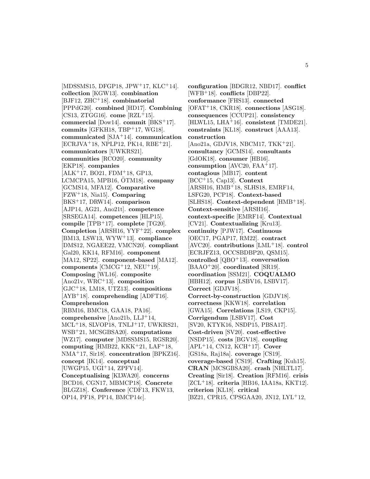[MDSSMS15, DFGP18, JPW<sup>+</sup>17, KLC<sup>+</sup>14]. **collection** [KGW13]. **combination** [BJF12, ZHC<sup>+</sup>18]. **combinatorial** [PPPdG20]. **combined** [HD17]. **Combining** [CS13, ZTGG16]. **come** [RZL<sup>+</sup>15]. **commercial** [Dow14]. **commit** [BKS<sup>+</sup>17]. **commits** [GFKH18, TBP<sup>+</sup>17, WG18]. **communicated** [SJA<sup>+</sup>14]. **communication** [ECRJVA<sup>+</sup>18, NPLP12, PK14, RBE<sup>+</sup>21]. **communicators** [UWKRS21]. **communities** [RCO20]. **community** [EKP18]. **companies** [ALK<sup>+</sup>17, BO21, FDM<sup>+</sup>18, GP13, LCMCPA15, MPB16, OTM18]. **company** [GCMS14, MFA12]. **Comparative** [FZW<sup>+</sup>18, Nia15]. **Comparing** [BKS<sup>+</sup>17, DRW14]. **comparison** [AJP14, AG21, Ano21t]. **competence** [SRSEGA14]. **competences** [HLP15]. **compile** [TPB<sup>+</sup>17]. **complete** [TG20]. **Completion** [ARSH16, YYF<sup>+</sup>22]. **complex** [BM13, LSW13, WYW<sup>+</sup>13]. **compliance** [DMS12, NGAEE22, VMCN20]. **compliant** [Gal20, KK14, RFM16]. **component** [MA12, SP22]. **component-based** [MA12]. **components** [CMCG<sup>+</sup>12, NEU<sup>+</sup>19]. **Composing** [WL16]. **composite** [Ano21v, WRC<sup>+</sup>13]. **composition** [GJC<sup>+</sup>18, LM18, UTZ13]. **compositions** [AYB<sup>+</sup>18]. **comprehending** [ADFT16]. **Comprehension** [RBM16, BMC18, GAA18, PA16]. **comprehensive** [Ano21b, LLJ<sup>+</sup>14, MCL<sup>+</sup>18, SLVOP18, TNLJ<sup>+</sup>17, UWKRS21, WSB<sup>+</sup>21, MCSGBSA20]. **computations** [WZ17]. **computer** [MDSSMS15, RGSR20]. **computing** [HMB22, KKK<sup>+</sup>21, LAF<sup>+</sup>18, NMA<sup>+</sup>17, Sir18]. **concentration** [BPKZ16]. **concept** [IK14]. **conceptual** [UWGP15, UGI<sup>+</sup>14, ZPFV14]. **Conceptualising** [KLWA20]. **concerns** [BCD16, CGN17, MBMCP18]. **Concrete** [BLGZ18]. **Conference** [CDF13, FKW13, OP14, PF18, PP14, BMCP14c].

**configuration** [BDGR12, NBD17]. **conflict** [WFB<sup>+</sup>18]. **conflicts** [DBP22]. **conformance** [FHS13]. **connected** [OFAT<sup>+</sup>18, CKR18]. **connections** [ASG18]. **consequences** [CCUP21]. **consistency** [HLWL15, LHA<sup>+</sup>16]. **consistent** [TMDE21]. **constraints** [KL18]. **construct** [AAA13]. **construction** [Ano21a, GDJV18, NBCM17, TKK<sup>+</sup>21]. **consultancy** [GCMS14]. **consultants** [GdOK18]. **consumer** [HB16]. **consumption** [AVC20, FAA<sup>+</sup>17]. **contagious** [MB17]. **content** [BCC<sup>+</sup>15, Cap13]. **Context** [ARSH16, HMB<sup>+</sup>18, SLHS18, EMRF14, LSFG20, PCP18]. **Context-based** [SLHS18]. **Context-dependent** [HMB<sup>+</sup>18]. **Context-sensitive** [ARSH16]. **context-specific** [EMRF14]. **Contextual** [CV21]. **Contextualizing** [Kru13]. **continuity** [PJW17]. **Continuous** [OEC17, PGAP17, RM22]. **contract** [AVC20]. **contributions** [LML<sup>+</sup>18]. **control** [ECRJFZ13, OCCSBDBP20, QSM15]. **controlled** [QBO<sup>+</sup>13]. **conversation** [BAAO<sup>+</sup>20]. **coordinated** [SR19]. **coordination** [SSM21]. **COQUALMO** [HBH12]. **corpus** [LSBV16, LSBV17]. **Correct** [GDJV18]. **Correct-by-construction** [GDJV18]. **correctness** [KKW18]. **correlation** [GWA15]. **Correlations** [LS19, CKP15]. **Corrigendum** [LSBV17]. **Cost** [SV20, KTYK16, NSDP15, PBSA17]. **Cost-driven** [SV20]. **cost-effective** [NSDP15]. **costs** [BGV18]. **coupling** [APL<sup>+</sup>14, CN12, KCH<sup>+</sup>17]. **Cover** [GS18a, Raj18a]. **coverage** [CS19]. **coverage-based** [CS19]. **Crafting** [Kuh15]. **CRAN** [MCSGBSA20]. **crash** [NHLTL17]. **Creating** [Sir18]. **Creation** [RFM16]. **crisis** [ZCL<sup>+</sup>18]. **criteria** [HB16, IAA18a, KKT12]. **criterion** [KL18]. **critical** [BZ21, CPR15, CPSGAA20, JN12, LYL<sup>+</sup>12,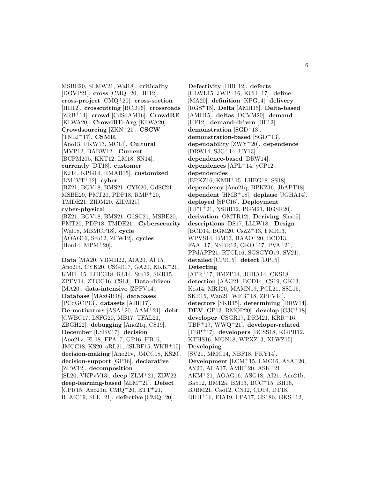MSBE20, SLMW21, Wal18]. **criticality** [DGVP21]. **cross** [CMQ<sup>+</sup>20, HH12]. **cross-project** [CMQ<sup>+</sup>20]. **cross-section** [HH12]. **crosscutting** [BCD16]. **crossroads** [ZRB<sup>+</sup>14]. **crowd** [CdSdAM16]. **CrowdRE** [KLWA20]. **CrowdRE-Arg** [KLWA20]. **Crowdsourcing** [ZKN<sup>+</sup>21]. **CSCW** [TNLJ<sup>+</sup>17]. **CSMR** [Ano13, FKW13, MC14]. **Cultural** [MVP12, BABW12]. **Current** [BCPM20b, KKT12, LM18, SN14]. **currently** [DT18]. **customer** [KJ14, KPG14, RMAB15]. **customized** [LMdVT<sup>+</sup>12]. **cyber** [BZ21, BGV18, BMS21, CYK20, GdSC21, MSBE20, PMT20, PDP18, RMP<sup>+</sup>20, TMDE21, ZIDM20, ZIDM21]. **cyber-physical** [BZ21, BGV18, BMS21, GdSC21, MSBE20, PMT20, PDP18, TMDE21]. **Cybersecurity** [Wal18, MBMCP18]. **cycle** [AOAG16, Sch12, ZPW12]. **cycles** [Hou14, MPM<sup>+</sup>20].

**Data** [MA20, VBMH22, AIA20, Al 15, Ano21t, CYK20, CSGR17, GA20, KKK<sup>+</sup>21, KMH<sup>+</sup>15, LHEG18, RL14, Stu12, SKR15, ZPFV14, ZTGG16, CS13]. **Data-driven** [MA20]. **data-intensive** [ZPFV14]. **Database** [MAzGB18]. **databases** [PCdGCP13]. **datasets** [AHH17]. **De-motivators** [ASA<sup>+</sup>20, AAM<sup>+</sup>21]. **debt** [CWBC17, LSFG20, MB17, TFAL21, ZBGH22]. **debugging** [Ano21q, CS19]. **December** [LSBV17]. **decision** [Ano21v, El 18, FPA17, GP16, HB16, JMCC18, KS20, aRL21, dSLBF15, WKB<sup>+</sup>15]. **decision-making** [Ano21v, JMCC18, KS20]. **decision-support** [GP16]. **declarative** [ZPW12]. **decomposition** [SL20, VKPvV13]. **deep** [ZLM<sup>+</sup>21, ZLW22]. **deep-learning-based** [ZLM<sup>+</sup>21]. **Defect** [CPR15, Ano21u, CMQ<sup>+</sup>20, ETT<sup>+</sup>21, RLMC19, SLL<sup>+</sup>21]. **defective** [CMQ<sup>+</sup>20].

**Defectivity** [HBH12]. **defects** [HLWL15, JWP<sup>+</sup>16, KCH<sup>+</sup>17]. **define** [MA20]. **definition** [KPG14]. **delivery** [RGS<sup>+</sup>15]. **Delta** [AMH15]. **Delta-based** [AMH15]. **deltas** [DCVM20]. **demand** [HF12]. **demand-driven** [HF12]. demonstration [SGD<sup>+</sup>13]. **demonstration-based** [SGD<sup>+</sup>13]. **dependability** [ZWY<sup>+</sup>20]. **dependence** [DRW14, SJG<sup>+</sup>14, UY13]. **dependence-based** [DRW14]. **dependences** [APL<sup>+</sup>14, yCP12]. **dependencies** [BPKZ16, KMH<sup>+</sup>15, LHEG18, SS18]. **dependency** [Ano21q, BPKZ16, JbAPT18]. **dependent** [HMB<sup>+</sup>18]. **dephase** [JGHA14]. **deployed** [SPC16]. **Deployment** [ETT<sup>+</sup>21, NSBR12, PGM21, RGSR20]. **derivation** [OMTR12]. **Deriving** [Sha15]. **descriptions** [DS17, LLLW18]. **Design** [BCD14, BGM20, CsZZ<sup>+</sup>13, FMR13, WPVS14, BM13, BAAO<sup>+</sup>20, BCD13, FAA<sup>+</sup>17, NSBR12, OKO<sup>+</sup>17, PVA<sup>+</sup>21, PPdAPP21, RTCL16, SGSGYO19, SV21]. **detailed** [CPR15]. **detect** [DP15]. **Detecting** [ATR<sup>+</sup>17, BMZP14, JGHA14, CKS18]. **detection** [AAG21, BCD14, CS19, GK13, Kos14, MRJ20, MAMN19, PCL21, SSL15, SKR15, Wan21, WFB<sup>+</sup>18, ZPFV14]. **detectors** [SKR15]. **determining** [DRW14]. **DEV** [GP13, RMOP20]. **develop** [GJC<sup>+</sup>18]. developer [CSGR17, DRM21, KRR<sup>+</sup>16, TBP<sup>+</sup>17, WWQ<sup>+</sup>21]. **developer-related** [TBP<sup>+</sup>17]. **developers** [BCSS18, KGPH12, KTHS16, MGN18, WPXZ13, XLWZ15]. **Developing** [SV21, MMC14, NBF18, PKY14]. **Development** [LCM<sup>+</sup>15, LMC16, ASA<sup>+</sup>20, AY20, AHA17, AMH<sup>+</sup>20, ASK<sup>+</sup>21, AKM<sup>+</sup>21, AOAG16, ASG18, AI21, Ano21b, ¨ Bab12, BM12a, BM13, BCC<sup>+</sup>15, BH16, BJBM21, Cao12, CN12, CD19, DT18, DHH<sup>+</sup>16, EIA19, FPA17, GS18b, GKS<sup>+</sup>12,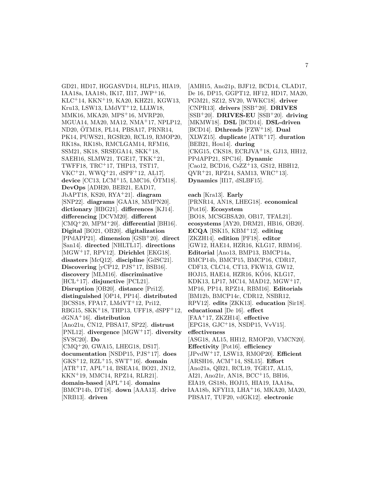GD21, HD17, HGGASVD14, HLP15, HIA19, IAA18a, IAA18b, IK17, II17, JWP<sup>+</sup>16, KLC<sup>+</sup>14, KKN<sup>+</sup>19, KA20, KHZ21, KGW13, Kru13, LSW13, LMdVT<sup>+</sup>12, LLLW18, MMK16, MKA20, MPS<sup>+</sup>16, MVRP20, MGUA14, MA20, MA12, NMA<sup>+</sup>17, NPLP12, ND20, OTM18, PL14, PBSA17, PRNR14, PK14, PUWS21, RGSR20, RCL19, RMOP20, RK18a, RK18b, RMCLGAM14, RFM16, SSM21, SK18, SRSEGA14, SKK<sup>+</sup>18, SAEH16, SLMW21, TGE17, TKK<sup>+</sup>21, TWFF18, TRC<sup>+</sup>17, THP13, TST17, VKC<sup>+</sup>21, WWQ<sup>+</sup>21, dSPF<sup>+</sup>12, AL17]. **device** [CC13, LCM<sup>+</sup>15, LMC16, OTM18]. **DevOps** [ADH20, BEB21, EAD17, JbAPT18, KS20, RYA<sup>+</sup>21]. **diagram** [SNP22]. **diagrams** [GAA18, MMPN20]. **dictionary** [HBG21]. **differences** [KJ14]. **differencing** [DCVM20]. **different** [CMQ<sup>+</sup>20, MPM<sup>+</sup>20]. **differential** [BH16]. **Digital** [BO21, OB20]. **digitalization** [PPdAPP21]. **dimension** [GSB<sup>+</sup>20]. **direct** [San14]. **directed** [NHLTL17]. **directions** [MGW<sup>+</sup>17, RPV12]. **Dirichlet** [EKG18]. **disasters** [McQ12]. **discipline** [GdSC21]. **Discovering** [yCP12, PJS<sup>+</sup>17, BSB16]. **discovery** [MLM16]. **discriminative** [HCL<sup>+</sup>17]. **disjunctive** [PCL21]. **Disruption** [OB20]. **distance** [Pri12]. **distinguished** [OP14, PP14]. **distributed** [BCSS18, FPA17, LMdVT<sup>+</sup>12, Pri12, RBG15, SKK<sup>+</sup>18, THP13, UFF18, dSPF<sup>+</sup>12, dGNA<sup>+</sup>16]. **distribution** [Ano21u, CN12, PBSA17, SP22]. **distrust** [PNL12]. **divergence** [MGW<sup>+</sup>17]. **diversity** [SVSC20]. **Do** [CMQ<sup>+</sup>20, GWA15, LHEG18, DS17]. **documentation** [NSDP15, PJS<sup>+</sup>17]. **does** [GKS<sup>+</sup>12, RZL<sup>+</sup>15, SWT<sup>+</sup>16]. **domain** [ATR<sup>+</sup>17, APL<sup>+</sup>14, BSEA14, BO21, JN12, KKN<sup>+</sup>19, MMC14, RPZ14, RLR21]. **domain-based** [APL<sup>+</sup>14]. **domains** [BMCP14b, DT18]. **down** [AAA13]. **drive** [NRB13]. **driven**

[AMH15, Ano21p, BJF12, BCD14, CLAD17, De 16, DP15, GGPT12, HF12, HD17, MA20, PGM21, SZ12, SV20, WWKC18]. **driver** [CNPR13]. **drivers** [SSB<sup>+</sup>20]. **DRIVES** [SSB<sup>+</sup>20]. **DRIVES-EU** [SSB<sup>+</sup>20]. **driving** [MKMW18]. **DSL** [BCD14]. **DSL-driven** [BCD14]. **Dthreads** [FZW<sup>+</sup>18]. **Dual** [XLWZ15]. **duplicate** [ATR<sup>+</sup>17]. **duration** [BEB21, Hou14]. **during** [CKG15, CKS18, ECRJVA<sup>+</sup>18, GJ13, HH12, PPdAPP21, SPC16]. **Dynamic** [Cao12, BCD16, CsZZ<sup>+</sup>13, GS12, HBH12, QVR<sup>+</sup>21, RPZ14, SAM13, WRC<sup>+</sup>13]. **Dynamics** [II17, dSLBF15].

**each** [Kra13]. **Early** [PRNR14, AN18, LHEG18]. **economical** [Pot16]. **Ecosystem** [BO18, MCSGBSA20, OB17, TFAL21]. **ecosystems** [AY20, DRM21, HB16, OB20]. **ECQA** [ISK15, KBM<sup>+</sup>12]. **editing** [ZKZH14]. **edition** [PF18]. **editor** [GW12, HAE14, HZR16, KLG17, RBM16]. **Editorial** [Ano13, BMP13, BMCP14a, BMCP14b, BMCP15, BMCP16, CDR17, CDF13, CLC14, CT13, FKW13, GW12, HOJ15, HAE14, HZR16, KO16, KLG17, ´ KDK13, LP17, MC14, MAD12, MGW<sup>+</sup>17, MP16, PP14, RPZ14, RBM16]. **Editorials** [BM12b, BMCP14c, CDR12, NSBR12, RPV12]. **edits** [ZKK13]. **education** [Sir18]. **educational** [De 16]. **effect** [FAA<sup>+</sup>17, ZKZH14]. **effective** [EPG18, GJC<sup>+</sup>18, NSDP15, VvV15]. **effectiveness** [ASG18, AL15, HH12, RMOP20, VMCN20]. **Effectivity** [Pot16]. **efficiency** [JPvdW<sup>+</sup>17, LSW13, RMOP20]. **Efficient** [ARSH16, ACM<sup>+</sup>14, SSL15]. **Effort** [Ano21a, QB21, RCL19, TGE17, AL15, AI21, Ano21r, AN18, BCC<sup>+</sup>15, BH16, EIA19, GS18b, HOJ15, HIA19, IAA18a, IAA18b, KFYI13, LHA<sup>+</sup>16, MKA20, MA20, PBSA17, TUF20, vdGK12]. **electronic**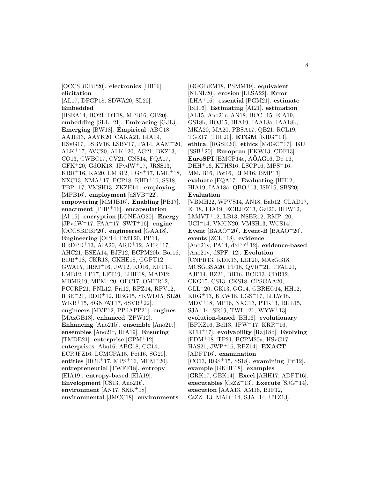[OCCSBDBP20]. **electronics** [HB16]. **elicitation**

[AL17, DFGP18, SDWA20, SL20].

**Embedded**

[BSEA14, BO21, DT18, MPB16, OB20]. **embedding** [SLL<sup>+</sup>21]. **Embracing** [GJ13]. **Emerging** [BW18]. **Empirical** [ABG18, AAJE13, AAYK20, CAKA21, EIA19, HSvG17, LSBV16, LSBV17, PA14, AAM<sup>+</sup>20, ALK<sup>+</sup>17, AVC20, ALK<sup>+</sup>20, AG21, BKZ13, CO13, CWBC17, CV21, CNS14, FQA17, GFK<sup>+</sup>20, GdOK18, JPvdW<sup>+</sup>17, JRSS13, KRR<sup>+</sup>16, KA20, LMB12, LGS<sup>+</sup>17, LML<sup>+</sup>18, NXC13, NMA<sup>+</sup>17, PCP18, RHD<sup>+</sup>16, SS18, TBP<sup>+</sup>17, VMSH13, ZKZH14]. **employing** [MPB16]. **employment** [dSVB<sup>+</sup>22]. **empowering** [MMJB16]. **Enabling** [PB17]. **enactment** [THP<sup>+</sup>16]. **encapsulation** [Al 15]. **encryption** [LGNEAO20]. **Energy** [JPvdW<sup>+</sup>17, FAA<sup>+</sup>17, SWT<sup>+</sup>16]. **engine** [OCCSBDBP20]. **engineered** [GAA18]. **Engineering** [OP14, PMT20, PP14, RRDPD<sup>+</sup>13, AIA20, ARD<sup>+</sup>12, ATR<sup>+</sup>17, AHC21, BSEA14, BJF12, BCPM20b, Bor16, BDB<sup>+</sup>18, CKR18, GKHE18, GGPT12, GWA15, HBM<sup>+</sup>16, JW12, KÓ16, KFT14, LMB12, LP17, LFT19, LHIE18, MAD12, MBMR19, MPM<sup>+</sup>20, OEC17, OMTR12, PCCRP21, PNL12, Pri12, RPZ14, RPV12, RBE<sup>+</sup>21, RDD<sup>+</sup>12, RBG15, SKWD15, SL20,  $WKB<sup>+</sup>15, dGNFAT17, dSVB<sup>+</sup>22$ . **engineers** [MVP12, PPdAPP21]. **engines** [MAzGB18]. **enhanced** [ZPW12]. **Enhancing** [Ano21b]. **ensemble** [Ano21t]. **ensembles** [Ano21r, HIA19]. **Ensuring** [TMDE21]. **enterprise** [GPM<sup>+</sup>12]. **enterprises** [Abu16, ABG18, CG14, ECRJFZ16, LCMCPA15, Pot16, SG20]. **entities** [HCL<sup>+</sup>17, MPS<sup>+</sup>16, MPM<sup>+</sup>20]. **entrepreneurial** [TWFF18]. **entropy** [EIA19]. **entropy-based** [EIA19]. **Envelopment** [CS13, Ano21t]. **environment** [AN17, SKK<sup>+</sup>18]. **environmental** [JMCC18]. **environments**

[GGGBEM18, PSMM19]. **equivalent** [NLNL20]. **erosion** [LLSA22]. **Error** [LHA<sup>+</sup>16]. **essential** [PGM21]. **estimate** [BH16]. **Estimating** [AI21]. **estimation** [AL15, Ano21r, AN18, BCC<sup>+</sup>15, EIA19, GS18b, HOJ15, HIA19, IAA18a, IAA18b, MKA20, MA20, PBSA17, QB21, RCL19, TGE17, TUF20]. **ETGM** [KRG<sup>+</sup>13]. **ethical** [RGSR20]. **ethics** [MdGC<sup>+</sup>17]. **EU** [SSB<sup>+</sup>20]. **European** [FKW13, CDF13]. **EuroSPI** [BMCP14c,  $A\ddot{\text{O}}$ AG16, De 16, DHH<sup>+</sup>16, KTHS16, LSCP16, MPS<sup>+</sup>16, MMJB16, Pot16, RFM16, BMP13]. **evaluate** [FQA17]. **Evaluating** [HH12, HIA19, IAA18a, QBO<sup>+</sup>13, ISK15, SBS20]. **Evaluation** [VBMH22, WPVS14, AN18, Bab12, CLAD17, El 18, EIA19, ECRJFZ13, Gal20, HHW12, LMdVT<sup>+</sup>12, LB13, NSBR12, RMP<sup>+</sup>20, UGI<sup>+</sup>14, VMCN20, VMSH13, WCS14]. **Event** [BAAO<sup>+</sup>20]. **Event-B** [BAAO<sup>+</sup>20]. **events** [ZCL<sup>+</sup>18]. **evidence** [Ano21v, PA14, dSPF<sup>+</sup>12]. **evidence-based** [Ano21v, dSPF<sup>+</sup>12]. **Evolution** [CNPR13, KDK13, LLT20, MAzGB18, MCSGBSA20, PF18, QVR<sup>+</sup>21, TFAL21, AJP14, BZ21, BH16, BCD13, CDR12, CKG15, CS13, CKS18, CPSGAA20, GLL<sup>+</sup>20, GK13, GG14, GBRHO14, HH12, KRG<sup>+</sup>13, KKW18, LGS<sup>+</sup>17, LLLW18, MDV<sup>+</sup>18, MP16, NXC13, PTK13, RHL15,  $SJA+14, SR19, TWL+21, WYW+13$ . **evolution-based** [BH16]. **evolutionary**  $[BPKZ16, Bol13, JPW<sup>+</sup>17, KRR<sup>+</sup>16,$ KCH<sup>+</sup>17]. **evolvability** [Raj18b]. **Evolving** [FDM<sup>+</sup>18, TP21, BCPM20a, HSvG17, HAS21, JWP<sup>+</sup>16, RPZ14]. **EXACT** [ADFT16]. **examination** [CO13, RGS<sup>+</sup>15, SS18]. **examining** [Pri12]. **example** [GKHE18]. **examples** [GRK17, GEK14]. **Excel** [AHH17, ADFT16].  $e$ **x**ecutables [CsZZ<sup>+</sup>13]. **Execute** [SJG<sup>+</sup>14]. **execution** [AAA13, AM16, BJF12,  $CsZZ+13$ , MAD<sup>+</sup>14, SJA<sup>+</sup>14, UTZ13.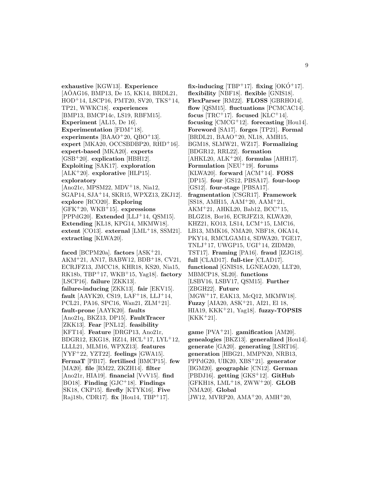**exhaustive** [KGW13]. **Experience**  $[AOAG16, BMP13, De 15, KK14, BRDL21,$ HOD<sup>+</sup>14, LSCP16, PMT20, SV20, TKS<sup>+</sup>14, TP21, WWKC18]. **experiences** [BMP13, BMCP14c, LS19, RBFM15]. **Experiment** [AL15, De 16]. **Experimentation** [FDM<sup>+</sup>18]. **experiments**  $[BAAO+20, QBO+13]$ . **expert** [MKA20, OCCSBDBP20, RHD<sup>+</sup>16]. **expert-based** [MKA20]. **experts** [GSB<sup>+</sup>20]. **explication** [HBH12]. **Exploiting** [SAK17]. **exploration** [ALK<sup>+</sup>20]. **explorative** [HLP15]. **exploratory** [Ano21c, MPSM22, MDV<sup>+</sup>18, Nia12, SGAP14, SJA<sup>+</sup>14, SKR15, WPXZ13, ZKJ12]. **explore** [RCO20]. **Exploring** [GFK<sup>+</sup>20, WKB<sup>+</sup>15]. **expressions** [PPPdG20]. **Extended** [LLJ<sup>+</sup>14, QSM15]. **Extending** [KL18, KPG14, MKMW18]. **extent** [CO13]. **external** [LML<sup>+</sup>18, SSM21]. **extracting** [KLWA20].

**faced** [BCPM20a]. **factors** [ASK<sup>+</sup>21, AKM<sup>+</sup>21, AN17, BABW12, BDB<sup>+</sup>18, CV21, ECRJFZ13, JMCC18, KHR18, KS20, Nia15, RK18b, TBP<sup>+</sup>17, WKB<sup>+</sup>15, Yag18]. **factory** [LSCP16]. **failure** [ZKK13]. **failure-inducing** [ZKK13]. **fair** [EKV15]. **fault** [AAYK20, CS19, LAF<sup>+</sup>18, LLJ<sup>+</sup>14, PCL21, PA16, SPC16, Wan21, ZLM<sup>+</sup>21]. **fault-prone** [AAYK20]. **faults** [Ano21q, BKZ13, DP15]. **FaultTracer** [ZKK13]. **Fear** [PNL12]. **feasibility** [KFT14]. **Feature** [DRGP13, Ano21r, BDGR12, EKG18, HZ14, HCL<sup>+</sup>17, LYL<sup>+</sup>12, LLLL21, MLM16, WPXZ13]. **features** [YYF<sup>+</sup>22, YZT22]. **feelings** [GWA15]. **FermaT** [PB17]. **fertilised** [BMCP15]. **few** [MA20]. **file** [RM22, ZKZH14]. **filter** [Ano21r, HIA19]. **financial** [VvV15]. **find** [BO18]. **Finding** [GJC<sup>+</sup>18]. **Findings** [SK18, CKP15]. **firefly** [KTYK16]. **Five** [Raj18b, CDR17]. **fix** [Hou14, TBP<sup>+</sup>17].

fix-inducing  $[TBP+17]$ . fixing  $[OKO+17]$ . **flexibility** [NBF18]. **flexible** [GNIS18]. **FlexParser** [RM22]. **FLOSS** [GBRHO14]. **flow** [QSM15]. **fluctuations** [PCMCAC14]. **focus** [TRC<sup>+</sup>17]. **focused** [KLC<sup>+</sup>14]. **focusing** [CMCG<sup>+</sup>12]. **forecasting** [Hou14]. **Foreword** [SA17]. **forges** [TP21]. **Formal** [BRDL21, BAAO<sup>+</sup>20, NL18, AMH15, BGM18, SLMW21, WZ17]. **Formalizing** [BDGR12, RRL22]. **formation** [AHKL20, ALK<sup>+</sup>20]. **formulas** [AHH17]. **Formulation** [NEU<sup>+</sup>19]. **forums** [KLWA20]. **forward** [ACM<sup>+</sup>14]. **FOSS** [DP15]. **four** [GS12, PBSA17]. **four-loop** [GS12]. **four-stage** [PBSA17]. **fragmentation** [CSGR17]. **Framework** [SS18, AMH15, AAM<sup>+</sup>20, AAM<sup>+</sup>21, AKM<sup>+</sup>21, AHKL20, Bab12, BCC<sup>+</sup>15, BLGZ18, Bor16, ECRJFZ13, KLWA20, KHZ21, KO13, LS14, LCM<sup>+</sup>15, LMC16, LB13, MMK16, NMA20, NBF18, OKA14, PKY14, RMCLGAM14, SDWA20, TGE17, TNLJ<sup>+</sup>17, UWGP15, UGI<sup>+</sup>14, ZIDM20, TST17]. **Framing** [PA16]. **fraud** [IZJG18]. **full** [CLAD17]. **full-tier** [CLAD17]. **functional** [GNIS18, LGNEAO20, LLT20, MBMCP18, SL20]. **functions** [LSBV16, LSBV17, QSM15]. **Further** [ZBGH22]. **Future** [MGW<sup>+</sup>17, EAK13, McQ12, MKMW18]. **Fuzzy** [AIA20, ASK<sup>+</sup>21, AI21, El 18, HIA19, KKK<sup>+</sup>21, Yag18]. **fuzzy-TOPSIS**  $[KKK+21].$ 

**game** [PVA<sup>+</sup>21]. **gamification** [AM20]. **genealogies** [BKZ13]. **generalized** [Hou14]. **generate** [GA20]. **generating** [LSRT16]. **generation** [HBG21, MMPN20, NRB13, PPPdG20, UIK20, XBS<sup>+</sup>21]. **generator** [BGM20]. **geographic** [CN12]. **German** [PBDJ16]. **getting** [GKS<sup>+</sup>12]. **GitHub** [GFKH18, LML<sup>+</sup>18, ZWW<sup>+</sup>20]. **GLOB** [NMA20]. **Global** [JW12, MVRP20, AMA<sup>+</sup>20, AMH<sup>+</sup>20,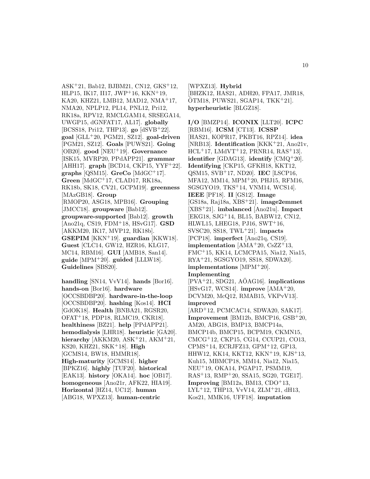ASK<sup>+</sup>21, Bab12, BJBM21, CN12, GKS<sup>+</sup>12, HLP15, IK17, II17, JWP<sup>+</sup>16, KKN<sup>+</sup>19, KA20, KHZ21, LMB12, MAD12, NMA<sup>+</sup>17, NMA20, NPLP12, PL14, PNL12, Pri12, RK18a, RPV12, RMCLGAM14, SRSEGA14, UWGP15, dGNFAT17, AL17]. **globally** [BCSS18, Pri12, THP13]. **go** [dSVB<sup>+</sup>22]. **goal** [GLL<sup>+</sup>20, PGM21, SZ12]. **goal-driven** [PGM21, SZ12]. **Goals** [PUWS21]. **Going** [OB20]. **good** [NEU<sup>+</sup>19]. **Governance** [ISK15, MVRP20, PPdAPP21]. **grammar** [AHH17]. **graph** [BCD14, CKP15, YYF<sup>+</sup>22]. **graphs** [QSM15]. **GreCo** [MdGC<sup>+</sup>17]. **Green** [MdGC<sup>+</sup>17, CLAD17, RK18a, RK18b, SK18, CV21, GCPM19]. **greenness** [MAzGB18]. **Group** [RMOP20, ASG18, MPB16]. **Grouping** [JMCC18]. **groupware** [Bab12]. **groupware-supported** [Bab12]. **growth** [Ano21q, CS19, FDM<sup>+</sup>18, HSvG17]. **GSD** [AKKM20, IK17, MVP12, RK18b]. **GSEPIM** [KKN<sup>+</sup>19]. **guardian** [KKW18]. **Guest** [CLC14, GW12, HZR16, KLG17, MC14, RBM16]. **GUI** [AMB18, San14]. **guide** [MPM<sup>+</sup>20]. **guided** [LLLW18]. **Guidelines** [SBS20].

**handling** [SN14, VvV14]. **hands** [Bor16]. **hands-on** [Bor16]. **hardware** [OCCSBDBP20]. **hardware-in-the-loop** [OCCSBDBP20]. **hashing** [Kos14]. **HCI** [GdOK18]. **Health** [BNBA21, RGSR20, OFAT<sup>+</sup>18, PDP18, RLMC19, CKR18]. **healthiness** [BZ21]. **help** [PPdAPP21]. **hemodialysis** [LHR18]. **heuristic** [GA20]. **hierarchy** [AKKM20, ASK<sup>+</sup>21, AKM<sup>+</sup>21, KS20, KHZ21, SKK<sup>+</sup>18]. **High** [GCMS14, BW18, HMMR18]. **High-maturity** [GCMS14]. **higher** [BPKZ16]. **highly** [TUF20]. **historical** [EAK13]. **history** [OKA14]. **hoc** [OB17]. **homogeneous** [Ano21r, AFK22, HIA19]. **Horizontal** [HZ14, UC12]. **human** [ABG18, WPXZ13]. **human-centric**

[WPXZ13]. **Hybrid** [BHZK12, HAS21, ADH20, FPA17, JMR18,  $\overline{O}$ TM18, PUWS21, SGAP14, TKK<sup>+</sup>21. **hyperheuristic** [BLGZ18].

**I/O** [BMZP14]. **ICONIX** [LLT20]. **ICPC** [RBM16]. **ICSM** [CT13]. **ICSSP** [HAS21, KOPR17, PKBT16, RPZ14]. **idea** [NRB13]. **Identification** [KKK<sup>+</sup>21, Ano21v,  $HCL+17$ ,  $LMdVT+12$ ,  $PRNR14$ ,  $RAS+13$ . **identifier** [GDAG13]. **identify** [CMQ<sup>+</sup>20]. **Identifying** [CKP15, GFKH18, KKT12, QSM15, SVB<sup>+</sup>17, ND20]. **IEC** [LSCP16, MFA12, MM14, MPM<sup>+</sup>20, PHJ15, RFM16, SGSGYO19, TKS<sup>+</sup>14, VNM14, WCS14]. **IEEE** [PF18]. **II** [GS12]. **Image** [GS18a, Raj18a, XBS<sup>+</sup>21]. **image2emmet** [XBS<sup>+</sup>21]. **imbalanced** [Ano21u]. **Impact** [EKG18, SJG<sup>+</sup>14, BL15, BABW12, CN12, HLWL15, LHEG18, PJ16, SWT<sup>+</sup>16, SVSC20, SS18, TWL<sup>+</sup>21]. **impacts** [PCP18]. **imperfect** [Ano21q, CS19]. **implementation**  $[AMA^+20, CsZZ^+13,$ FMC<sup>+</sup>15, KK14, LCMCPA15, Nia12, Nia15, RYA<sup>+</sup>21, SGSGYO19, SS18, SDWA20]. **implementations** [MPM<sup>+</sup>20]. **Implementing** [PVA<sup>+</sup>21, SDG21, AÖAG16]. **implications** [HSvG17, WCS14]. **improve** [AMA<sup>+</sup>20, DCVM20, McQ12, RMAB15, VKPvV13]. **improved** [ARD<sup>+</sup>12, PCMCAC14, SDWA20, SAK17]. **Improvement** [BM12b, BMCP16, GSB<sup>+</sup>20, AM20, ABG18, BMP13, BMCP14a, BMCP14b, BMCP15, BCPM19, CKMN15, CMCG<sup>+</sup>12, CKP15, CG14, CCUP21, CO13, CPMS<sup>+</sup>14, ECRJFZ13, GPM<sup>+</sup>12, GP13, HHW12, KK14, KKT12, KKN<sup>+</sup>19, KJS<sup>+</sup>13, Kuh15, MBMCP18, MM14, Nia12, Nia15, NEU<sup>+</sup>19, OKA14, PGAP17, PSMM19, RAS<sup>+</sup>13, RMP<sup>+</sup>20, SSA15, SG20, TGE17]. **Improving** [BM12a, BM13, CDO<sup>+</sup>13,  $LYL+12$ , THP13, VvV14, ZLM+21, dH13, Kos21, MMK16, UFF18]. **imputation**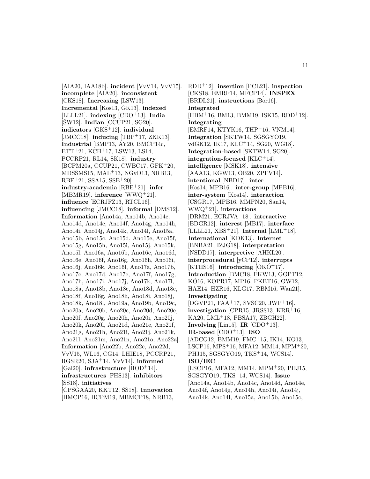[AIA20, IAA18b]. **incident** [VvV14, VvV15]. **incomplete** [AIA20]. **inconsistent** [CKS18]. **Increasing** [LSW13]. **Incremental** [Kos13, GK13]. **indexed**  $[ILLL21]$ . **indexing**  $[CDO+13]$ . **India**  $[\text{SW12}]$ . **Indian**  $[\text{CCUP21}, \text{SG20}]$ . **indicators** [GKS<sup>+</sup>12]. **individual** [JMCC18]. **inducing** [TBP<sup>+</sup>17, ZKK13]. **Industrial** [BMP13, AY20, BMCP14c, ETT<sup>+</sup>21, KCH<sup>+</sup>17, LSW13, LS14, PCCRP21, RL14, SK18]. **industry** [BCPM20a, CCUP21, CWBC17, GFK<sup>+</sup>20, MDSSMS15, MAL<sup>+</sup>13, NGvD13, NRB13,  $RBE+21$ , SSA15, SSB+20. **industry-academia** [RBE<sup>+</sup>21]. **infer** [MBMR19]. **inference** [WWQ<sup>+</sup>21]. **influence** [ECRJFZ13, RTCL16]. **influencing** [JMCC18]. **informal** [DMS12]. **Information** [Ano14a, Ano14b, Ano14c, Ano14d, Ano14e, Ano14f, Ano14g, Ano14h, Ano14i, Ano14j, Ano14k, Ano14l, Ano15a, Ano15b, Ano15c, Ano15d, Ano15e, Ano15f, Ano15g, Ano15h, Ano15i, Ano15j, Ano15k, Ano15l, Ano16a, Ano16b, Ano16c, Ano16d, Ano16e, Ano16f, Ano16g, Ano16h, Ano16i, Ano16j, Ano16k, Ano16l, Ano17a, Ano17b, Ano17c, Ano17d, Ano17e, Ano17f, Ano17g, Ano17h, Ano17i, Ano17j, Ano17k, Ano17l, Ano18a, Ano18b, Ano18c, Ano18d, Ano18e, Ano18f, Ano18g, Ano18h, Ano18i, Ano18j, Ano18k, Ano18l, Ano19a, Ano19b, Ano19c, Ano20a, Ano20b, Ano20c, Ano20d, Ano20e, Ano20f, Ano20g, Ano20h, Ano20i, Ano20j, Ano20k, Ano20l, Ano21d, Ano21e, Ano21f, Ano21g, Ano21h, Ano21i, Ano21j, Ano21k, Ano21l, Ano21m, Ano21n, Ano21o, Ano22a]. **Information** [Ano22b, Ano22c, Ano22d, VvV15, WL16, CG14, LHIE18, PCCRP21, RGSR20, SJA<sup>+</sup>14, VvV14]. **informed** [Gal20]. **infrastructure** [HOD<sup>+</sup>14]. **infrastructures** [FHS13]. **inhibitors** [SS18]. **initiatives** [CPSGAA20, KKT12, SS18]. **Innovation**

[BMCP16, BCPM19, MBMCP18, NRB13,

RDD<sup>+</sup>12]. **insertion** [PCL21]. **inspection** [CKS18, EMRF14, MFCP14]. **INSPEX** [BRDL21]. **instructions** [Bor16]. **Integrated**  $[HBM+16, BM13, BMM19, ISK15, RDD+12].$ **Integrating** [EMRF14, KTYK16, THP+16, VNM14]. **Integration** [SKTW14, SGSGYO19, vdGK12, IK17, KLC<sup>+</sup>14, SG20, WG18]. **Integration-based** [SKTW14, SG20]. **integration-focused** [KLC<sup>+</sup>14]. **intelligence** [MSK18]. **intensive** [AAA13, KGW13, OB20, ZPFV14]. **intentional** [NBD17]. **inter** [Kos14, MPB16]. **inter-group** [MPB16]. **inter-system** [Kos14]. **interaction** [CSGR17, MPB16, MMPN20, San14, WWQ<sup>+</sup>21]. **interactions** [DRM21, ECRJVA<sup>+</sup>18]. **interactive** [BDGR12]. **interest** [MB17]. **interface** [LLLL21, XBS<sup>+</sup>21]. **Internal** [LML<sup>+</sup>18]. **International** [KDK13]. **Internet** [BNBA21, IZJG18]. **interpretation** [NSDD17]. **interpretive** [AHKL20]. **interprocedural** [yCP12]. **interrupts** [KTHS16]. **introducing**  $[OKO+17]$ . **Introduction** [BMC18, FKW13, GGPT12, KÓ16, KOPR17, MP16, PKBT16, GW12, HAE14, HZR16, KLG17, RBM16, Wan21]. **Investigating**  $[DGVP21, FAA<sup>+</sup>17, SVSC20, JWP<sup>+</sup>16].$ **investigation** [CPR15, JRSS13, KRR<sup>+</sup>16, KA20, LML<sup> $+$ </sup>18, PBSA17, ZBGH22. **Involving** [Lin15]. **IR**  $[CDO+13]$ .  $IR-based [CDO<sup>+</sup>13]$ . **ISO** [ADCG12, BMM19, FMC<sup>+</sup>15, IK14, KO13, LSCP16, MPS<sup>+</sup>16, MFA12, MM14, MPM<sup>+</sup>20, PHJ15, SGSGYO19, TKS<sup>+</sup>14, WCS14]. **ISO/IEC** [LSCP16, MFA12, MM14, MPM<sup>+</sup>20, PHJ15, SGSGYO19, TKS<sup>+</sup>14, WCS14]. **Issue** [Ano14a, Ano14b, Ano14c, Ano14d, Ano14e, Ano14f, Ano14g, Ano14h, Ano14i, Ano14j,

Ano14k, Ano14l, Ano15a, Ano15b, Ano15c,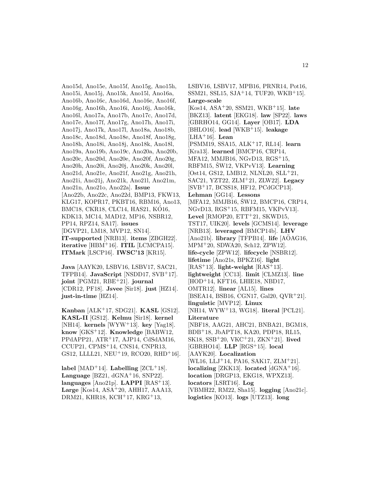Ano15d, Ano15e, Ano15f, Ano15g, Ano15h, Ano15i, Ano15j, Ano15k, Ano15l, Ano16a, Ano16b, Ano16c, Ano16d, Ano16e, Ano16f, Ano16g, Ano16h, Ano16i, Ano16j, Ano16k, Ano16l, Ano17a, Ano17b, Ano17c, Ano17d, Ano17e, Ano17f, Ano17g, Ano17h, Ano17i, Ano17j, Ano17k, Ano17l, Ano18a, Ano18b, Ano18c, Ano18d, Ano18e, Ano18f, Ano18g, Ano18h, Ano18i, Ano18j, Ano18k, Ano18l, Ano19a, Ano19b, Ano19c, Ano20a, Ano20b, Ano20c, Ano20d, Ano20e, Ano20f, Ano20g, Ano20h, Ano20i, Ano20j, Ano20k, Ano20l, Ano21d, Ano21e, Ano21f, Ano21g, Ano21h, Ano21i, Ano21j, Ano21k, Ano21l, Ano21m, Ano21n, Ano21o, Ano22a]. **Issue** [Ano22b, Ano22c, Ano22d, BMP13, FKW13, KLG17, KOPR17, PKBT16, RBM16, Ano13, BMC18, CKR18, CLC14, HAS21, KO16, KDK13, MC14, MAD12, MP16, NSBR12, PP14, RPZ14, SA17]. **issues** [DGVP21, LM18, MVP12, SN14]. **IT-supported** [NRB13]. **items** [ZBGH22]. **iterative** [HBM<sup>+</sup>16]. **ITIL** [LCMCPA15]. **ITMark** [LSCP16]. **IWSC'13** [KR15].

**Java** [AAYK20, LSBV16, LSBV17, SAC21, TFPB14]. **JavaScript** [NSDD17, SVB<sup>+</sup>17]. **joint** [PGM21, RBE<sup>+</sup>21]. **journal** [CDR12, PF18]. **Jsvee** [Sir18]. **just** [HZ14]. **just-in-time** [HZ14].

**Kanban** [ALK<sup>+</sup>17, SDG21]. **KASL** [GS12]. **KASL-II** [GS12]. **Kelmu** [Sir18]. **kernel** [NH14]. **kernels** [WYW<sup>+</sup>13]. **key** [Yag18]. **know** [GKS<sup>+</sup>12]. **Knowledge** [BABW12, PPdAPP21, ATR<sup>+</sup>17, AJP14, CdSdAM16, CCUP21, CPMS<sup>+</sup>14, CNS14, CNPR13, GS12, LLLL21, NEU<sup>+</sup>19, RCO20, RHD<sup>+</sup>16].

 $label [MAD+14]$ . **Labelling**  $[ZCL+18]$ . **Language** [BZ21, dGNA<sup>+</sup>16, SNP22]. **languages** [Ano21p]. **LAPPI** [RAS<sup>+</sup>13]. **Large** [Kos14, ASA<sup>+</sup>20, AHH17, AAA13, DRM21, KHR18, KCH<sup>+</sup>17, KRG<sup>+</sup>13,

LSBV16, LSBV17, MPB16, PRNR14, Pot16, SSM21, SSL15, SJA<sup>+</sup>14, TUF20, WKB<sup>+</sup>15]. **Large-scale** [Kos14, ASA<sup>+</sup>20, SSM21, WKB<sup>+</sup>15]. **late** [BKZ13]. **latent** [EKG18]. **law** [SP22]. **laws** [GBRHO14, GG14]. **Layer** [OB17]. **LDA** [BHLO16]. **lead** [WKB<sup>+</sup>15]. **leakage** [LHA<sup>+</sup>16]. **Lean** [PSMM19, SSA15, ALK<sup>+</sup>17, RL14]. **learn** [Kra13]. **learned** [BMCP16, CRP14, MFA12, MMJB16, NGvD13, RGS<sup>+</sup>15, RBFM15, SW12, VKPvV13. Learning [Ost14, GS12, LMB12, NLNL20, SLL<sup>+</sup>21, SAC21, YZT22, ZLM<sup>+</sup>21, ZLW22]. **Legacy** [SVB<sup>+</sup>17, BCSS18, HF12, PCdGCP13]. **Lehman** [GG14]. **Lessons** [MFA12, MMJB16, SW12, BMCP16, CRP14, NGvD13, RGS<sup>+</sup>15, RBFM15, VKPvV13]. **Level** [RMOP20,  $ETT^+21$ , SKWD15, TST17, UIK20]. **levels** [GCMS14]. **leverage** [NRB13]. **leveraged** [BMCP14b]. **LHV**  $[Ano21b]$ . **library**  $[TFPB14]$ . **life**  $[AOAG16]$ , MPM<sup>+</sup>20, SDWA20, Sch12, ZPW12]. **life-cycle** [ZPW12]. **lifecycle** [NSBR12]. **lifetime** [Ano21s, BPKZ16]. **light** [RAS<sup>+</sup>13]. **light-weight** [RAS<sup>+</sup>13]. **lightweight** [CC13]. **limit** [CLMZ13]. **line** [HOD<sup>+</sup>14, KFT16, LHIE18, NBD17, OMTR12]. **linear** [AL15]. **lines** [BSEA14, BSB16, CGN17, Gal20, QVR<sup>+</sup>21]. **linguistic** [MVP12]. **Linux** [NH14, WYW<sup>+</sup>13, WG18]. **literal** [PCL21]. **Literature** [NBF18, AAG21, AHC21, BNBA21, BGM18, BDB<sup>+</sup>18, JbAPT18, KA20, PDP18, RL15, SK18, SSB<sup>+</sup>20, VKC<sup>+</sup>21, ZKN<sup>+</sup>21]. **lived** [GBRHO14]. **LLP** [RGS<sup>+</sup>15]. **local** [AAYK20]. **Localization** [WL16, LLJ<sup>+</sup>14, PA16, SAK17, ZLM<sup>+</sup>21]. **localizing** [ZKK13]. **located** [dGNA<sup>+</sup>16]. **location** [DRGP13, EKG18, WPXZ13]. **locators** [LSRT16]. **Log** [VBMH22, RM22, Sha15]. **logging** [Ano21c]. **logistics** [KO13]. **logs** [UTZ13]. **long**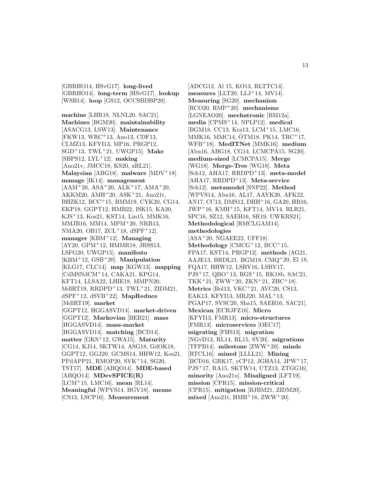[GBRHO14, HSvG17]. **long-lived** [GBRHO14]. **long-term** [HSvG17]. **lookup** [WSB14]. **loop** [GS12, OCCSBDBP20].

**machine** [LHR18, NLNL20, SAC21]. **Machines** [BGM20]. **maintainability** [ASACG13, LSW13]. **Maintenance** [FKW13, WRC<sup>+</sup>13, Ano13, CDF13, CLMZ13, KFYI13, MP16, PRGP12, SGD<sup>+</sup>13, TWL<sup>+</sup>21, UWGP15]. **Make** [SBPS12, LYL<sup>+</sup>12]. **making** [Ano21v, JMCC18, KS20, aRL21]. **Malaysian** [ABG18]. **malware** [MDV<sup>+</sup>18]. **manage** [IK14]. **management**  $[AAM<sup>+</sup>20, ASA<sup>+</sup>20, ALK<sup>+</sup>17, AMA<sup>+</sup>20,$ AKKM20, AMH<sup>+</sup>20, ASK<sup>+</sup>21, Ano21t, BHZK12, BCC<sup>+</sup>15, BMM19, CYK20, CG14, EKP18, GGPT12, HMB22, ISK15, KA20, KJS<sup>+</sup>13, Kos21, KST14, Lin15, MMK16, MMJB16, MM14, MPM<sup>+</sup>20, NRB13, NMA20, OB17, ZCL<sup>+</sup>18, dSPF<sup>+</sup>12]. **manager** [KBM<sup>+</sup>12]. **Managing** [AY20, GPM<sup>+</sup>12, HMMR18, JRSS13, LSFG20, UWGP15]. **manifesto** [KBM<sup>+</sup>12, GSB<sup>+</sup>20]. **Manipulation** [KLG17, CLC14]. **map** [KGW13]. **mapping** [CdMSNdCM<sup>+</sup>14, CAKA21, KPG14, KFT14, LLSA22, LHIE18, MMPN20, MdlRT19, RRDPD<sup>+</sup>13, TWL<sup>+</sup>21, ZIDM21, dSPF<sup>+</sup>12, dSVB<sup>+</sup>22]. **MapReduce** [MdlRT19]. **market** [GGPT12, HGGASVD14]. **market-driven** [GGPT12]. **Markovian** [BEB21]. **mass** [HGGASVD14]. **mass-market** [HGGASVD14]. **matching** [BCD14]. **matter** [GKS<sup>+</sup>12, GWA15]. **Maturity** [CG14, KJ14, SKTW14, ASG18, GdOK18, GGPT12, GGJ20, GCMS14, HHW12, Kos21, PPdAPP21, RMOP20, SVK<sup>+</sup>14, SG20, TST17]. **MDE** [ABQO14]. **MDE-based** [ABQO14]. **MDevSPICE(R)** [LCM<sup>+</sup>15, LMC16]. **mean** [RL14]. **Meaningful** [WPVS14, BGV18]. **means** [CS13, LSCP16]. **Measurement**

[ADCG12, Al 15, KO13, RLTTC14]. **measures** [LLT20, LLJ<sup>+</sup>14, MV14]. **Measuring** [SG20]. **mechanism** [RCO20, RMP<sup>+</sup>20]. **mechanisms** [LGNEAO20]. **mechatronic** [BM12a]. **media** [CPMS<sup>+</sup>14, NPLP12]. **medical** [BGM18, CC13, Kra13, LCM<sup>+</sup>15, LMC16, MMK16, MMC14, OTM18, PK14, TRC+17, WFB<sup>+</sup>18]. **MedITNet** [MMK16]. **medium** [Abu16, ABG18, CG14, LCMCPA15, SG20]. **medium-sized** [LCMCPA15]. **Merge** [WG18]. **Merge-Tree** [WG18]. **Meta** [Sch12, AHA17, RRDPD<sup>+</sup>13]. **meta-model** [AHA17, RRDPD<sup>+</sup>13]. **Meta-service** [Sch12]. **metamodel** [SNP22]. **Method** [WPVS14, Abu16, AL17, AAYK20, AFK22, AN17, CC13, DMS12, DHH<sup>+</sup>16, GA20, HB16, JWP<sup>+</sup>16, KMH<sup>+</sup>15, KFT14, MV14, RLR21, SPC16, SZ12, SAEH16, SR19, UWKRS21]. **Methodological** [RMCLGAM14]. **methodologies**  $[ASA<sup>+</sup>20, NGAEE22, UFF18].$ **Methodology** [CMCG<sup>+</sup>12, BCC<sup>+</sup>15, FPA17, KST14, PRGP12]. **methods** [AG21, AAJE13, BRDL21, BGM18, CMQ<sup>+</sup>20, El 18, FQA17, HHW12, LSBV16, LSBV17, PJS<sup>+</sup>17, QBO<sup>+</sup>13, RGS<sup>+</sup>15, RK18b, SAC21, TKK<sup>+</sup>21, ZWW<sup>+</sup>20, ZKN<sup>+</sup>21, ZHC<sup>+</sup>18]. **Metrics** [Bol13, VKC<sup>+</sup>21, AVC20, CS13, EAK13, KFYI13, MRJ20, MAL<sup>+</sup>13, PGAP17, SVSC20, Sha15, SAEH16, SAC21]. **Mexican** [ECRJFZ16]. **Micro** [KFYI13, FMR13]. **micro-structures** [FMR13]. **microservices** [OEC17]. **migrating** [FHS13]. **migration** [NGvD13, RL14, RL15, SV20]. **migrations** [TFPB14]. **milestone** [ZWW<sup>+</sup>20]. **minds** [RTCL16]. **mined** [LLLL21]. **Mining** [BCD16, GRK17, yCP12, JGHA14, JPW<sup>+</sup>17, PJS<sup>+</sup>17, RA15, SKTW14, UTZ13, ZTGG16]. **minority** [Ano21u]. **Misaligned** [LFT19]. **mission** [CPR15]. **mission-critical** [CPR15]. **mitigation** [BJBM21, ZIDM20]. **mixed** [Ano21t, HMB<sup>+</sup>18, ZWW<sup>+</sup>20].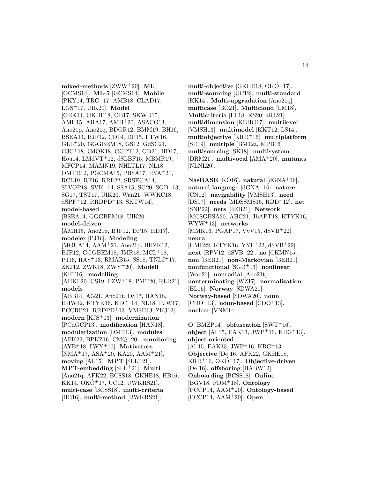**mixed-methods** [ZWW<sup>+</sup>20]. **ML** [GCMS14]. **ML-5** [GCMS14]. **Mobile** [PKY14, TRC<sup>+</sup>17, AMB18, CLAD17, LGS<sup>+</sup>17, UIK20]. **Model** [GEK14, GKHE18, OB17, SKWD15, AMH15, AHA17, AMH<sup>+</sup>20, ASACG13, Ano21p, Ano21q, BDGR12, BMM19, BH16, BSEA14, BJF12, CD19, DP15, FTW16, GLL<sup>+</sup>20, GGGBEM18, GS12, GdSC21, GJC<sup>+</sup>18, GdOK18, GGPT12, GD21, HD17, Hou14, LMdVT<sup>+</sup>12, dSLBF15, MBMR19, MFCP14, MAMN19, NHLTL17, NL18, OMTR12, PGCMA15, PBSA17, RYA<sup>+</sup>21, RCL19, RF16, RRL22, SRSEGA14, SLVOP18, SVK<sup>+</sup>14, SSA15, SG20, SGD<sup>+</sup>13, SG17, TST17, UIK20, Wan21, WWKC18,  $dSPF+12$ , RRDPD<sup>+</sup>13, SKTW14. **model-based** [BSEA14, GGGBEM18, UIK20]. **model-driven** [AMH15, Ano21p, BJF12, DP15, HD17]. **modeler** [PJ16]. **Modeling** [MGUA14, AAM<sup>+</sup>21, Ano21p, BHZK12, BJF12, GGGBEM18, JMR18,  $MCL+18$ , PJ16, RAS<sup>+</sup>13, RMAB15, SS18, TNLJ<sup>+</sup>17, ZKJ12, ZWK18, ZWY<sup>+</sup>20]. **Modell** [KFT16]. **modelling** [AHKL20, CS19, FZW<sup>+</sup>18, PMT20, RLR21]. **models** [ABB14, AG21, Ano21t, DS17, HAN18, HHW12, KTYK16, KLC<sup>+</sup>14, NL18, PJW17, PCCRP21, RRDPD<sup>+</sup>13, VMSH13, ZKJ12]. **modern** [KJS<sup>+</sup>13]. **modernization** [PCdGCP13]. **modification** [HAN18]. **modularization** [DMT13]. **modules** [AFK22, BPKZ16, CMQ<sup>+</sup>20]. **monitoring** [AYB<sup>+</sup>18, LWY<sup>+</sup>16]. **Motivators** [NMA<sup>+</sup>17, ASA<sup>+</sup>20, KA20, AAM<sup>+</sup>21]. moving  $[AL15]$ . **MPT**  $[SLL+21]$ . **MPT-embedding** [SLL<sup>+</sup>21]. **Multi** [Ano21q, AFK22, BCSS18, GKHE18, HB16,  $KK14, OKO+17, UCl2, UWKRS21$ . **multi-case** [BCSS18]. **multi-criteria** [HB16]. **multi-method** [UWKRS21].

multi-objective  $[GKHE18, OKO+17]$ . **multi-sourcing** [UC12]. **multi-standard** [KK14]. **Multi-upgradation** [Ano21q]. **multicase** [BO21]. **Multicloud** [LM18]. **Multicriteria** [El 18, KS20, aRL21]. **multidimension** [KBHG17]. **multilevel** [VMSH13]. **multimodel** [KKT12, LS14]. **multiobjective** [KRR<sup>+</sup>16]. **multiplatform** [SR19]. **multiple** [BM12a, MPB16]. **multisourcing** [SK18]. **multisystem** [DRM21]. **multivocal** [AMA<sup>+</sup>20]. **mutants** [NLNL20].

**NasBASE** [KO16]. **natural**  $\text{dGNA+16}$ . **natural-language** [dGNA<sup>+</sup>16]. **nature** [CN12]. **navigability** [VMSH13]. **need** [DS17]. **needs** [MDSSMS15, RDD<sup>+</sup>12]. **net** [SNP22]. **nets** [BEB21]. **Network** [MCSGBSA20, AHC21, JbAPT18, KTYK16, WYW<sup>+</sup>13]. **networks** [MMK16, PGAP17, VvV15, dSVB<sup>+</sup>22]. **neural** [HMB22, KTYK16, YYF<sup>+</sup>22, dSVB<sup>+</sup>22]. **next** [RPV12, dSVB<sup>+</sup>22]. **no** [CKMN15]. **non** [BEB21]. **non-Markovian** [BEB21]. **nonfunctional** [SGD<sup>+</sup>13]. **nonlinear** [Wan21]. **nonradial** [Ano21t]. **nonterminating** [WZ17]. **normalization** [BL15]. **Norway** [SDWA20]. **Norway-based** [SDWA20]. **noun**  $[CDO<sup>+</sup>13]$ . **noun-based**  $[CDO<sup>+</sup>13]$ . **nuclear** [VNM14].

**O** [BMZP14]. **obfuscation** [SWT<sup>+</sup>16]. **object** [Al 15, EAK13, JWP<sup>+</sup>16, KRG<sup>+</sup>13]. **object-oriented** [Al 15, EAK13, JWP<sup>+</sup>16, KRG<sup>+</sup>13]. **Objective** [De 16, AFK22, GKHE18,  $KRR+16$ ,  $OKO+17$ . **Objective-driven** [De 16]. **offshoring** [BABW12]. **Onboarding** [BCSS18]. **Online** [BGV18, FDM<sup>+</sup>18]. **Ontology** [PCCP14, AAM<sup>+</sup>20]. **Ontology-based** [PCCP14, AAM<sup>+</sup>20]. **Open**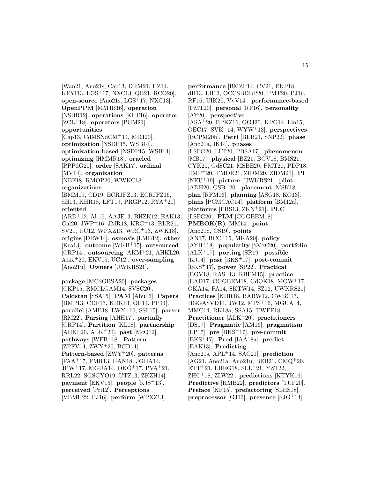[Wan21, Ano21s, Cap13, DRM21, HZ14, KFYI13, LGS<sup>+</sup>17, NXC13, QB21, RCO20]. **open-source** [Ano21s, LGS<sup>+</sup>17, NXC13]. **OpenPPM** [MMJB16]. **operation** [NSBR12]. **operations** [KFT16]. **operator** [ZCL<sup>+</sup>18]. **operators** [PGM21]. **opportunities** [Cap13, CdMSNdCM<sup>+</sup>14, MRJ20]. **optimization** [NSDP15, WSB14]. **optimization-based** [NSDP15, WSB14]. **optimizing** [HMMR18]. **oracled** [PPPdG20]. **order** [SAK17]. **ordinal** [MV14]. **organization** [NBF18, RMOP20, WWKC18]. **organizations** [BMM19, CD19, ECRJFZ13, ECRJFZ16, dH13, KHR18, LFT19, PRGP12, RYA<sup>+</sup>21]. **oriented** [ARD<sup>+</sup>12, Al 15, AAJE13, BHZK12, EAK13, Gal20, JWP<sup>+</sup>16, JMR18, KRG<sup>+</sup>13, RLR21, SV21, UC12, WPXZ13, WRC<sup>+</sup>13, ZWK18]. **origins** [DRW14]. **osmosis** [LMB12]. **other** [Kra13]. **outcome** [WKB<sup>+</sup>15]. **outsourced** [CRP14]. **outsourcing** [AKM<sup>+</sup>21, AHKL20, ALK<sup>+</sup>20, EKV15, UC12]. **over-sampling** [Ano21u]. **Owners** [UWKRS21]. **package** [MCSGBSA20]. **packages** [CKP15, RMCLGAM14, SVSC20].

**Pakistan** [SSA15]. **PAM** [Abu16]. **Papers** [BMP13, CDF13, KDK13, OP14, PP14]. **parallel** [AMB18, LWY<sup>+</sup>16, SSL15]. **parser** [RM22]. **Parsing** [AHH17]. **partially** [CRP14]. **Partition** [KL18]. **partnership** [AHKL20, ALK<sup>+</sup>20]. **past** [McQ12]. **pathways** [WFB<sup>+</sup>18]. **Pattern** [ZPFV14, ZWY<sup>+</sup>20, BCD14]. **Pattern-based** [ZWY<sup>+</sup>20]. **patterns** [FAA<sup>+</sup>17, FMR13, HAN18, JGHA14,  $JPW^+17$ , MGUA14, OKÓ<sup>+</sup>17, PVA<sup>+</sup>21, RRL22, SGSGYO19, UTZ13, ZKZH14]. **payment** [EKV15]. **people** [KJS<sup>+</sup>13]. **perceived** [Pri12]. **Perceptions** [VBMH22, PJ16]. **perform** [WPXZ13].

**performance** [BMZP14, CV21, EKP18, dH13, LB13, OCCSBDBP20, PMT20, PJ16, RF16, UIK20, VvV14]. **performance-based** [PMT20]. **personal** [RF16]. **personality** [AY20]. **perspective** [ASA<sup>+</sup>20, BPKZ16, GGJ20, KPG14, Lin15, OEC17, SVK<sup>+</sup>14, WYW<sup>+</sup>13]. **perspectives** [BCPM20b]. **Petri** [BEB21, SNP22]. **phase** [Ano21a, IK14]. **phases** [LSFG20, LLT20, PBSA17]. **phenomenon** [MB17]. **physical** [BZ21, BGV18, BMS21, CYK20, GdSC21, MSBE20, PMT20, PDP18, RMP<sup>+</sup>20, TMDE21, ZIDM20, ZIDM21]. **PI** [NEU<sup>+</sup>19]. **picture** [UWKRS21]. **pilot** [ADH20, GSB<sup>+</sup>20]. **placement** [MSK18]. **plan** [RFM16]. **planning** [ASG18, KO13]. **plans** [PCMCAC14]. **platform** [BM12a]. **platforms** [FHS13, ZKN<sup>+</sup>21]. **PLC** [LSFG20]. **PLM** [GGGBEM18]. **PMBOK(R)** [MM14]. **point** [Ano21q, CS19]. **points** [AN17, BCC<sup>+</sup>15, MKA20]. **policy** [AYB<sup>+</sup>18]. **popularity** [SVSC20]. **portfolio** [ALK<sup>+</sup>17]. **porting** [SR19]. **possible** [KJ14]. **post** [BKS<sup>+</sup>17]. **post-commit** [BKS<sup>+</sup>17]. **power** [SP22]. **Practical** [BGV18, RAS<sup>+</sup>13, RBFM15]. **practice** [EAD17, GGGBEM18, GdOK18, MGW<sup>+</sup>17, OKA14, PA14, SKTW14, SZ12, UWKRS21]. **Practices** [KHR18, BABW12, CWBC17, HGGASVD14, JW12, MPS<sup>+</sup>16, MGUA14, MMC14, RK18a, SSA15, TWFF18]. **Practitioner** [ALK<sup>+</sup>20]. **practitioners** [DS17]. **Pragmatic** [AM16]. **pragmatism** [LP17]. **pre** [BKS<sup>+</sup>17]. **pre-commit** [BKS<sup>+</sup>17]. **Pred** [IAA18a]. **predict** [EAK13]. **Predicting** [Ano21s, APL<sup>+</sup>14, SAC21]. **prediction** [AG21, Ano21a, Ano21u, BEB21, CMQ<sup>+</sup>20,  $ETT+21$ , LHEG18, SLL $+21$ , YZT22, ZHC<sup>+</sup>18, ZLW22]. **predictions** [KTYK16]. **Predictive** [HMB22]. **predictors** [TUF20]. **Preface** [KR15]. **prefactoring** [SLHS18]. **preprocessor** [GJ13]. **presence** [SJG<sup>+</sup>14].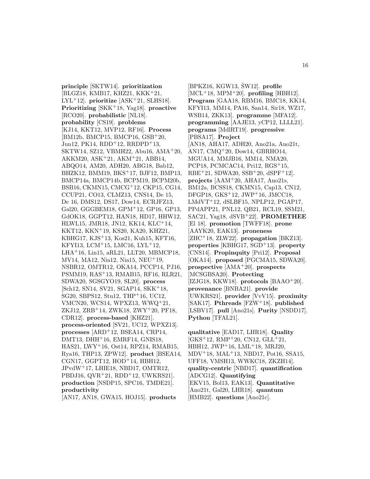**principle** [SKTW14]. **prioritization** [BLGZ18, KMB17, KHZ21, KKK<sup>+</sup>21, LYL<sup>+</sup>12]. **prioritize** [ASK<sup>+</sup>21, SLHS18]. **Prioritizing** [SKK<sup>+</sup>18, Yag18]. **proactive** [RCO20]. **probabilistic** [NL18]. **probability** [CS19]. **problems** [KJ14, KKT12, MVP12, RF16]. **Process** [BM12b, BMCP15, BMCP16, GSB<sup>+</sup>20, Jun12, PK14, RDD<sup>+</sup>12, RRDPD<sup>+</sup>13, SKTW14, SZ12, VBMH22, Abu16, AMA<sup>+</sup>20, AKKM20, ASK<sup>+</sup>21, AKM<sup>+</sup>21, ABB14, ABQO14, AM20, ADH20, ABG18, Bab12, BHZK12, BMM19, BKS<sup>+</sup>17, BJF12, BMP13, BMCP14a, BMCP14b, BCPM19, BCPM20b, BSB16, CKMN15, CMCG<sup>+</sup>12, CKP15, CG14, CCUP21, CO13, CLMZ13, CNS14, De 15, De 16, DMS12, DS17, Dow14, ECRJFZ13, Gal20, GGGBEM18, GPM<sup>+</sup>12, GP16, GP13, GdOK18, GGPT12, HAN18, HD17, HHW12, HLWL15, JMR18, JN12, KK14, KLC<sup>+</sup>14, KKT12, KKN<sup>+</sup>19, KS20, KA20, KHZ21, KBHG17, KJS<sup>+</sup>13, Kos21, Kuh15, KFT16, KFYI13, LCM<sup>+</sup>15, LMC16, LYL<sup>+</sup>12, LHA<sup>+</sup>16, Lin15, aRL21, LLT20, MBMCP18, MV14, MA12, Nia12, Nia15, NEU<sup>+</sup>19, NSBR12, OMTR12, OKA14, PCCP14, PJ16, PSMM19, RAS<sup>+</sup>13, RMAB15, RF16, RLR21, SDWA20, SGSGYO19, SL20]. **process** [Sch12, SN14, SV21, SGAP14, SKK<sup>+</sup>18, SG20, SBPS12, Stu12, THP<sup>+</sup>16, UC12, VMCN20, WCS14, WPXZ13, WWQ<sup>+</sup>21, ZKJ12, ZRB<sup>+</sup>14, ZWK18, ZWY<sup>+</sup>20, PF18, CDR12]. **process-based** [KHZ21]. **process-oriented** [SV21, UC12, WPXZ13]. **processes** [ARD<sup>+</sup>12, BSEA14, CRP14, DMT13, DHH<sup>+</sup>16, EMRF14, GNIS18, HAS21, LWY<sup>+</sup>16, Ost14, RPZ14, RMAB15, Rya16, THP13, ZPW12]. **product** [BSEA14, CGN17, GGPT12, HOD<sup>+</sup>14, HBH12, JPvdW<sup>+</sup>17, LHIE18, NBD17, OMTR12, PBDJ16, QVR<sup>+</sup>21, RDD<sup>+</sup>12, UWKRS21]. **production** [NSDP15, SPC16, TMDE21]. **productivity**

[AN17, AN18, GWA15, HOJ15]. **products**

[BPKZ16, KGW13, ŠW12]. **profile** [MCL<sup>+</sup>18, MPM<sup>+</sup>20]. **profiling** [HBH12]. **Program** [GAA18, RBM16, BMC18, KK14, KFYI13, MM14, PA16, San14, Sir18, WZ17, WSB14, ZKK13]. **programme** [MFA12]. **programming** [AAJE13, yCP12, LLLL21]. **programs** [MdlRT19]. **progressive** [PBSA17]. **Project** [AN18, AHA17, ADH20, Ano21a, Ano21t, AN17, CMQ<sup>+</sup>20, Dow14, GBRHO14, MGUA14, MMJB16, MM14, NMA20, PCP18, PCMCAC14, Pri12, RGS<sup>+</sup>15,  $RBE+21, SDWA20, SSB+20, dSPF+12$ . **projects** [AAM<sup>+</sup>20, AHA17, Ano21s, BM12a, BCSS18, CKMN15, Cap13, CN12, DFGP18, GKS<sup>+</sup>12, JWP<sup>+</sup>16, JMCC18, LMdVT<sup>+</sup>12, dSLBF15, NPLP12, PGAP17, PPdAPP21, PNL12, QB21, RCL19, SSM21, SAC21, Yag18, dSVB<sup>+</sup>22]. **PROMETHEE** [El 18]. **promotion** [TWFF18]. **prone** [AAYK20, EAK13]. **proneness** [ZHC<sup>+</sup>18, ZLW22]. **propagation** [BKZ13]. **properties** [KBHG17, SGD<sup>+</sup>13]. **property** [CNS14]. **Propinquity** [Pri12]. **Proposal** [OKA14]. **proposed** [PGCMA15, SDWA20]. **prospective** [AMA<sup>+</sup>20]. **prospects** [MCSGBSA20]. **Protecting** [IZJG18, KKW18]. **protocols** [BAAO<sup>+</sup>20]. **provenance** [BNBA21]. **provide** [UWKRS21]. **provider** [VvV15]. **proximity** [SAK17]. **Pthreads** [FZW<sup>+</sup>18]. **published** [LSBV17]. **pull** [Ano21s]. **Purity** [NSDD17]. **Python** [TFAL21].

**qualitative** [EAD17, LHR18]. **Quality**  $[GKS+12, RMP+20, CN12, GLL+21,$ HBH12, JWP<sup>+</sup>16, LML<sup>+</sup>18, MRJ20, MDV<sup>+</sup>18, MAL<sup>+</sup>13, NBD17, Pot16, SSA15, UFF18, VMSH13, WWKC18, ZKZH14]. **quality-centric** [NBD17]. **quantification** [ADCG12]. **Quantifying** [EKV15, Bol13, EAK13]. **Quantitative** [Ano21t, Gal20, LHR18]. **quantum** [HMB22]. **questions** [Ano21c].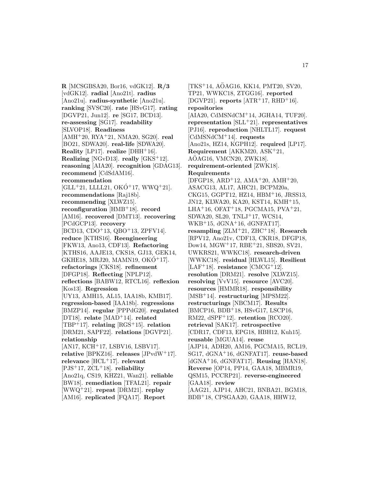**R** [MCSGBSA20, Bor16, vdGK12]. **R/3** [vdGK12]. **radial** [Ano21t]. **radius** [Ano21u]. **radius-synthetic** [Ano21u]. **ranking** [SVSC20]. **rate** [HSvG17]. **rating** [DGVP21, Jun12]. **re** [SG17, BCD13]. **re-assessing** [SG17]. **readability** [SLVOP18]. **Readiness** [AMH<sup>+</sup>20, RYA<sup>+</sup>21, NMA20, SG20]. **real** [BO21, SDWA20]. **real-life** [SDWA20]. **Reality** [LP17]. **realize** [DHH<sup>+</sup>16]. **Realizing** [NGvD13]. **really** [GKS<sup>+</sup>12]. **reasoning** [AIA20]. **recognition** [GDAG13]. **recommend** [CdSdAM16]. **recommendation**  $[GLL+21, LLLL21, OKO+17, WWQ+21].$ **recommendations** [Raj18b]. **recommending** [XLWZ15]. **reconfiguration** [HMB<sup>+</sup>18]. **record** [AM16]. **recovered** [DMT13]. **recovering** [PCdGCP13]. **recovery** [BCD13, CDO<sup>+</sup>13, QBO<sup>+</sup>13, ZPFV14]. **reduce** [KTHS16]. **Reengineering** [FKW13, Ano13, CDF13]. **Refactoring** [KTHS16, AAJE13, CKS18, GJ13, GEK14, GKHE18, MRJ20, MAMN19, OK $\acute{O}^+$ 17]. **refactorings** [CKS18]. **refinement** [DFGP18]. **Reflecting** [NPLP12]. **reflections** [BABW12, RTCL16]. **reflexion** [Kos13]. **Regression** [UY13, AMH15, AL15, IAA18b, KMB17]. **regression-based** [IAA18b]. **regressions** [BMZP14]. **regular** [PPPdG20]. **regulated** [DT18]. **relate** [MAD<sup>+</sup>14]. **related** [TBP<sup>+</sup>17]. **relating** [RGS<sup>+</sup>15]. **relation** [DRM21, SAPF22]. **relations** [DGVP21]. **relationship** [AN17, KCH<sup>+</sup>17, LSBV16, LSBV17]. **relative** [BPKZ16]. **releases** [JPvdW<sup>+</sup>17]. **relevance** [HCL<sup>+</sup>17]. **relevant** [PJS<sup>+</sup>17, ZCL<sup>+</sup>18]. **reliability** [Ano21q, CS19, KHZ21, Wan21]. **reliable** [BW18]. **remediation** [TFAL21]. **repair** [WWQ<sup>+</sup>21]. **repeat** [DRM21]. **replay** [AM16]. **replicated** [FQA17]. **Report**

[TKS<sup>+</sup>14, AÖAG16, KK14, PMT20, SV20, TP21, WWKC18, ZTGG16]. **reported** [DGVP21]. **reports**  $[ATR+17, RHD+16]$ . **repositories** [AIA20, CdMSNdCM<sup>+</sup>14, JGHA14, TUF20]. **representation** [SLL<sup>+</sup>21]. **representatives** [PJ16]. **reproduction** [NHLTL17]. **request** [CdMSNdCM<sup>+</sup>14]. **requests** [Ano21s, HZ14, KGPH12]. **required** [LP17]. **Requirement** [AKKM20, ASK<sup>+</sup>21,  $A\ddot{O}AG16$ , VMCN20, ZWK18]. **requirement-oriented** [ZWK18]. **Requirements**  $[DFGP18, ARD<sup>+</sup>12, AMA<sup>+</sup>20, AMH<sup>+</sup>20,$ ASACG13, AL17, AHC21, BCPM20a, CKG15, GGPT12, HZ14, HBM<sup>+</sup>16, JRSS13, JN12, KLWA20, KA20, KST14, KMH<sup>+</sup>15, LHA+16, OFAT+18, PGCMA15, PVA+21, SDWA20, SL20, TNLJ<sup>+</sup>17, WCS14, WKB<sup>+</sup>15,  $dGNA$ <sup>+</sup>16,  $dGNFAT17$ . **resampling** [ZLM<sup>+</sup>21, ZHC<sup>+</sup>18]. **Research** [RPV12, Ano21v, CDF13, CKR18, DFGP18, Dow14, MGW<sup>+</sup>17, RBE<sup>+</sup>21, SBS20, SV21, UWKRS21, WWKC18]. **research-driven** [WWKC18]. **residual** [HLWL15]. **Resilient** [LAF<sup>+</sup>18]. **resistance** [CMCG<sup>+</sup>12]. **resolution** [DRM21]. **resolve** [XLWZ15]. **resolving** [VvV15]. **resource** [AVC20]. **resources** [HMMR18]. **responsibility** [MSB<sup>+</sup>14]. **restructuring** [MPSM22]. **restructurings** [NBCM17]. **Results** [BMCP16, BDB<sup>+</sup>18, HSvG17, LSCP16, RM22, dSPF<sup>+</sup>12]. **retention** [RCO20]. **retrieval** [SAK17]. **retrospective** [CDR17, CDF13, EPG18, HBH12, Kuh15]. **reusable** [MGUA14]. **reuse** [AJP14, ADH20, AM16, PGCMA15, RCL19, SG17, dGNA<sup>+</sup>16, dGNFAT17]. **reuse-based** [dGNA<sup>+</sup>16, dGNFAT17]. **Reusing** [HAN18]. **Reverse** [OP14, PP14, GAA18, MBMR19, QSM15, PCCRP21]. **reverse-engineered** [GAA18]. **review** [AAG21, AJP14, AHC21, BNBA21, BGM18, BDB<sup>+</sup>18, CPSGAA20, GAA18, HHW12,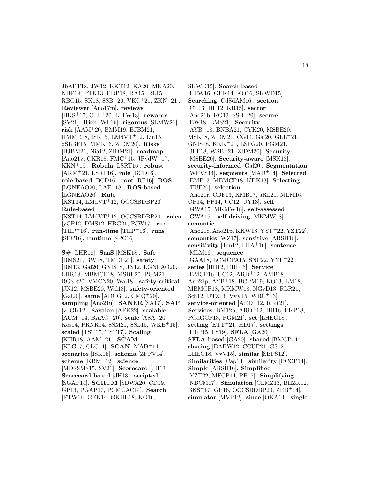JbAPT18, JW12, KKT12, KA20, MKA20, NBF18, PTK13, PDP18, RA15, RL15, RBG15, SK18, SSB<sup>+</sup>20, VKC<sup>+</sup>21, ZKN<sup>+</sup>21]. **Reviewer** [Ano17m]. **reviews** [BKS<sup>+</sup>17, GLL<sup>+</sup>20, LLLW18]. **rewards** [SV21]. **Rich** [WL16]. **rigorous** [SLMW21]. **risk** [AAM<sup>+</sup>20, BMM19, BJBM21, HMMR18, ISK15, LMdVT<sup>+</sup>12, Lin15, dSLBF15, MMK16, ZIDM20]. **Risks** [BJBM21, Nia12, ZIDM21]. **roadmap** [Ano21v, CKR18, FMC<sup>+</sup>15, JPvdW<sup>+</sup>17, KKN<sup>+</sup>19]. **Robula** [LSRT16]. **robust** [AKM<sup>+</sup>21, LSRT16]. **role** [BCD16]. **role-based** [BCD16]. **root** [RF16]. **ROS** [LGNEAO20, LAF<sup>+</sup>18]. **ROS-based** [LGNEAO20]. **Rule** [KST14, LMdVT<sup>+</sup>12, OCCSBDBP20]. **Rule-based** [KST14, LMdVT<sup>+</sup>12, OCCSBDBP20]. **rules** [yCP12, DMS12, HBG21, PJW17]. **run** [THP<sup>+</sup>16]. **run-time** [THP<sup>+</sup>16]. **runs** [SPC16]. **runtime** [SPC16].

**S#** [LHR18]. **SaaS** [MSK18]. **Safe** [BMS21, BW18, TMDE21]. **safety** [BM13, Gal20, GNIS18, JN12, LGNEAO20, LHR18, MBMCP18, MSBE20, PGM21, RGSR20, VMCN20, Wal18]. **safety-critical** [JN12, MSBE20, Wal18]. **safety-oriented** [Gal20]. **same** [ADCG12, CMQ<sup>+</sup>20]. **sampling** [Ano21u]. **SANER** [SA17]. **SAP** [vdGK12]. **Savalan** [AFK22]. **scalable** [ACM<sup>+</sup>14, BAAO<sup>+</sup>20]. **scale** [ASA<sup>+</sup>20, Kos14, PRNR14, SSM21, SSL15, WKB<sup>+</sup>15]. **scaled** [TST17, TST17]. **Scaling** [KHR18, AAM<sup>+</sup>21]. **SCAM** [KLG17, CLC14]. **SCAN** [MAD<sup>+</sup>14]. **scenarios** [ISK15]. **schema** [ZPFV14]. **scheme** [KBM<sup>+</sup>12]. **science** [MDSSMS15, SV21]. **Scorecard** [dH13]. **Scorecard-based** [dH13]. **scripted** [SGAP14]. **SCRUM** [SDWA20, CD19, GP13, PGAP17, PCMCAC14]. **Search** [FTW16, GEK14, GKHE18, KO16, ´

SKWD15]. **Search-based** [FTW16, GEK14, KÓ16, SKWD15]. **Searching** [CdSdAM16]. **section** [CT13, HH12, KR15]. **sector** [Ano21b, KO13, SSB<sup>+</sup>20]. **secure** [BW18, BMS21]. **Security** [AYB<sup>+</sup>18, BNBA21, CYK20, MSBE20, MSK18, ZIDM21, CG14, Gal20, GLL<sup>+</sup>21, GNIS18, KKK<sup>+</sup>21, LSFG20, PGM21, UFF18, WSB<sup>+</sup>21, ZIDM20]. **Security-** [MSBE20]. **Security-aware** [MSK18]. **security-informed** [Gal20]. **Segmentation** [WPVS14]. **segments** [MAD<sup>+</sup>14]. **Selected** [BMP13, MBMCP18, KDK13]. **Selecting** [TUF20]. **selection** [Ano21r, CDF13, KMB17, aRL21, MLM16, OP14, PP14, UC12, UY13]. **self** [GWA15, MKMW18]. **self-assessed** [GWA15]. **self-driving** [MKMW18]. **semantic** [Ano21c, Ano21p, KKW18, YYF<sup>+</sup>22, YZT22]. **semantics** [WZ17]. **sensitive** [ARSH16]. **sensitivity** [Jun12, LHA<sup>+</sup>16]. **sentence** [MLM16]. **sequence** [GAA18, LCMCPA15, SNP22, YYF<sup>+</sup>22]. **series** [HH12, RHL15]. **Service** [BMCP16, UC12, ARD<sup>+</sup>12, AMB18, Ano21p, AYB<sup>+</sup>18, BCPM19, KO13, LM18, MBMCP18, MKMW18, NGvD13, RLR21, Sch12, UTZ13, VvV15, WRC<sup>+</sup>13]. **service-oriented** [ARD<sup>+</sup>12, RLR21]. **Services** [BM12b, ARD<sup>+</sup>12, BH16, EKP18, PCdGCP13, PGM21]. **set** [LHEG18]. **setting** [ETT<sup>+</sup>21, HD17]. **settings** [HLP15, LS19]. **SFLA** [GA20]. **SFLA-based** [GA20]. **shared** [BMCP14c]. **sharing** [BABW12, CCUP21, GS12, LHEG18, VvV15]. **similar** [SBPS12]. **Similarities** [Cap13]. **similarity** [PCCP14]. **Simple** [ARSH16]. **Simplified** [YZT22, MFCP14, PB17]. **Simplifying** [NBCM17]. **Simulation** [CLMZ13, BHZK12,  $BKS^+17$ , GP16, OCCSBDBP20, ZRB<sup>+</sup>14. **simulator** [MVP12]. **since** [OKA14]. **single**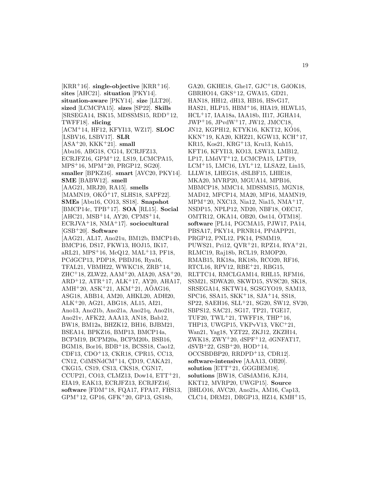$[KRR<sup>+</sup>16]$ . **single-objective**  $[KRR<sup>+</sup>16]$ . **sites** [AHC21]. **situation** [PKY14]. **situation-aware** [PKY14]. **size** [LLT20]. **sized** [LCMCPA15]. **sizes** [SP22]. **Skills**  $[SRSEGA14, ISK15, MDSSMS15, RDD<sup>+</sup>12,$ TWFF18]. **slicing** [ACM<sup>+</sup>14, HF12, KFYI13, WZ17]. **SLOC** [LSBV16, LSBV17]. **SLR** [ASA<sup>+</sup>20, KKK<sup>+</sup>21]. **small** [Abu16, ABG18, CG14, ECRJFZ13, ECRJFZ16, GPM<sup>+</sup>12, LS19, LCMCPA15, MPS<sup>+</sup>16, MPM<sup>+</sup>20, PRGP12, SG20]. **smaller** [BPKZ16]. **smart** [AVC20, PKY14]. **SME** [BABW12]. **smell** [AAG21, MRJ20, RA15]. **smells**  $[MAMN19, OKO<sup>+</sup>17, SLHS18, SAPF22].$ **SMEs** [Abu16, CO13, SS18]. **Snapshot** [BMCP14c, TPB<sup>+</sup>17]. **SOA** [RL15]. **Social** [AHC21, MSB<sup>+</sup>14, AY20, CPMS<sup>+</sup>14, ECRJVA<sup>+</sup>18, NMA<sup>+</sup>17]. **sociocultural** [GSB<sup>+</sup>20]. **Software** [AAG21, AL17, Ano21u, BM12b, BMCP14b, BMCP16, DS17, FKW13, HOJ15, IK17, aRL21, MPS<sup>+</sup>16, McQ12, MAL<sup>+</sup>13, PF18, PCdGCP13, PDP18, PBDJ16, Rya16, TFAL21, VBMH22, WWKC18, ZRB<sup>+</sup>14, ZHC<sup>+</sup>18, ZLW22, AAM<sup>+</sup>20, AIA20, ASA<sup>+</sup>20, ARD<sup>+</sup>12, ATR<sup>+</sup>17, ALK<sup>+</sup>17, AY20, AHA17, AMH<sup>+</sup>20, ASK<sup>+</sup>21, AKM<sup>+</sup>21, AOAG16, ASG18, ABB14, AM20, AHKL20, ADH20, ALK<sup>+</sup>20, AG21, ABG18, AL15, AI21, Ano13, Ano21b, Ano21a, Ano21q, Ano21t, Ano21v, AFK22, AAA13, AN18, Bab12, BW18, BM12a, BHZK12, BH16, BJBM21, BSEA14, BPKZ16, BMP13, BMCP14a, BCPM19, BCPM20a, BCPM20b, BSB16, BGM18, Bor16, BDB<sup>+</sup>18, BCSS18, Cao12, CDF13, CDO<sup>+</sup>13, CKR18, CPR15, CC13,  $CN12$ , CdMSNdCM<sup>+</sup>14, CD19, CAKA21, CKG15, CS19, CS13, CKS18, CGN17, CCUP21, CO13, CLMZ13, Dow14, ETT<sup>+</sup>21, EIA19, EAK13, ECRJFZ13, ECRJFZ16]. **software** [FDM<sup>+</sup>18, FQA17, FPA17, FHS13, GPM<sup>+</sup>12, GP16, GFK<sup>+</sup>20, GP13, GS18b,

GA20, GKHE18, Ghe17, GJC<sup>+</sup>18, GdOK18, GBRHO14, GKS<sup>+</sup>12, GWA15, GD21, HAN18, HH12, dH13, HB16, HSvG17, HAS21, HLP15, HBM<sup>+</sup>16, HIA19, HLWL15, HCL<sup>+</sup>17, IAA18a, IAA18b, II17, JGHA14, JWP<sup>+</sup>16, JPvdW<sup>+</sup>17, JW12, JMCC18, JN12, KGPH12, KTYK16, KKT12, KÓ16, KKN<sup>+</sup>19, KA20, KHZ21, KGW13, KCH<sup>+</sup>17, KR15, Kos21, KRG<sup>+</sup>13, Kru13, Kuh15, KFT16, KFYI13, KO13, LSW13, LMB12, LP17, LMdVT<sup>+</sup>12, LCMCPA15, LFT19, LCM<sup>+</sup>15, LMC16, LYL<sup>+</sup>12, LLSA22, Lin15, LLLW18, LHEG18, dSLBF15, LHIE18, MKA20, MVRP20, MGUA14, MPB16, MBMCP18, MMC14, MDSSMS15, MGN18, MAD12, MFCP14, MA20, MP16, MAMN19, MPM<sup>+</sup>20, NXC13, Nia12, Nia15, NMA<sup>+</sup>17, NSDP15, NPLP12, ND20, NBF18, OEC17, OMTR12, OKA14, OB20, Ost14, OTM18]. ¨ **software** [PL14, PGCMA15, PJW17, PA14, PBSA17, PKY14, PRNR14, PPdAPP21, PRGP12, PNL12, PK14, PSMM19, PUWS21, Pri12, QVR<sup>+</sup>21, RPZ14, RYA<sup>+</sup>21, RLMC19, Raj18b, RCL19, RMOP20, RMAB15, RK18a, RK18b, RCO20, RF16, RTCL16, RPV12, RBE<sup>+</sup>21, RBG15, RLTTC14, RMCLGAM14, RHL15, RFM16, SSM21, SDWA20, SKWD15, SVSC20, SK18, SRSEGA14, SKTW14, SGSGYO19, SAM13, SPC16, SSA15, SKK<sup>+</sup>18, SJA<sup>+</sup>14, SS18,  $SP22, SAEH16, SLL+21, SG20, SW12, SV20,$ SBPS12, SAC21, SG17, TP21, TGE17, TUF20, TWL<sup> $+21$ </sup>, TWFF18, THP<sup> $+16$ </sup>, THP13, UWGP15, VKPvV13, VKC<sup>+</sup>21, Wan21, Yag18, YZT22, ZKJ12, ZKZH14, ZWK18, ZWY<sup>+</sup>20, dSPF<sup>+</sup>12, dGNFAT17, dSVB<sup>+</sup>22, GSB<sup>+</sup>20, HOD<sup>+</sup>14, OCCSBDBP20, RRDPD<sup>+</sup>13, CDR12]. **software-intensive** [AAA13, OB20]. solution [ETT<sup>+</sup>21, GGGBEM18]. **solutions** [BW18, CdSdAM16, KJ14, KKT12, MVRP20, UWGP15]. **Source** [BHLO16, AVC20, Ano21s, AM16, Cap13, CLC14, DRM21, DRGP13, HZ14, KMH<sup>+</sup>15,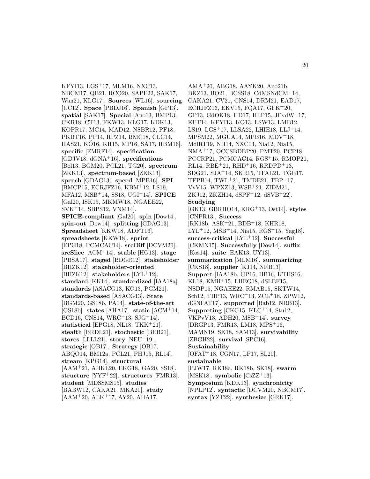KFYI13, LGS<sup>+</sup>17, MLM16, NXC13, NBCM17, QB21, RCO20, SAPF22, SAK17, Wan21, KLG17]. **Sources** [WL16]. **sourcing** [UC12]. **Space** [PBDJ16]. **Spanish** [GP13]. **spatial** [SAK17]. **Special** [Ano13, BMP13, CKR18, CT13, FKW13, KLG17, KDK13, KOPR17, MC14, MAD12, NSBR12, PF18, PKBT16, PP14, RPZ14, BMC18, CLC14, HAS21, KO16, KR15, MP16, SA17, RBM16]. ´ **specific** [EMRF14]. **specification** [GDJV18, dGNA<sup>+</sup>16]. **specifications** [Bol13, BGM20, PCL21, TG20]. **spectrum** [ZKK13]. **spectrum-based** [ZKK13]. **speech** [GDAG13]. **speed** [MPB16]. **SPI** [BMCP15, ECRJFZ16, KBM<sup>+</sup>12, LS19, MFA12, MSB<sup>+</sup>14, SS18, UGI<sup>+</sup>14]. **SPICE** [Gal20, ISK15, MKMW18, NGAEE22, SVK<sup>+</sup>14, SBPS12, VNM14]. **SPICE-compliant** [Gal20]. **spin** [Dow14]. **spin-out** [Dow14]. **splitting** [GDAG13]. **Spreadsheet** [KKW18, ADFT16]. **spreadsheets** [KKW18]. **sprint** [EPG18, PCMCAC14]. **srcDiff** [DCVM20]. **srcSlice** [ACM<sup>+</sup>14]. **stable** [HG13]. **stage** [PBSA17]. **staged** [BDGR12]. **stakeholder** [BHZK12]. **stakeholder-oriented** [BHZK12]. **stakeholders** [LYL<sup>+</sup>12]. **standard** [KK14]. **standardized** [IAA18a]. **standards** [ASACG13, KO13, PGM21]. **standards-based** [ASACG13]. **State** [BGM20, GS18b, PA14]. **state-of-the-art** [GS18b]. **states** [AHA17]. **static** [ACM<sup>+</sup>14, BCD16, CNS14, WRC<sup>+</sup>13, SJG<sup>+</sup>14]. **statistical** [EPG18, NL18, TKK<sup>+</sup>21]. **stealth** [BRDL21]. **stochastic** [BEB21]. **stores** [LLLL21]. **story** [NEU<sup>+</sup>19]. **strategic** [OB17]. **Strategy** [OB17, ABQO14, BM12a, PCL21, PHJ15, RL14]. **stream** [KPG14]. **structural** [AAM<sup>+</sup>21, AHKL20, EKG18, GA20, SS18]. **structure** [YYF<sup>+</sup>22]. **structures** [FMR13]. **student** [MDSSMS15]. **studies** [BABW12, CAKA21, MKA20]. **study** [AAM<sup>+</sup>20, ALK<sup>+</sup>17, AY20, AHA17,

AMA<sup>+</sup>20, ABG18, AAYK20, Ano21b, BKZ13, BO21, BCSS18, CdMSNdCM<sup>+</sup>14, CAKA21, CV21, CNS14, DRM21, EAD17, ECRJFZ16, EKV15, FQA17,  $GFK<sup>+</sup>20$ , GP13, GdOK18, HD17, HLP15, JPvdW<sup>+</sup>17, KFT14, KFYI13, KO13, LSW13, LMB12, LS19, LGS<sup> $+$ </sup>17, LLSA22, LHIE18, LLJ $+$ 14, MPSM22, MGUA14, MPB16, MDV<sup>+</sup>18, MdlRT19, NH14, NXC13, Nia12, Nia15, NMA<sup>+</sup>17, OCCSBDBP20, PMT20, PCP18, PCCRP21, PCMCAC14, RGS<sup>+</sup>15, RMOP20, RL14, RBE+21, RHD+16, RRDPD+13, SDG21, SJA<sup>+</sup>14, SKR15, TFAL21, TGE17, TFPB14, TWL<sup> $+21$ </sup>, TMDE21, TBP $+17$ , VvV15, WPXZ13, WSB<sup>+</sup>21, ZIDM21, ZKJ12, ZKZH14, dSPF<sup>+</sup>12, dSVB<sup>+</sup>22]. **Studying** [GK13, GBRHO14, KRG<sup>+</sup>13, Ost14]. **styles** [CNPR13]. **Success** [RK18b, ASK<sup>+</sup>21, BDB<sup>+</sup>18, KHR18,  $LYL+12$ , MSB<sup>+</sup>14, Nia15, RGS<sup>+</sup>15, Yag18. **success-critical** [LYL<sup>+</sup>12]. **Successful** [CKMN15]. **Successfully** [Dow14]. **suffix** [Kos14]. **suite** [EAK13, UY13]. **summarization** [MLM16]. **summarizing** [CKS18]. **supplier** [KJ14, NRB13]. **Support** [IAA18b, GP16, HB16, KTHS16, KL18, KMH<sup>+</sup>15, LHEG18, dSLBF15, NSDP15, NGAEE22, RMAB15, SKTW14, Sch12, THP13, WRC<sup>+</sup>13, ZCL<sup>+</sup>18, ZPW12, dGNFAT17]. **supported** [Bab12, NRB13]. **Supporting** [CKG15, KLC<sup>+</sup>14, Stu12, VKPvV13, ADH20, MSB<sup>+</sup>14]. **survey** [DRGP13, FMR13, LM18, MPS<sup>+</sup>16, MAMN19, SK18, SAM13]. **survivability** [ZBGH22]. **survival** [SPC16]. **Sustainability** [OFAT<sup>+</sup>18, CGN17, LP17, SL20]. **sustainable** [PJW17, RK18a, RK18b, SK18]. **swarm** [MSK18]. **symbolic** [CsZZ<sup>+</sup>13]. **Symposium** [KDK13]. **synchronicity** [NPLP12]. **syntactic** [DCVM20, NBCM17]. **syntax** [YZT22]. **synthesize** [GRK17].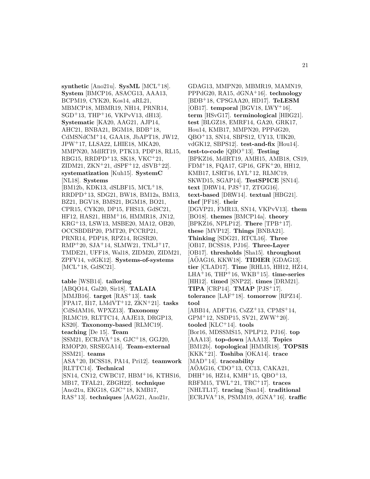**synthetic** [Ano21u]. **SysML** [MCL<sup>+</sup>18]. **System** [BMCP16, ASACG13, AAA13, BCPM19, CYK20, Kos14, aRL21, MBMCP18, MBMR19, NH14, PRNR14,  $SGD+13$ , THP<sup>+</sup>16, VKPvV13, dH13. **Systematic** [KA20, AAG21, AJP14, AHC21, BNBA21, BGM18, BDB<sup>+</sup>18, CdMSNdCM<sup>+</sup>14, GAA18, JbAPT18, JW12, JPW<sup>+</sup>17, LLSA22, LHIE18, MKA20, MMPN20, MdlRT19, PTK13, PDP18, RL15, RBG15, RRDPD<sup>+</sup>13, SK18, VKC<sup>+</sup>21, ZIDM21, ZKN<sup>+</sup>21, dSPF<sup>+</sup>12, dSVB<sup>+</sup>22]. **systematization** [Kuh15]. **SystemC** [NL18]. **Systems** [BM12b, KDK13, dSLBF15, MCL<sup>+</sup>18, RRDPD<sup>+</sup>13, SDG21, BW18, BM12a, BM13, BZ21, BGV18, BMS21, BGM18, BO21, CPR15, CYK20, DP15, FHS13, GdSC21, HF12, HAS21, HBM<sup>+</sup>16, HMMR18, JN12, KRG<sup>+</sup>13, LSW13, MSBE20, MA12, OB20, OCCSBDBP20, PMT20, PCCRP21, PRNR14, PDP18, RPZ14, RGSR20,  $RMP<sup>+</sup>20$ ,  $SJA<sup>+</sup>14$ ,  $SLMW21$ ,  $TNLJ<sup>+</sup>17$ , TMDE21, UFF18, Wal18, ZIDM20, ZIDM21, ZPFV14, vdGK12]. **Systems-of-systems**  $[ML<sup>+</sup>18, GdSC21].$ 

**table** [WSB14]. **tailoring** [ABQO14, Gal20, Sir18]. **TALAIA** [MMJB16]. **target** [RAS<sup>+</sup>13]. **task** [FPA17, II17, LMdVT<sup>+</sup>12, ZKN<sup>+</sup>21]. **tasks** [CdSdAM16, WPXZ13]. **Taxonomy** [RLMC19, RLTTC14, AAJE13, DRGP13, KS20]. **Taxonomy-based** [RLMC19]. **teaching** [De 15]. **Team** [SSM21, ECRJVA<sup>+</sup>18, GJC<sup>+</sup>18, GGJ20, RMOP20, SRSEGA14]. **Team-external** [SSM21]. **teams** [ASA<sup>+</sup>20, BCSS18, PA14, Pri12]. **teamwork** [RLTTC14]. **Technical** [SN14, CN12, CWBC17, HBM<sup>+</sup>16, KTHS16, MB17, TFAL21, ZBGH22]. **technique** [Ano21u, EKG18, GJC<sup>+</sup>18, KMB17, RAS<sup>+</sup>13]. **techniques** [AAG21, Ano21r,

GDAG13, MMPN20, MBMR19, MAMN19, PPPdG20, RA15, dGNA<sup>+</sup>16]. **technology** [BDB<sup>+</sup>18, CPSGAA20, HD17]. **TeLESM** [OB17]. **temporal** [BGV18, LWY<sup>+</sup>16]. **term** [HSvG17]. **terminological** [HBG21]. **test** [BLGZ18, EMRF14, GA20, GRK17, Hou14, KMB17, MMPN20, PPPdG20, QBO<sup>+</sup>13, SN14, SBPS12, UY13, UIK20, vdGK12, SBPS12]. **test-and-fix** [Hou14]. **test-to-code** [QBO<sup>+</sup>13]. **Testing** [BPKZ16, MdlRT19, AMH15, AMB18, CS19, FDM<sup>+</sup>18, FQA17, GP16, GFK<sup>+</sup>20, HH12, KMB17, LSRT16, LYL<sup>+</sup>12, RLMC19, SKWD15, SGAP14]. **TestSPICE** [SN14]. **text** [DRW14, PJS<sup>+</sup>17, ZTGG16]. **text-based** [DRW14]. **textual** [HBG21]. **thef** [PF18]. **their** [DGVP21, FMR13, SN14, VKPvV13]. **them** [BO18]. **themes** [BMCP14a]. **theory** [BPKZ16, NPLP12]. **There** [TPB<sup>+</sup>17]. **these** [MVP12]. **Things** [BNBA21]. **Thinking** [SDG21, RTCL16]. **Three** [OB17, BCSS18, PJ16]. **Three-Layer** [OB17]. **thresholds** [Sha15]. **throughout** [AOAG16, KKW18]. ¨ **TIDIER** [GDAG13]. **tier** [CLAD17]. **Time** [RHL15, HH12, HZ14, LHA<sup>+</sup>16, THP<sup>+</sup>16, WKB<sup>+</sup>15]. **time-series** [HH12]. **timed** [SNP22]. **times** [DRM21]. **TIPA** [CRP14]. **TMAP** [PJS<sup>+</sup>17]. **tolerance** [LAF<sup>+</sup>18]. **tomorrow** [RPZ14]. **tool** [ABB14, ADFT16,  $CsZZ^+13$ ,  $CPMS^+14$ ,  $GPM+12$ , NSDP15, SV21, ZWW+20. **tooled** [KLC<sup>+</sup>14]. **tools** [Bor16, MDSSMS15, NPLP12, PJ16]. **top** [AAA13]. **top-down** [AAA13]. **Topics** [BM12b]. **topological** [HMMR18]. **TOPSIS** [KKK<sup>+</sup>21]. **Toshiba** [OKA14]. **trace** [MAD<sup>+</sup>14]. **traceability**  $[AOAG16, CDO<sup>+</sup>13, CCl3, CAKA21,$  $DHH+16$ , HZ14, KMH $+15$ , QBO $+13$ , RBFM15, TWL<sup>+</sup>21, TRC<sup>+</sup>17]. **traces** [NHLTL17]. **tracing** [San14]. **traditional** [ECRJVA<sup>+</sup>18, PSMM19, dGNA<sup>+</sup>16]. **traffic**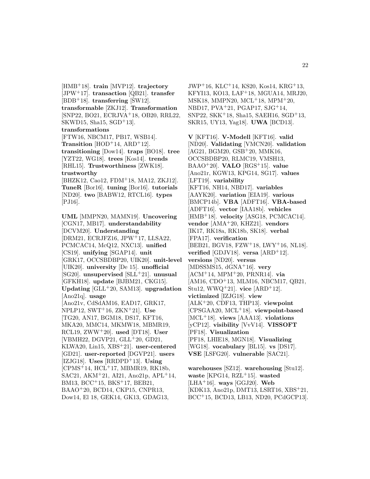[HMB<sup>+</sup>18]. **train** [MVP12]. **trajectory** [JPW<sup>+</sup>17]. **transaction** [QB21]. **transfer**  $[BDB+18]$ . **transferring**  $[\text{SW12}]$ . **transformable** [ZKJ12]. **Transformation** [SNP22, BO21, ECRJVA<sup>+</sup>18, OB20, RRL22, SKWD15, Sha15, SGD<sup>+</sup>13]. **transformations** [FTW16, NBCM17, PB17, WSB14]. **Transition**  $[HOD+14, ARD+12]$ . **transitioning** [Dow14]. **traps** [BO18]. **tree** [YZT22, WG18]. **trees** [Kos14]. **trends** [RHL15]. **Trustworthiness** [ZWK18]. **trustworthy** [BHZK12, Cao12, FDM<sup>+</sup>18, MA12, ZKJ12]. **TuneR** [Bor16]. **tuning** [Bor16]. **tutorials** [ND20]. **two** [BABW12, RTCL16]. **types** [PJ16]. **UML** [MMPN20, MAMN19]. **Uncovering** [CGN17, MB17]. **understandability** [DCVM20]. **Understanding** [DRM21, ECRJFZ16, JPW<sup>+</sup>17, LLSA22, PCMCAC14, McQ12, NXC13]. **unified** [CS19]. **unifying** [SGAP14]. **unit** [GRK17, OCCSBDBP20, UIK20]. **unit-level** [UIK20]. **university** [De 15]. **unofficial** [SG20]. **unsupervised** [SLL<sup>+</sup>21]. **unusual** [GFKH18]. **update** [BJBM21, CKG15]. **Updating** [GLL<sup>+</sup>20, SAM13]. **upgradation** [Ano21q]. **usage** [Ano21v, CdSdAM16, EAD17, GRK17, NPLP12, SWT<sup>+</sup>16, ZKN<sup>+</sup>21]. **Use** [TG20, AN17, BGM18, DS17, KFT16, MKA20, MMC14, MKMW18, MBMR19, RCL19, ZWW<sup>+</sup>20]. **used** [DT18]. **User** [VBMH22, DGVP21, GLL<sup>+</sup>20, GD21, KLWA20, Lin15, XBS<sup>+</sup>21]. **user-centered** [GD21]. **user-reported** [DGVP21]. **users** [IZJG18]. **Uses** [RRDPD<sup>+</sup>13]. **Using** [CPMS<sup>+</sup>14, HCL<sup>+</sup>17, MBMR19, RK18b, SAC21, AKM<sup>+</sup>21, AI21, Ano21p, APL<sup>+</sup>14, BM13, BCC<sup>+</sup>15, BKS<sup>+</sup>17, BEB21,

BAAO<sup>+</sup>20, BCD14, CKP15, CNPR13, Dow14, El 18, GEK14, GK13, GDAG13,

JWP<sup>+</sup>16, KLC<sup>+</sup>14, KS20, Kos14, KRG<sup>+</sup>13, KFYI13, KO13, LAF<sup>+</sup>18, MGUA14, MRJ20, MSK18, MMPN20, MCL<sup>+</sup>18, MPM<sup>+</sup>20, NBD17, PVA<sup>+</sup>21, PGAP17, SJG<sup>+</sup>14, SNP22, SKK<sup>+</sup>18, Sha15, SAEH16, SGD<sup>+</sup>13, SKR15, UY13, Yag18]. **UWA** [BCD13].

**V** [KFT16]. **V-Modell** [KFT16]. **valid** [ND20]. **Validating** [VMCN20]. **validation** [AG21, BGM20, GSB<sup>+</sup>20, MMK16, OCCSBDBP20, RLMC19, VMSH13, BAAO<sup>+</sup>20]. **VALO** [RGS<sup>+</sup>15]. **value** [Ano21r, KGW13, KPG14, SG17]. **values** [LFT19]. **variability** [KFT16, NH14, NBD17]. **variables** [AAYK20]. **variation** [EIA19]. **various** [BMCP14b]. **VBA** [ADFT16]. **VBA-based** [ADFT16]. **vector** [IAA18b]. **vehicles** [HMB<sup>+</sup>18]. **velocity** [ASG18, PCMCAC14]. **vendor** [AMA<sup>+</sup>20, KHZ21]. **vendors** [IK17, RK18a, RK18b, SK18]. **verbal** [FPA17]. **verification** [BEB21, BGV18, FZW<sup>+</sup>18, LWY<sup>+</sup>16, NL18]. **verified** [GDJV18]. **versa** [ARD<sup>+</sup>12]. **versions** [ND20]. **versus** [MDSSMS15, dGNA<sup>+</sup>16]. **very** [ACM<sup>+</sup>14, MPM<sup>+</sup>20, PRNR14]. **via** [AM16, CDO<sup>+</sup>13, MLM16, NBCM17, QB21, Stu12, WWQ<sup>+</sup>21]. **vice** [ARD<sup>+</sup>12]. **victimized** [IZJG18]. **view** [ALK<sup>+</sup>20, CDF13, THP13]. **viewpoint** [CPSGAA20, MCL<sup>+</sup>18]. **viewpoint-based** [MCL<sup>+</sup>18]. **views** [AAA13]. **violations** [yCP12]. **visibility** [VvV14]. **VISSOFT** [PF18]. **Visualization** [PF18, LHIE18, MGN18]. **Visualizing** [WG18]. **vocabulary** [BL15]. **vs** [DS17]. **VSE** [LSFG20]. **vulnerable** [SAC21].

**warehouses** [SZ12]. **warehousing** [Stu12]. **waste** [KPG14, RZL<sup>+</sup>15]. **wasted** [LHA<sup>+</sup>16]. **ways** [GGJ20]. **Web** [KDK13, Ano21p, DMT13, LSRT16, XBS<sup>+</sup>21, BCC<sup>+</sup>15, BCD13, LB13, ND20, PCdGCP13].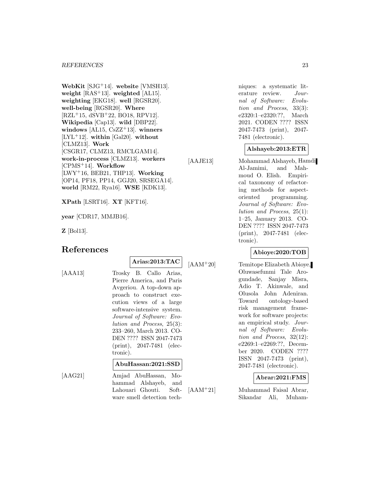**WebKit** [SJG<sup>+</sup>14]. **website** [VMSH13]. **weight** [RAS<sup>+</sup>13]. **weighted** [AL15]. **weighting** [EKG18]. **well** [RGSR20]. **well-being** [RGSR20]. **Where** [RZL<sup>+</sup>15, dSVB<sup>+</sup>22, BO18, RPV12]. **Wikipedia** [Cap13]. **wild** [DBP22]. **windows** [AL15, CsZZ<sup>+</sup>13]. **winners** [LYL<sup>+</sup>12]. **within** [Gal20]. **without** [CLMZ13]. **Work** [CSGR17, CLMZ13, RMCLGAM14]. **work-in-process** [CLMZ13]. **workers** [CPMS<sup>+</sup>14]. **Workflow** [LWY<sup>+</sup>16, BEB21, THP13]. **Working** [OP14, PF18, PP14, GGJ20, SRSEGA14]. **world** [RM22, Rya16]. **WSE** [KDK13].

**XPath** [LSRT16]. **XT** [KFT16].

**year** [CDR17, MMJB16].

**Z** [Bol13].

# **References**

**Arias:2013:TAC**

[AAA13] Trosky B. Callo Arias, Pierre America, and Paris Avgeriou. A top-down approach to construct execution views of a large software-intensive system. Journal of Software: Evolution and Process, 25(3): 233–260, March 2013. CO-DEN ???? ISSN 2047-7473 (print), 2047-7481 (electronic).

# **AbuHassan:2021:SSD**

[AAG21] Amjad AbuHassan, Mohammad Alshayeb, and Lahouari Ghouti. Software smell detection techniques: a systematic literature review. Journal of Software: Evolution and Process, 33(3): e2320:1–e2320:??, March 2021. CODEN ???? ISSN 2047-7473 (print), 2047- 7481 (electronic).

# **Alshayeb:2013:ETR**

[AAJE13] Mohammad Alshayeb, Hamdi Al-Jamimi, and Mahmoud O. Elish. Empirical taxonomy of refactoring methods for aspectoriented programming. Journal of Software: Evolution and Process, 25(1): 1–25, January 2013. CO-DEN ???? ISSN 2047-7473 (print), 2047-7481 (electronic).

# **Abioye:2020:TOB**

[AAM<sup>+</sup>20] Temitope Elizabeth Abioye, Oluwasefunmi Tale Arogundade, Sanjay Misra, Adio T. Akinwale, and Olusola John Adeniran. Toward ontology-based risk management framework for software projects: an empirical study. Journal of Software: Evolution and Process, 32(12): e2269:1–e2269:??, December 2020. CODEN ???? ISSN 2047-7473 (print), 2047-7481 (electronic).

# **Abrar:2021:FMS**

[AAM<sup>+</sup>21] Muhammad Faisal Abrar, Sikandar Ali, Muham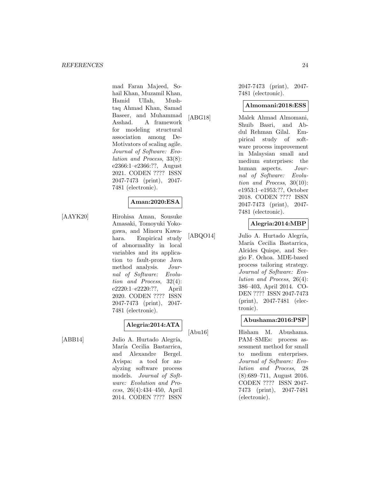mad Faran Majeed, Sohail Khan, Muzamil Khan, Hamid Ullah, Mushtaq Ahmad Khan, Samad Baseer, and Muhammad Asshad. A framework for modeling structural association among De-Motivators of scaling agile. Journal of Software: Evolution and Process, 33(8): e2366:1–e2366:??, August 2021. CODEN ???? ISSN 2047-7473 (print), 2047- 7481 (electronic).

# **Aman:2020:ESA**

[AAYK20] Hirohisa Aman, Sousuke Amasaki, Tomoyuki Yokogawa, and Minoru Kawahara. Empirical study of abnormality in local variables and its application to fault-prone Java method analysis. Journal of Software: Evolution and Process, 32(4): e2220:1–e2220:??, April 2020. CODEN ???? ISSN 2047-7473 (print), 2047- 7481 (electronic).

# **Alegria:2014:ATA**

[ABB14] Julio A. Hurtado Alegría, María Cecilia Bastarrica, and Alexandre Bergel. Avispa: a tool for analyzing software process models. Journal of Software: Evolution and Process, 26(4):434–450, April 2014. CODEN ???? ISSN

2047-7473 (print), 2047- 7481 (electronic).

#### **Almomani:2018:ESS**

[ABG18] Malek Ahmad Almomani, Shuib Basri, and Abdul Rehman Gilal. Empirical study of software process improvement in Malaysian small and medium enterprises: the human aspects. Journal of Software: Evolution and Process, 30(10): e1953:1–e1953:??, October 2018. CODEN ???? ISSN 2047-7473 (print), 2047- 7481 (electronic).

# **Alegria:2014:MBP**

[ABQO14] Julio A. Hurtado Alegría, María Cecilia Bastarrica, Alcides Quispe, and Sergio F. Ochoa. MDE-based process tailoring strategy. Journal of Software: Evolution and Process, 26(4): 386–403, April 2014. CO-DEN ???? ISSN 2047-7473 (print), 2047-7481 (electronic).

# **Abushama:2016:PSP**

[Abu16] Hisham M. Abushama. PAM–SMEs: process assessment method for small to medium enterprises. Journal of Software: Evolution and Process, 28 (8):689–711, August 2016. CODEN ???? ISSN 2047- 7473 (print), 2047-7481 (electronic).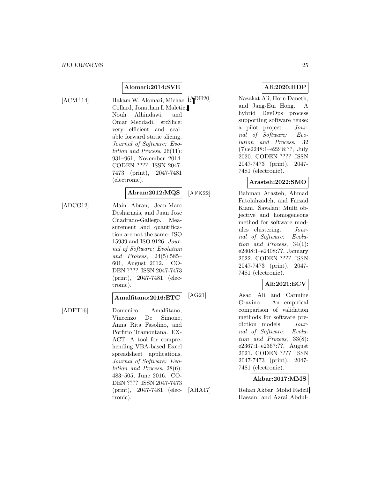# **Alomari:2014:SVE**

[ACM<sup>+</sup>14] Hakam W. Alomari, Michael [ADH20] Collard, Jonathan I. Maletic, Nouh Alhindawi, and Omar Meqdadi. srcSlice: very efficient and scalable forward static slicing. Journal of Software: Evolution and Process, 26(11): 931–961, November 2014. CODEN ???? ISSN 2047- 7473 (print), 2047-7481 (electronic).

# **Abran:2012:MQS**

[ADCG12] Alain Abran, Jean-Marc Desharnais, and Juan Jose Cuadrado-Gallego. Measurement and quantification are not the same: ISO 15939 and ISO 9126. Journal of Software: Evolution and Process, 24(5):585– 601, August 2012. CO-DEN ???? ISSN 2047-7473 (print), 2047-7481 (electronic).

# **Amalfitano:2016:ETC**

[ADFT16] Domenico Amalfitano, Vincenzo De Simone, Anna Rita Fasolino, and Porfirio Tramontana. EX-ACT: A tool for comprehending VBA-based Excel spreadsheet applications. Journal of Software: Evolution and Process, 28(6): 483–505, June 2016. CO-DEN ???? ISSN 2047-7473 (print), 2047-7481 (electronic).

# **Ali:2020:HDP**

Nazakat Ali, Horn Daneth, and Jang-Eui Hong. A hybrid DevOps process supporting software reuse: a pilot project. Journal of Software: Evolution and Process, 32 (7):e2248:1–e2248:??, July 2020. CODEN ???? ISSN 2047-7473 (print), 2047- 7481 (electronic).

# **Arasteh:2022:SMO**

[AFK22] Bahman Arasteh, Ahmad Fatolahzadeh, and Farzad Kiani. Savalan: Multi objective and homogeneous method for software modules clustering. Journal of Software: Evolution and Process, 34(1): e2408:1–e2408:??, January 2022. CODEN ???? ISSN 2047-7473 (print), 2047- 7481 (electronic).

# **Ali:2021:ECV**

[AG21] Asad Ali and Carmine Gravino. An empirical comparison of validation methods for software prediction models. Journal of Software: Evolution and Process, 33(8): e2367:1–e2367:??, August 2021. CODEN ???? ISSN 2047-7473 (print), 2047- 7481 (electronic).

# **Akbar:2017:MMS**

[AHA17] Rehan Akbar, Mohd Fadzil Hassan, and Azrai Abdul-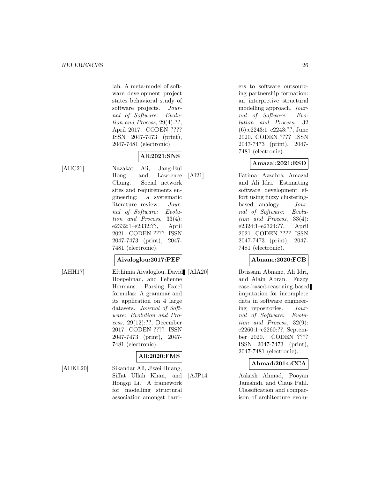lah. A meta-model of software development project states behavioral study of software projects. Journal of Software: Evolution and Process, 29(4):??, April 2017. CODEN ???? ISSN 2047-7473 (print), 2047-7481 (electronic).

# **Ali:2021:SNS**

[AHC21] Nazakat Ali, Jang-Eui Hong, and Lawrence Chung. Social network sites and requirements engineering: a systematic literature review. Journal of Software: Evolution and Process, 33(4): e2332:1–e2332:??, April 2021. CODEN ???? ISSN 2047-7473 (print), 2047- 7481 (electronic).

# **Aivaloglou:2017:PEF**

ware: Evolution and Process, 29(12):??, December 2017. CODEN ???? ISSN 2047-7473 (print), 2047-

7481 (electronic).

[AHH17] Efthimia Aivaloglou, David [AIA20] Hoepelman, and Felienne Hermans. Parsing Excel formulas: A grammar and its application on 4 large datasets. Journal of Soft-

# **Ali:2020:FMS**

[AHKL20] Sikandar Ali, Jiwei Huang, Siffat Ullah Khan, and Hongqi Li. A framework for modelling structural association amongst barriers to software outsourcing partnership formation: an interpretive structural modelling approach. Journal of Software: Evolution and Process, 32 (6):e2243:1–e2243:??, June 2020. CODEN ???? ISSN 2047-7473 (print), 2047- 7481 (electronic).

# **Amazal:2021:ESD**

[AI21] Fatima Azzahra Amazal and Ali Idri. Estimating software development effort using fuzzy clusteringbased analogy. Journal of Software: Evolution and Process, 33(4): e2324:1–e2324:??, April 2021. CODEN ???? ISSN 2047-7473 (print), 2047- 7481 (electronic).

# **Abnane:2020:FCB**

Ibtissam Abnane, Ali Idri, and Alain Abran. Fuzzy case-based-reasoning-based imputation for incomplete data in software engineering repositories. Journal of Software: Evolution and Process, 32(9): e2260:1–e2260:??, September 2020. CODEN ???? ISSN 2047-7473 (print), 2047-7481 (electronic).

# **Ahmad:2014:CCA**

[AJP14] Aakash Ahmad, Pooyan Jamshidi, and Claus Pahl. Classification and comparison of architecture evolu-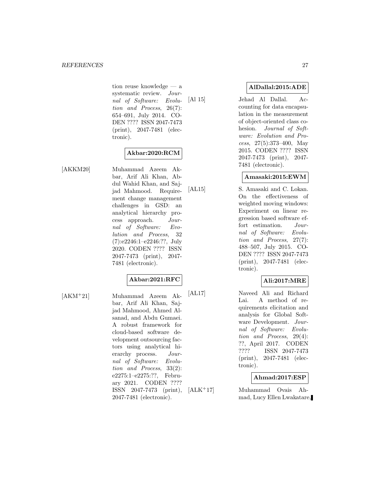tion reuse knowledge — a systematic review. Journal of Software: Evolution and Process, 26(7): 654–691, July 2014. CO-DEN ???? ISSN 2047-7473 (print), 2047-7481 (electronic).

# **Akbar:2020:RCM**

[AKKM20] Muhammad Azeem Akbar, Arif Ali Khan, Abdul Wahid Khan, and Sajjad Mahmood. Requirement change management challenges in GSD: an analytical hierarchy process approach. Journal of Software: Evolution and Process, 32 (7):e2246:1–e2246:??, July 2020. CODEN ???? ISSN 2047-7473 (print), 2047- 7481 (electronic).

# **Akbar:2021:RFC**

[AKM<sup>+</sup>21] Muhammad Azeem Akbar, Arif Ali Khan, Sajjad Mahmood, Ahmed Alsanad, and Abdu Gumaei. A robust framework for cloud-based software development outsourcing factors using analytical hierarchy process. Journal of Software: Evolution and Process, 33(2): e2275:1–e2275:??, February 2021. CODEN ???? ISSN 2047-7473 (print), 2047-7481 (electronic).

**AlDallal:2015:ADE**

[Al 15] Jehad Al Dallal. Accounting for data encapsulation in the measurement of object-oriented class cohesion. Journal of Software: Evolution and Process, 27(5):373–400, May 2015. CODEN ???? ISSN 2047-7473 (print), 2047- 7481 (electronic).

# **Amasaki:2015:EWM**

[AL15] S. Amasaki and C. Lokan. On the effectiveness of weighted moving windows: Experiment on linear regression based software effort estimation. Journal of Software: Evolution and Process, 27(7): 488–507, July 2015. CO-DEN ???? ISSN 2047-7473 (print), 2047-7481 (electronic).

# **Ali:2017:MRE**

[AL17] Naveed Ali and Richard Lai. A method of requirements elicitation and analysis for Global Software Development. Journal of Software: Evolution and Process, 29(4): ??, April 2017. CODEN ???? ISSN 2047-7473 (print), 2047-7481 (electronic).

# **Ahmad:2017:ESP**

[ALK<sup>+</sup>17] Muhammad Ovais Ahmad, Lucy Ellen Lwakatare,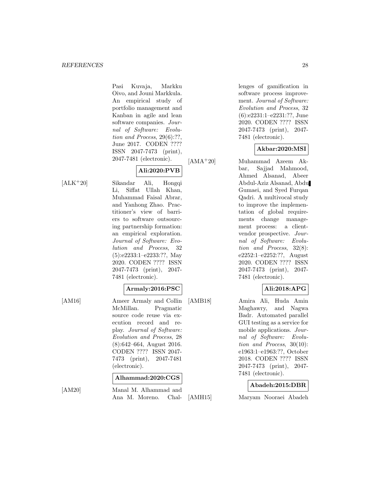Pasi Kuvaja, Markku Oivo, and Jouni Markkula. An empirical study of portfolio management and Kanban in agile and lean software companies. Journal of Software: Evolution and Process, 29(6):??, June 2017. CODEN ???? ISSN 2047-7473 (print), 2047-7481 (electronic).

# **Ali:2020:PVB**

[ALK<sup>+</sup>20] Sikandar Ali, Hongqi Li, Siffat Ullah Khan, Muhammad Faisal Abrar, and Yanhong Zhao. Practitioner's view of barriers to software outsourcing partnership formation: an empirical exploration. Journal of Software: Evolution and Process, 32 (5):e2233:1–e2233:??, May 2020. CODEN ???? ISSN 2047-7473 (print), 2047- 7481 (electronic).

# **Armaly:2016:PSC**

[AM16] Ameer Armaly and Collin McMillan. Pragmatic source code reuse via execution record and replay. Journal of Software: Evolution and Process, 28 (8):642–664, August 2016. CODEN ???? ISSN 2047- 7473 (print), 2047-7481 (electronic).

# **Alhammad:2020:CGS**

[AM20] Manal M. Alhammad and Ana M. Moreno. Challenges of gamification in software process improvement. Journal of Software: Evolution and Process, 32 (6):e2231:1–e2231:??, June 2020. CODEN ???? ISSN 2047-7473 (print), 2047- 7481 (electronic).

# **Akbar:2020:MSI**

[AMA<sup>+</sup>20] Muhammad Azeem Akbar, Sajjad Mahmood, Ahmed Alsanad, Abeer Abdul-Aziz Alsanad, Abdu Gumaei, and Syed Furqan Qadri. A multivocal study to improve the implementation of global requirements change management process: a clientvendor prospective. Journal of Software: Evolution and Process, 32(8): e2252:1–e2252:??, August 2020. CODEN ???? ISSN 2047-7473 (print), 2047- 7481 (electronic).

# **Ali:2018:APG**

[AMB18] Amira Ali, Huda Amin Maghawry, and Nagwa Badr. Automated parallel GUI testing as a service for mobile applications. Journal of Software: Evolution and Process, 30(10): e1963:1–e1963:??, October 2018. CODEN ???? ISSN 2047-7473 (print), 2047- 7481 (electronic).

# **Abadeh:2015:DBR**

[AMH15] Maryam Nooraei Abadeh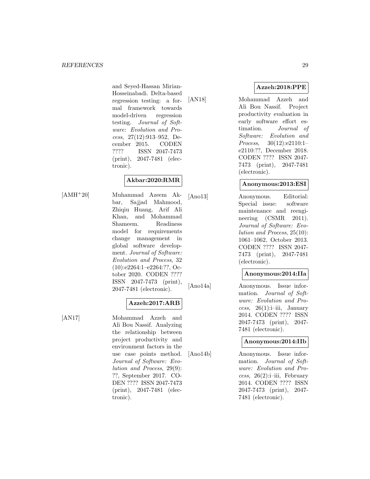and Seyed-Hassan Mirian-Hosseinabadi. Delta-based regression testing: a formal framework towards model-driven regression testing. Journal of Software: Evolution and Process, 27(12):913–952, December 2015. CODEN ???? ISSN 2047-7473 (print), 2047-7481 (electronic).

# **Akbar:2020:RMR**

[AMH<sup>+</sup>20] Muhammad Azeem Akbar, Sajjad Mahmood, Zhiqiu Huang, Arif Ali Khan, and Mohammad Shameem. Readiness model for requirements change management in global software development. Journal of Software: Evolution and Process, 32 (10):e2264:1–e2264:??, October 2020. CODEN ???? ISSN 2047-7473 (print), 2047-7481 (electronic).

# **Azzeh:2017:ARB**

[AN17] Mohammad Azzeh and Ali Bou Nassif. Analyzing the relationship between project productivity and environment factors in the use case points method. Journal of Software: Evolution and Process, 29(9): ??, September 2017. CO-DEN ???? ISSN 2047-7473 (print), 2047-7481 (electronic).

[AN18] Mohammad Azzeh and Ali Bou Nassif. Project productivity evaluation in early software effort estimation. Journal of Software: Evolution and Process, 30(12):e2110:1– e2110:??, December 2018. CODEN ???? ISSN 2047- 7473 (print), 2047-7481 (electronic).

# **Anonymous:2013:ESI**

[Ano13] Anonymous. Editorial: Special issue: software maintenance and reengineering (CSMR 2011). Journal of Software: Evolution and Process, 25(10): 1061–1062, October 2013. CODEN ???? ISSN 2047- 7473 (print), 2047-7481 (electronic).

# **Anonymous:2014:IIa**

[Ano14a] Anonymous. Issue information. Journal of Software: Evolution and Process,  $26(1)$ :i–iii, January 2014. CODEN ???? ISSN 2047-7473 (print), 2047- 7481 (electronic).

# **Anonymous:2014:IIb**

[Ano14b] Anonymous. Issue information. Journal of Software: Evolution and Process,  $26(2)$ :i–iii, February 2014. CODEN ???? ISSN 2047-7473 (print), 2047- 7481 (electronic).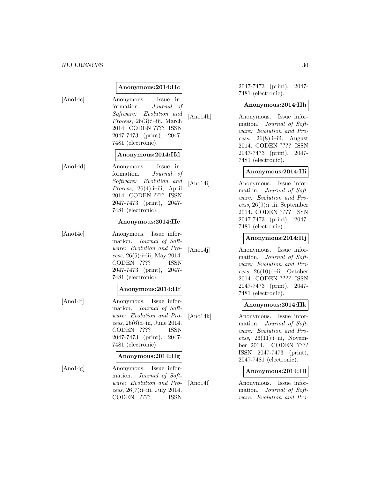# **Anonymous:2014:IIc**

[Ano14c] Anonymous. Issue information. Journal of Software: Evolution and Process, 26(3):i–iii, March 2014. CODEN ???? ISSN 2047-7473 (print), 2047- 7481 (electronic).

#### **Anonymous:2014:IId**

[Ano14d] Anonymous. Issue information. Journal of Software: Evolution and Process, 26(4):i–iii, April 2014. CODEN ???? ISSN 2047-7473 (print), 2047- 7481 (electronic).

#### **Anonymous:2014:IIe**

[Ano14e] Anonymous. Issue information. Journal of Software: Evolution and Process,  $26(5):i-iii$ , May 2014. CODEN ???? ISSN 2047-7473 (print), 2047- 7481 (electronic).

**Anonymous:2014:IIf**

[Ano14f] Anonymous. Issue information. Journal of Software: Evolution and Process, 26(6):i–iii, June 2014. CODEN ???? ISSN 2047-7473 (print), 2047- 7481 (electronic).

# **Anonymous:2014:IIg**

[Ano14g] Anonymous. Issue information. Journal of Software: Evolution and Process, 26(7):i–iii, July 2014. CODEN ???? ISSN

2047-7473 (print), 2047- 7481 (electronic).

#### **Anonymous:2014:IIh**

[Ano14h] Anonymous. Issue information. Journal of Software: Evolution and Process,  $26(8)$ :i–iii, August 2014. CODEN ???? ISSN 2047-7473 (print), 2047- 7481 (electronic).

# **Anonymous:2014:IIi**

[Ano14i] Anonymous. Issue information. Journal of Software: Evolution and Process, 26(9):i–iii, September 2014. CODEN ???? ISSN 2047-7473 (print), 2047- 7481 (electronic).

# **Anonymous:2014:IIj**

[Ano14j] Anonymous. Issue information. Journal of Software: Evolution and Process,  $26(10):i-iii$ , October 2014. CODEN ???? ISSN 2047-7473 (print), 2047- 7481 (electronic).

# **Anonymous:2014:IIk**

[Ano14k] Anonymous. Issue information. Journal of Software: Evolution and Pro $cess, 26(11):i-iii, Novem$ ber 2014. CODEN ???? ISSN 2047-7473 (print), 2047-7481 (electronic).

#### **Anonymous:2014:IIl**

[Ano14l] Anonymous. Issue information. Journal of Software: Evolution and Pro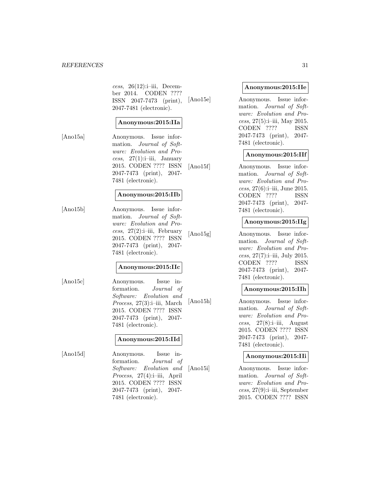cess,  $26(12):i-iii$ , December 2014. CODEN ???? ISSN 2047-7473 (print), 2047-7481 (electronic).

# **Anonymous:2015:IIa**

[Ano15a] Anonymous. Issue information. Journal of Software: Evolution and Process,  $27(1)$ :i–iii, January 2015. CODEN ???? ISSN 2047-7473 (print), 2047- 7481 (electronic).

# **Anonymous:2015:IIb**

[Ano15b] Anonymous. Issue information. Journal of Software: Evolution and Process,  $27(2)$ :i–iii, February 2015. CODEN ???? ISSN 2047-7473 (print), 2047- 7481 (electronic).

# **Anonymous:2015:IIc**

[Ano15c] Anonymous. Issue information. Journal of Software: Evolution and Process, 27(3):i–iii, March 2015. CODEN ???? ISSN 2047-7473 (print), 2047- 7481 (electronic).

# **Anonymous:2015:IId**

[Ano15d] Anonymous. Issue information. Journal of Software: Evolution and Process, 27(4):i–iii, April 2015. CODEN ???? ISSN 2047-7473 (print), 2047- 7481 (electronic).

# **Anonymous:2015:IIe**

[Ano15e] Anonymous. Issue information. Journal of Software: Evolution and Process,  $27(5)$ :i–iii, May 2015. CODEN ???? ISSN 2047-7473 (print), 2047- 7481 (electronic).

# **Anonymous:2015:IIf**

[Ano15f] Anonymous. Issue information. Journal of Software: Evolution and Process,  $27(6)$ :i–iii, June 2015. CODEN ???? ISSN 2047-7473 (print), 2047- 7481 (electronic).

# **Anonymous:2015:IIg**

[Ano15g] Anonymous. Issue information. Journal of Software: Evolution and Process, 27(7):i–iii, July 2015. CODEN ???? ISSN 2047-7473 (print), 2047- 7481 (electronic).

# **Anonymous:2015:IIh**

[Ano15h] Anonymous. Issue information. Journal of Software: Evolution and Process,  $27(8)$ :i–iii, August 2015. CODEN ???? ISSN 2047-7473 (print), 2047- 7481 (electronic).

#### **Anonymous:2015:IIi**

[Ano15i] Anonymous. Issue information. Journal of Software: Evolution and Process, 27(9):i–iii, September 2015. CODEN ???? ISSN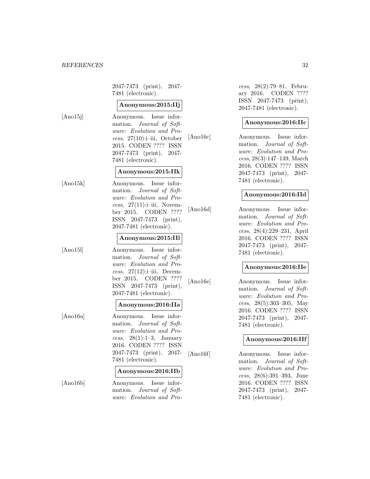2047-7473 (print), 2047- 7481 (electronic).

#### **Anonymous:2015:IIj**

[Ano15j] Anonymous. Issue information. Journal of Software: Evolution and Process,  $27(10):i-iii$ , October 2015. CODEN ???? ISSN 2047-7473 (print), 2047- 7481 (electronic).

# **Anonymous:2015:IIk**

[Ano15k] Anonymous. Issue information. Journal of Software: Evolution and Process,  $27(11):i-iii$ , November 2015. CODEN ???? ISSN 2047-7473 (print), 2047-7481 (electronic).

# **Anonymous:2015:IIl**

[Ano15l] Anonymous. Issue information. Journal of Software: Evolution and Process,  $27(12):i-iii$ , December 2015. CODEN ???? ISSN 2047-7473 (print), 2047-7481 (electronic).

# **Anonymous:2016:IIa**

[Ano16a] Anonymous. Issue information. Journal of Software: Evolution and Process,  $28(1):1-3$ , January 2016. CODEN ???? ISSN 2047-7473 (print), 2047- 7481 (electronic).

#### **Anonymous:2016:IIb**

[Ano16b] Anonymous. Issue information. Journal of Software: Evolution and Pro-

cess, 28(2):79–81, February 2016. CODEN ???? ISSN 2047-7473 (print), 2047-7481 (electronic).

# **Anonymous:2016:IIc**

[Ano16c] Anonymous. Issue information. Journal of Software: Evolution and Process, 28(3):147–149, March 2016. CODEN ???? ISSN 2047-7473 (print), 2047- 7481 (electronic).

# **Anonymous:2016:IId**

[Ano16d] Anonymous. Issue information. Journal of Software: Evolution and Process, 28(4):229–231, April 2016. CODEN ???? ISSN 2047-7473 (print), 2047- 7481 (electronic).

# **Anonymous:2016:IIe**

[Ano16e] Anonymous. Issue information. Journal of Software: Evolution and Process, 28(5):303–305, May 2016. CODEN ???? ISSN 2047-7473 (print), 2047- 7481 (electronic).

# **Anonymous:2016:IIf**

[Ano16f] Anonymous. Issue information. Journal of Software: Evolution and Process, 28(6):391–393, June 2016. CODEN ???? ISSN 2047-7473 (print), 2047- 7481 (electronic).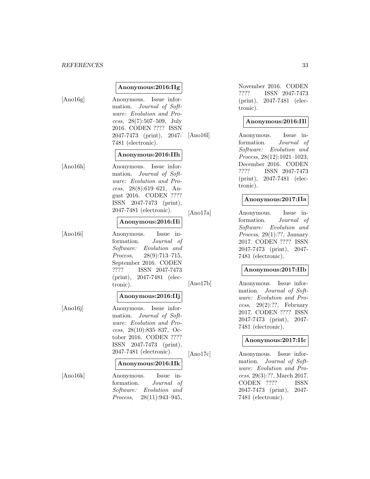# **Anonymous:2016:IIg**

[Ano16g] Anonymous. Issue information. Journal of Software: Evolution and Process, 28(7):507–509, July 2016. CODEN ???? ISSN 2047-7473 (print), 2047- 7481 (electronic).

## **Anonymous:2016:IIh**

[Ano16h] Anonymous. Issue information. Journal of Software: Evolution and Process, 28(8):619–621, August 2016. CODEN ???? ISSN 2047-7473 (print), 2047-7481 (electronic).

#### **Anonymous:2016:IIi**

[Ano16i] Anonymous. Issue information. Journal of Software: Evolution and Process, 28(9):713–715, September 2016. CODEN ???? ISSN 2047-7473 (print), 2047-7481 (electronic).

#### **Anonymous:2016:IIj**

[Ano16j] Anonymous. Issue information. Journal of Software: Evolution and Process,  $28(10):835-837$ , October 2016. CODEN ???? ISSN 2047-7473 (print), 2047-7481 (electronic).

#### **Anonymous:2016:IIk**

[Ano16k] Anonymous. Issue information. Journal of Software: Evolution and Process, 28(11):943–945,

November 2016. CODEN ???? ISSN 2047-7473 (print), 2047-7481 (electronic).

## **Anonymous:2016:IIl**

[Ano16l] Anonymous. Issue information. Journal of Software: Evolution and Process, 28(12):1021–1023, December 2016. CODEN ???? ISSN 2047-7473 (print), 2047-7481 (electronic).

# **Anonymous:2017:IIa**

[Ano17a] Anonymous. Issue information. Journal of Software: Evolution and Process, 29(1):??, January 2017. CODEN ???? ISSN 2047-7473 (print), 2047- 7481 (electronic).

# **Anonymous:2017:IIb**

[Ano17b] Anonymous. Issue information. Journal of Software: Evolution and Process,  $29(2):??$ , February 2017. CODEN ???? ISSN 2047-7473 (print), 2047- 7481 (electronic).

# **Anonymous:2017:IIc**

[Ano17c] Anonymous. Issue information. Journal of Software: Evolution and Process, 29(3):??, March 2017. CODEN ???? ISSN 2047-7473 (print), 2047- 7481 (electronic).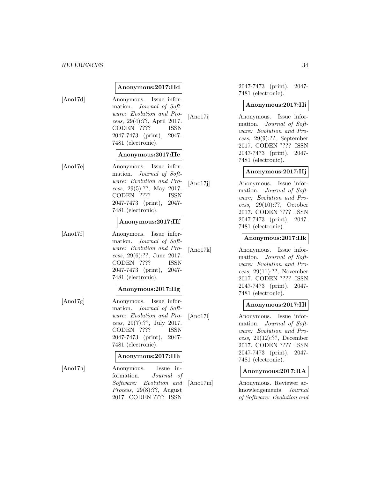# **Anonymous:2017:IId**

[Ano17d] Anonymous. Issue information. Journal of Software: Evolution and Process, 29(4):??, April 2017. CODEN ???? ISSN 2047-7473 (print), 2047- 7481 (electronic).

#### **Anonymous:2017:IIe**

[Ano17e] Anonymous. Issue information. Journal of Software: Evolution and Process, 29(5):??, May 2017. CODEN ???? ISSN 2047-7473 (print), 2047- 7481 (electronic).

# **Anonymous:2017:IIf**

[Ano17f] Anonymous. Issue information. Journal of Software: Evolution and Process, 29(6):??, June 2017. CODEN ???? ISSN 2047-7473 (print), 2047- 7481 (electronic).

# **Anonymous:2017:IIg**

[Ano17g] Anonymous. Issue information. Journal of Software: Evolution and Process, 29(7):??, July 2017. CODEN ???? ISSN 2047-7473 (print), 2047- 7481 (electronic).

#### **Anonymous:2017:IIh**

[Ano17h] Anonymous. Issue information. Journal of Software: Evolution and Process, 29(8):??, August 2017. CODEN ???? ISSN

2047-7473 (print), 2047- 7481 (electronic).

#### **Anonymous:2017:IIi**

[Ano17i] Anonymous. Issue information. Journal of Software: Evolution and Process, 29(9):??, September 2017. CODEN ???? ISSN 2047-7473 (print), 2047- 7481 (electronic).

# **Anonymous:2017:IIj**

[Ano17j] Anonymous. Issue information. Journal of Software: Evolution and Process, 29(10):??, October 2017. CODEN ???? ISSN 2047-7473 (print), 2047- 7481 (electronic).

# **Anonymous:2017:IIk**

[Ano17k] Anonymous. Issue information. Journal of Software: Evolution and Process, 29(11):??, November 2017. CODEN ???? ISSN 2047-7473 (print), 2047- 7481 (electronic).

# **Anonymous:2017:IIl**

[Ano17l] Anonymous. Issue information. Journal of Software: Evolution and Process, 29(12):??, December 2017. CODEN ???? ISSN 2047-7473 (print), 2047- 7481 (electronic).

# **Anonymous:2017:RA**

[Ano17m] Anonymous. Reviewer acknowledgements. Journal of Software: Evolution and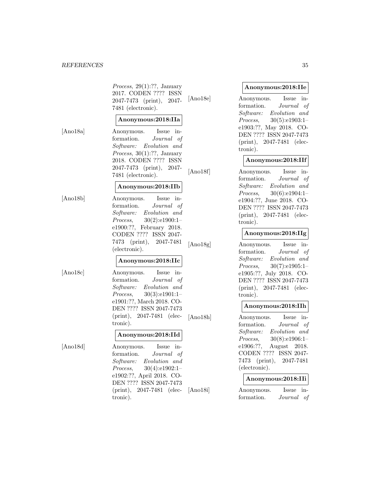Process, 29(1):??, January 2017. CODEN ???? ISSN 2047-7473 (print), 2047- 7481 (electronic).

# **Anonymous:2018:IIa**

[Ano18a] Anonymous. Issue information. Journal of Software: Evolution and Process, 30(1):??, January 2018. CODEN ???? ISSN 2047-7473 (print), 2047- 7481 (electronic).

# **Anonymous:2018:IIb**

[Ano18b] Anonymous. Issue information. Journal of Software: Evolution and Process, 30(2):e1900:1– e1900:??, February 2018. CODEN ???? ISSN 2047- 7473 (print), 2047-7481 (electronic).

# **Anonymous:2018:IIc**

[Ano18c] Anonymous. Issue information. Journal of Software: Evolution and Process, 30(3):e1901:1– e1901:??, March 2018. CO-DEN ???? ISSN 2047-7473 (print), 2047-7481 (electronic).

# **Anonymous:2018:IId**

[Ano18d] Anonymous. Issue information. Journal of Software: Evolution and Process, 30(4):e1902:1– e1902:??, April 2018. CO-DEN ???? ISSN 2047-7473 (print), 2047-7481 (electronic).

#### **Anonymous:2018:IIe**

[Ano18e] Anonymous. Issue information. Journal of Software: Evolution and Process, 30(5):e1903:1– e1903:??, May 2018. CO-DEN ???? ISSN 2047-7473 (print), 2047-7481 (electronic).

# **Anonymous:2018:IIf**

[Ano18f] Anonymous. Issue information. Journal of Software: Evolution and Process, 30(6):e1904:1– e1904:??, June 2018. CO-DEN ???? ISSN 2047-7473 (print), 2047-7481 (electronic).

# **Anonymous:2018:IIg**

[Ano18g] Anonymous. Issue information. Journal of Software: Evolution and Process, 30(7):e1905:1– e1905:??, July 2018. CO-DEN ???? ISSN 2047-7473 (print), 2047-7481 (electronic).

# **Anonymous:2018:IIh**

[Ano18h] Anonymous. Issue information. Journal of Software: Evolution and Process, 30(8):e1906:1– e1906:??, August 2018. CODEN ???? ISSN 2047- 7473 (print), 2047-7481 (electronic).

#### **Anonymous:2018:IIi**

[Ano18i] Anonymous. Issue information. Journal of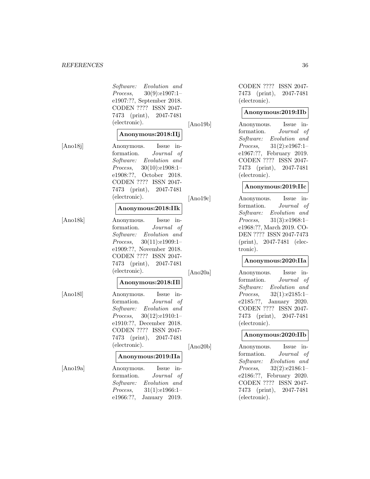Software: Evolution and Process, 30(9):e1907:1– e1907:??, September 2018. CODEN ???? ISSN 2047- 7473 (print), 2047-7481 (electronic).

#### **Anonymous:2018:IIj**

[Ano18j] Anonymous. Issue in-

formation. Journal of Software: Evolution and Process, 30(10):e1908:1– e1908:??, October 2018. CODEN ???? ISSN 2047- 7473 (print), 2047-7481 (electronic).

#### **Anonymous:2018:IIk**

[Ano18k] Anonymous. Issue information. Journal of Software: Evolution and Process, 30(11):e1909:1– e1909:??, November 2018. CODEN ???? ISSN 2047- 7473 (print), 2047-7481 (electronic).

#### **Anonymous:2018:IIl**

[Ano18l] Anonymous. Issue information. Journal of Software: Evolution and Process, 30(12):e1910:1– e1910:??, December 2018. CODEN ???? ISSN 2047- 7473 (print), 2047-7481 (electronic).

# **Anonymous:2019:IIa**

[Ano19a] Anonymous. Issue information. Journal of Software: Evolution and Process, 31(1):e1966:1– e1966:??, January 2019.

CODEN ???? ISSN 2047- 7473 (print), 2047-7481 (electronic).

# **Anonymous:2019:IIb**

[Ano19b] Anonymous. Issue information. Journal of Software: Evolution and Process, 31(2):e1967:1– e1967:??, February 2019. CODEN ???? ISSN 2047- 7473 (print), 2047-7481 (electronic).

# **Anonymous:2019:IIc**

[Ano19c] Anonymous. Issue information. Journal of Software: Evolution and Process, 31(3):e1968:1– e1968:??, March 2019. CO-DEN ???? ISSN 2047-7473 (print), 2047-7481 (electronic).

#### **Anonymous:2020:IIa**

[Ano20a] Anonymous. Issue information. Journal of Software: Evolution and Process, 32(1):e2185:1– e2185:??, January 2020. CODEN ???? ISSN 2047- 7473 (print), 2047-7481 (electronic).

#### **Anonymous:2020:IIb**

[Ano20b] Anonymous. Issue information. Journal of Software: Evolution and Process, 32(2):e2186:1– e2186:??, February 2020. CODEN ???? ISSN 2047- 7473 (print), 2047-7481 (electronic).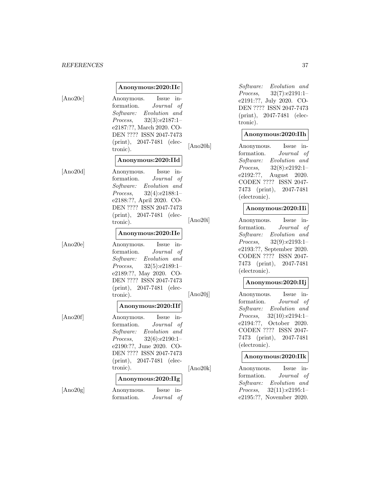#### *REFERENCES* 37

#### **Anonymous:2020:IIc**

[Ano20c] Anonymous. Issue information. Journal of Software: Evolution and Process, 32(3):e2187:1– e2187:??, March 2020. CO-DEN ???? ISSN 2047-7473 (print), 2047-7481 (electronic).

#### **Anonymous:2020:IId**

[Ano20d] Anonymous. Issue information. Journal of Software: Evolution and Process, 32(4):e2188:1– e2188:??, April 2020. CO-DEN ???? ISSN 2047-7473 (print), 2047-7481 (electronic).

#### **Anonymous:2020:IIe**

[Ano20e] Anonymous. Issue information. Journal of Software: Evolution and Process, 32(5):e2189:1– e2189:??, May 2020. CO-DEN ???? ISSN 2047-7473 (print), 2047-7481 (electronic).

# **Anonymous:2020:IIf**

[Ano20f] Anonymous. Issue information. Journal of Software: Evolution and Process, 32(6):e2190:1– e2190:??, June 2020. CO-DEN ???? ISSN 2047-7473 (print), 2047-7481 (electronic).

# **Anonymous:2020:IIg** [Ano20g] Anonymous. Issue in-

formation. Journal of

Software: Evolution and Process, 32(7):e2191:1– e2191:??, July 2020. CO-DEN ???? ISSN 2047-7473 (print), 2047-7481 (electronic).

#### **Anonymous:2020:IIh**

[Ano20h] Anonymous. Issue information. Journal of Software: Evolution and Process, 32(8):e2192:1– e2192:??, August 2020. CODEN ???? ISSN 2047- 7473 (print), 2047-7481 (electronic).

#### **Anonymous:2020:IIi**

[Ano20i] Anonymous. Issue information. Journal of Software: Evolution and Process, 32(9):e2193:1– e2193:??, September 2020. CODEN ???? ISSN 2047- 7473 (print), 2047-7481 (electronic).

## **Anonymous:2020:IIj**

[Ano20j] Anonymous. Issue information. Journal of Software: Evolution and Process, 32(10):e2194:1– e2194:??, October 2020. CODEN ???? ISSN 2047- 7473 (print), 2047-7481 (electronic).

#### **Anonymous:2020:IIk**

[Ano20k] Anonymous. Issue information. Journal of Software: Evolution and Process, 32(11):e2195:1– e2195:??, November 2020.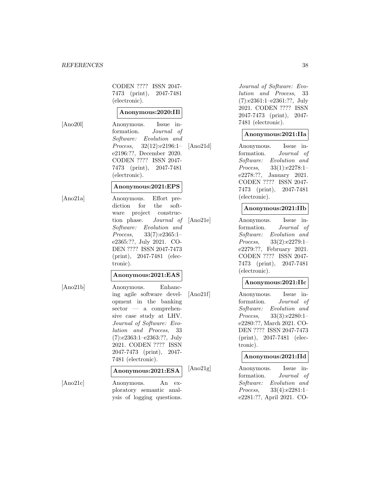#### *REFERENCES* 38

CODEN ???? ISSN 2047- 7473 (print), 2047-7481 (electronic).

#### **Anonymous:2020:IIl**

[Ano20l] Anonymous. Issue information. Journal of Software: Evolution and Process, 32(12):e2196:1– e2196:??, December 2020. CODEN ???? ISSN 2047- 7473 (print), 2047-7481 (electronic).

#### **Anonymous:2021:EPS**

[Ano21a] Anonymous. Effort prediction for the software project construction phase. Journal of Software: Evolution and Process, 33(7):e2365:1– e2365:??, July 2021. CO-DEN ???? ISSN 2047-7473 (print), 2047-7481 (electronic).

#### **Anonymous:2021:EAS**

[Ano21b] Anonymous. Enhancing agile software development in the banking sector — a comprehensive case study at LHV. Journal of Software: Evolution and Process, 33 (7):e2363:1–e2363:??, July 2021. CODEN ???? ISSN 2047-7473 (print), 2047- 7481 (electronic).

## **Anonymous:2021:ESA**

[Ano21c] Anonymous. An exploratory semantic analysis of logging questions.

Journal of Software: Evolution and Process, 33 (7):e2361:1–e2361:??, July 2021. CODEN ???? ISSN 2047-7473 (print), 2047- 7481 (electronic).

#### **Anonymous:2021:IIa**

[Ano21d] Anonymous. Issue information. Journal of Software: Evolution and Process, 33(1):e2278:1– e2278:??, January 2021. CODEN ???? ISSN 2047- 7473 (print), 2047-7481 (electronic).

#### **Anonymous:2021:IIb**

[Ano21e] Anonymous. Issue information. Journal of Software: Evolution and Process, 33(2):e2279:1– e2279:??, February 2021. CODEN ???? ISSN 2047- 7473 (print), 2047-7481 (electronic).

#### **Anonymous:2021:IIc**

[Ano21f] Anonymous. Issue information. Journal of Software: Evolution and Process, 33(3):e2280:1– e2280:??, March 2021. CO-DEN ???? ISSN 2047-7473 (print), 2047-7481 (electronic).

#### **Anonymous:2021:IId**

[Ano21g] Anonymous. Issue information. Journal of Software: Evolution and Process, 33(4):e2281:1– e2281:??, April 2021. CO-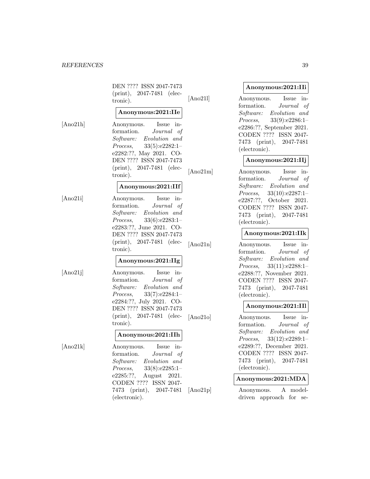DEN ???? ISSN 2047-7473 (print), 2047-7481 (electronic).

## **Anonymous:2021:IIe**

[Ano21h] Anonymous. Issue information. Journal of Software: Evolution and Process, 33(5):e2282:1– e2282:??, May 2021. CO-DEN ???? ISSN 2047-7473 (print), 2047-7481 (electronic).

## **Anonymous:2021:IIf**

[Ano21i] Anonymous. Issue information. Journal of Software: Evolution and Process, 33(6):e2283:1– e2283:??, June 2021. CO-DEN ???? ISSN 2047-7473 (print), 2047-7481 (electronic).

#### **Anonymous:2021:IIg**

[Ano21j] Anonymous. Issue information. Journal of Software: Evolution and Process, 33(7):e2284:1– e2284:??, July 2021. CO-DEN ???? ISSN 2047-7473 (print), 2047-7481 (electronic).

#### **Anonymous:2021:IIh**

[Ano21k] Anonymous. Issue information. Journal of Software: Evolution and Process, 33(8):e2285:1– e2285:??, August 2021. CODEN ???? ISSN 2047- 7473 (print), 2047-7481 (electronic).

## **Anonymous:2021:IIi**

[Ano21l] Anonymous. Issue information. Journal of Software: Evolution and Process, 33(9):e2286:1– e2286:??, September 2021. CODEN ???? ISSN 2047- 7473 (print), 2047-7481 (electronic).

# **Anonymous:2021:IIj**

[Ano21m] Anonymous. Issue information. Journal of Software: Evolution and Process, 33(10):e2287:1– e2287:??, October 2021. CODEN ???? ISSN 2047- 7473 (print), 2047-7481 (electronic).

#### **Anonymous:2021:IIk**

[Ano21n] Anonymous. Issue information. Journal of Software: Evolution and Process, 33(11):e2288:1– e2288:??, November 2021. CODEN ???? ISSN 2047- 7473 (print), 2047-7481 (electronic).

## **Anonymous:2021:IIl**

[Ano21o] Anonymous. Issue information. Journal of Software: Evolution and Process, 33(12):e2289:1– e2289:??, December 2021. CODEN ???? ISSN 2047- 7473 (print), 2047-7481 (electronic).

#### **Anonymous:2021:MDA**

[Ano21p] Anonymous. A modeldriven approach for se-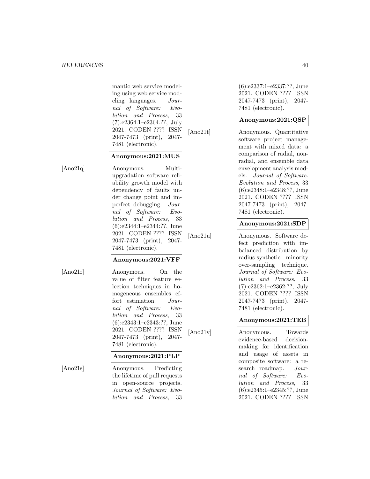mantic web service modeling using web service modeling languages. Journal of Software: Evolution and Process, 33 (7):e2364:1–e2364:??, July 2021. CODEN ???? ISSN 2047-7473 (print), 2047- 7481 (electronic).

## **Anonymous:2021:MUS**

[Ano21q] Anonymous. Multiupgradation software reliability growth model with dependency of faults under change point and imperfect debugging. Journal of Software: Evolution and Process, 33 (6):e2344:1–e2344:??, June 2021. CODEN ???? ISSN 2047-7473 (print), 2047- 7481 (electronic).

## **Anonymous:2021:VFF**

[Ano21r] Anonymous. On the value of filter feature selection techniques in homogeneous ensembles effort estimation. Journal of Software: Evolution and Process, 33 (6):e2343:1–e2343:??, June 2021. CODEN ???? ISSN 2047-7473 (print), 2047- 7481 (electronic).

#### **Anonymous:2021:PLP**

[Ano21s] Anonymous. Predicting the lifetime of pull requests in open-source projects. Journal of Software: Evolution and Process, 33

(6):e2337:1–e2337:??, June 2021. CODEN ???? ISSN 2047-7473 (print), 2047- 7481 (electronic).

## **Anonymous:2021:QSP**

[Ano21t] Anonymous. Quantitative software project management with mixed data: a comparison of radial, nonradial, and ensemble data envelopment analysis models. Journal of Software: Evolution and Process, 33 (6):e2348:1–e2348:??, June 2021. CODEN ???? ISSN 2047-7473 (print), 2047- 7481 (electronic).

## **Anonymous:2021:SDP**

[Ano21u] Anonymous. Software defect prediction with imbalanced distribution by radius-synthetic minority over-sampling technique. Journal of Software: Evolution and Process, 33 (7):e2362:1–e2362:??, July 2021. CODEN ???? ISSN 2047-7473 (print), 2047- 7481 (electronic).

## **Anonymous:2021:TEB**

[Ano21v] Anonymous. Towards evidence-based decisionmaking for identification and usage of assets in composite software: a research roadmap. Journal of Software: Evolution and Process, 33 (6):e2345:1–e2345:??, June 2021. CODEN ???? ISSN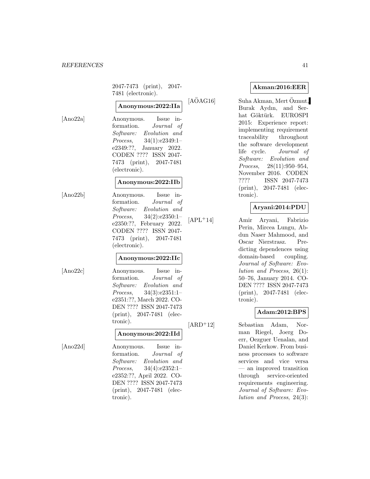2047-7473 (print), 2047- 7481 (electronic).

# **Anonymous:2022:IIa**

[Ano22a] Anonymous. Issue information. Journal of Software: Evolution and Process, 34(1):e2349:1– e2349:??, January 2022. CODEN ???? ISSN 2047- 7473 (print), 2047-7481 (electronic).

#### **Anonymous:2022:IIb**

[Ano22b] Anonymous. Issue information. Journal of Software: Evolution and Process, 34(2):e2350:1– e2350:??, February 2022. CODEN ???? ISSN 2047- 7473 (print), 2047-7481 (electronic).

#### **Anonymous:2022:IIc**

[Ano22c] Anonymous. Issue information. Journal of Software: Evolution and Process, 34(3):e2351:1– e2351:??, March 2022. CO-DEN ???? ISSN 2047-7473 (print), 2047-7481 (electronic).

#### **Anonymous:2022:IId**

[Ano22d] Anonymous. Issue information. Journal of Software: Evolution and Process, 34(4):e2352:1– e2352:??, April 2022. CO-DEN ???? ISSN 2047-7473 (print), 2047-7481 (electronic).

## **Akman:2016:EER**

 $[A\ddot{O}AG16]$  Suha Akman, Mert Özmut, Burak Aydın, and Serhat Göktürk. EUROSPI 2015: Experience report: implementing requirement traceability throughout the software development life cycle. Journal of Software: Evolution and Process, 28(11):950–954, November 2016. CODEN ???? ISSN 2047-7473 (print), 2047-7481 (electronic).

## **Aryani:2014:PDU**

[APL<sup>+</sup>14] Amir Aryani, Fabrizio Perin, Mircea Lungu, Abdun Naser Mahmood, and Oscar Nierstrasz. Predicting dependences using domain-based coupling. Journal of Software: Evolution and Process, 26(1): 50–76, January 2014. CO-DEN ???? ISSN 2047-7473 (print), 2047-7481 (electronic).

#### **Adam:2012:BPS**

[ARD<sup>+</sup>12] Sebastian Adam, Norman Riegel, Joerg Doerr, Oezguer Uenalan, and Daniel Kerkow. From business processes to software services and vice versa — an improved transition through service-oriented requirements engineering. Journal of Software: Evolution and Process, 24(3):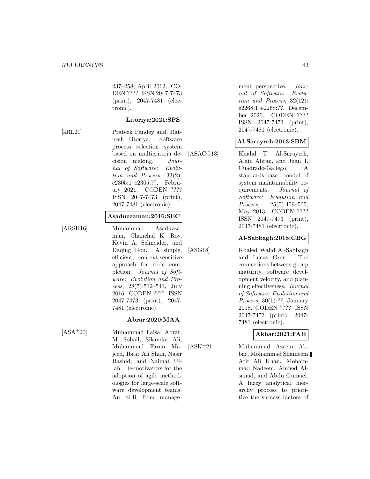237–258, April 2012. CO-DEN ???? ISSN 2047-7473 (print), 2047-7481 (electronic).

## **Litoriya:2021:SPS**

[aRL21] Prateek Pandey and. Ratnesh Litoriya. Software process selection system based on multicriteria decision making. Journal of Software: Evolution and Process, 33(2): e2305:1–e2305:??, February 2021. CODEN ???? ISSN 2047-7473 (print), 2047-7481 (electronic).

#### **Asaduzzaman:2016:SEC**

[ARSH16] Muhammad Asaduzzaman, Chanchal K. Roy, Kevin A. Schneider, and Daqing Hou. A simple, efficient, context-sensitive approach for code completion. Journal of Software: Evolution and Process, 28(7):512–541, July 2016. CODEN ???? ISSN 2047-7473 (print), 2047- 7481 (electronic).

# **Abrar:2020:MAA**

[ASA<sup>+</sup>20] Muhammad Faisal Abrar, M. Sohail, Sikandar Ali, Muhammad Faran Majeed, Ibrar Ali Shah, Nasir Rashid, and Naimat Ullah. De-motivators for the adoption of agile methodologies for large-scale software development teams: An SLR from management perspective. Journal of Software: Evolution and Process, 32(12): e2268:1–e2268:??, December 2020. CODEN ???? ISSN 2047-7473 (print), 2047-7481 (electronic).

## **Al-Sarayreh:2013:SBM**

[ASACG13] Khalid T. Al-Sarayreh, Alain Abran, and Juan J. Cuadrado-Gallego. A standards-based model of system maintainability requirements. Journal of Software: Evolution and Process, 25(5):459–505. May 2013. CODEN ???? ISSN 2047-7473 (print), 2047-7481 (electronic).

## **Al-Sabbagh:2018:CBG**

[ASG18] Khaled Walid Al-Sabbagh and Lucas Gren. The connections between group maturity, software development velocity, and planning effectiveness. Journal of Software: Evolution and Process, 30(1):??, January 2018. CODEN ???? ISSN 2047-7473 (print), 2047- 7481 (electronic).

## **Akbar:2021:FAH**

[ASK<sup>+</sup>21] Muhammad Azeem Akbar, Mohammad Shameem, Arif Ali Khan, Mohammad Nadeem, Ahmed Alsanad, and Abdu Gumaei. A fuzzy analytical hierarchy process to prioritize the success factors of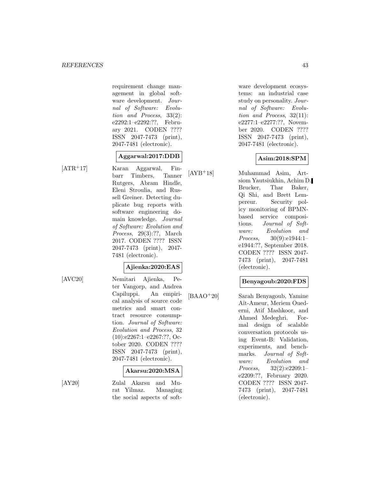requirement change management in global software development. Journal of Software: Evolution and Process, 33(2): e2292:1–e2292:??, February 2021. CODEN ???? ISSN 2047-7473 (print), 2047-7481 (electronic).

# **Aggarwal:2017:DDB**

[ATR<sup>+</sup>17] Karan Aggarwal, Finbarr Timbers, Tanner Rutgers, Abram Hindle, Eleni Stroulia, and Russell Greiner. Detecting duplicate bug reports with software engineering domain knowledge. Journal of Software: Evolution and Process, 29(3):??, March 2017. CODEN ???? ISSN 2047-7473 (print), 2047- 7481 (electronic).

## **Ajienka:2020:EAS**

[AVC20] Nemitari Ajienka, Peter Vangorp, and Andrea Capiluppi. An empirical analysis of source code metrics and smart contract resource consumption. Journal of Software: Evolution and Process, 32 (10):e2267:1–e2267:??, October 2020. CODEN ???? ISSN 2047-7473 (print), 2047-7481 (electronic).

## **Akarsu:2020:MSA**

[AY20] Zulal Akarsu and Murat Yilmaz. Managing the social aspects of software development ecosystems: an industrial case study on personality. Journal of Software: Evolution and Process, 32(11): e2277:1–e2277:??, November 2020. CODEN ???? ISSN 2047-7473 (print), 2047-7481 (electronic).

## **Asim:2018:SPM**

[AYB<sup>+</sup>18] Muhammad Asim, Artsiom Yautsiukhin, Achim D. Brucker, Thar Baker, Qi Shi, and Brett Lempereur. Security policy monitoring of BPMNbased service compositions. Journal of Software: Evolution and Process, 30(9):e1944:1– e1944:??, September 2018. CODEN ???? ISSN 2047- 7473 (print), 2047-7481 (electronic).

## **Benyagoub:2020:FDS**

[BAAO<sup>+</sup>20] Sarah Benyagoub, Yamine Aït-Ameur, Meriem Ouederni, Atif Mashkoor, and Ahmed Medeghri. Formal design of scalable conversation protocols using Event-B: Validation, experiments, and benchmarks. Journal of Software: Evolution and Process, 32(2):e2209:1– e2209:??, February 2020. CODEN ???? ISSN 2047- 7473 (print), 2047-7481 (electronic).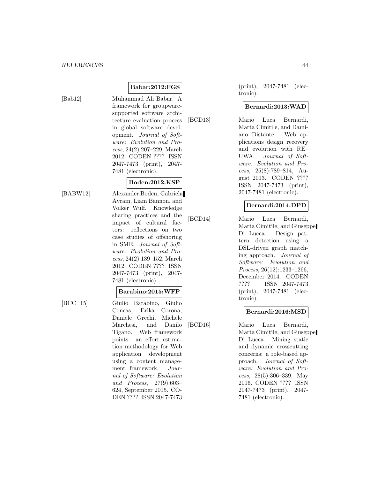**Babar:2012:FGS** [Bab12] Muhammad Ali Babar. A framework for groupwaresupported software architecture evaluation process in global software development. Journal of Software: Evolution and Process, 24(2):207–229, March 2012. CODEN ???? ISSN 2047-7473 (print), 2047- 7481 (electronic).

#### **Boden:2012:KSP**

- 
- [BABW12] Alexander Boden, Gabriela Avram, Liam Bannon, and Volker Wulf. Knowledge sharing practices and the impact of cultural factors: reflections on two case studies of offshoring in SME. Journal of Software: Evolution and Process, 24(2):139–152, March 2012. CODEN ???? ISSN 2047-7473 (print), 2047- 7481 (electronic).

#### **Barabino:2015:WFP**

- 
- [BCC<sup>+</sup>15] Giulio Barabino, Giulio Concas, Erika Corona, Daniele Grechi, Michele Marchesi, and Danilo Tigano. Web framework points: an effort estimation methodology for Web application development using a content management framework. Journal of Software: Evolution and Process, 27(9):603– 624, September 2015. CO-DEN ???? ISSN 2047-7473

(print), 2047-7481 (electronic).

## **Bernardi:2013:WAD**

[BCD13] Mario Luca Bernardi, Marta Cimitile, and Damiano Distante. Web applications design recovery and evolution with RE– UWA. Journal of Software: Evolution and Process, 25(8):789–814, August 2013. CODEN ???? ISSN 2047-7473 (print), 2047-7481 (electronic).

#### **Bernardi:2014:DPD**

[BCD14] Mario Luca Bernardi, Marta Cimitile, and Giuseppe Di Lucca. Design pattern detection using a DSL-driven graph matching approach. Journal of Software: Evolution and Process, 26(12):1233–1266, December 2014. CODEN ???? ISSN 2047-7473 (print), 2047-7481 (electronic).

## **Bernardi:2016:MSD**

[BCD16] Mario Luca Bernardi, Marta Cimitile, and Giuseppe Di Lucca. Mining static and dynamic crosscutting concerns: a role-based approach. Journal of Software: Evolution and Process, 28(5):306–339, May 2016. CODEN ???? ISSN 2047-7473 (print), 2047- 7481 (electronic).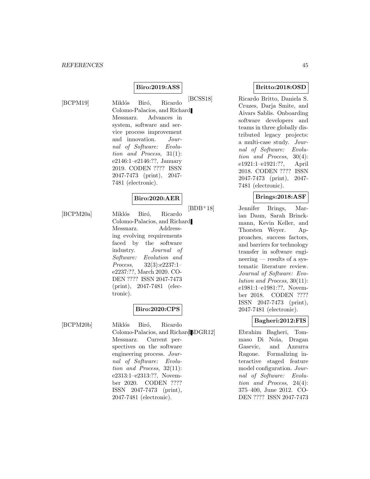## **Biro:2019:ASS**

[BCPM19] Miklós Biró, Ricardo Colomo-Palacios, and Richard Messnarz. Advances in system, software and service process improvement and innovation. Journal of Software: Evolution and Process, 31(1): e2146:1–e2146:??, January 2019. CODEN ???? ISSN 2047-7473 (print), 2047- 7481 (electronic).

## **Biro:2020:AER**

[BCPM20a] Miklós Biró, Ricardo

Colomo-Palacios, and Richard Messnarz. Addressing evolving requirements faced by the software industry. Journal of Software: Evolution and Process, 32(3):e2237:1– e2237:??, March 2020. CO-DEN ???? ISSN 2047-7473 (print), 2047-7481 (electronic).

# **Biro:2020:CPS**

[BCPM20b] Miklós Biró, Ricardo Colomo-Palacios, and Richard BDGR12 Messnarz. Current perspectives on the software engineering process. Journal of Software: Evolution and Process, 32(11): e2313:1–e2313:??, November 2020. CODEN ???? ISSN 2047-7473 (print), 2047-7481 (electronic).

## **Britto:2018:OSD**

[BCSS18] Ricardo Britto, Daniela S. Cruzes, Darja Smite, and Aivars Sablis. Onboarding software developers and teams in three globally distributed legacy projects: a multi-case study. Journal of Software: Evolution and Process, 30(4): e1921:1–e1921:??, April 2018. CODEN ???? ISSN 2047-7473 (print), 2047- 7481 (electronic).

#### **Brings:2018:ASF**

[BDB<sup>+</sup>18] Jennifer Brings, Marian Daun, Sarah Brinckmann, Kevin Keller, and Thorsten Weyer. Approaches, success factors, and barriers for technology transfer in software engineering — results of a systematic literature review. Journal of Software: Evolution and Process, 30(11): e1981:1–e1981:??, November 2018. CODEN ???? ISSN 2047-7473 (print), 2047-7481 (electronic).

## **Bagheri:2012:FIS**

Ebrahim Bagheri, Tommaso Di Noia, Dragan Gasevic, and Azzurra Ragone. Formalizing interactive staged feature model configuration. Journal of Software: Evolution and Process, 24(4): 375–400, June 2012. CO-DEN ???? ISSN 2047-7473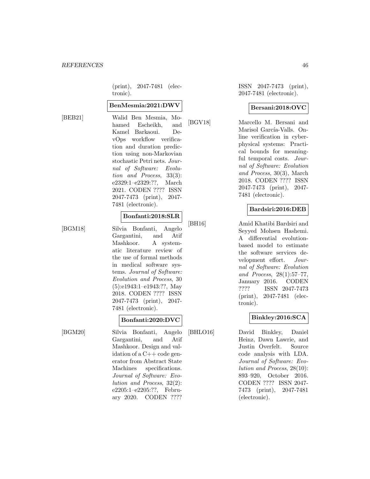(print), 2047-7481 (electronic).

#### **BenMesmia:2021:DWV**

[BEB21] Walid Ben Mesmia, Mohamed Escheikh, and Kamel Barkaoui. DevOps workflow verification and duration prediction using non-Markovian stochastic Petri nets. Journal of Software: Evolution and Process, 33(3): e2329:1–e2329:??, March 2021. CODEN ???? ISSN 2047-7473 (print), 2047- 7481 (electronic).

#### **Bonfanti:2018:SLR**

[BGM18] Silvia Bonfanti, Angelo Gargantini, and Atif Mashkoor. A systematic literature review of the use of formal methods in medical software systems. Journal of Software: Evolution and Process, 30 (5):e1943:1–e1943:??, May 2018. CODEN ???? ISSN 2047-7473 (print), 2047- 7481 (electronic).

#### **Bonfanti:2020:DVC**

[BGM20] Silvia Bonfanti, Angelo Gargantini, and Atif Mashkoor. Design and validation of a C++ code generator from Abstract State Machines specifications. Journal of Software: Evolution and Process, 32(2): e2205:1–e2205:??, February 2020. CODEN ????

ISSN 2047-7473 (print), 2047-7481 (electronic).

#### **Bersani:2018:OVC**

[BGV18] Marcello M. Bersani and Marisol García-Valls. Online verification in cyberphysical systems: Practical bounds for meaningful temporal costs. Journal of Software: Evolution and Process, 30(3), March 2018. CODEN ???? ISSN 2047-7473 (print), 2047- 7481 (electronic).

## **Bardsiri:2016:DEB**

[BH16] Amid Khatibi Bardsiri and Seyyed Mohsen Hashemi. A differential evolutionbased model to estimate the software services development effort. Journal of Software: Evolution and Process, 28(1):57–77, January 2016. CODEN ???? ISSN 2047-7473 (print), 2047-7481 (electronic).

## **Binkley:2016:SCA**

[BHLO16] David Binkley, Daniel Heinz, Dawn Lawrie, and Justin Overfelt. Source code analysis with LDA. Journal of Software: Evolution and Process, 28(10): 893–920, October 2016. CODEN ???? ISSN 2047- 7473 (print), 2047-7481 (electronic).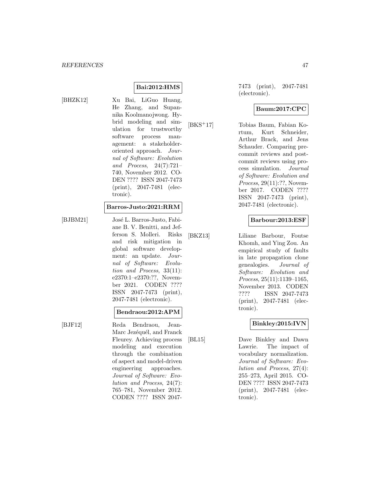## **Bai:2012:HMS**

[BHZK12] Xu Bai, LiGuo Huang, He Zhang, and Supannika Koolmanojwong. Hybrid modeling and simulation for trustworthy software process management: a stakeholderoriented approach. Journal of Software: Evolution and Process, 24(7):721– 740, November 2012. CO-DEN ???? ISSN 2047-7473 (print), 2047-7481 (electronic).

## **Barros-Justo:2021:RRM**

[BJBM21] José L. Barros-Justo, Fabiane B. V. Benitti, and Jefferson S. Molleri. Risks and risk mitigation in global software development: an update. Journal of Software: Evolution and Process, 33(11): e2370:1–e2370:??, November 2021. CODEN ???? ISSN 2047-7473 (print), 2047-7481 (electronic).

#### **Bendraou:2012:APM**

[BJF12] Reda Bendraou, Jean-Marc Jezéquél, and Franck Fleurey. Achieving process modeling and execution through the combination of aspect and model-driven engineering approaches. Journal of Software: Evolution and Process, 24(7): 765–781, November 2012. CODEN ???? ISSN 20477473 (print), 2047-7481 (electronic).

#### **Baum:2017:CPC**

[BKS<sup>+</sup>17] Tobias Baum, Fabian Kortum, Kurt Schneider, Arthur Brack, and Jens Schauder. Comparing precommit reviews and postcommit reviews using process simulation. Journal of Software: Evolution and Process, 29(11):??, November 2017. CODEN ???? ISSN 2047-7473 (print), 2047-7481 (electronic).

## **Barbour:2013:ESF**

[BKZ13] Liliane Barbour, Foutse Khomh, and Ying Zou. An empirical study of faults in late propagation clone genealogies. Journal of Software: Evolution and Process, 25(11):1139–1165, November 2013. CODEN ???? ISSN 2047-7473 (print), 2047-7481 (electronic).

## **Binkley:2015:IVN**

[BL15] Dave Binkley and Dawn Lawrie. The impact of vocabulary normalization. Journal of Software: Evolution and Process, 27(4): 255–273, April 2015. CO-DEN ???? ISSN 2047-7473 (print), 2047-7481 (electronic).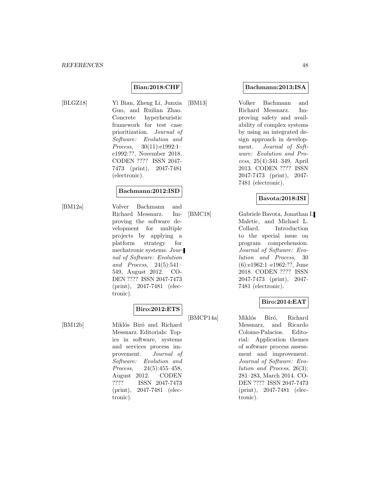## **Bian:2018:CHF**

[BLGZ18] Yi Bian, Zheng Li, Junxia Guo, and Ruilian Zhao. Concrete hyperheuristic framework for test case prioritization. Journal of Software: Evolution and Process, 30(11):e1992:1– e1992:??, November 2018. CODEN ???? ISSN 2047- 7473 (print), 2047-7481 (electronic).

## **Bachmann:2012:ISD**

[BM12a] Volver Bachmann and Richard Messnarz. Improving the software development for multiple projects by applying a platform strategy for mechatronic systems. Journal of Software: Evolution and Process, 24(5):541– 549, August 2012. CO-DEN ???? ISSN 2047-7473 (print), 2047-7481 (electronic).

# **Biro:2012:ETS**

[BM12b] Miklós Biró and Richard Messnarz. Editorials: Topics in software, systems and services process improvement. Journal of Software: Evolution and Process, 24(5):455–458, August 2012. CODEN<br>???? ISSN 2047-7473 ISSN 2047-7473 (print), 2047-7481 (electronic).

#### **Bachmann:2013:ISA**

[BM13] Volker Bachmann and Richard Messnarz. Improving safety and availability of complex systems by using an integrated design approach in development. Journal of Software: Evolution and Process, 25(4):341–349, April 2013. CODEN ???? ISSN 2047-7473 (print), 2047- 7481 (electronic).

#### **Bavota:2018:ISI**

[BMC18] Gabriele Bavota, Jonathan I. Maletic, and Michael L. Collard. Introduction to the special issue on program comprehension. Journal of Software: Evolution and Process, 30 (6):e1962:1–e1962:??, June 2018. CODEN ???? ISSN 2047-7473 (print), 2047- 7481 (electronic).

## **Biro:2014:EAT**

[BMCP14a] Miklós Biró, Richard Messnarz, and Ricardo Colomo-Palacios. Editorial: Application themes of software process assessment and improvement. Journal of Software: Evolution and Process, 26(3): 281–283, March 2014. CO-DEN ???? ISSN 2047-7473 (print), 2047-7481 (electronic).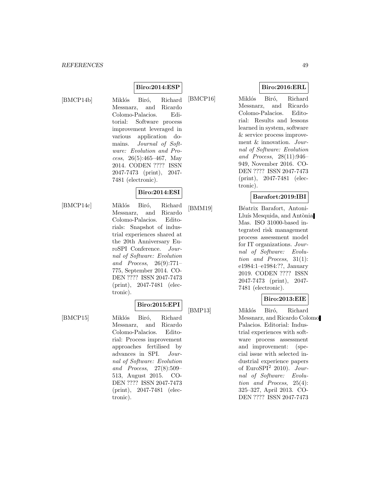## **Biro:2014:ESP**

[BMCP14b] Miklós Biró, Richard Messnarz, and Ricardo Colomo-Palacios. Editorial: Software process improvement leveraged in various application domains. Journal of Software: Evolution and Process, 26(5):465–467, May 2014. CODEN ???? ISSN 2047-7473 (print), 2047- 7481 (electronic).

# **Biro:2014:ESI**

[BMCP14c] Miklós Biró, Richard Messnarz, and Ricardo Colomo-Palacios. Editorials: Snapshot of industrial experiences shared at the 20th Anniversary EuroSPI Conference. Journal of Software: Evolution and Process, 26(9):771– 775, September 2014. CO-DEN ???? ISSN 2047-7473 (print), 2047-7481 (electronic).

#### **Biro:2015:EPI**

[BMCP15] Miklós Biró, Richard Messnarz, and Ricardo Colomo-Palacios. Editorial: Process improvement approaches fertilised by advances in SPI. Journal of Software: Evolution and Process, 27(8):509– 513, August 2015. CO-DEN ???? ISSN 2047-7473 (print), 2047-7481 (electronic).

**Biro:2016:ERL**

[BMCP16] Miklós Biró, Richard Messnarz, and Ricardo Colomo-Palacios. Editorial: Results and lessons learned in system, software & service process improvement & innovation. Journal of Software: Evolution and Process, 28(11):946– 949, November 2016. CO-DEN ???? ISSN 2047-7473 (print), 2047-7481 (electronic).

#### **Barafort:2019:IBI**

[BMM19] Béatrix Barafort, Antoni-Lluís Mesquida, and Antònia Mas. ISO 31000-based integrated risk management process assessment model for IT organizations. Journal of Software: Evolution and Process, 31(1): e1984:1–e1984:??, January 2019. CODEN ???? ISSN 2047-7473 (print), 2047- 7481 (electronic).

## **Biro:2013:EIE**

[BMP13] Miklós Biró, Richard Messnarz, and Ricardo Colomo Palacios. Editorial: Industrial experiences with software process assessment and improvement: (special issue with selected industrial experience papers of EuroSPI<sup>2</sup> 2010). Journal of Software: Evolution and Process, 25(4): 325–327, April 2013. CO-DEN ???? ISSN 2047-7473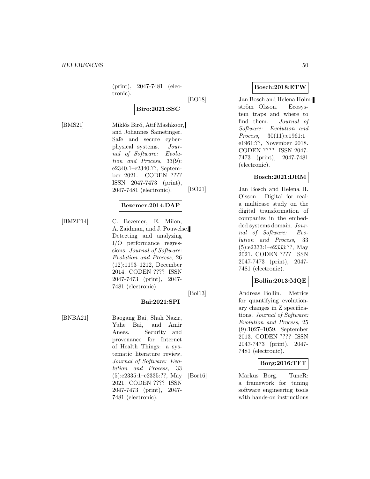(print), 2047-7481 (electronic).

#### **Biro:2021:SSC**

[BMS21] Miklós Biró, Atif Mashkoor, and Johannes Sametinger. Safe and secure cyberphysical systems. Journal of Software: Evolution and Process, 33(9): e2340:1–e2340:??, September 2021. CODEN ???? ISSN 2047-7473 (print), 2047-7481 (electronic).

#### **Bezemer:2014:DAP**

[BMZP14] C. Bezemer, E. Milon, A. Zaidman, and J. Pouwelse. Detecting and analyzing I/O performance regressions. Journal of Software: Evolution and Process, 26 (12):1193–1212, December 2014. CODEN ???? ISSN 2047-7473 (print), 2047- 7481 (electronic).

## **Bai:2021:SPI**

[BNBA21] Baogang Bai, Shah Nazir, Yuhe Bai, and Amir Anees. Security and provenance for Internet of Health Things: a systematic literature review. Journal of Software: Evolution and Process, 33 (5):e2335:1–e2335:??, May 2021. CODEN ???? ISSN 2047-7473 (print), 2047- 7481 (electronic).

## **Bosch:2018:ETW**

[BO18] Jan Bosch and Helena Holmström Olsson. Ecosystem traps and where to find them. Journal of Software: Evolution and Process, 30(11):e1961:1– e1961:??, November 2018. CODEN ???? ISSN 2047- 7473 (print), 2047-7481 (electronic).

## **Bosch:2021:DRM**

[BO21] Jan Bosch and Helena H. Olsson. Digital for real: a multicase study on the digital transformation of companies in the embedded systems domain. Journal of Software: Evolution and Process, 33 (5):e2333:1–e2333:??, May 2021. CODEN ???? ISSN 2047-7473 (print), 2047- 7481 (electronic).

## **Bollin:2013:MQE**

[Bol13] Andreas Bollin. Metrics for quantifying evolutionary changes in Z specifications. Journal of Software: Evolution and Process, 25 (9):1027–1059, September 2013. CODEN ???? ISSN 2047-7473 (print), 2047- 7481 (electronic).

## **Borg:2016:TFT**

[Bor16] Markus Borg. TuneR: a framework for tuning software engineering tools with hands-on instructions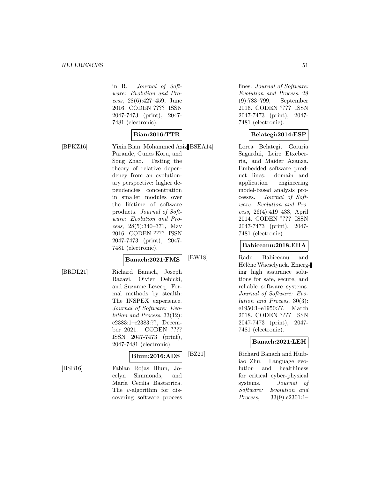in R. Journal of Software: Evolution and Process, 28(6):427–459, June 2016. CODEN ???? ISSN 2047-7473 (print), 2047- 7481 (electronic).

# **Bian:2016:TTR**

[BPKZ16] Yixin Bian, Mohammed Aziz [BSEA14] Parande, Gunes Koru, and Song Zhao. Testing the theory of relative dependency from an evolutionary perspective: higher dependencies concentration in smaller modules over the lifetime of software products. Journal of Software: Evolution and Process, 28(5):340–371, May 2016. CODEN ???? ISSN 2047-7473 (print), 2047- 7481 (electronic).

## **Banach:2021:FMS**

[BRDL21] Richard Banach, Joseph Razavi, Oivier Debicki, and Suzanne Lesecq. Formal methods by stealth: The INSPEX experience. Journal of Software: Evolution and Process, 33(12): e2383:1–e2383:??, December 2021. CODEN ???? ISSN 2047-7473 (print), 2047-7481 (electronic).

## **Blum:2016:ADS**

covering software process

[BSB16] Fabian Rojas Blum, Jocelyn Simmonds, and María Cecilia Bastarrica. The v-algorithm for dis7481 (electronic). **Belategi:2014:ESP** Lorea Belategi, Goiuria Sagardui, Leire Etxeber-

ria, and Maider Azanza. Embedded software product lines: domain and application engineering model-based analysis processes. Journal of Software: Evolution and Process, 26(4):419–433, April 2014. CODEN ???? ISSN 2047-7473 (print), 2047- 7481 (electronic).

lines. Journal of Software: Evolution and Process, 28 (9):783–799, September 2016. CODEN ???? ISSN 2047-7473 (print), 2047-

#### **Babiceanu:2018:EHA**

[BW18] Radu Babiceanu and Hélène Waeselynck. Emerging high assurance solutions for safe, secure, and reliable software systems. Journal of Software: Evolution and Process, 30(3): e1950:1–e1950:??, March 2018. CODEN ???? ISSN 2047-7473 (print), 2047- 7481 (electronic).

#### **Banach:2021:LEH**

[BZ21] Richard Banach and Huibiao Zhu. Language evolution and healthiness for critical cyber-physical systems. Journal of Software: Evolution and Process, 33(9):e2301:1–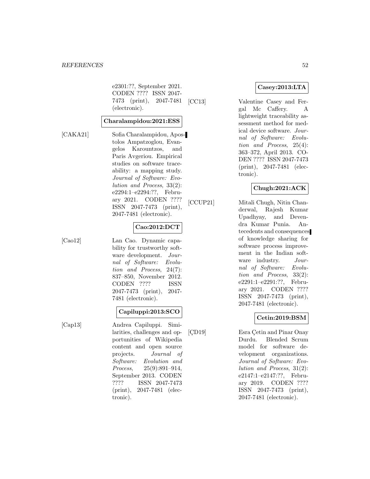e2301:??, September 2021. CODEN ???? ISSN 2047- 7473 (print), 2047-7481 (electronic).

## **Charalampidou:2021:ESS**

[CAKA21] Sofia Charalampidou, Apostolos Ampatzoglou, Evangelos Karountzos, and Paris Avgeriou. Empirical studies on software traceability: a mapping study. Journal of Software: Evolution and Process, 33(2): e2294:1–e2294:??, February 2021. CODEN ???? ISSN 2047-7473 (print),

## **Cao:2012:DCT**

[Cao12] Lan Cao. Dynamic capability for trustworthy software development. Journal of Software: Evolution and Process, 24(7): 837–850, November 2012. CODEN ???? ISSN 2047-7473 (print), 2047- 7481 (electronic).

2047-7481 (electronic).

## **Capiluppi:2013:SCO**

[Cap13] Andrea Capiluppi. Similarities, challenges and opportunities of Wikipedia content and open source projects. Journal of Software: Evolution and Process, 25(9):891–914, September 2013. CODEN<br>???? ISSN 2047-7473 ISSN 2047-7473 (print), 2047-7481 (electronic).

## **Casey:2013:LTA**

[CC13] Valentine Casey and Fergal Mc Caffery. A lightweight traceability assessment method for medical device software. Journal of Software: Evolution and Process, 25(4): 363–372, April 2013. CO-DEN ???? ISSN 2047-7473 (print), 2047-7481 (electronic).

## **Chugh:2021:ACK**

[CCUP21] Mitali Chugh, Nitin Chanderwal, Rajesh Kumar Upadhyay, and Devendra Kumar Punia. Antecedents and consequences of knowledge sharing for software process improvement in the Indian software industry. Journal of Software: Evolution and Process, 33(2): e2291:1–e2291:??, February 2021. CODEN ???? ISSN 2047-7473 (print), 2047-7481 (electronic).

## **Cetin:2019:BSM**

[CD19] Esra Çetin and Pinar Onay Durdu. Blended Scrum model for software development organizations. Journal of Software: Evolution and Process, 31(2): e2147:1–e2147:??, February 2019. CODEN ???? ISSN 2047-7473 (print), 2047-7481 (electronic).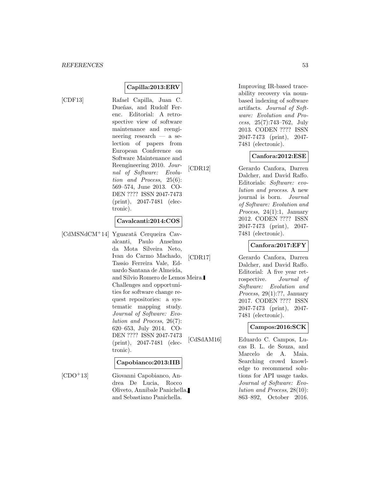# **Capilla:2013:ERV**

[CDF13] Rafael Capilla, Juan C. Dueñas, and Rudolf Ferenc. Editorial: A retrospective view of software maintenance and reengineering research — a selection of papers from European Conference on Software Maintenance and Reengineering 2010. Journal of Software: Evolution and Process, 25(6): 569–574, June 2013. CO-DEN ???? ISSN 2047-7473 (print), 2047-7481 (electronic).

## **Cavalcanti:2014:COS**

[CdMSNdCM<sup>+</sup>14] Yguaratã Cerqueira Cavalcanti, Paulo Anselmo da Mota Silveira Neto, Ivan do Carmo Machado, Tassio Ferreira Vale, Eduardo Santana de Almeida, and Silvio Romero de Lemos Meira. Challenges and opportunities for software change request repositories: a systematic mapping study. Journal of Software: Evolution and Process, 26(7): 620–653, July 2014. CO-DEN ???? ISSN 2047-7473 (print), 2047-7481 (electronic).

#### **Capobianco:2013:IIB**

[CDO<sup>+</sup>13] Giovanni Capobianco, Andrea De Lucia, Rocco Oliveto, Annibale Panichella, and Sebastiano Panichella.

Improving IR-based traceability recovery via nounbased indexing of software artifacts. Journal of Software: Evolution and Process, 25(7):743–762, July 2013. CODEN ???? ISSN 2047-7473 (print), 2047- 7481 (electronic).

#### **Canfora:2012:ESE**

[CDR12] Gerardo Canfora, Darren Dalcher, and David Raffo. Editorials: Software: evolution and process. A new journal is born. Journal of Software: Evolution and Process, 24(1):1, January 2012. CODEN ???? ISSN 2047-7473 (print), 2047- 7481 (electronic).

## **Canfora:2017:EFY**

[CDR17] Gerardo Canfora, Darren Dalcher, and David Raffo. Editorial: A five year retrospective. Journal of Software: Evolution and Process, 29(1):??, January 2017. CODEN ???? ISSN 2047-7473 (print), 2047- 7481 (electronic).

## **Campos:2016:SCK**

[CdSdAM16] Eduardo C. Campos, Lucas B. L. de Souza, and Marcelo de A. Maia. Searching crowd knowledge to recommend solutions for API usage tasks. Journal of Software: Evolution and Process, 28(10): 863–892, October 2016.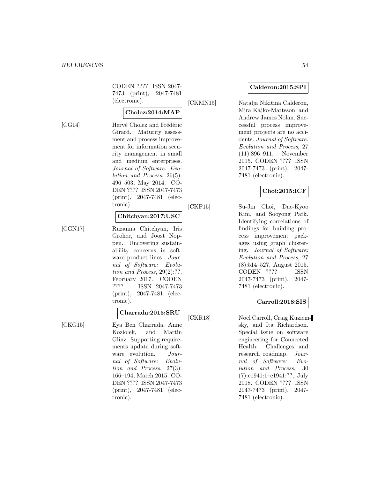CODEN ???? ISSN 2047- 7473 (print), 2047-7481 (electronic).

## **Cholez:2014:MAP**

[CG14] Hervé Cholez and Frédéric

Girard. Maturity assessment and process improvement for information security management in small and medium enterprises. Journal of Software: Evolution and Process, 26(5): 496–503, May 2014. CO-DEN ???? ISSN 2047-7473 (print), 2047-7481 (electronic).

#### **Chitchyan:2017:USC**

[CGN17] Ruzanna Chitchyan, Iris Groher, and Joost Noppen. Uncovering sustainability concerns in software product lines. Journal of Software: Evolution and Process, 29(2):??, February 2017. CODEN ???? ISSN 2047-7473 (print), 2047-7481 (electronic).

# **Charrada:2015:SRU**

[CKG15] Eya Ben Charrada, Anne Koziolek, and Martin Glinz. Supporting requirements update during software evolution. Journal of Software: Evolution and Process, 27(3): 166–194, March 2015. CO-DEN ???? ISSN 2047-7473 (print), 2047-7481 (electronic).

#### **Calderon:2015:SPI**

[CKMN15] Natalja Nikitina Calderon,

Mira Kajko-Mattsson, and Andrew James Nolan. Successful process improvement projects are no accidents. Journal of Software: Evolution and Process, 27 (11):896–911, November 2015. CODEN ???? ISSN 2047-7473 (print), 2047- 7481 (electronic).

## **Choi:2015:ICF**

[CKP15] Su-Jin Choi, Dae-Kyoo Kim, and Sooyong Park. Identifying correlations of findings for building process improvement packages using graph clustering. Journal of Software: Evolution and Process, 27 (8):514–527, August 2015. CODEN ???? ISSN 2047-7473 (print), 2047- 7481 (electronic).

#### **Carroll:2018:SIS**

[CKR18] Noel Carroll, Craig Kuziemsky, and Ita Richardson. Special issue on software engineering for Connected Health: Challenges and research roadmap. Journal of Software: Evolution and Process, 30 (7):e1941:1–e1941:??, July 2018. CODEN ???? ISSN 2047-7473 (print), 2047- 7481 (electronic).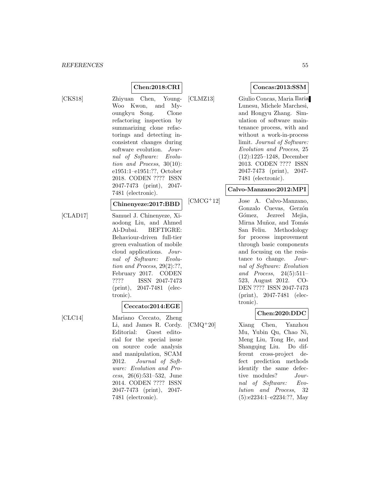**Chen:2018:CRI** [CKS18] Zhiyuan Chen, Young-Woo Kwon, and Myoungkyu Song. Clone refactoring inspection by summarizing clone refactorings and detecting inconsistent changes during software evolution. Journal of Software: Evolution and Process, 30(10): e1951:1–e1951:??, October 2018. CODEN ???? ISSN 2047-7473 (print), 2047- 7481 (electronic).

#### **Chinenyeze:2017:BBD**

[CLAD17] Samuel J. Chinenyeze, Xiaodong Liu, and Ahmed Al-Dubai. BEFTIGRE: Behaviour-driven full-tier green evaluation of mobile cloud applications. Journal of Software: Evolution and Process, 29(2):??, February 2017. CODEN ???? ISSN 2047-7473 (print), 2047-7481 (electronic).

## **Ceccato:2014:EGE**

[CLC14] Mariano Ceccato, Zheng Li, and James R. Cordy. Editorial: Guest editorial for the special issue on source code analysis and manipulation, SCAM 2012. Journal of Software: Evolution and Process, 26(6):531–532, June 2014. CODEN ???? ISSN 2047-7473 (print), 2047- 7481 (electronic).

## **Concas:2013:SSM**

[CLMZ13] Giulio Concas, Maria Ilaria Lunesu, Michele Marchesi, and Hongyu Zhang. Simulation of software maintenance process, with and without a work-in-process limit. Journal of Software: Evolution and Process, 25 (12):1225–1248, December 2013. CODEN ???? ISSN 2047-7473 (print), 2047- 7481 (electronic).

## **Calvo-Manzano:2012:MPI**

[CMCG<sup>+</sup>12] Jose A. Calvo-Manzano, Gonzalo Cuevas, Gerzón Gómez, Jezreel Mejia, Mirna Muñoz, and Tomás San Feliu. Methodology for process improvement through basic components and focusing on the resistance to change. Journal of Software: Evolution and Process, 24(5):511– 523, August 2012. CO-DEN ???? ISSN 2047-7473 (print), 2047-7481 (electronic).

## **Chen:2020:DDC**

[CMQ<sup>+</sup>20] Xiang Chen, Yanzhou Mu, Yubin Qu, Chao Ni, Meng Liu, Tong He, and Shangqing Liu. Do different cross-project defect prediction methods identify the same defective modules? Journal of Software: Evolution and Process, 32 (5):e2234:1–e2234:??, May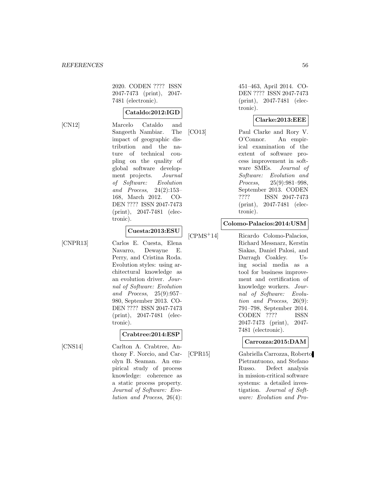2020. CODEN ???? ISSN 2047-7473 (print), 2047- 7481 (electronic).

## **Cataldo:2012:IGD**

[CN12] Marcelo Cataldo and Sangeeth Nambiar. The impact of geographic distribution and the nature of technical coupling on the quality of global software development projects. Journal of Software: Evolution and Process, 24(2):153– 168, March 2012. CO-DEN ???? ISSN 2047-7473 (print), 2047-7481 (electronic).

# **Cuesta:2013:ESU**

[CNPR13] Carlos E. Cuesta, Elena Navarro, Dewayne E. Perry, and Cristina Roda. Evolution styles: using architectural knowledge as an evolution driver. Journal of Software: Evolution and Process, 25(9):957– 980, September 2013. CO-DEN ???? ISSN 2047-7473 (print), 2047-7481 (electronic).

## **Crabtree:2014:ESP**

[CNS14] Carlton A. Crabtree, Anthony F. Norcio, and Carolyn B. Seaman. An empirical study of process knowledge: coherence as a static process property. Journal of Software: Evolution and Process, 26(4):

451–463, April 2014. CO-DEN ???? ISSN 2047-7473 (print), 2047-7481 (electronic).

## **Clarke:2013:EEE**

[CO13] Paul Clarke and Rory V. O'Connor. An empirical examination of the extent of software process improvement in software SMEs. Journal of Software: Evolution and Process, 25(9):981–998, September 2013. CODEN ???? ISSN 2047-7473 (print), 2047-7481 (electronic).

#### **Colomo-Palacios:2014:USM**

[CPMS<sup>+</sup>14] Ricardo Colomo-Palacios, Richard Messnarz, Kerstin Siakas, Daniel Palosi, and Darragh Coakley. Using social media as a tool for business improvement and certification of knowledge workers. Journal of Software: Evolution and Process, 26(9): 791–798, September 2014. CODEN ???? ISSN 2047-7473 (print), 2047- 7481 (electronic).

#### **Carrozza:2015:DAM**

[CPR15] Gabriella Carrozza, Roberto Pietrantuono, and Stefano Russo. Defect analysis in mission-critical software systems: a detailed investigation. Journal of Software: Evolution and Pro-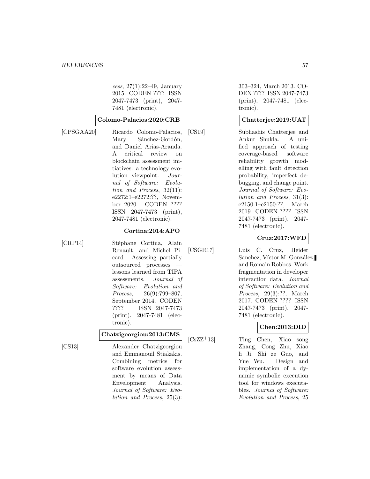cess, 27(1):22–49, January 2015. CODEN ???? ISSN 2047-7473 (print), 2047- 7481 (electronic).

#### **Colomo-Palacios:2020:CRB**

[CPSGAA20] Ricardo Colomo-Palacios, Mary Sánchez-Gordón, and Daniel Arias-Aranda. A critical review on blockchain assessment initiatives: a technology evolution viewpoint. Journal of Software: Evolution and Process, 32(11): e2272:1–e2272:??, November 2020. CODEN ???? ISSN 2047-7473 (print), 2047-7481 (electronic).

## **Cortina:2014:APO**

[CRP14] Stéphane Cortina, Alain Renault, and Michel Picard. Assessing partially outsourced processes lessons learned from TIPA assessments. Journal of Software: Evolution and Process, 26(9):799–807, September 2014. CODEN ???? ISSN 2047-7473 (print), 2047-7481 (electronic).

#### **Chatzigeorgiou:2013:CMS**

[CS13] Alexander Chatzigeorgiou and Emmanouil Stiakakis. Combining metrics for software evolution assessment by means of Data Envelopment Analysis. Journal of Software: Evolution and Process, 25(3):

303–324, March 2013. CO-DEN ???? ISSN 2047-7473 (print), 2047-7481 (electronic).

## **Chatterjee:2019:UAT**

[CS19] Subhashis Chatterjee and Ankur Shukla. A unified approach of testing coverage-based software reliability growth modelling with fault detection probability, imperfect debugging, and change point. Journal of Software: Evolution and Process, 31(3): e2150:1–e2150:??, March 2019. CODEN ???? ISSN 2047-7473 (print), 2047- 7481 (electronic).

## **Cruz:2017:WFD**

[CSGR17] Luis C. Cruz, Heider Sanchez, Víctor M. González, and Romain Robbes. Work fragmentation in developer interaction data. Journal of Software: Evolution and Process, 29(3):??, March 2017. CODEN ???? ISSN 2047-7473 (print), 2047- 7481 (electronic).

## **Chen:2013:DID**

[CsZZ<sup>+</sup>13] Ting Chen, Xiao song Zhang, Cong Zhu, Xiao li Ji, Shi ze Guo, and Yue Wu. Design and implementation of a dynamic symbolic execution tool for windows executables. Journal of Software: Evolution and Process, 25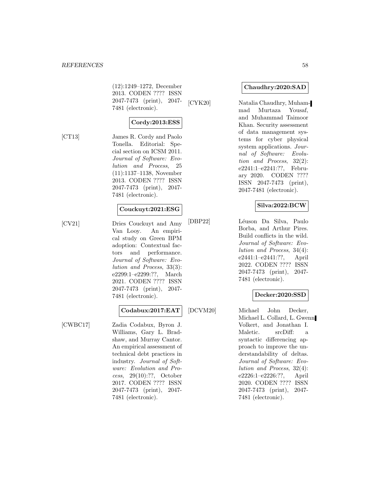(12):1249–1272, December 2013. CODEN ???? ISSN 2047-7473 (print), 2047- 7481 (electronic).

## **Cordy:2013:ESS**

[CT13] James R. Cordy and Paolo Tonella. Editorial: Special section on ICSM 2011. Journal of Software: Evolution and Process, 25 (11):1137–1138, November 2013. CODEN ???? ISSN 2047-7473 (print), 2047- 7481 (electronic).

#### **Couckuyt:2021:ESG**

[CV21] Dries Couckuyt and Amy Van Looy. An empirical study on Green BPM adoption: Contextual factors and performance. Journal of Software: Evolution and Process, 33(3): e2299:1–e2299:??, March 2021. CODEN ???? ISSN 2047-7473 (print), 2047- 7481 (electronic).

#### **Codabux:2017:EAT**

[CWBC17] Zadia Codabux, Byron J. Williams, Gary L. Bradshaw, and Murray Cantor. An empirical assessment of technical debt practices in industry. Journal of Software: Evolution and Process, 29(10):??, October 2017. CODEN ???? ISSN 2047-7473 (print), 2047- 7481 (electronic).

#### **Chaudhry:2020:SAD**

[CYK20] Natalia Chaudhry, Muhammad Murtaza Yousaf, and Muhammad Taimoor Khan. Security assessment of data management systems for cyber physical system applications. Journal of Software: Evolution and Process, 32(2): e2241:1–e2241:??, February 2020. CODEN ???? ISSN 2047-7473 (print), 2047-7481 (electronic).

## **Silva:2022:BCW**

[DBP22] L´euson Da Silva, Paulo Borba, and Arthur Pires. Build conflicts in the wild. Journal of Software: Evolution and Process, 34(4): e2441:1–e2441:??, April 2022. CODEN ???? ISSN 2047-7473 (print), 2047- 7481 (electronic).

## **Decker:2020:SSD**

[DCVM20] Michael John Decker, Michael L. Collard, L. Gwenn Volkert, and Jonathan I. Maletic. srcDiff: a syntactic differencing approach to improve the understandability of deltas. Journal of Software: Evolution and Process, 32(4): e2226:1–e2226:??, April 2020. CODEN ???? ISSN 2047-7473 (print), 2047- 7481 (electronic).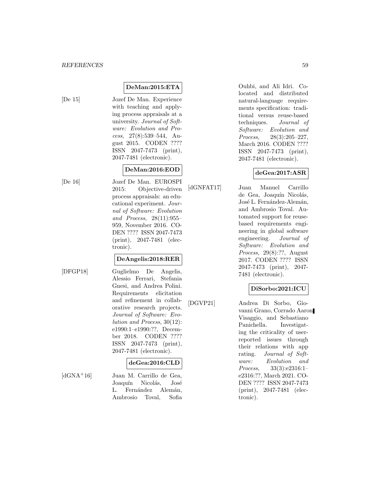# **DeMan:2015:ETA**

[De 15] Jozef De Man. Experience with teaching and applying process appraisals at a university. Journal of Software: Evolution and Process, 27(8):539–544, August 2015. CODEN ???? ISSN 2047-7473 (print), 2047-7481 (electronic).

# **DeMan:2016:EOD**

[De 16] Jozef De Man. EUROSPI 2015: Objective-driven process appraisals: an educational experiment. Journal of Software: Evolution and Process, 28(11):955– 959, November 2016. CO-DEN ???? ISSN 2047-7473 (print), 2047-7481 (electronic).

# **DeAngelis:2018:RER**

- 
- [DFGP18] Guglielmo De Angelis, Alessio Ferrari, Stefania Gnesi, and Andrea Polini. Requirements elicitation and refinement in collaborative research projects. Journal of Software: Evolution and Process, 30(12): e1990:1–e1990:??, December 2018. CODEN ???? ISSN 2047-7473 (print), 2047-7481 (electronic).

## **deGea:2016:CLD**

[dGNA<sup>+</sup>16] Juan M. Carrillo de Gea, Joaquín Nicolás, José L. Fernández Alemán, Ambrosio Toval, Sofia Ouhbi, and Ali Idri. Colocated and distributed natural-language requirements specification: traditional versus reuse-based techniques. Journal of Software: Evolution and Process, 28(3):205–227, March 2016. CODEN ???? ISSN 2047-7473 (print), 2047-7481 (electronic).

# **deGea:2017:ASR**

[dGNFAT17] Juan Manuel Carrillo de Gea, Joaquín Nicolás, José L. Fernández-Alemán, and Ambrosio Toval. Automated support for reusebased requirements engineering in global software engineering. Journal of Software: Evolution and Process, 29(8):??, August 2017. CODEN ???? ISSN 2047-7473 (print), 2047- 7481 (electronic).

# **DiSorbo:2021:ICU**

[DGVP21] Andrea Di Sorbo, Giovanni Grano, Corrado Aaron Visaggio, and Sebastiano Panichella. Investigating the criticality of userreported issues through their relations with app rating. Journal of Software: Evolution and Process, 33(3):e2316:1– e2316:??, March 2021. CO-DEN ???? ISSN 2047-7473 (print), 2047-7481 (electronic).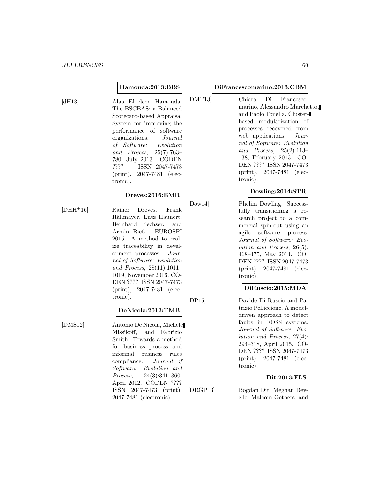#### **Hamouda:2013:BBS**

[dH13] Alaa El deen Hamouda. The BSCBAS: a Balanced Scorecard-based Appraisal System for improving the performance of software organizations. Journal of Software: Evolution and Process, 25(7):763– 780, July 2013. CODEN ???? ISSN 2047-7473 (print), 2047-7481 (electronic).

#### **Dreves:2016:EMR**

[DHH<sup>+</sup>16] Rainer Dreves, Frank Hällmayer, Lutz Haunert, Bernhard Sechser, and Armin Rieß. EUROSPI 2015: A method to realize traceability in development processes. Journal of Software: Evolution and Process, 28(11):1011– 1019, November 2016. CO-DEN ???? ISSN 2047-7473 (print), 2047-7481 (electronic).

#### **DeNicola:2012:TMB**

[DMS12] Antonio De Nicola, Michele Missikoff, and Fabrizio Smith. Towards a method for business process and informal business rules compliance. Journal of Software: Evolution and Process, 24(3):341–360, April 2012. CODEN ???? ISSN 2047-7473 (print), 2047-7481 (electronic).

#### **DiFrancescomarino:2013:CBM**

[DMT13] Chiara Di Francescomarino, Alessandro Marchetto, and Paolo Tonella. Clusterbased modularization of processes recovered from web applications. Journal of Software: Evolution and Process, 25(2):113– 138, February 2013. CO-DEN ???? ISSN 2047-7473 (print), 2047-7481 (electronic).

#### **Dowling:2014:STR**

[Dow14] Phelim Dowling. Successfully transitioning a research project to a commercial spin-out using an agile software process. Journal of Software: Evolution and Process, 26(5): 468–475, May 2014. CO-DEN ???? ISSN 2047-7473 (print), 2047-7481 (electronic).

#### **DiRuscio:2015:MDA**

[DP15] Davide Di Ruscio and Patrizio Pelliccione. A modeldriven approach to detect faults in FOSS systems. Journal of Software: Evolution and Process, 27(4): 294–318, April 2015. CO-DEN ???? ISSN 2047-7473 (print), 2047-7481 (electronic).

#### **Dit:2013:FLS**

[DRGP13] Bogdan Dit, Meghan Revelle, Malcom Gethers, and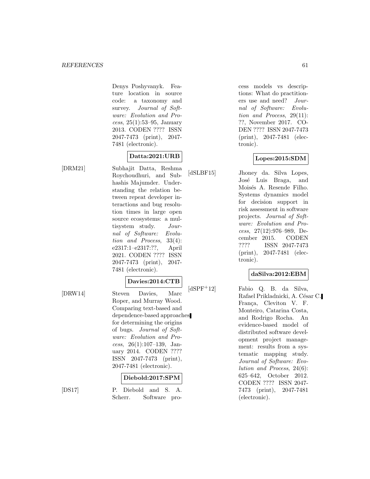Denys Poshyvanyk. Feature location in source code: a taxonomy and survey. Journal of Software: Evolution and Process, 25(1):53–95, January 2013. CODEN ???? ISSN 2047-7473 (print), 2047- 7481 (electronic).

# **Datta:2021:URB**

[DRM21] Subhajit Datta, Reshma Roychoudhuri, and Subhashis Majumder. Understanding the relation between repeat developer interactions and bug resolution times in large open source ecosystems: a multisystem study. Journal of Software: Evolution and Process, 33(4): e2317:1–e2317:??, April 2021. CODEN ???? ISSN 2047-7473 (print), 2047- 7481 (electronic).

## **Davies:2014:CTB**

[DRW14] Steven Davies, Marc Roper, and Murray Wood. Comparing text-based and dependence-based approaches for determining the origins of bugs. Journal of Software: Evolution and Process, 26(1):107–139, January 2014. CODEN ???? ISSN 2047-7473 (print), 2047-7481 (electronic).

## **Diebold:2017:SPM**

[DS17] P. Diebold and S. A. Scherr. Software process models vs descriptions: What do practitioners use and need? Journal of Software: Evolution and Process, 29(11): ??, November 2017. CO-DEN ???? ISSN 2047-7473 (print), 2047-7481 (electronic).

## **Lopes:2015:SDM**

[dSLBF15] Jhoney da. Silva Lopes, José Luis Braga, and Moisés A. Resende Filho. Systems dynamics model for decision support in risk assessment in software projects. Journal of Software: Evolution and Process, 27(12):976–989, December 2015. CODEN ???? ISSN 2047-7473 (print), 2047-7481 (electronic).

## **daSilva:2012:EBM**

[dSPF<sup>+</sup>12] Fabio Q. B. da Silva, Rafael Prikladnicki, A. César C. França, Cleviton V. F. Monteiro, Catarina Costa, and Rodrigo Rocha. An evidence-based model of distributed software development project management: results from a systematic mapping study. Journal of Software: Evolution and Process, 24(6): 625–642, October 2012. CODEN ???? ISSN 2047- 7473 (print), 2047-7481 (electronic).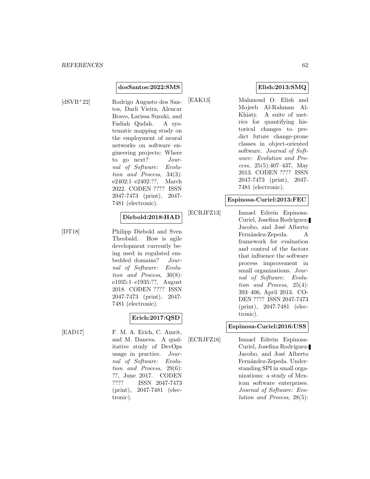#### **dosSantos:2022:SMS**

[dSVB<sup>+</sup>22] Rodrigo Augusto dos Santos, Darli Vieira, Alencar Bravo, Larissa Suzuki, and Fadiah Qudah. A systematic mapping study on the employment of neural networks on software engineering projects: Where to go next? Journal of Software: Evolution and Process, 34(3): e2402:1–e2402:??, March 2022. CODEN ???? ISSN 2047-7473 (print), 2047- 7481 (electronic).

#### **Diebold:2018:HAD**

[DT18] Philipp Diebold and Sven Theobald. How is agile development currently being used in regulated embedded domains? Journal of Software: Evolution and Process, 30(8): e1935:1–e1935:??, August 2018. CODEN ???? ISSN 2047-7473 (print), 2047- 7481 (electronic).

## **Erich:2017:QSD**

[EAD17] F. M. A. Erich, C. Amrit, and M. Daneva. A qualitative study of DevOps usage in practice. Journal of Software: Evolution and Process, 29(6): ??, June 2017. CODEN<br>???? ISSN 2047-7473 ISSN 2047-7473 (print), 2047-7481 (electronic).

## **Elish:2013:SMQ**

[EAK13] Mahmoud O. Elish and Mojeeb Al-Rahman Al-Khiaty. A suite of metrics for quantifying historical changes to predict future change-prone classes in object-oriented software. Journal of Software: Evolution and Process, 25(5):407–437, May 2013. CODEN ???? ISSN 2047-7473 (print), 2047- 7481 (electronic).

## **Espinosa-Curiel:2013:FEC**

[ECRJFZ13] Ismael Edrein Espinosa-Curiel, Josefina Rodríguez-Jacobo, and José Alberto Fernández-Zepeda. A framework for evaluation and control of the factors that influence the software process improvement in small organizations. Journal of Software: Evolution and Process, 25(4): 393–406, April 2013. CO-DEN ???? ISSN 2047-7473 (print), 2047-7481 (electronic).

## **Espinosa-Curiel:2016:USS**

[ECRJFZ16] Ismael Edrein Espinosa-Curiel, Josefina Rodríguez-Jacobo, and José Alberto Fernández-Zepeda. Understanding SPI in small organizations: a study of Mexican software enterprises. Journal of Software: Evolution and Process, 28(5):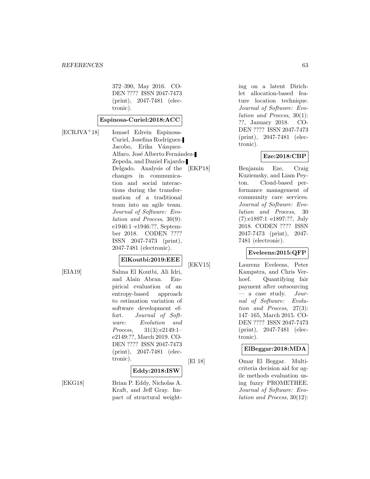372–390, May 2016. CO-DEN ???? ISSN 2047-7473 (print), 2047-7481 (electronic).

#### **Espinosa-Curiel:2018:ACC**

[ECRJVA<sup>+</sup>18] Ismael Edrein Espinosa-Curiel, Josefina Rodríguez-Jacobo, Erika Vázquez-Alfaro, José Alberto Fernández-Zepeda, and Daniel Fajardo-Delgado. Analysis of the changes in communication and social interactions during the transformation of a traditional team into an agile team. Journal of Software: Evolution and Process, 30(9): e1946:1–e1946:??, September 2018. CODEN ???? ISSN 2047-7473 (print), 2047-7481 (electronic).

#### **ElKoutbi:2019:EEE**

[EIA19] Salma El Koutbi, Ali Idri, and Alain Abran. Empirical evaluation of an entropy-based approach to estimation variation of software development effort. Journal of Software: Evolution and Process, 31(3):e2149:1– e2149:??, March 2019. CO-DEN ???? ISSN 2047-7473 (print), 2047-7481 (electronic).

#### **Eddy:2018:ISW**

[EKG18] Brian P. Eddy, Nicholas A. Kraft, and Jeff Gray. Impact of structural weighting on a latent Dirichlet allocation-based feature location technique. Journal of Software: Evolution and Process, 30(1): ??, January 2018. CO-DEN ???? ISSN 2047-7473 (print), 2047-7481 (electronic).

#### **Eze:2018:CBP**

[EKP18] Benjamin Eze, Craig Kuziemsky, and Liam Peyton. Cloud-based performance management of community care services. Journal of Software: Evolution and Process, 30 (7):e1897:1–e1897:??, July 2018. CODEN ???? ISSN 2047-7473 (print), 2047- 7481 (electronic).

## **Eveleens:2015:QFP**

[EKV15] Laurenz Eveleens, Peter Kampstra, and Chris Verhoef. Quantifying fair payment after outsourcing a case study. Journal of Software: Evolution and Process, 27(3): 147–165, March 2015. CO-DEN ???? ISSN 2047-7473 (print), 2047-7481 (electronic).

## **ElBeggar:2018:MDA**

[El 18] Omar El Beggar. Multicriteria decision aid for agile methods evaluation using fuzzy PROMETHEE. Journal of Software: Evolution and Process, 30(12):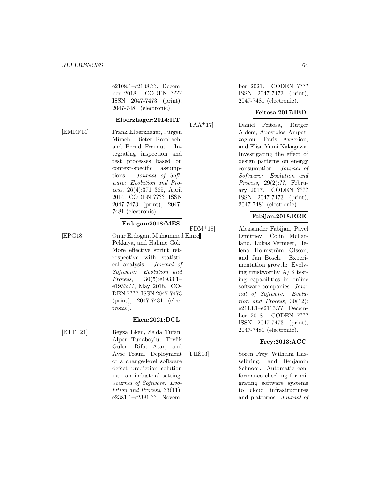e2108:1–e2108:??, December 2018. CODEN ???? ISSN 2047-7473 (print), 2047-7481 (electronic).

## **Elberzhager:2014:IIT**

[EMRF14] Frank Elberzhager, Jürgen Münch, Dieter Rombach, and Bernd Freimut. Integrating inspection and test processes based on context-specific assumptions. Journal of Software: Evolution and Process, 26(4):371–385, April 2014. CODEN ???? ISSN 2047-7473 (print), 2047- 7481 (electronic).

#### **Erdogan:2018:MES**

[EPG18] Onur Erdogan, Muhammed Emre Pekkaya, and Halime Gök. More effective sprint retrospective with statistical analysis. Journal of Software: Evolution and Process, 30(5):e1933:1– e1933:??, May 2018. CO-DEN ???? ISSN 2047-7473 (print), 2047-7481 (electronic).

#### **Eken:2021:DCL**

[ETT<sup>+</sup>21] Beyza Eken, Selda Tufan, Alper Tunaboylu, Tevfik Guler, Rifat Atar, and Ayse Tosun. Deployment of a change-level software defect prediction solution into an industrial setting. Journal of Software: Evolution and Process, 33(11): e2381:1–e2381:??, November 2021. CODEN ???? ISSN 2047-7473 (print), 2047-7481 (electronic).

## **Feitosa:2017:IED**

[FAA<sup>+</sup>17] Daniel Feitosa, Rutger Alders, Apostolos Ampatzoglou, Paris Avgeriou, and Elisa Yumi Nakagawa. Investigating the effect of design patterns on energy consumption. Journal of Software: Evolution and Process, 29(2):??, February 2017. CODEN ???? ISSN 2047-7473 (print), 2047-7481 (electronic).

## **Fabijan:2018:EGE**

[FDM<sup>+</sup>18] Aleksander Fabijan, Pavel Dmitriev, Colin McFarland, Lukas Vermeer, Helena Holmström Olsson, and Jan Bosch. Experimentation growth: Evolving trustworthy A/B testing capabilities in online software companies. Journal of Software: Evolution and Process, 30(12): e2113:1–e2113:??, December 2018. CODEN ???? ISSN 2047-7473 (print), 2047-7481 (electronic).

## **Frey:2013:ACC**

[FHS13] Sören Frey, Wilhelm Hasselbring, and Benjamin Schnoor. Automatic conformance checking for migrating software systems to cloud infrastructures and platforms. Journal of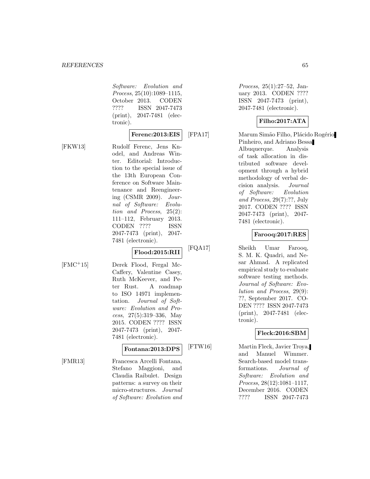Software: Evolution and Process, 25(10):1089–1115, October 2013. CODEN ???? ISSN 2047-7473 (print), 2047-7481 (electronic).

#### **Ferenc:2013:EIS**

[FKW13] Rudolf Ferenc, Jens Knodel, and Andreas Winter. Editorial: Introduction to the special issue of the 13th European Conference on Software Maintenance and Reengineering (CSMR 2009). Journal of Software: Evolution and Process, 25(2): 111–112, February 2013. CODEN ???? ISSN 2047-7473 (print), 2047- 7481 (electronic).

# **Flood:2015:RII**

[FMC<sup>+</sup>15] Derek Flood, Fergal Mc-Caffery, Valentine Casey, Ruth McKeever, and Peter Rust. A roadmap to ISO 14971 implementation. Journal of Software: Evolution and Process, 27(5):319–336, May 2015. CODEN ???? ISSN 2047-7473 (print), 2047- 7481 (electronic).

# **Fontana:2013:DPS**

[FMR13] Francesca Arcelli Fontana, Stefano Maggioni, and Claudia Raibulet. Design patterns: a survey on their micro-structures. Journal of Software: Evolution and

Process, 25(1):27–52, January 2013. CODEN ???? ISSN 2047-7473 (print), 2047-7481 (electronic).

## **Filho:2017:ATA**

[FPA17] Marum Simão Filho, Plácido Rogério Pinheiro, and Adriano Bessa Albuquerque. Analysis of task allocation in distributed software development through a hybrid methodology of verbal decision analysis. Journal of Software: Evolution and Process, 29(7):??, July 2017. CODEN ???? ISSN 2047-7473 (print), 2047- 7481 (electronic).

## **Farooq:2017:RES**

[FQA17] Sheikh Umar Farooq, S. M. K. Quadri, and Nesar Ahmad. A replicated empirical study to evaluate software testing methods. Journal of Software: Evolution and Process, 29(9): ??, September 2017. CO-DEN ???? ISSN 2047-7473 (print), 2047-7481 (electronic).

## **Fleck:2016:SBM**

[FTW16] Martin Fleck, Javier Troya, and Manuel Wimmer. Search-based model transformations. Journal of Software: Evolution and Process, 28(12):1081–1117, December 2016. CODEN ???? ISSN 2047-7473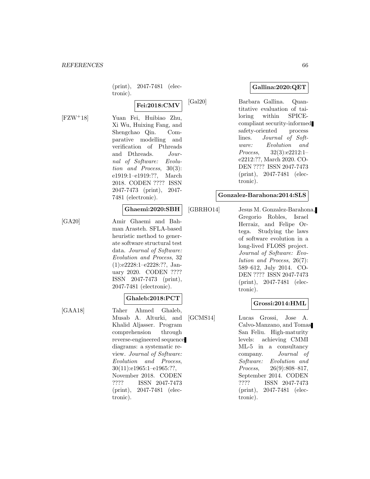(print), 2047-7481 (electronic).

# **Fei:2018:CMV**

[FZW<sup>+</sup>18] Yuan Fei, Huibiao Zhu, Xi Wu, Huixing Fang, and Shengchao Qin. Comparative modelling and verification of Pthreads and Dthreads. Journal of Software: Evolution and Process, 30(3): e1919:1–e1919:??, March 2018. CODEN ???? ISSN 2047-7473 (print), 2047- 7481 (electronic).

## **Ghaemi:2020:SBH**

[GA20] Amir Ghaemi and Bahman Arasteh. SFLA-based heuristic method to generate software structural test data. Journal of Software: Evolution and Process, 32 (1):e2228:1–e2228:??, January 2020. CODEN ???? ISSN 2047-7473 (print), 2047-7481 (electronic).

#### **Ghaleb:2018:PCT**

[GAA18] Taher Ahmed Ghaleb, Musab A. Alturki, and Khalid Aljasser. Program comprehension through reverse-engineered sequence diagrams: a systematic review. Journal of Software: Evolution and Process, 30(11):e1965:1–e1965:??, November 2018. CODEN ???? ISSN 2047-7473 (print), 2047-7481 (electronic).

## **Gallina:2020:QET**

[Gal20] Barbara Gallina. Quantitative evaluation of tailoring within SPICEcompliant security-informed safety-oriented process lines. Journal of Software: Evolution and Process, 32(3):e2212:1– e2212:??, March 2020. CO-DEN ???? ISSN 2047-7473 (print), 2047-7481 (electronic).

#### **Gonzalez-Barahona:2014:SLS**

[GBRHO14] Jesus M. Gonzalez-Barahona, Gregorio Robles, Israel Herraiz, and Felipe Ortega. Studying the laws of software evolution in a long-lived FLOSS project. Journal of Software: Evolution and Process, 26(7): 589–612, July 2014. CO-DEN ???? ISSN 2047-7473 (print), 2047-7481 (electronic).

#### **Grossi:2014:HML**

[GCMS14] Lucas Grossi, Jose A. Calvo-Manzano, and Tomas San Feliu. High-maturity levels: achieving CMMI ML-5 in a consultancy company. Journal of Software: Evolution and Process, 26(9):808–817, September 2014. CODEN ???? ISSN 2047-7473 (print), 2047-7481 (electronic).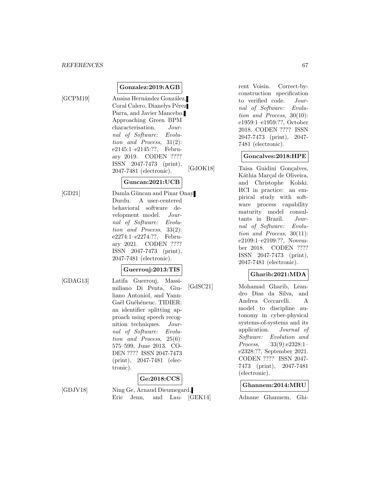**Gonzalez:2019:AGB**

[GCPM19] Anaisa Hernández González, Coral Calero, Dianelys Pérez Parra, and Javier Mancebo. Approaching Green BPM characterisation. Journal of Software: Evolution and Process, 31(2): e2145:1–e2145:??, February 2019. CODEN ???? ISSN 2047-7473 (print), 2047-7481 (electronic).

## **Guncan:2021:UCB**

[GD21] Damla Güncan and Pinar Onay Durdu. A user-centered behavioral software development model. Journal of Software: Evolution and Process, 33(2): e2274:1–e2274:??, February 2021. CODEN ???? ISSN 2047-7473 (print), 2047-7481 (electronic).

# **Guerrouj:2013:TIS**

[GDAG13] Latifa Guerrouj, Massimiliano Di Penta, Giuliano Antoniol, and Yann-Gaël Guéhéneuc. TIDIER: an identifier splitting approach using speech recognition techniques. Journal of Software: Evolution and Process, 25(6): 575–599, June 2013. CO-DEN ???? ISSN 2047-7473 (print), 2047-7481 (electronic).

# **Ge:2018:CCS**

[GDJV18] Ning Ge, Arnaud Dieumegard, Eric Jenn, and Lau- [GEK14] rent Voisin. Correct-byconstruction specification to verified code. Journal of Software: Evolution and Process, 30(10): e1959:1–e1959:??, October 2018. CODEN ???? ISSN 2047-7473 (print), 2047- 7481 (electronic).

#### **Goncalves:2018:HPE**

[GdOK18] Taisa Guidini Gonçalves, Káthia Marcal de Oliveira, and Christophe Kolski. HCI in practice: an empirical study with software process capability maturity model consultants in Brazil. Journal of Software: Evolution and Process, 30(11): e2109:1–e2109:??, November 2018. CODEN ???? ISSN 2047-7473 (print), 2047-7481 (electronic).

## **Gharib:2021:MDA**

[GdSC21] Mohamad Gharib, Leandro Dias da Silva, and Andrea Ceccarelli. A model to discipline autonomy in cyber-physical systems-of-systems and its application. Journal of Software: Evolution and Process, 33(9):e2328:1– e2328:??, September 2021. CODEN ???? ISSN 2047- 7473 (print), 2047-7481 (electronic).

#### **Ghannem:2014:MRU**

Adnane Ghannem, Ghi-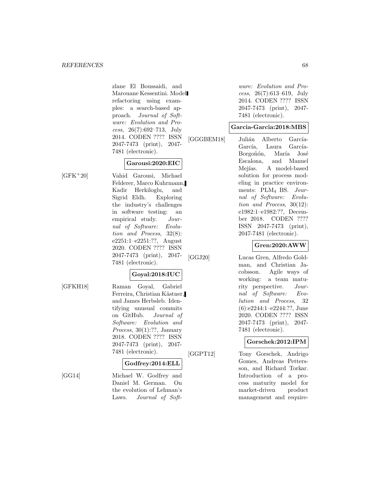zlane El Boussaidi, and Marouane Kessentini. Model refactoring using examples: a search-based approach. Journal of Software: Evolution and Process, 26(7):692–713, July 2014. CODEN ???? ISSN 2047-7473 (print), 2047- 7481 (electronic).

## **Garousi:2020:EIC**

[GFK<sup>+</sup>20] Vahid Garousi, Michael Felderer, Marco Kuhrmann, Kadir Herkiloglu, and Sigrid Eldh. Exploring the industry's challenges in software testing: an empirical study. Journal of Software: Evolution and Process, 32(8): e2251:1–e2251:??, August 2020. CODEN ???? ISSN 2047-7473 (print), 2047- 7481 (electronic).

#### **Goyal:2018:IUC**

[GFKH18] Raman Goyal, Gabriel Ferreira, Christian Kästner, and James Herbsleb. Identifying unusual commits on GitHub. Journal of Software: Evolution and Process, 30(1):??, January 2018. CODEN ???? ISSN 2047-7473 (print), 2047- 7481 (electronic).

#### **Godfrey:2014:ELL**

[GG14] Michael W. Godfrey and Daniel M. German. On the evolution of Lehman's Laws. Journal of Soft-

ware: Evolution and Process, 26(7):613–619, July 2014. CODEN ???? ISSN 2047-7473 (print), 2047- 7481 (electronic).

#### **Garcia-Garcia:2018:MBS**

[GGGBEM18] Julián Alberto García-García, Laura García-Borgoñón, María José Escalona, and Manuel Mejías. A model-based solution for process modeling in practice environments: PLM<sup>4</sup> BS. Journal of Software: Evolution and Process, 30(12): e1982:1–e1982:??, December 2018. CODEN ???? ISSN 2047-7473 (print), 2047-7481 (electronic).

# **Gren:2020:AWW**

[GGJ20] Lucas Gren, Alfredo Goldman, and Christian Jacobsson. Agile ways of working: a team maturity perspective. Journal of Software: Evolution and Process, 32 (6):e2244:1–e2244:??, June 2020. CODEN ???? ISSN 2047-7473 (print), 2047- 7481 (electronic).

## **Gorschek:2012:IPM**

[GGPT12] Tony Gorschek, Andrigo Gomes, Andreas Pettersson, and Richard Torkar. Introduction of a process maturity model for market-driven product management and require-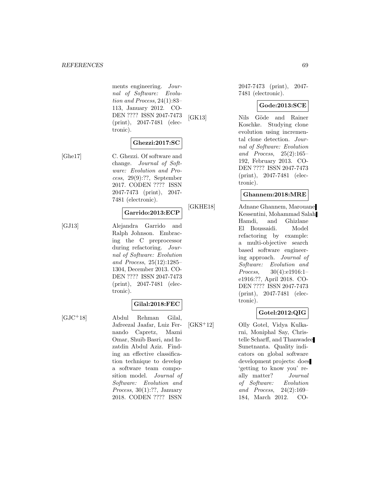#### *REFERENCES* 69

ments engineering. Journal of Software: Evolution and Process, 24(1):83– 113, January 2012. CO-DEN ???? ISSN 2047-7473 (print), 2047-7481 (electronic).

#### **Ghezzi:2017:SC**

[Ghe17] C. Ghezzi. Of software and change. Journal of Software: Evolution and Process, 29(9):??, September 2017. CODEN ???? ISSN 2047-7473 (print), 2047- 7481 (electronic).

## **Garrido:2013:ECP**

[GJ13] Alejandra Garrido and Ralph Johnson. Embracing the C preprocessor during refactoring. Journal of Software: Evolution and Process, 25(12):1285– 1304, December 2013. CO-DEN ???? ISSN 2047-7473 (print), 2047-7481 (electronic).

#### **Gilal:2018:FEC**

[GJC<sup>+</sup>18] Abdul Rehman Gilal, Jafreezal Jaafar, Luiz Fernando Capretz, Mazni Omar, Shuib Basri, and Izzatdin Abdul Aziz. Finding an effective classification technique to develop a software team composition model. Journal of Software: Evolution and Process, 30(1):??, January 2018. CODEN ???? ISSN

2047-7473 (print), 2047- 7481 (electronic).

#### **Gode:2013:SCE**

[GK13] Nils Göde and Rainer Koschke. Studying clone evolution using incremental clone detection. Journal of Software: Evolution and Process, 25(2):165– 192, February 2013. CO-DEN ???? ISSN 2047-7473 (print), 2047-7481 (electronic).

#### **Ghannem:2018:MRE**

[GKHE18] Adnane Ghannem, Marouane Kessentini, Mohammad Salah Hamdi, and Ghizlane El Boussaidi. Model refactoring by example: a multi-objective search based software engineering approach. Journal of Software: Evolution and Process, 30(4):e1916:1– e1916:??, April 2018. CO-DEN ???? ISSN 2047-7473 (print), 2047-7481 (electronic).

## **Gotel:2012:QIG**

[GKS<sup>+</sup>12] Olly Gotel, Vidya Kulkarni, Moniphal Say, Christelle Scharff, and Thanwadee Sunetnanta. Quality indicators on global software development projects: does 'getting to know you' really matter? Journal of Software: Evolution and Process, 24(2):169– 184, March 2012. CO-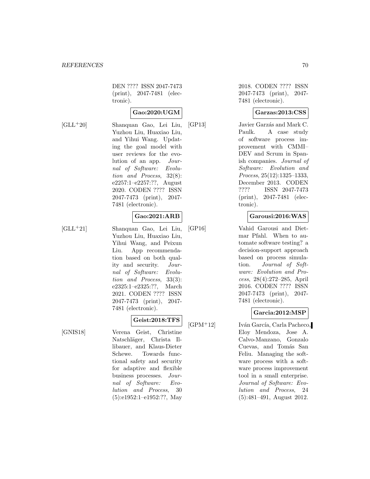DEN ???? ISSN 2047-7473 (print), 2047-7481 (electronic).

## **Gao:2020:UGM**

[GLL<sup>+</sup>20] Shanquan Gao, Lei Liu, Yuzhou Liu, Huaxiao Liu, and Yihui Wang. Updating the goal model with user reviews for the evolution of an app. Journal of Software: Evolution and Process, 32(8): e2257:1–e2257:??, August 2020. CODEN ???? ISSN 2047-7473 (print), 2047- 7481 (electronic).

## **Gao:2021:ARB**

[GLL<sup>+</sup>21] Shanquan Gao, Lei Liu, Yuzhou Liu, Huaxiao Liu, Yihui Wang, and Peixun Liu. App recommendation based on both quality and security. Journal of Software: Evolution and Process, 33(3): e2325:1–e2325:??, March 2021. CODEN ???? ISSN 2047-7473 (print), 2047- 7481 (electronic).

## **Geist:2018:TFS**

[GNIS18] Verena Geist, Christine Natschläger, Christa Illibauer, and Klaus-Dieter Schewe. Towards functional safety and security for adaptive and flexible business processes. Journal of Software: Evolution and Process, 30 (5):e1952:1–e1952:??, May

2018. CODEN ???? ISSN 2047-7473 (print), 2047- 7481 (electronic).

## **Garzas:2013:CSS**

[GP13] Javier Garzás and Mark C. Paulk. A case study of software process improvement with CMMI– DEV and Scrum in Spanish companies. Journal of Software: Evolution and Process, 25(12):1325–1333, December 2013. CODEN ???? ISSN 2047-7473 (print), 2047-7481 (electronic).

## **Garousi:2016:WAS**

[GP16] Vahid Garousi and Dietmar Pfahl. When to automate software testing? a decision-support approach based on process simulation. Journal of Software: Evolution and Process, 28(4):272–285, April 2016. CODEN ???? ISSN 2047-7473 (print), 2047- 7481 (electronic).

## **Garcia:2012:MSP**

[GPM<sup>+</sup>12] Iván García, Carla Pacheco, Eloy Mendoza, Jose A. Calvo-Manzano, Gonzalo Cuevas, and Tomás San Feliu. Managing the software process with a software process improvement tool in a small enterprise. Journal of Software: Evolution and Process, 24 (5):481–491, August 2012.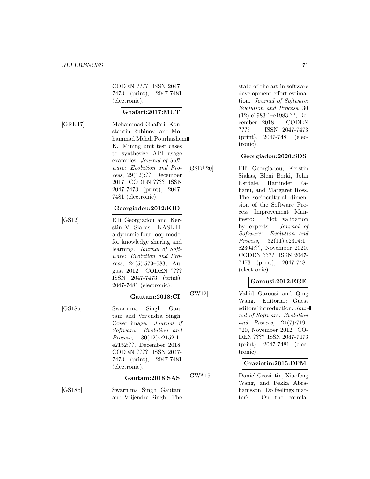CODEN ???? ISSN 2047- 7473 (print), 2047-7481 (electronic).

#### **Ghafari:2017:MUT**

[GRK17] Mohammad Ghafari, Konstantin Rubinov, and Mohammad Mehdi Pourhashem K. Mining unit test cases to synthesize API usage examples. Journal of Software: Evolution and Process, 29(12):??, December 2017. CODEN ???? ISSN 2047-7473 (print), 2047- 7481 (electronic).

#### **Georgiadou:2012:KID**

[GS12] Elli Georgiadou and Kerstin V. Siakas. KASL-II: a dynamic four-loop model for knowledge sharing and learning. Journal of Software: Evolution and Process, 24(5):573–583, August 2012. CODEN ???? ISSN 2047-7473 (print), 2047-7481 (electronic).

#### **Gautam:2018:CI**

[GS18a] Swarnima Singh Gautam and Vrijendra Singh. Cover image. Journal of Software: Evolution and Process, 30(12):e2152:1– e2152:??, December 2018. CODEN ???? ISSN 2047- 7473 (print), 2047-7481 (electronic).

#### **Gautam:2018:SAS**

[GS18b] Swarnima Singh Gautam and Vrijendra Singh. The state-of-the-art in software development effort estimation. Journal of Software: Evolution and Process, 30 (12):e1983:1–e1983:??, December 2018. CODEN ???? ISSN 2047-7473 (print), 2047-7481 (electronic).

#### **Georgiadou:2020:SDS**

[GSB<sup>+</sup>20] Elli Georgiadou, Kerstin Siakas, Eleni Berki, John Estdale, Harjinder Rahanu, and Margaret Ross. The sociocultural dimension of the Software Process Improvement Manifesto: Pilot validation by experts. Journal of Software: Evolution and Process, 32(11):e2304:1– e2304:??, November 2020. CODEN ???? ISSN 2047- 7473 (print), 2047-7481 (electronic).

## **Garousi:2012:EGE**

[GW12] Vahid Garousi and Qing Wang. Editorial: Guest editors' introduction. Journal of Software: Evolution and Process, 24(7):719– 720, November 2012. CO-DEN ???? ISSN 2047-7473 (print), 2047-7481 (electronic).

#### **Graziotin:2015:DFM**

[GWA15] Daniel Graziotin, Xiaofeng Wang, and Pekka Abrahamsson. Do feelings matter? On the correla-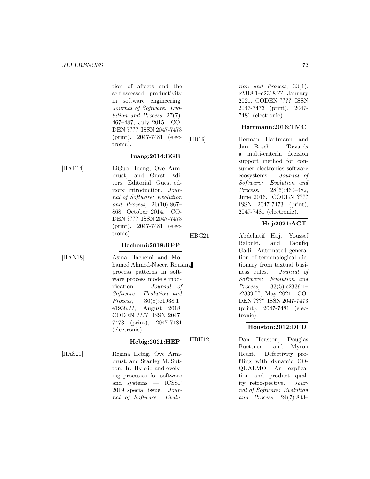tion of affects and the self-assessed productivity in software engineering. Journal of Software: Evolution and Process, 27(7): 467–487, July 2015. CO-DEN ???? ISSN 2047-7473 (print), 2047-7481 (electronic).

## **Huang:2014:EGE**

[HAE14] LiGuo Huang, Ove Armbrust, and Guest Editors. Editorial: Guest editors' introduction. Journal of Software: Evolution and Process, 26(10):867– 868, October 2014. CO-DEN ???? ISSN 2047-7473 (print), 2047-7481 (electronic).

## **Hachemi:2018:RPP**

[HAN18] Asma Hachemi and Mohamed Ahmed-Nacer. Reusing process patterns in software process models modification. Journal of Software: Evolution and Process, 30(8):e1938:1– e1938:??, August 2018. CODEN ???? ISSN 2047- 7473 (print), 2047-7481 (electronic).

## **Hebig:2021:HEP**

[HAS21] Regina Hebig, Ove Armbrust, and Stanley M. Sutton, Jr. Hybrid and evolving processes for software and systems — ICSSP 2019 special issue. Journal of Software: Evolu-

tion and Process, 33(1): e2318:1–e2318:??, January 2021. CODEN ???? ISSN 2047-7473 (print), 2047- 7481 (electronic).

#### **Hartmann:2016:TMC**

[HB16] Herman Hartmann and Jan Bosch. Towards a multi-criteria decision support method for consumer electronics software ecosystems. Journal of Software: Evolution and Process, 28(6):460–482, June 2016. CODEN ???? ISSN 2047-7473 (print), 2047-7481 (electronic).

## **Haj:2021:AGT**

[HBG21] Abdellatif Haj, Youssef Balouki, and Taoufiq Gadi. Automated generation of terminological dictionary from textual business rules. Journal of Software: Evolution and Process, 33(5):e2339:1– e2339:??, May 2021. CO-DEN ???? ISSN 2047-7473 (print), 2047-7481 (electronic).

## **Houston:2012:DPD**

[HBH12] Dan Houston, Douglas Buettner, and Myron Hecht. Defectivity profiling with dynamic CO-QUALMO: An explication and product quality retrospective. Journal of Software: Evolution and Process, 24(7):803–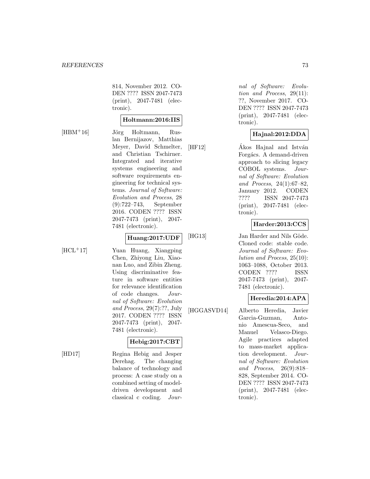814, November 2012. CO-DEN ???? ISSN 2047-7473 (print), 2047-7481 (electronic).

#### **Holtmann:2016:IIS**

[HBM<sup>+</sup>16] Jörg Holtmann, Ruslan Bernijazov, Matthias Meyer, David Schmelter, and Christian Tschirner. Integrated and iterative systems engineering and software requirements engineering for technical systems. Journal of Software: Evolution and Process, 28 (9):722–743, September 2016. CODEN ???? ISSN 2047-7473 (print), 2047- 7481 (electronic).

#### **Huang:2017:UDF**

[HCL<sup>+</sup>17] Yuan Huang, Xiangping Chen, Zhiyong Liu, Xiaonan Luo, and Zibin Zheng. Using discriminative feature in software entities for relevance identification of code changes. Journal of Software: Evolution and Process, 29(7):??, July 2017. CODEN ???? ISSN 2047-7473 (print), 2047- 7481 (electronic).

# **Hebig:2017:CBT**

[HD17] Regina Hebig and Jesper Derehag. The changing balance of technology and process: A case study on a combined setting of modeldriven development and classical c coding. Jour-

nal of Software: Evolution and Process, 29(11): ??, November 2017. CO-DEN ???? ISSN 2047-7473 (print), 2047-7481 (electronic).

# **Hajnal:2012:DDA**

 $[HF12]$   $\hat{A}$ kos Hajnal and István Forgács. A demand-driven approach to slicing legacy COBOL systems. Journal of Software: Evolution and Process, 24(1):67–82, January 2012. CODEN ???? ISSN 2047-7473 (print), 2047-7481 (electronic).

# **Harder:2013:CCS**

[HG13] Jan Harder and Nils Göde. Cloned code: stable code. Journal of Software: Evolution and Process, 25(10): 1063–1088, October 2013. CODEN ???? ISSN 2047-7473 (print), 2047- 7481 (electronic).

# **Heredia:2014:APA**

[HGGASVD14] Alberto Heredia, Javier Garcia-Guzman, Antonio Amescua-Seco, and Manuel Velasco-Diego. Agile practices adapted to mass-market application development. Journal of Software: Evolution and Process, 26(9):818– 828, September 2014. CO-DEN ???? ISSN 2047-7473 (print), 2047-7481 (electronic).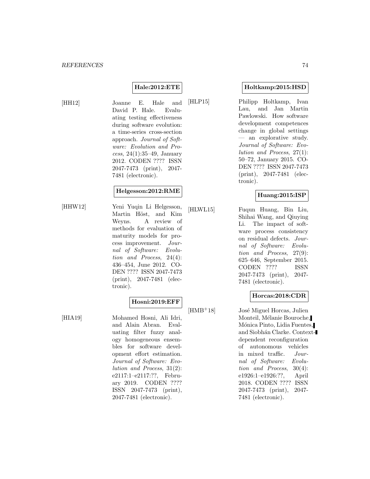#### **Hale:2012:ETE**

[HH12] Joanne E. Hale and David P. Hale. Evaluating testing effectiveness during software evolution: a time-series cross-section approach. Journal of Software: Evolution and Process, 24(1):35–49, January 2012. CODEN ???? ISSN 2047-7473 (print), 2047- 7481 (electronic).

## **Helgesson:2012:RME**

[HHW12] Yeni Yuqin Li Helgesson, Martin Höst, and Kim Weyns. A review of methods for evaluation of maturity models for process improvement. Journal of Software: Evolution and Process, 24(4): 436–454, June 2012. CO-DEN ???? ISSN 2047-7473 (print), 2047-7481 (electronic).

#### **Hosni:2019:EFF**

[HIA19] Mohamed Hosni, Ali Idri, and Alain Abran. Evaluating filter fuzzy analogy homogeneous ensembles for software development effort estimation. Journal of Software: Evolution and Process, 31(2): e2117:1–e2117:??, February 2019. CODEN ???? ISSN 2047-7473 (print), 2047-7481 (electronic).

#### **Holtkamp:2015:HSD**

[HLP15] Philipp Holtkamp, Ivan Lau, and Jan Martin Pawlowski. How software development competences change in global settings — an explorative study. Journal of Software: Evolution and Process, 27(1): 50–72, January 2015. CO-DEN ???? ISSN 2047-7473 (print), 2047-7481 (electronic).

#### **Huang:2015:ISP**

[HLWL15] Fuqun Huang, Bin Liu, Shihai Wang, and Qiuying Li. The impact of software process consistency on residual defects. Journal of Software: Evolution and Process, 27(9): 625–646, September 2015. CODEN ???? ISSN 2047-7473 (print), 2047- 7481 (electronic).

## **Horcas:2018:CDR**

 $[HMB<sup>+</sup>18]$  José Miguel Horcas, Julien Monteil, Mélanie Bouroche, Mónica Pinto, Lidia Fuentes, and Siobhán Clarke. Contextdependent reconfiguration of autonomous vehicles in mixed traffic. Journal of Software: Evolution and Process, 30(4): e1926:1–e1926:??, April 2018. CODEN ???? ISSN 2047-7473 (print), 2047- 7481 (electronic).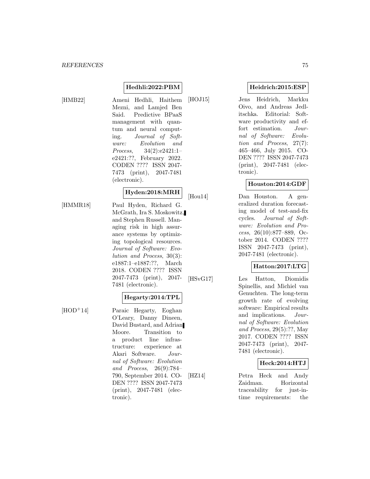# **Hedhli:2022:PBM**

[HMB22] Ameni Hedhli, Haithem Mezni, and Lamjed Ben Said. Predictive BPaaS management with quantum and neural computing. Journal of Software: Evolution and Process, 34(2):e2421:1– e2421:??, February 2022. CODEN ???? ISSN 2047- 7473 (print), 2047-7481 (electronic).

# **Hyden:2018:MRH**

[HMMR18] Paul Hyden, Richard G. McGrath, Ira S. Moskowitz, and Stephen Russell. Managing risk in high assurance systems by optimizing topological resources. Journal of Software: Evolution and Process, 30(3): e1887:1–e1887:??, March 2018. CODEN ???? ISSN 2047-7473 (print), 2047- 7481 (electronic).

#### **Hegarty:2014:TPL**

[HOD<sup>+</sup>14] Paraic Hegarty, Eoghan O'Leary, Danny Dineen, David Bustard, and Adrian Moore. Transition to a product line infrastructure: experience at Akari Software. Journal of Software: Evolution and Process, 26(9):784– 790, September 2014. CO-DEN ???? ISSN 2047-7473 (print), 2047-7481 (electronic).

## **Heidrich:2015:ESP**

[HOJ15] Jens Heidrich, Markku Oivo, and Andreas Jedlitschka. Editorial: Software productivity and effort estimation. Journal of Software: Evolution and Process, 27(7): 465–466, July 2015. CO-DEN ???? ISSN 2047-7473 (print), 2047-7481 (electronic).

#### **Houston:2014:GDF**

[Hou14] Dan Houston. A generalized duration forecasting model of test-and-fix cycles. Journal of Software: Evolution and Process, 26(10):877–889, October 2014. CODEN ???? ISSN 2047-7473 (print), 2047-7481 (electronic).

## **Hatton:2017:LTG**

[HSvG17] Les Hatton, Diomidis Spinellis, and Michiel van Genuchten. The long-term growth rate of evolving software: Empirical results and implications. Journal of Software: Evolution and Process, 29(5):??, May 2017. CODEN ???? ISSN 2047-7473 (print), 2047- 7481 (electronic).

## **Heck:2014:HTJ**

[HZ14] Petra Heck and Andy Zaidman. Horizontal traceability for just-intime requirements: the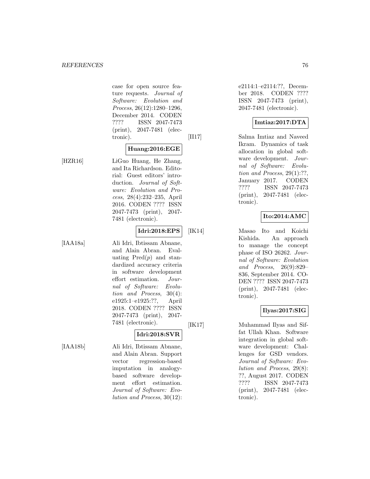case for open source feature requests. Journal of Software: Evolution and Process, 26(12):1280–1296, December 2014. CODEN ???? ISSN 2047-7473 (print), 2047-7481 (electronic).

#### **Huang:2016:EGE**

[HZR16] LiGuo Huang, He Zhang, and Ita Richardson. Editorial: Guest editors' introduction. Journal of Software: Evolution and Process, 28(4):232–235, April 2016. CODEN ???? ISSN 2047-7473 (print), 2047- 7481 (electronic).

# **Idri:2018:EPS**

[IAA18a] Ali Idri, Ibtissam Abnane, and Alain Abran. Evaluating  $Pred(p)$  and standardized accuracy criteria in software development effort estimation. Journal of Software: Evolution and Process, 30(4): e1925:1–e1925:??, April 2018. CODEN ???? ISSN 2047-7473 (print), 2047- 7481 (electronic).

# **Idri:2018:SVR**

[IAA18b] Ali Idri, Ibtissam Abnane, and Alain Abran. Support vector regression-based imputation in analogybased software development effort estimation. Journal of Software: Evolution and Process, 30(12): e2114:1–e2114:??, December 2018. CODEN ???? ISSN 2047-7473 (print), 2047-7481 (electronic).

#### **Imtiaz:2017:DTA**

[II17] Salma Imtiaz and Naveed Ikram. Dynamics of task allocation in global software development. Journal of Software: Evolution and Process,  $29(1)$ :??, January 2017. CODEN ???? ISSN 2047-7473 (print), 2047-7481 (electronic).

# **Ito:2014:AMC**

[IK14] Masao Ito and Koichi Kishida. An approach to manage the concept phase of ISO 26262. Journal of Software: Evolution and Process, 26(9):829– 836, September 2014. CO-DEN ???? ISSN 2047-7473 (print), 2047-7481 (electronic).

## **Ilyas:2017:SIG**

[IK17] Muhammad Ilyas and Siffat Ullah Khan. Software integration in global software development: Challenges for GSD vendors. Journal of Software: Evolution and Process, 29(8): ??, August 2017. CODEN ???? ISSN 2047-7473 (print), 2047-7481 (electronic).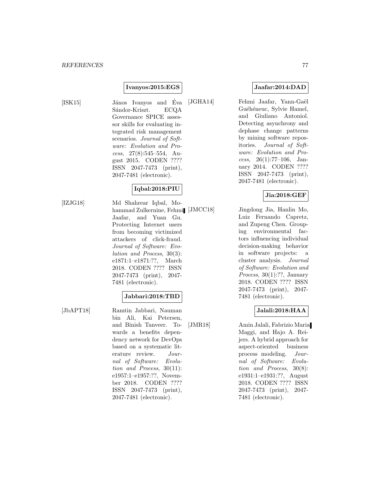#### **Ivanyos:2015:EGS**

[ISK15] János Ivanyos and Éva Sándor-Kriszt. ECQA Governance SPICE assessor skills for evaluating integrated risk management scenarios. Journal of Software: Evolution and Process, 27(8):545–554, August 2015. CODEN ???? ISSN 2047-7473 (print), 2047-7481 (electronic).

# **Iqbal:2018:PIU**

[IZJG18] Md Shahrear Iqbal, Mohammad Zulkernine, Fehmi [JMCC18] Jaafar, and Yuan Gu. Protecting Internet users from becoming victimized attackers of click-fraud. Journal of Software: Evolution and Process, 30(3): e1871:1–e1871:??, March 2018. CODEN ???? ISSN 2047-7473 (print), 2047- 7481 (electronic).

#### **Jabbari:2018:TBD**

[JbAPT18] Ramtin Jabbari, Nauman bin Ali, Kai Petersen, and Binish Tanveer. Towards a benefits dependency network for DevOps based on a systematic literature review. Journal of Software: Evolution and Process, 30(11): e1957:1–e1957:??, November 2018. CODEN ???? ISSN 2047-7473 (print), 2047-7481 (electronic).

# **Jaafar:2014:DAD**

[JGHA14] Fehmi Jaafar, Yann-Gaël Guéhéneuc, Sylvie Hamel, and Giuliano Antoniol. Detecting asynchrony and dephase change patterns by mining software repositories. Journal of Software: Evolution and Process,  $26(1):77-106$ , January 2014. CODEN ???? ISSN 2047-7473 (print), 2047-7481 (electronic).

#### **Jia:2018:GEF**

Jingdong Jia, Hanlin Mo, Luiz Fernando Capretz, and Zupeng Chen. Grouping environmental factors influencing individual decision-making behavior in software projects: a cluster analysis. Journal of Software: Evolution and *Process*,  $30(1)$ :??, January 2018. CODEN ???? ISSN 2047-7473 (print), 2047- 7481 (electronic).

# **Jalali:2018:HAA**

[JMR18] Amin Jalali, Fabrizio Maria Maggi, and Hajo A. Reijers. A hybrid approach for aspect-oriented business process modeling. Journal of Software: Evolution and Process, 30(8): e1931:1–e1931:??, August 2018. CODEN ???? ISSN 2047-7473 (print), 2047- 7481 (electronic).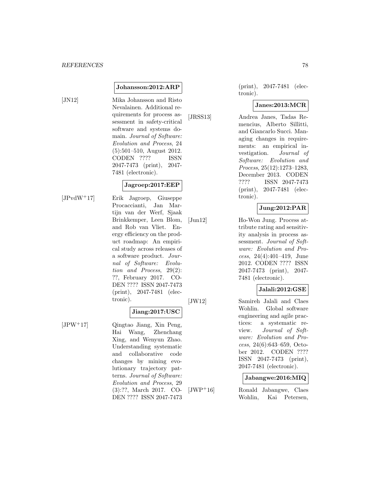#### **Johansson:2012:ARP**

[JN12] Mika Johansson and Risto Nevalainen. Additional requirements for process assessment in safety-critical software and systems domain. Journal of Software: Evolution and Process, 24 (5):501–510, August 2012. CODEN ???? ISSN 2047-7473 (print), 2047- 7481 (electronic).

#### **Jagroep:2017:EEP**

[JPvdW<sup>+</sup>17] Erik Jagroep, Giuseppe Procaccianti, Jan Martijn van der Werf, Sjaak Brinkkemper, Leen Blom, and Rob van Vliet. Energy efficiency on the product roadmap: An empirical study across releases of a software product. Journal of Software: Evolution and Process, 29(2): ??, February 2017. CO-DEN ???? ISSN 2047-7473 (print), 2047-7481 (electronic).

#### **Jiang:2017:USC**

[JPW<sup>+</sup>17] Qingtao Jiang, Xin Peng, Hai Wang, Zhenchang Xing, and Wenyun Zhao. Understanding systematic and collaborative code changes by mining evolutionary trajectory patterns. Journal of Software: Evolution and Process, 29 (3):??, March 2017. CO-DEN ???? ISSN 2047-7473

(print), 2047-7481 (electronic).

#### **Janes:2013:MCR**

[JRSS13] Andrea Janes, Tadas Remencius, Alberto Sillitti, and Giancarlo Succi. Managing changes in requirements: an empirical investigation. Journal of Software: Evolution and Process, 25(12):1273–1283, December 2013. CODEN ???? ISSN 2047-7473 (print), 2047-7481 (electronic).

## **Jung:2012:PAR**

[Jun12] Ho-Won Jung. Process attribute rating and sensitivity analysis in process assessment. Journal of Software: Evolution and Process, 24(4):401–419, June 2012. CODEN ???? ISSN 2047-7473 (print), 2047- 7481 (electronic).

# **Jalali:2012:GSE**

[JW12] Samireh Jalali and Claes Wohlin. Global software engineering and agile practices: a systematic review. Journal of Software: Evolution and Process, 24(6):643–659, October 2012. CODEN ???? ISSN 2047-7473 (print), 2047-7481 (electronic).

#### **Jabangwe:2016:MIQ**

[JWP<sup>+</sup>16] Ronald Jabangwe, Claes Wohlin, Kai Petersen,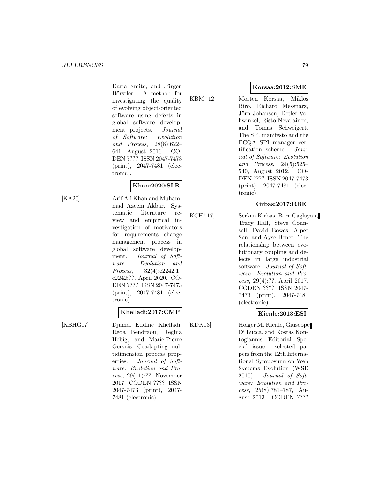Darja Šmite, and Jürgen Börstler. A method for investigating the quality of evolving object-oriented software using defects in global software development projects. Journal of Software: Evolution and Process, 28(8):622– 641, August 2016. CO-DEN ???? ISSN 2047-7473 (print), 2047-7481 (electronic).

## **Khan:2020:SLR**

[KA20] Arif Ali Khan and Muhammad Azeem Akbar. Systematic literature review and empirical investigation of motivators for requirements change management process in global software development. Journal of Software: Evolution and Process, 32(4):e2242:1– e2242:??, April 2020. CO-DEN ???? ISSN 2047-7473 (print), 2047-7481 (electronic).

## **Khelladi:2017:CMP**

[KBHG17] Djamel Eddine Khelladi, Reda Bendraou, Regina Hebig, and Marie-Pierre Gervais. Coadapting multidimension process properties. Journal of Software: Evolution and Process, 29(11):??, November 2017. CODEN ???? ISSN 2047-7473 (print), 2047- 7481 (electronic).

**Korsaa:2012:SME**

[KBM<sup>+</sup>12] Morten Korsaa, Miklos Biro, Richard Messnarz, Jörn Johansen, Detlef Vohwinkel, Risto Nevalainen, and Tomas Schweigert. The SPI manifesto and the ECQA SPI manager certification scheme. Journal of Software: Evolution and Process, 24(5):525– 540, August 2012. CO-DEN ???? ISSN 2047-7473 (print), 2047-7481 (electronic).

#### **Kirbas:2017:RBE**

[KCH<sup>+</sup>17] Serkan Kirbas, Bora Caglayan, Tracy Hall, Steve Counsell, David Bowes, Alper Sen, and Ayse Bener. The relationship between evolutionary coupling and defects in large industrial software. Journal of Software: Evolution and Process, 29(4):??, April 2017. CODEN ???? ISSN 2047- 7473 (print), 2047-7481 (electronic).

## **Kienle:2013:ESI**

[KDK13] Holger M. Kienle, Giuseppe Di Lucca, and Kostas Kontogiannis. Editorial: Special issue: selected papers from the 12th International Symposium on Web Systems Evolution (WSE 2010). Journal of Software: Evolution and Process, 25(8):781–787, August 2013. CODEN ????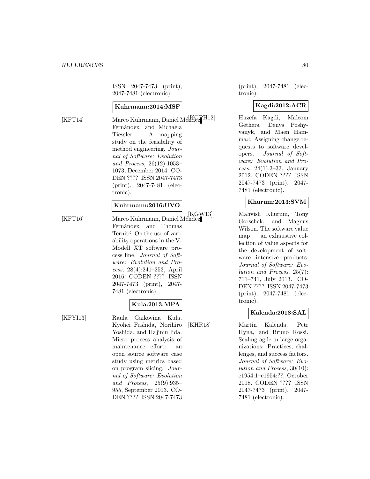ISSN 2047-7473 (print), 2047-7481 (electronic).

#### **Kuhrmann:2014:MSF**

[KFT14] Marco Kuhrmann, Daniel Mércel H12] Fernández, and Michaela Tiessler. A mapping study on the feasibility of method engineering. Journal of Software: Evolution and Process, 26(12):1053– 1073, December 2014. CO-DEN ???? ISSN 2047-7473 (print), 2047-7481 (electronic).

#### **Kuhrmann:2016:UVO**

[KFT16] Marco Kuhrmann, Daniel Méndez Fernández, and Thomas Ternité. On the use of variability operations in the V-Modell XT software process line. Journal of Software: Evolution and Process, 28(4):241–253, April 2016. CODEN ???? ISSN 2047-7473 (print), 2047-

7481 (electronic).

## **Kula:2013:MPA**

[KFYI13] Raula Gaikovina Kula, Kyohei Fushida, Norihiro Yoshida, and Hajimu Iida. Micro process analysis of maintenance effort: an open source software case study using metrics based on program slicing. Journal of Software: Evolution and Process, 25(9):935– 955, September 2013. CO-DEN ???? ISSN 2047-7473

(print), 2047-7481 (electronic).

#### **Kagdi:2012:ACR**

Huzefa Kagdi, Malcom Gethers, Denys Poshyvanyk, and Maen Hammad. Assigning change requests to software developers. Journal of Software: Evolution and Process, 24(1):3–33, January 2012. CODEN ???? ISSN 2047-7473 (print), 2047- 7481 (electronic).

# **Khurum:2013:SVM**

[KGW13] Mahvish Khurum, Tony Gorschek, and Magnus Wilson. The software value map — an exhaustive collection of value aspects for the development of software intensive products. Journal of Software: Evolution and Process, 25(7): 711–741, July 2013. CO-DEN ???? ISSN 2047-7473 (print), 2047-7481 (electronic).

## **Kalenda:2018:SAL**

[KHR18] Martin Kalenda, Petr Hyna, and Bruno Rossi. Scaling agile in large organizations: Practices, challenges, and success factors. Journal of Software: Evolution and Process, 30(10): e1954:1–e1954:??, October 2018. CODEN ???? ISSN 2047-7473 (print), 2047- 7481 (electronic).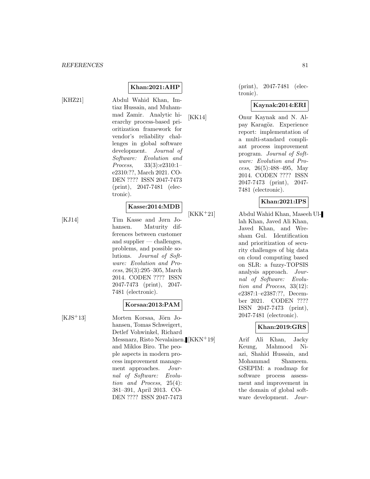[KHZ21] Abdul Wahid Khan, Imtiaz Hussain, and Muhammad Zamir. Analytic hierarchy process-based prioritization framework for vendor's reliability challenges in global software development. Journal of Software: Evolution and Process, 33(3):e2310:1– e2310:??, March 2021. CO-DEN ???? ISSN 2047-7473 (print), 2047-7481 (electronic).

**Khan:2021:AHP**

#### **Kasse:2014:MDB**

[KJ14] Tim Kasse and Jørn Johansen. Maturity differences between customer and supplier  $-$  challenges, problems, and possible solutions. Journal of Software: Evolution and Process, 26(3):295–305, March 2014. CODEN ???? ISSN 2047-7473 (print), 2047- 7481 (electronic).

## **Korsaa:2013:PAM**

 $[KJS^+13]$  Morten Korsaa, Jörn Johansen, Tomas Schweigert, Detlef Vohwinkel, Richard Messnarz, Risto Nevalainen, and Miklos Biro. The people aspects in modern process improvement management approaches. Journal of Software: Evolution and Process, 25(4): 381–391, April 2013. CO-DEN ???? ISSN 2047-7473

(print), 2047-7481 (electronic).

# **Kaynak:2014:ERI**

[KK14] Onur Kaynak and N. Alpay Karagöz. Experience report: implementation of a multi-standard compliant process improvement program. Journal of Software: Evolution and Process, 26(5):488–495, May 2014. CODEN ???? ISSN 2047-7473 (print), 2047- 7481 (electronic).

# **Khan:2021:IPS**

[KKK<sup>+</sup>21] Abdul Wahid Khan, Maseeh Ullah Khan, Javed Ali Khan, Javed Khan, and Wresham Gul. Identification and prioritization of security challenges of big data on cloud computing based on SLR: a fuzzy-TOPSIS analysis approach. Journal of Software: Evolution and Process, 33(12): e2387:1–e2387:??, December 2021. CODEN ???? ISSN 2047-7473 (print), 2047-7481 (electronic).

## **Khan:2019:GRS**

Arif Ali Khan, Jacky Keung, Mahmood Niazi, Shahid Hussain, and Mohammad Shameem. GSEPIM: a roadmap for software process assessment and improvement in the domain of global software development. Jour-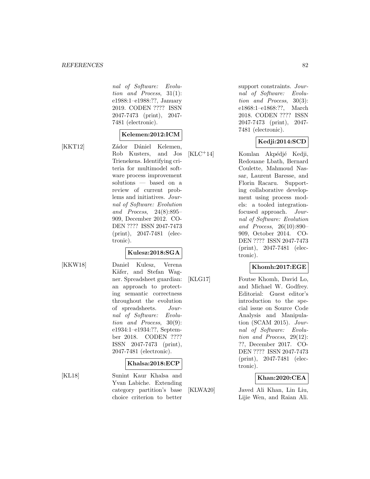nal of Software: Evolution and Process, 31(1): e1988:1–e1988:??, January 2019. CODEN ???? ISSN 2047-7473 (print), 2047- 7481 (electronic).

#### **Kelemen:2012:ICM**

[KKT12] Zádor Dániel Kelemen, Rob Kusters, and Jos Trienekens. Identifying criteria for multimodel software process improvement solutions — based on a review of current problems and initiatives. Journal of Software: Evolution and Process, 24(8):895– 909, December 2012. CO-DEN ???? ISSN 2047-7473 (print), 2047-7481 (electronic).

# **Kulesz:2018:SGA**

[KKW18] Daniel Kulesz, Verena Käfer, and Stefan Wagner. Spreadsheet guardian: an approach to protecting semantic correctness throughout the evolution of spreadsheets. Journal of Software: Evolution and Process, 30(9): e1934:1–e1934:??, September 2018. CODEN ???? ISSN 2047-7473 (print), 2047-7481 (electronic).

#### **Khalsa:2018:ECP**

[KL18] Sunint Kaur Khalsa and Yvan Labiche. Extending category partition's base choice criterion to better

support constraints. Journal of Software: Evolution and Process, 30(3): e1868:1–e1868:??, March 2018. CODEN ???? ISSN 2047-7473 (print), 2047- 7481 (electronic).

# **Kedji:2014:SCD**

 $[KLC^+14]$  Komlan Akpédjé Kedji, Redouane Lbath, Bernard Coulette, Mahmoud Nassar, Laurent Baresse, and Florin Racaru. Supporting collaborative development using process models: a tooled integrationfocused approach. Journal of Software: Evolution and Process, 26(10):890– 909, October 2014. CO-DEN ???? ISSN 2047-7473 (print), 2047-7481 (electronic).

## **Khomh:2017:EGE**

[KLG17] Foutse Khomh, David Lo, and Michael W. Godfrey. Editorial: Guest editor's introduction to the special issue on Source Code Analysis and Manipulation (SCAM 2015). Journal of Software: Evolution and Process, 29(12): ??, December 2017. CO-DEN ???? ISSN 2047-7473 (print), 2047-7481 (electronic).

## **Khan:2020:CEA**

[KLWA20] Javed Ali Khan, Lin Liu, Lijie Wen, and Raian Ali.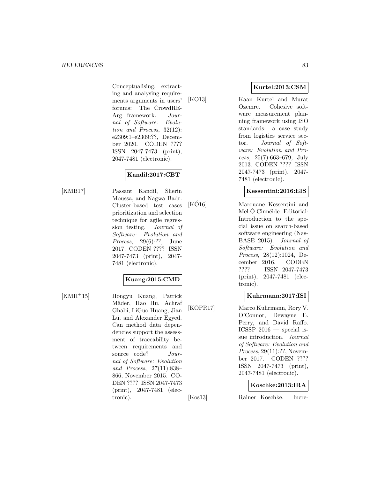Conceptualising, extracting and analysing requirements arguments in users' forums: The CrowdRE-Arg framework. Journal of Software: Evolution and Process, 32(12): e2309:1–e2309:??, December 2020. CODEN ???? ISSN 2047-7473 (print), 2047-7481 (electronic).

# **Kandil:2017:CBT**

[KMB17] Passant Kandil, Sherin Moussa, and Nagwa Badr. Cluster-based test cases prioritization and selection technique for agile regression testing. Journal of Software: Evolution and Process, 29(6):??, June 2017. CODEN ???? ISSN 2047-7473 (print), 2047- 7481 (electronic).

# **Kuang:2015:CMD**

[KMH<sup>+</sup>15] Hongyu Kuang, Patrick Mäder, Hao Hu, Achraf Ghabi, LiGuo Huang, Jian Lü, and Alexander Egyed. Can method data dependencies support the assessment of traceability between requirements and source code? Journal of Software: Evolution and Process, 27(11):838– 866, November 2015. CO-DEN ???? ISSN 2047-7473 (print), 2047-7481 (electronic).

**Kurtel:2013:CSM**

[KO13] Kaan Kurtel and Murat Ozemre. Cohesive software measurement planning framework using ISO standards: a case study from logistics service sector. Journal of Software: Evolution and Process, 25(7):663–679, July 2013. CODEN ???? ISSN 2047-7473 (print), 2047- 7481 (electronic).

#### **Kessentini:2016:EIS**

[KO16] Marouane Kessentini and Mel Ó Cinnéide. Editorial: Introduction to the special issue on search-based software engineering (Nas-BASE 2015). Journal of Software: Evolution and Process, 28(12):1024, December 2016. CODEN ???? ISSN 2047-7473 (print), 2047-7481 (electronic).

## **Kuhrmann:2017:ISI**

[KOPR17] Marco Kuhrmann, Rory V. O'Connor, Dewayne E. Perry, and David Raffo. ICSSP  $2016$  — special issue introduction. Journal of Software: Evolution and Process, 29(11):??, November 2017. CODEN ???? ISSN 2047-7473 (print), 2047-7481 (electronic).

## **Koschke:2013:IRA**

[Kos13] Rainer Koschke. Incre-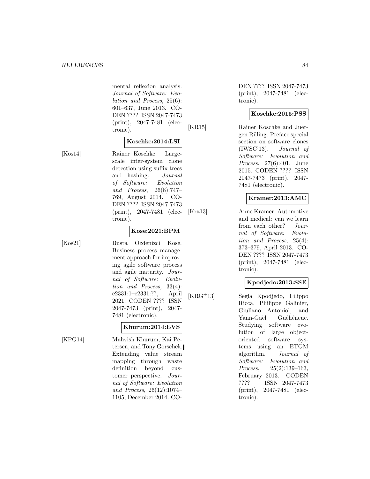mental reflexion analysis. Journal of Software: Evolution and Process, 25(6): 601–637, June 2013. CO-DEN ???? ISSN 2047-7473 (print), 2047-7481 (electronic).

## **Koschke:2014:LSI**

[Kos14] Rainer Koschke. Largescale inter-system clone detection using suffix trees and hashing. Journal of Software: Evolution and Process, 26(8):747– 769, August 2014. CO-DEN ???? ISSN 2047-7473 (print), 2047-7481 (electronic).

#### **Kose:2021:BPM**

[Kos21] Busra Ozdenizci Kose. Business process management approach for improving agile software process and agile maturity. Journal of Software: Evolution and Process, 33(4): e2331:1–e2331:??, April 2021. CODEN ???? ISSN 2047-7473 (print), 2047- 7481 (electronic).

#### **Khurum:2014:EVS**

[KPG14] Mahvish Khurum, Kai Petersen, and Tony Gorschek. Extending value stream mapping through waste definition beyond customer perspective. Journal of Software: Evolution and Process, 26(12):1074– 1105, December 2014. CO-

DEN ???? ISSN 2047-7473 (print), 2047-7481 (electronic).

#### **Koschke:2015:PSS**

[KR15] Rainer Koschke and Juergen Rilling. Preface special section on software clones (IWSC'13). Journal of Software: Evolution and Process, 27(6):401, June 2015. CODEN ???? ISSN 2047-7473 (print), 2047- 7481 (electronic).

#### **Kramer:2013:AMC**

[Kra13] Anne Kramer. Automotive and medical: can we learn from each other? Journal of Software: Evolution and Process, 25(4): 373–379, April 2013. CO-DEN ???? ISSN 2047-7473 (print), 2047-7481 (electronic).

## **Kpodjedo:2013:SSE**

[KRG<sup>+</sup>13] Segla Kpodjedo, Filippo Ricca, Philippe Galinier, Giuliano Antoniol, and Yann-Gaël Guéhéneuc. Studying software evolution of large objectoriented software systems using an ETGM algorithm. Journal of Software: Evolution and Process, 25(2):139–163, February 2013. CODEN ???? ISSN 2047-7473 (print), 2047-7481 (electronic).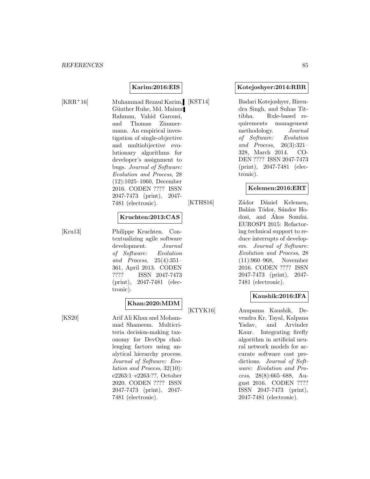#### **Karim:2016:EIS**

[KRR<sup>+</sup>16] Muhammad Rezaul Karim, [KST14] Günther Ruhe, Md. Mainur Rahman, Vahid Garousi, and Thomas Zimmermann. An empirical investigation of single-objective and multiobjective evolutionary algorithms for developer's assignment to bugs. Journal of Software: Evolution and Process, 28 (12):1025–1060, December 2016. CODEN ???? ISSN 2047-7473 (print), 2047- 7481 (electronic).

## **Kruchten:2013:CAS**

[Kru13] Philippe Kruchten. Contextualizing agile software development. Journal of Software: Evolution and Process, 25(4):351– 361, April 2013. CODEN ???? ISSN 2047-7473 (print), 2047-7481 (electronic).

#### **Khan:2020:MDM**

[KS20] Arif Ali Khan and Mohammad Shameem. Multicriteria decision-making taxonomy for DevOps challenging factors using analytical hierarchy process. Journal of Software: Evolution and Process, 32(10): e2263:1–e2263:??, October 2020. CODEN ???? ISSN 2047-7473 (print), 2047- 7481 (electronic).

#### **Kotejoshyer:2014:RBR**

Badari Kotejoshyer, Birendra Singh, and Suhas Tittibha. Rule-based requirements management methodology. Journal of Software: Evolution and Process, 26(3):321– 328, March 2014. CO-DEN ???? ISSN 2047-7473 (print), 2047-7481 (electronic).

#### **Kelemen:2016:ERT**

[KTHS16] Zádor Dániel Kelemen, Balázs Tódor, Sándor Hodosi, and Akos Somfai. ´ EUROSPI 2015: Refactoring technical support to reduce interrupts of developers. Journal of Software: Evolution and Process, 28 (11):960–968, November 2016. CODEN ???? ISSN 2047-7473 (print), 2047- 7481 (electronic).

# **Kaushik:2016:IFA**

[KTYK16] Anupama Kaushik, Devendra Kr. Tayal, Kalpana Yadav, and Arvinder Kaur. Integrating firefly algorithm in artificial neural network models for accurate software cost predictions. Journal of Software: Evolution and Process, 28(8):665–688, August 2016. CODEN ???? ISSN 2047-7473 (print), 2047-7481 (electronic).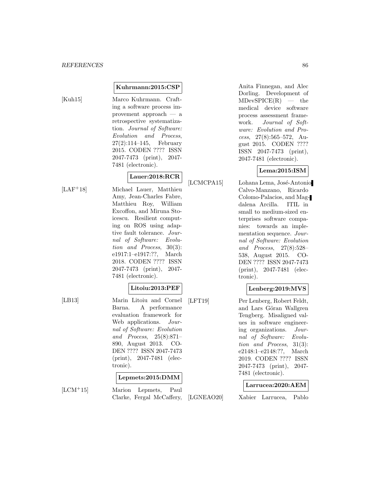#### **Kuhrmann:2015:CSP**

[Kuh15] Marco Kuhrmann. Crafting a software process improvement approach — a retrospective systematization. Journal of Software: Evolution and Process, 27(2):114–145, February 2015. CODEN ???? ISSN 2047-7473 (print), 2047- 7481 (electronic).

# **Lauer:2018:RCR**

[LAF<sup>+</sup>18] Michael Lauer, Matthieu Amy, Jean-Charles Fabre, Matthieu Roy, William Excoffon, and Miruna Stoicescu. Resilient computing on ROS using adaptive fault tolerance. Journal of Software: Evolution and Process, 30(3): e1917:1–e1917:??, March 2018. CODEN ???? ISSN 2047-7473 (print), 2047- 7481 (electronic).

## **Litoiu:2013:PEF**

[LB13] Marin Litoiu and Cornel Barna. A performance evaluation framework for Web applications. Journal of Software: Evolution and Process, 25(8):871– 890, August 2013. CO-DEN ???? ISSN 2047-7473 (print), 2047-7481 (electronic).

## **Lepmets:2015:DMM**

[LCM<sup>+</sup>15] Marion Lepmets, Paul Clarke, Fergal McCaffery,

Anita Finnegan, and Alec Dorling. Development of  $MDevSPICE(R)$  — the medical device software process assessment framework. Journal of Software: Evolution and Process, 27(8):565–572, August 2015. CODEN ???? ISSN 2047-7473 (print), 2047-7481 (electronic).

# **Lema:2015:ISM**

[LCMCPA15] Lohana Lema, José-Antonio Calvo-Manzano, Ricardo Colomo-Palacios, and Magdalena Arcilla. ITIL in small to medium-sized enterprises software companies: towards an implementation sequence. Journal of Software: Evolution and Process, 27(8):528– 538, August 2015. CO-DEN ???? ISSN 2047-7473 (print), 2047-7481 (electronic).

# **Lenberg:2019:MVS**

[LFT19] Per Lenberg, Robert Feldt, and Lars Göran Wallgren Tengberg. Misaligned values in software engineering organizations. Journal of Software: Evolution and Process, 31(3): e2148:1–e2148:??, March 2019. CODEN ???? ISSN 2047-7473 (print), 2047- 7481 (electronic).

#### **Larrucea:2020:AEM**

[LGNEAO20] Xabier Larrucea, Pablo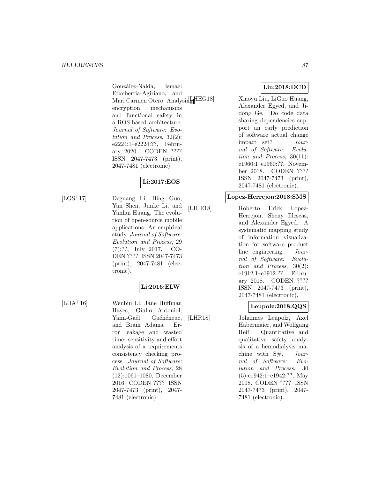González-Nalda, Ismael Etxeberria-Agiriano, and Mari Carmen Otero. Analysing HEG18] encryption mechanisms and functional safety in a ROS-based architecture. Journal of Software: Evolution and Process, 32(2): e2224:1–e2224:??, February 2020. CODEN ???? ISSN 2047-7473 (print), 2047-7481 (electronic).

# **Li:2017:EOS**

[LGS<sup>+</sup>17] Deguang Li, Bing Guo, Yan Shen, Junke Li, and Yanhui Huang. The evolution of open-source mobile applications: An empirical study. Journal of Software: Evolution and Process, 29 (7):??, July 2017. CO-DEN ???? ISSN 2047-7473 (print), 2047-7481 (electronic).

# **Li:2016:ELW**

[LHA<sup>+</sup>16] Wenbin Li, Jane Huffman Hayes, Giulio Antoniol, Yann-Gaël Guéhéneuc, and Bram Adams. Error leakage and wasted time: sensitivity and effort analysis of a requirements consistency checking process. Journal of Software: Evolution and Process, 28 (12):1061–1080, December 2016. CODEN ???? ISSN 2047-7473 (print), 2047- 7481 (electronic).

# **Liu:2018:DCD**

Xiaoyu Liu, LiGuo Huang, Alexander Egyed, and Jidong Ge. Do code data sharing dependencies support an early prediction of software actual change impact set? Journal of Software: Evolution and Process, 30(11): e1960:1–e1960:??, November 2018. CODEN ???? ISSN 2047-7473 (print), 2047-7481 (electronic).

#### **Lopez-Herrejon:2018:SMS**

[LHIE18] Roberto Erick Lopez-Herrejon, Sheny Illescas, and Alexander Egyed. A systematic mapping study of information visualization for software product line engineering. Journal of Software: Evolution and Process, 30(2): e1912:1–e1912:??, February 2018. CODEN ???? ISSN 2047-7473 (print), 2047-7481 (electronic).

# **Leupolz:2018:QQS**

[LHR18] Johannes Leupolz, Axel Habermaier, and Wolfgang Reif. Quantitative and qualitative safety analysis of a hemodialysis machine with  $S#$ . Journal of Software: Evolution and Process, 30 (5):e1942:1–e1942:??, May 2018. CODEN ???? ISSN 2047-7473 (print), 2047- 7481 (electronic).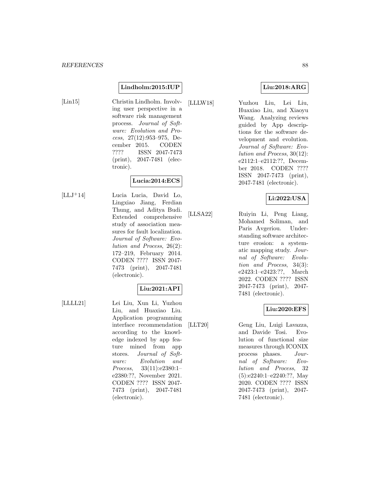#### **Lindholm:2015:IUP**

[Lin15] Christin Lindholm. Involving user perspective in a software risk management process. Journal of Software: Evolution and Process, 27(12):953–975, December 2015. CODEN ???? ISSN 2047-7473 (print), 2047-7481 (electronic).

# **Lucia:2014:ECS**

[LLJ<sup>+</sup>14] Lucia Lucia, David Lo, Lingxiao Jiang, Ferdian Thung, and Aditya Budi. Extended comprehensive study of association measures for fault localization. Journal of Software: Evolution and Process, 26(2): 172–219, February 2014. CODEN ???? ISSN 2047- 7473 (print), 2047-7481 (electronic).

# **Liu:2021:API**

[LLLL21] Lei Liu, Xun Li, Yuzhou Liu, and Huaxiao Liu. Application programming interface recommendation according to the knowledge indexed by app feature mined from app stores. Journal of Software: Evolution and Process, 33(11):e2380:1– e2380:??, November 2021. CODEN ???? ISSN 2047- 7473 (print), 2047-7481 (electronic).

# **Liu:2018:ARG**

[LLLW18] Yuzhou Liu, Lei Liu, Huaxiao Liu, and Xiaoyu Wang. Analyzing reviews guided by App descriptions for the software development and evolution. Journal of Software: Evolution and Process, 30(12): e2112:1–e2112:??, December 2018. CODEN ???? ISSN 2047-7473 (print), 2047-7481 (electronic).

## **Li:2022:USA**

[LLSA22] Ruiyin Li, Peng Liang, Mohamed Soliman, and Paris Avgeriou. Understanding software architecture erosion: a systematic mapping study. Journal of Software: Evolution and Process, 34(3): e2423:1–e2423:??, March 2022. CODEN ???? ISSN 2047-7473 (print), 2047- 7481 (electronic).

## **Liu:2020:EFS**

[LLT20] Geng Liu, Luigi Lavazza, and Davide Tosi. Evolution of functional size measures through ICONIX process phases. Journal of Software: Evolution and Process, 32 (5):e2240:1–e2240:??, May 2020. CODEN ???? ISSN 2047-7473 (print), 2047- 7481 (electronic).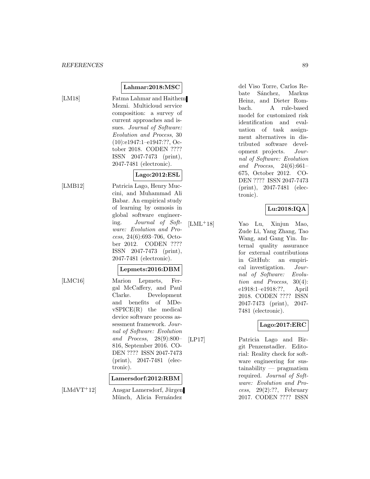# **Lahmar:2018:MSC**

[LM18] Fatma Lahmar and Haithem Mezni. Multicloud service composition: a survey of current approaches and issues. Journal of Software: Evolution and Process, 30 (10):e1947:1–e1947:??, October 2018. CODEN ???? ISSN 2047-7473 (print), 2047-7481 (electronic).

# **Lago:2012:ESL**

[LMB12] Patricia Lago, Henry Muccini, and Muhammad Ali Babar. An empirical study of learning by osmosis in global software engineering. Journal of Software: Evolution and Process, 24(6):693–706, October 2012. CODEN ???? ISSN 2047-7473 (print), 2047-7481 (electronic).

# **Lepmets:2016:DBM**

[LMC16] Marion Lepmets, Fergal McCaffery, and Paul Clarke. Development and benefits of MDevSPICE(R) the medical device software process assessment framework. Journal of Software: Evolution and Process, 28(9):800– 816, September 2016. CO-DEN ???? ISSN 2047-7473 (print), 2047-7481 (electronic).

## **Lamersdorf:2012:RBM**

 $[LMdVT+12]$  Ansgar Lamersdorf, Jürgen Münch, Alicia Fernández

del Viso Torre, Carlos Rebate Sánchez, Markus Heinz, and Dieter Rombach. A rule-based model for customized risk identification and evaluation of task assignment alternatives in distributed software development projects. Journal of Software: Evolution and Process, 24(6):661– 675, October 2012. CO-DEN ???? ISSN 2047-7473 (print), 2047-7481 (electronic).

# **Lu:2018:IQA**

[LML<sup>+</sup>18] Yao Lu, Xinjun Mao, Zude Li, Yang Zhang, Tao Wang, and Gang Yin. Internal quality assurance for external contributions in GitHub: an empirical investigation. Journal of Software: Evolution and Process, 30(4): e1918:1–e1918:??, April 2018. CODEN ???? ISSN 2047-7473 (print), 2047- 7481 (electronic).

## **Lago:2017:ERC**

[LP17] Patricia Lago and Birgit Penzenstadler. Editorial: Reality check for software engineering for sustainability — pragmatism required. Journal of Software: Evolution and Process,  $29(2):??$ , February 2017. CODEN ???? ISSN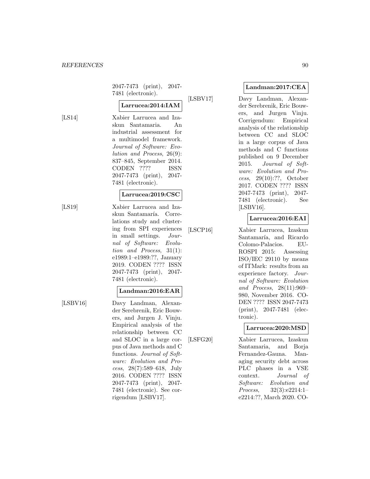2047-7473 (print), 2047- 7481 (electronic).

# **Larrucea:2014:IAM**

[LS14] Xabier Larrucea and Izaskun Santamaria. An industrial assessment for a multimodel framework. Journal of Software: Evolution and Process, 26(9): 837–845, September 2014. CODEN ???? ISSN 2047-7473 (print), 2047- 7481 (electronic).

#### **Larrucea:2019:CSC**

- 
- [LS19] Xabier Larrucea and Izaskun Santamaría. Correlations study and clustering from SPI experiences in small settings. Journal of Software: Evolution and Process, 31(1): e1989:1–e1989:??, January 2019. CODEN ???? ISSN 2047-7473 (print), 2047- 7481 (electronic).

# **Landman:2016:EAR**

[LSBV16] Davy Landman, Alexander Serebrenik, Eric Bouwers, and Jurgen J. Vinju. Empirical analysis of the relationship between CC and SLOC in a large corpus of Java methods and C functions. Journal of Software: Evolution and Process, 28(7):589–618, July 2016. CODEN ???? ISSN 2047-7473 (print), 2047- 7481 (electronic). See corrigendum [LSBV17].

# **Landman:2017:CEA**

[LSBV17] Davy Landman, Alexander Serebrenik, Eric Bouwers, and Jurgen Vinju. Corrigendum: Empirical analysis of the relationship between CC and SLOC in a large corpus of Java methods and C functions published on 9 December 2015. Journal of Software: Evolution and Process, 29(10):??, October 2017. CODEN ???? ISSN 2047-7473 (print), 2047- 7481 (electronic). See [LSBV16].

# **Larrucea:2016:EAI**

[LSCP16] Xabier Larrucea, Izaskun Santamaría, and Ricardo Colomo-Palacios. EU-ROSPI 2015: Assessing ISO/IEC 29110 by means of ITMark: results from an experience factory. Journal of Software: Evolution and Process, 28(11):969– 980, November 2016. CO-DEN ???? ISSN 2047-7473 (print), 2047-7481 (electronic).

# **Larrucea:2020:MSD**

[LSFG20] Xabier Larrucea, Izaskun Santamaria, and Borja Fernandez-Gauna. Managing security debt across PLC phases in a VSE context. Journal of Software: Evolution and Process, 32(3):e2214:1– e2214:??, March 2020. CO-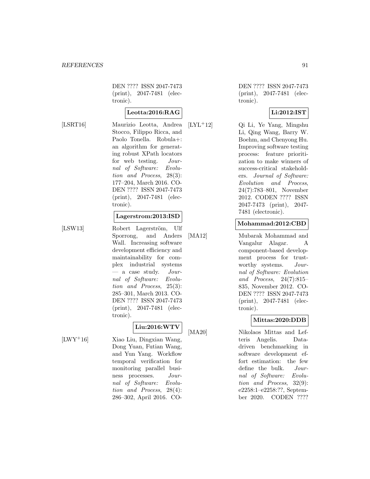DEN ???? ISSN 2047-7473 (print), 2047-7481 (electronic).

# **Leotta:2016:RAG**

[LSRT16] Maurizio Leotta, Andrea Stocco, Filippo Ricca, and Paolo Tonella. Robula+: an algorithm for generating robust XPath locators for web testing. Journal of Software: Evolution and Process, 28(3): 177–204, March 2016. CO-DEN ???? ISSN 2047-7473 (print), 2047-7481 (electronic).

#### **Lagerstrom:2013:ISD**

[LSW13] Robert Lagerström, Ulf Sporrong, and Anders Wall. Increasing software development efficiency and maintainability for complex industrial systems  $-$  a case study. Journal of Software: Evolution and Process, 25(3): 285–301, March 2013. CO-DEN ???? ISSN 2047-7473 (print), 2047-7481 (electronic).

# **Liu:2016:WTV**

[LWY<sup>+</sup>16] Xiao Liu, Dingxian Wang, Dong Yuan, Futian Wang, and Yun Yang. Workflow temporal verification for monitoring parallel business processes. Journal of Software: Evolution and Process, 28(4): 286–302, April 2016. CO-

DEN ???? ISSN 2047-7473 (print), 2047-7481 (electronic).

#### **Li:2012:IST**

[LYL<sup>+</sup>12] Qi Li, Ye Yang, Mingshu Li, Qing Wang, Barry W. Boehm, and Chenyong Hu. Improving software testing process: feature prioritization to make winners of success-critical stakeholders. Journal of Software: Evolution and Process, 24(7):783–801, November 2012. CODEN ???? ISSN 2047-7473 (print), 2047- 7481 (electronic).

## **Mohammad:2012:CBD**

[MA12] Mubarak Mohammad and Vangalur Alagar. A component-based development process for trustworthy systems. Journal of Software: Evolution and Process, 24(7):815– 835, November 2012. CO-DEN ???? ISSN 2047-7473 (print), 2047-7481 (electronic).

# **Mittas:2020:DDB**

[MA20] Nikolaos Mittas and Lefteris Angelis. Datadriven benchmarking in software development effort estimation: the few define the bulk. Journal of Software: Evolution and Process, 32(9): e2258:1–e2258:??, September 2020. CODEN ????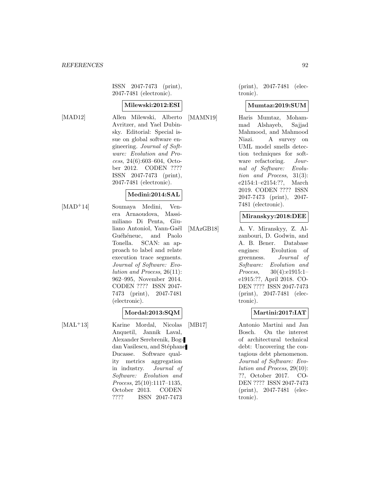ISSN 2047-7473 (print), 2047-7481 (electronic).

#### **Milewski:2012:ESI**

[MAD12] Allen Milewski, Alberto Avritzer, and Yael Dubinsky. Editorial: Special issue on global software engineering. Journal of Software: Evolution and Process, 24(6):603–604, October 2012. CODEN ???? ISSN 2047-7473 (print), 2047-7481 (electronic).

#### **Medini:2014:SAL**

- 
- [MAD<sup>+</sup>14] Soumaya Medini, Venera Arnaoudova, Massimiliano Di Penta, Giuliano Antoniol, Yann-Gaël Guéhéneuc, and Paolo Tonella. SCAN: an approach to label and relate execution trace segments. Journal of Software: Evolution and Process, 26(11): 962–995, November 2014. CODEN ???? ISSN 2047- 7473 (print), 2047-7481 (electronic).

#### **Mordal:2013:SQM**

[MAL<sup>+</sup>13] Karine Mordal, Nicolas Anquetil, Jannik Laval, Alexander Serebrenik, Bogdan Vasilescu, and Stéphane Ducasse. Software quality metrics aggregation in industry. Journal of Software: Evolution and Process, 25(10):1117–1135, October 2013. CODEN ???? ISSN 2047-7473

(print), 2047-7481 (electronic).

#### **Mumtaz:2019:SUM**

[MAMN19] Haris Mumtaz, Mohammad Alshayeb, Sajjad Mahmood, and Mahmood Niazi. A survey on UML model smells detection techniques for software refactoring. Journal of Software: Evolution and Process, 31(3): e2154:1–e2154:??, March 2019. CODEN ???? ISSN 2047-7473 (print), 2047- 7481 (electronic).

#### **Miranskyy:2018:DEE**

[MAzGB18] A. V. Miranskyy, Z. Alzanbouri, D. Godwin, and A. B. Bener. Database engines: Evolution of greenness. Journal of Software: Evolution and Process, 30(4):e1915:1– e1915:??, April 2018. CO-DEN ???? ISSN 2047-7473 (print), 2047-7481 (electronic).

## **Martini:2017:IAT**

[MB17] Antonio Martini and Jan Bosch. On the interest of architectural technical debt: Uncovering the contagious debt phenomenon. Journal of Software: Evolution and Process, 29(10): ??, October 2017. CO-DEN ???? ISSN 2047-7473 (print), 2047-7481 (electronic).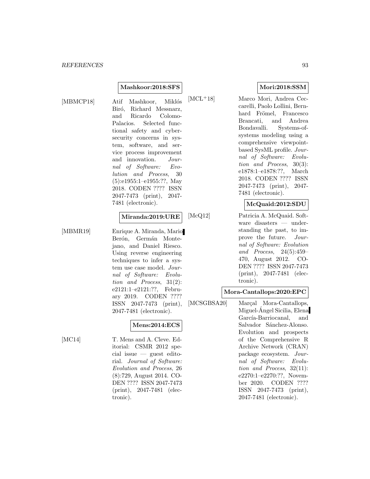#### **Mashkoor:2018:SFS**

Atif Mashkoor, Miklós Biró, Richard Messnarz, and Ricardo Colomo-Palacios. Selected functional safety and cybersecurity concerns in system, software, and service process improvement and innovation. Journal of Software: Evolution and Process, 30 (5):e1955:1–e1955:??, May 2018. CODEN ???? ISSN 2047-7473 (print), 2047- 7481 (electronic).

#### **Miranda:2019:URE**

[MBMR19] Enrique A. Miranda, Mario Berón, Germán Montejano, and Daniel Riesco. Using reverse engineering techniques to infer a system use case model. Journal of Software: Evolution and Process, 31(2): e2121:1–e2121:??, February 2019. CODEN ???? ISSN 2047-7473 (print), 2047-7481 (electronic).

## **Mens:2014:ECS**

[MC14] T. Mens and A. Cleve. Editorial: CSMR 2012 special issue — guest editorial. Journal of Software: Evolution and Process, 26 (8):729, August 2014. CO-DEN ???? ISSN 2047-7473 (print), 2047-7481 (electronic).

#### **Mori:2018:SSM**

[MCL<sup>+</sup>18] Marco Mori, Andrea Ceccarelli, Paolo Lollini, Bernhard Frömel, Francesco Brancati, and Andrea Bondavalli. Systems-ofsystems modeling using a comprehensive viewpointbased SysML profile. Journal of Software: Evolution and Process, 30(3): e1878:1–e1878:??, March 2018. CODEN ???? ISSN 2047-7473 (print), 2047- 7481 (electronic).

#### **McQuaid:2012:SDU**

[McQ12] Patricia A. McQuaid. Software disasters — understanding the past, to improve the future. Journal of Software: Evolution and Process, 24(5):459– 470, August 2012. CO-DEN ???? ISSN 2047-7473 (print), 2047-7481 (electronic).

#### **Mora-Cantallops:2020:EPC**

[MCSGBSA20] Marçal Mora-Cantallops, Miguel-Angel Sicilia, Elena García-Barriocanal, and Salvador Sánchez-Alonso. Evolution and prospects of the Comprehensive R Archive Network (CRAN) package ecosystem. Journal of Software: Evolution and Process, 32(11): e2270:1–e2270:??, November 2020. CODEN ???? ISSN 2047-7473 (print), 2047-7481 (electronic).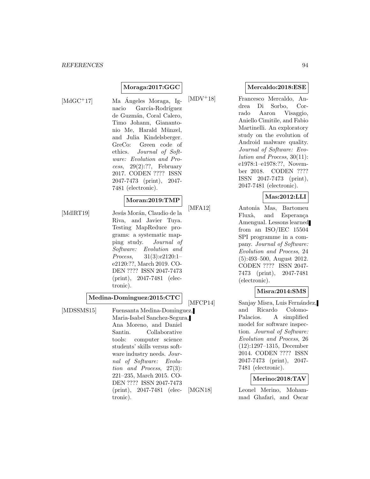#### **Moraga:2017:GGC**

- 
- $[\text{MdGC+17}]$  Ma Ángeles Moraga, Ignacio García-Rodríguez de Guzmán, Coral Calero, Timo Johann, Gianantonio Me, Harald Münzel, and Julia Kindelsberger. GreCo: Green code of ethics. Journal of Software: Evolution and Process,  $29(2):??$ , February 2017. CODEN ???? ISSN 2047-7473 (print), 2047- 7481 (electronic).

#### **Moran:2019:TMP**

[MdlRT19] Jesús Morán, Claudio de la Riva, and Javier Tuya. Testing MapReduce programs: a systematic mapping study. Journal of Software: Evolution and Process, 31(3):e2120:1– e2120:??, March 2019. CO-DEN ???? ISSN 2047-7473 (print), 2047-7481 (electronic).

#### **Medina-Dominguez:2015:CTC**

[MDSSMS15] Fuensanta Medina-Dominguez, Maria-Isabel Sanchez-Segura, Ana Moreno, and Daniel Santin. Collaborative tools: computer science students' skills versus software industry needs. Journal of Software: Evolution and Process, 27(3): 221–235, March 2015. CO-DEN ???? ISSN 2047-7473 (print), 2047-7481 (electronic).

#### **Mercaldo:2018:ESE**

[MDV<sup>+</sup>18] Francesco Mercaldo, Andrea Di Sorbo, Corrado Aaron Visaggio, Aniello Cimitile, and Fabio Martinelli. An exploratory study on the evolution of Android malware quality. Journal of Software: Evolution and Process, 30(11): e1978:1–e1978:??, November 2018. CODEN ???? ISSN 2047-7473 (print), 2047-7481 (electronic).

#### **Mas:2012:LLI**

[MFA12] Antonia Mas, Bartomeu Fluxà, and Esperança Amengual. Lessons learned from an ISO/IEC 15504 SPI programme in a company. Journal of Software: Evolution and Process, 24 (5):493–500, August 2012. CODEN ???? ISSN 2047- 7473 (print), 2047-7481 (electronic).

## **Misra:2014:SMS**

[MFCP14] Sanjay Misra, Luis Fernández, and Ricardo Colomo-Palacios. A simplified model for software inspection. Journal of Software: Evolution and Process, 26 (12):1297–1315, December 2014. CODEN ???? ISSN 2047-7473 (print), 2047- 7481 (electronic).

## **Merino:2018:TAV**

[MGN18] Leonel Merino, Mohammad Ghafari, and Oscar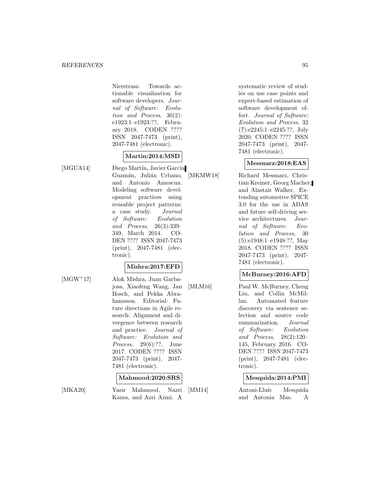Nierstrasz. Towards actionable visualization for software developers. Journal of Software: Evolution and Process, 30(2): e1923:1–e1923:??, February 2018. CODEN ???? ISSN 2047-7473 (print), 2047-7481 (electronic).

# **Martin:2014:MSD**

[MGUA14] Diego Martín, Javier García Guzmán, Julián Urbano, and Antonio Amescua. Modeling software development practices using reusable project patterns: a case study. Journal of Software: Evolution and Process, 26(3):339– 349, March 2014. CO-DEN ???? ISSN 2047-7473 (print), 2047-7481 (electronic).

# **Mishra:2017:EFD**

[MGW<sup>+</sup>17] Alok Mishra, Juan Garbajosa, Xiaofeng Wang, Jan Bosch, and Pekka Abrahamsson. Editorial: Future directions in Agile research: Alignment and divergence between research and practice. Journal of Software: Evolution and Process, 29(6):??, June 2017. CODEN ???? ISSN 2047-7473 (print), 2047- 7481 (electronic).

## **Mahmood:2020:SRS**

[MKA20] Yasir Mahmood, Nazri Kama, and Azri Azmi. A

systematic review of studies on use case points and expert-based estimation of software development effort. Journal of Software: Evolution and Process, 32 (7):e2245:1–e2245:??, July 2020. CODEN ???? ISSN 2047-7473 (print), 2047- 7481 (electronic).

#### **Messnarz:2018:EAS**

[MKMW18] Richard Messnarz, Christian Kreiner, Georg Macher, and Alastair Walker. Extending automotive SPICE 3.0 for the use in ADAS and future self-driving service architectures. Journal of Software: Evolution and Process, 30 (5):e1948:1–e1948:??, May 2018. CODEN ???? ISSN 2047-7473 (print), 2047- 7481 (electronic).

## **McBurney:2016:AFD**

[MLM16] Paul W. McBurney, Cheng Liu, and Collin McMillan. Automated feature discovery via sentence selection and source code summarization. Journal of Software: Evolution and Process, 28(2):120– 145, February 2016. CO-DEN ???? ISSN 2047-7473 (print), 2047-7481 (electronic).

## **Mesquida:2014:PMI**

[MM14] Antoni-Lluís Mesquida and Antonia Mas. A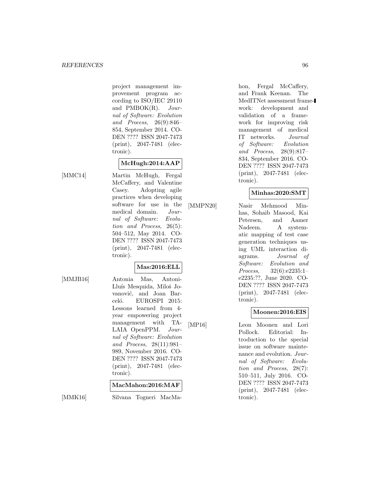project management improvement program according to ISO/IEC 29110 and PMBOK(R). Journal of Software: Evolution and Process, 26(9):846– 854, September 2014. CO-DEN ???? ISSN 2047-7473 (print), 2047-7481 (electronic).

# **McHugh:2014:AAP**

[MMC14] Martin McHugh, Fergal McCaffery, and Valentine Casey. Adopting agile practices when developing software for use in the medical domain. Journal of Software: Evolution and Process, 26(5): 504–512, May 2014. CO-DEN ???? ISSN 2047-7473 (print), 2047-7481 (electronic).

# **Mas:2016:ELL**

[MMJB16] Antonia Mas, Antoni-Lluís Mesquida, Miloš Jovanović, and Joan Barceló. EUROSPI 2015: Lessons learned from 4 year empowering project management with TA-LAIA OpenPPM. Journal of Software: Evolution and Process, 28(11):981– 989, November 2016. CO-DEN ???? ISSN 2047-7473 (print), 2047-7481 (electronic).

#### **MacMahon:2016:MAF**

[MMK16] Silvana Togneri MacMa-

hon, Fergal McCaffery, and Frank Keenan. The MedITNet assessment framework: development and validation of a framework for improving risk management of medical IT networks. Journal of Software: Evolution and Process, 28(9):817– 834, September 2016. CO-DEN ???? ISSN 2047-7473 (print), 2047-7481 (electronic).

## **Minhas:2020:SMT**

[MMPN20] Nasir Mehmood Minhas, Sohaib Masood, Kai Petersen, and Aamer Nadeem. A systematic mapping of test case generation techniques using UML interaction diagrams. Journal of Software: Evolution and Process, 32(6):e2235:1– e2235:??, June 2020. CO-DEN ???? ISSN 2047-7473 (print), 2047-7481 (electronic).

## **Moonen:2016:EIS**

[MP16] Leon Moonen and Lori Pollock. Editorial: Introduction to the special issue on software maintenance and evolution. Journal of Software: Evolution and Process, 28(7): 510–511, July 2016. CO-DEN ???? ISSN 2047-7473 (print), 2047-7481 (electronic).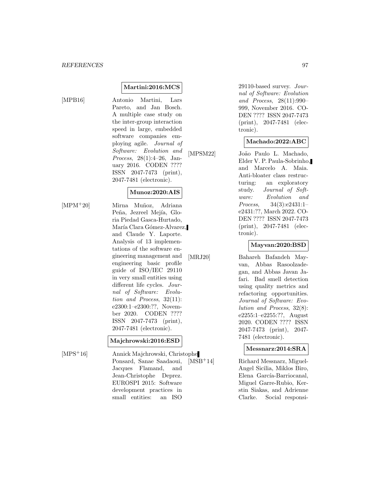#### **Martini:2016:MCS**

[MPB16] Antonio Martini, Lars Pareto, and Jan Bosch. A multiple case study on the inter-group interaction speed in large, embedded software companies employing agile. Journal of Software: Evolution and Process, 28(1):4–26, January 2016. CODEN ???? ISSN 2047-7473 (print), 2047-7481 (electronic).

#### **Munoz:2020:AIS**

[MPM<sup>+</sup>20] Mirna Muñoz, Adriana Peña, Jezreel Mejía, Gloria Piedad Gasca-Hurtado, María Clara Gómez-Alvarez, and Claude Y. Laporte. Analysis of 13 implementations of the software engineering management and engineering basic profile guide of ISO/IEC 29110 in very small entities using different life cycles. Journal of Software: Evolution and Process, 32(11): e2300:1–e2300:??, November 2020. CODEN ???? ISSN 2047-7473 (print), 2047-7481 (electronic).

#### **Majchrowski:2016:ESD**

[MPS<sup>+</sup>16] Annick Majchrowski, Christophe Ponsard, Sanae Saadaoui, Jacques Flamand, and Jean-Christophe Deprez. EUROSPI 2015: Software development practices in small entities: an ISO

29110-based survey. Journal of Software: Evolution and Process, 28(11):990– 999, November 2016. CO-DEN ???? ISSN 2047-7473 (print), 2047-7481 (electronic).

## **Machado:2022:ABC**

[MPSM22] João Paulo L. Machado, Elder V. P. Paula-Sobrinho, and Marcelo A. Maia. Anti-bloater class restructuring: an exploratory study. Journal of Software: Evolution and Process, 34(3):e2431:1– e2431:??, March 2022. CO-DEN ???? ISSN 2047-7473 (print), 2047-7481 (electronic).

## **Mayvan:2020:BSD**

[MRJ20] Bahareh Bafandeh Mayvan, Abbas Rasoolzadegan, and Abbas Javan Jafari. Bad smell detection using quality metrics and refactoring opportunities. Journal of Software: Evolution and Process, 32(8): e2255:1–e2255:??, August 2020. CODEN ???? ISSN 2047-7473 (print), 2047- 7481 (electronic).

#### **Messnarz:2014:SRA**

[MSB<sup>+</sup>14] Richard Messnarz, Miguel-Angel Sicilia, Miklos Biro, Elena García-Barriocanal, Miguel Garre-Rubio, Kerstin Siakas, and Adrienne Clarke. Social responsi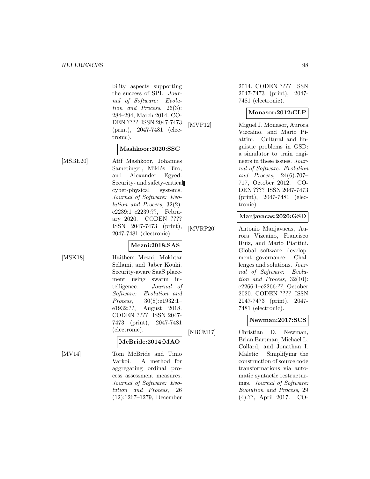bility aspects supporting the success of SPI. Journal of Software: Evolution and Process, 26(3): 284–294, March 2014. CO-DEN ???? ISSN 2047-7473 (print), 2047-7481 (electronic).

## **Mashkoor:2020:SSC**

[MSBE20] Atif Mashkoor, Johannes Sametinger, Miklós Biro, and Alexander Egyed. Security- and safety-critical cyber-physical systems. Journal of Software: Evolution and Process, 32(2): e2239:1–e2239:??, February 2020. CODEN ???? ISSN 2047-7473 (print), 2047-7481 (electronic).

## **Mezni:2018:SAS**

[MSK18] Haithem Mezni, Mokhtar Sellami, and Jaber Kouki. Security-aware SaaS placement using swarm intelligence. Journal of Software: Evolution and Process, 30(8):e1932:1– e1932:??, August 2018. CODEN ???? ISSN 2047- 7473 (print), 2047-7481 (electronic).

## **McBride:2014:MAO**

[MV14] Tom McBride and Timo Varkoi. A method for aggregating ordinal process assessment measures. Journal of Software: Evolution and Process, 26 (12):1267–1279, December

2014. CODEN ???? ISSN 2047-7473 (print), 2047- 7481 (electronic).

#### **Monasor:2012:CLP**

[MVP12] Miguel J. Monasor, Aurora Vizcaíno, and Mario Piattini. Cultural and linguistic problems in GSD: a simulator to train engineers in these issues. Journal of Software: Evolution and Process, 24(6):707– 717, October 2012. CO-DEN ???? ISSN 2047-7473 (print), 2047-7481 (electronic).

#### **Manjavacas:2020:GSD**

[MVRP20] Antonio Manjavacas, Aurora Vizcaíno, Francisco Ruiz, and Mario Piattini. Global software development governance: Challenges and solutions. Journal of Software: Evolution and Process, 32(10): e2266:1–e2266:??, October 2020. CODEN ???? ISSN 2047-7473 (print), 2047- 7481 (electronic).

# **Newman:2017:SCS**

[NBCM17] Christian D. Newman, Brian Bartman, Michael L. Collard, and Jonathan I. Maletic. Simplifying the construction of source code transformations via automatic syntactic restructurings. Journal of Software: Evolution and Process, 29 (4):??, April 2017. CO-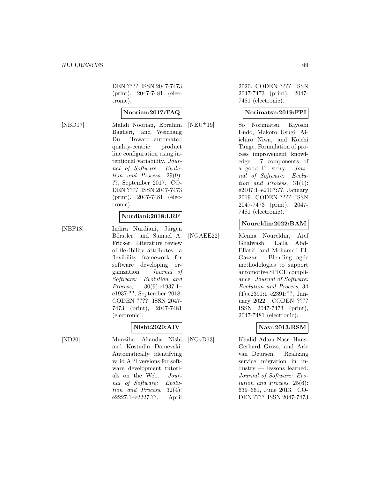DEN ???? ISSN 2047-7473 (print), 2047-7481 (electronic).

#### **Noorian:2017:TAQ**

[NBD17] Mahdi Noorian, Ebrahim Bagheri, and Weichang Du. Toward automated quality-centric product line configuration using intentional variability. Journal of Software: Evolution and Process, 29(9): ??, September 2017. CO-DEN ???? ISSN 2047-7473 (print), 2047-7481 (electronic).

#### **Nurdiani:2018:LRF**

[NBF18] Indira Nurdiani, Jürgen Börstler, and Samuel A. Fricker. Literature review of flexibility attributes: a flexibility framework for software developing organization. Journal of Software: Evolution and Process, 30(9):e1937:1– e1937:??, September 2018. CODEN ???? ISSN 2047- 7473 (print), 2047-7481 (electronic).

# **Nishi:2020:AIV**

[ND20] Manziba Akanda Nishi and Kostadin Damevski. Automatically identifying valid API versions for software development tutorials on the Web. Journal of Software: Evolution and Process, 32(4): e2227:1–e2227:??, April

2020. CODEN ???? ISSN 2047-7473 (print), 2047- 7481 (electronic).

#### **Norimatsu:2019:FPI**

[NEU<sup>+</sup>19] So Norimatsu, Kiyoshi Endo, Makoto Usugi, Aiichiro Niwa, and Koichi Tange. Formulation of process improvement knowledge: 7 components of a good PI story. Journal of Software: Evolution and Process, 31(1): e2107:1–e2107:??, January 2019. CODEN ???? ISSN 2047-7473 (print), 2047- 7481 (electronic).

#### **Noureldin:2022:BAM**

[NGAEE22] Menna Noureldin, Atef Ghalwash, Laila Abd-Ellatif, and Mohamed El-Gazzar. Blending agile methodologies to support automotive SPICE compliance. Journal of Software: Evolution and Process, 34 (1):e2391:1–e2391:??, January 2022. CODEN ???? ISSN 2047-7473 (print), 2047-7481 (electronic).

## **Nasr:2013:RSM**

[NGvD13] Khalid Adam Nasr, Hans-Gerhard Gross, and Arie van Deursen. Realizing service migration in industry — lessons learned. Journal of Software: Evolution and Process, 25(6): 639–661, June 2013. CO-DEN ???? ISSN 2047-7473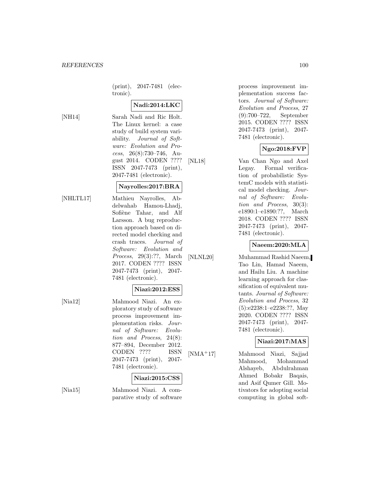(print), 2047-7481 (electronic).

# **Nadi:2014:LKC**

[NH14] Sarah Nadi and Ric Holt. The Linux kernel: a case study of build system variability. Journal of Software: Evolution and Process, 26(8):730–746, August 2014. CODEN ???? ISSN 2047-7473 (print), 2047-7481 (electronic).

#### **Nayrolles:2017:BRA**

- [NHLTL17] Mathieu Nayrolles, Abdelwahab Hamou-Lhadj, Sofiène Tahar, and Alf Larsson. A bug reproduction approach based on directed model checking and crash traces. Journal of Software: Evolution and Process, 29(3):??, March 2017. CODEN ???? ISSN 2047-7473 (print), 2047- 7481 (electronic).
	- **Niazi:2012:ESS**
- [Nia12] Mahmood Niazi. An exploratory study of software process improvement implementation risks. Journal of Software: Evolution and Process, 24(8): 877–894, December 2012. CODEN ???? ISSN 2047-7473 (print), 2047- 7481 (electronic).

#### **Niazi:2015:CSS**

[Nia15] Mahmood Niazi. A comparative study of software process improvement implementation success factors. Journal of Software: Evolution and Process, 27 (9):700–722, September 2015. CODEN ???? ISSN 2047-7473 (print), 2047- 7481 (electronic).

# **Ngo:2018:FVP**

[NL18] Van Chan Ngo and Axel Legay. Formal verification of probabilistic SystemC models with statistical model checking. Journal of Software: Evolution and Process, 30(3): e1890:1–e1890:??, March 2018. CODEN ???? ISSN 2047-7473 (print), 2047- 7481 (electronic).

#### **Naeem:2020:MLA**

[NLNL20] Muhammad Rashid Naeem, Tao Lin, Hamad Naeem, and Hailu Liu. A machine learning approach for classification of equivalent mutants. Journal of Software: Evolution and Process, 32 (5):e2238:1–e2238:??, May 2020. CODEN ???? ISSN 2047-7473 (print), 2047- 7481 (electronic).

## **Niazi:2017:MAS**

[NMA<sup>+</sup>17] Mahmood Niazi, Sajjad Mahmood, Mohammad Alshayeb, Abdulrahman Ahmed Bobakr Baqais, and Asif Qumer Gill. Motivators for adopting social computing in global soft-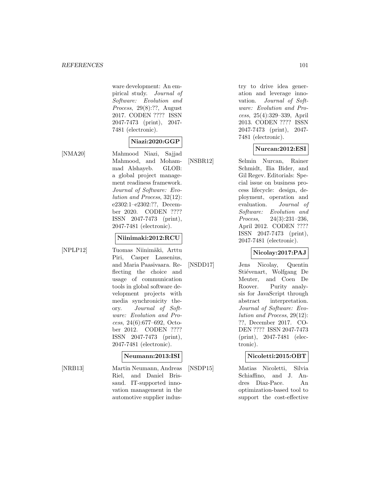ware development: An empirical study. Journal of Software: Evolution and Process, 29(8):??, August 2017. CODEN ???? ISSN 2047-7473 (print), 2047- 7481 (electronic).

# **Niazi:2020:GGP**

[NMA20] Mahmood Niazi, Sajjad Mahmood, and Mohammad Alshayeb. GLOB: a global project management readiness framework. Journal of Software: Evolution and Process, 32(12): e2302:1–e2302:??, December 2020. CODEN ???? ISSN 2047-7473 (print), 2047-7481 (electronic).

#### **Niinimaki:2012:RCU**

[NPLP12] Tuomas Niinimäki, Arttu Piri, Casper Lassenius, and Maria Paasivaara. Reflecting the choice and usage of communication tools in global software development projects with media synchronicity theory. Journal of Software: Evolution and Process, 24(6):677–692, October 2012. CODEN ???? ISSN 2047-7473 (print), 2047-7481 (electronic).

#### **Neumann:2013:ISI**

[NRB13] Martin Neumann, Andreas Riel, and Daniel Brissaud. IT-supported innovation management in the automotive supplier industry to drive idea generation and leverage innovation. Journal of Software: Evolution and Process, 25(4):329–339, April 2013. CODEN ???? ISSN 2047-7473 (print), 2047- 7481 (electronic).

## **Nurcan:2012:ESI**

[NSBR12] Selmin Nurcan, Rainer Schmidt, Ilia Bider, and Gil Regev. Editorials: Special issue on business process lifecycle: design, deployment, operation and evaluation. Journal of Software: Evolution and Process, 24(3):231–236, April 2012. CODEN ???? ISSN 2047-7473 (print), 2047-7481 (electronic).

# **Nicolay:2017:PAJ**

[NSDD17] Jens Nicolay, Quentin Stiévenart, Wolfgang De Meuter, and Coen De Roover. Purity analysis for JavaScript through abstract interpretation. Journal of Software: Evolution and Process, 29(12): ??, December 2017. CO-DEN ???? ISSN 2047-7473 (print), 2047-7481 (electronic).

## **Nicoletti:2015:OBT**

[NSDP15] Matias Nicoletti, Silvia Schiaffino, and J. Andres Diaz-Pace. An optimization-based tool to support the cost-effective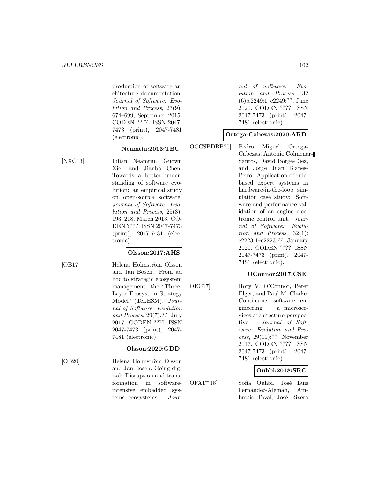production of software architecture documentation. Journal of Software: Evolution and Process, 27(9): 674–699, September 2015. CODEN ???? ISSN 2047- 7473 (print), 2047-7481 (electronic).

#### **Neamtiu:2013:TBU**

[NXC13] Iulian Neamtiu, Guowu Xie, and Jianbo Chen. Towards a better understanding of software evolution: an empirical study on open-source software. Journal of Software: Evolution and Process, 25(3): 193–218, March 2013. CO-DEN ???? ISSN 2047-7473 (print), 2047-7481 (electronic).

# **Olsson:2017:AHS**

[OB17] Helena Holmström Olsson and Jan Bosch. From ad hoc to strategic ecosystem management: the "Three-Layer Ecosystem Strategy Model" (TeLESM). Journal of Software: Evolution and Process, 29(7):??, July 2017. CODEN ???? ISSN 2047-7473 (print), 2047- 7481 (electronic).

# **Olsson:2020:GDD**

[OB20] Helena Holmström Olsson and Jan Bosch. Going digital: Disruption and transformation in softwareintensive embedded systems ecosystems. Jour-

nal of Software: Evolution and Process, 32 (6):e2249:1–e2249:??, June 2020. CODEN ???? ISSN 2047-7473 (print), 2047- 7481 (electronic).

#### **Ortega-Cabezas:2020:ARB**

[OCCSBDBP20] Pedro Miguel Ortega-Cabezas, Antonio Colmenar-Santos, David Borge-Diez, and Jorge Juan Blanes-Peiró. Application of rulebased expert systems in hardware-in-the-loop simulation case study: Software and performance validation of an engine electronic control unit. Journal of Software: Evolution and Process, 32(1): e2223:1–e2223:??, January 2020. CODEN ???? ISSN 2047-7473 (print), 2047- 7481 (electronic).

## **OConnor:2017:CSE**

[OEC17] Rory V. O'Connor, Peter Elger, and Paul M. Clarke. Continuous software engineering — a microservices architecture perspective. Journal of Software: Evolution and Process, 29(11):??, November 2017. CODEN ???? ISSN 2047-7473 (print), 2047- 7481 (electronic).

# **Ouhbi:2018:SRC**

[OFAT<sup>+</sup>18] Sofia Ouhbi, José Luis Fernández-Alemán, Ambrosio Toval, José Rivera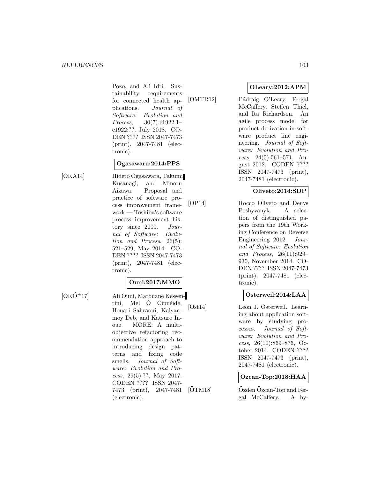Pozo, and Ali Idri. Sustainability requirements for connected health applications. Journal of Software: Evolution and Process, 30(7):e1922:1– e1922:??, July 2018. CO-DEN ???? ISSN 2047-7473 (print), 2047-7481 (electronic).

## **Ogasawara:2014:PPS**

[OKA14] Hideto Ogasawara, Takumi Kusanagi, and Minoru Aizawa. Proposal and practice of software process improvement framework — Toshiba's software process improvement history since 2000. Journal of Software: Evolution and Process, 26(5): 521–529, May 2014. CO-DEN ???? ISSN 2047-7473 (print), 2047-7481 (electronic).

## **Ouni:2017:MMO**

 $[OKO+17]$  Ali Ouni, Marouane Kessentini, Mel Ó Cinnéide, Houari Sahraoui, Kalyanmoy Deb, and Katsuro Inoue. MORE: A multiobjective refactoring recommendation approach to introducing design patterns and fixing code smells. Journal of Software: Evolution and Process, 29(5):??, May 2017. CODEN ???? ISSN 2047- 7473 (print), 2047-7481 (electronic).

# **OLeary:2012:APM**

[OMTR12] Pádraig O'Leary, Fergal McCaffery, Steffen Thiel, and Ita Richardson. An agile process model for product derivation in software product line engineering. Journal of Software: Evolution and Process, 24(5):561–571, August 2012. CODEN ???? ISSN 2047-7473 (print), 2047-7481 (electronic).

# **Oliveto:2014:SDP**

[OP14] Rocco Oliveto and Denys Poshyvanyk. A selection of distinguished papers from the 19th Working Conference on Reverse Engineering 2012. Journal of Software: Evolution and Process, 26(11):929– 930, November 2014. CO-DEN ???? ISSN 2047-7473 (print), 2047-7481 (electronic).

# **Osterweil:2014:LAA**

[Ost14] Leon J. Osterweil. Learning about application software by studying processes. Journal of Software: Evolution and Process,  $26(10):869-876$ , October 2014. CODEN ???? ISSN 2047-7473 (print), 2047-7481 (electronic).

## **Ozcan-Top:2018:HAA**

 $[ÖTM18]$   $Özden Özcan-Top$  and Fergal McCaffery. A hy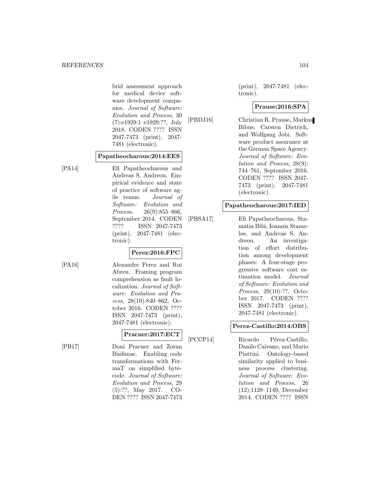brid assessment approach for medical device software development companies. Journal of Software: Evolution and Process, 30 (7):e1929:1–e1929:??, July 2018. CODEN ???? ISSN 2047-7473 (print), 2047- 7481 (electronic).

#### **Papatheocharous:2014:EES**

[PA14] Efi Papatheocharous and Andreas S. Andreou. Empirical evidence and state of practice of software agile teams. Journal of Software: Evolution and Process, 26(9):855–866, September 2014. CODEN ???? ISSN 2047-7473 (print), 2047-7481 (electronic).

# **Perez:2016:FPC**

[PA16] Alexandre Perez and Rui Abreu. Framing program comprehension as fault localization. Journal of Software: Evolution and Process, 28(10):840–862, October 2016. CODEN ???? ISSN 2047-7473 (print), 2047-7481 (electronic).

# **Pracner:2017:ECT**

[PB17] Doni Pracner and Zoran Budimac. Enabling code transformations with FermaT on simplified bytecode. Journal of Software: Evolution and Process, 29 (5):??, May 2017. CO-DEN ???? ISSN 2047-7473

(print), 2047-7481 (electronic).

# **Prause:2016:SPA**

[PBDJ16] Christian R. Prause, Markus Bibus, Carsten Dietrich, and Wolfgang Jobi. Software product assurance at the German Space Agency. Journal of Software: Evolution and Process, 28(9): 744–761, September 2016. CODEN ???? ISSN 2047- 7473 (print), 2047-7481 (electronic).

#### **Papatheocharous:2017:IED**

[PBSA17] Efi Papatheocharous, Stamatia Bibi, Ioannis Stamelos, and Andreas S. Andreou. An investigation of effort distribution among development phases: A four-stage progressive software cost estimation model. Journal of Software: Evolution and Process, 29(10):??, October 2017. CODEN ???? ISSN 2047-7473 (print), 2047-7481 (electronic).

# **Perez-Castillo:2014:OBS**

[PCCP14] Ricardo Pérez-Castillo, Danilo Caivano, and Mario Piattini. Ontology-based similarity applied to business process clustering. Journal of Software: Evolution and Process, 26 (12):1128–1149, December 2014. CODEN ???? ISSN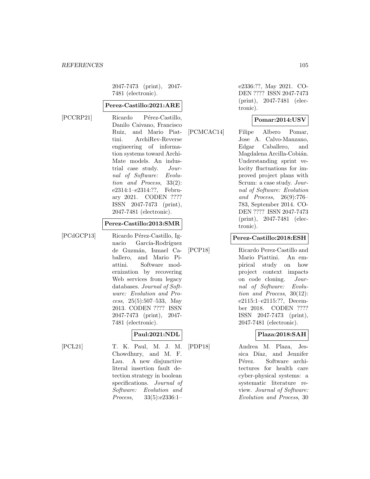2047-7473 (print), 2047- 7481 (electronic).

#### **Perez-Castillo:2021:ARE**

[PCCRP21] Ricardo Pérez-Castillo, Danilo Caivano, Francisco Ruiz, and Mario Piattini. ArchiRev-Reverse engineering of information systems toward Archi-Mate models. An industrial case study. Journal of Software: Evolution and Process, 33(2): e2314:1–e2314:??, February 2021. CODEN ???? ISSN 2047-7473 (print), 2047-7481 (electronic).

## **Perez-Castillo:2013:SMR**

[PCdGCP13] Ricardo Pérez-Castillo, Ignacio García-Rodríguez de Guzmán, Ismael Caballero, and Mario Piattini. Software modernization by recovering Web services from legacy databases. Journal of Software: Evolution and Process, 25(5):507–533, May 2013. CODEN ???? ISSN 2047-7473 (print), 2047- 7481 (electronic).

## **Paul:2021:NDL**

[PCL21] T. K. Paul, M. J. M. Chowdhury, and M. F. Lau. A new disjunctive literal insertion fault detection strategy in boolean specifications. Journal of Software: Evolution and Process, 33(5):e2336:1–

e2336:??, May 2021. CO-DEN ???? ISSN 2047-7473 (print), 2047-7481 (electronic).

## **Pomar:2014:USV**

[PCMCAC14] Filipe Albero Pomar, Jose A. Calvo-Manzano, Edgar Caballero, and Magdalena Arcilla-Cobián. Understanding sprint velocity fluctuations for improved project plans with Scrum: a case study. Journal of Software: Evolution and Process, 26(9):776– 783, September 2014. CO-DEN ???? ISSN 2047-7473 (print), 2047-7481 (electronic).

#### **Perez-Castillo:2018:ESH**

[PCP18] Ricardo Perez-Castillo and Mario Piattini. An empirical study on how project context impacts on code cloning. Journal of Software: Evolution and Process, 30(12): e2115:1–e2115:??, December 2018. CODEN ???? ISSN 2047-7473 (print), 2047-7481 (electronic).

## **Plaza:2018:SAH**

[PDP18] Andrea M. Plaza, Jessica Díaz, and Jennifer Pérez. Software architectures for health care cyber-physical systems: a systematic literature review. Journal of Software: Evolution and Process, 30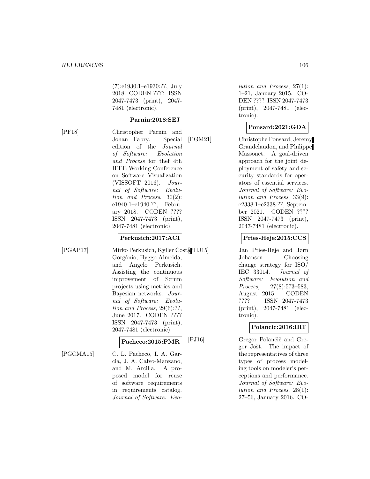(7):e1930:1–e1930:??, July 2018. CODEN ???? ISSN 2047-7473 (print), 2047- 7481 (electronic).

#### **Parnin:2018:SEJ**

[PF18] Christopher Parnin and Johan Fabry. Special edition of the Journal of Software: Evolution and Process for thef 4th IEEE Working Conference on Software Visualization (VISSOFT 2016). Journal of Software: Evolution and Process, 30(2): e1940:1–e1940:??, February 2018. CODEN ???? ISSN 2047-7473 (print), 2047-7481 (electronic).

# **Perkusich:2017:ACI**

[PGAP17] Mirko Perkusich, Kyller Costa Gorgônio, Hyggo Almeida, and Angelo Perkusich. Assisting the continuous improvement of Scrum projects using metrics and Bayesian networks. Journal of Software: Evolution and Process, 29(6):??, June 2017. CODEN ???? ISSN 2047-7473 (print), 2047-7481 (electronic).

# **Pacheco:2015:PMR**

[PGCMA15] C. L. Pacheco, I. A. Garcia, J. A. Calvo-Manzano, and M. Arcilla. A proposed model for reuse of software requirements in requirements catalog. Journal of Software: Evo-

lution and Process, 27(1): 1–21, January 2015. CO-DEN ???? ISSN 2047-7473 (print), 2047-7481 (electronic).

#### **Ponsard:2021:GDA**

[PGM21] Christophe Ponsard, Jeremy Grandclaudon, and Philippe Massonet. A goal-driven approach for the joint deployment of safety and security standards for operators of essential services. Journal of Software: Evolution and Process, 33(9): e2338:1–e2338:??, September 2021. CODEN ???? ISSN 2047-7473 (print), 2047-7481 (electronic).

#### **Pries-Heje:2015:CCS**

Jan Pries-Heje and Jørn Johansen. Choosing change strategy for ISO/ IEC 33014. Journal of Software: Evolution and Process, 27(8):573–583, August 2015. CODEN ???? ISSN 2047-7473 (print), 2047-7481 (electronic).

## **Polancic:2016:IRT**

[PJ16] Gregor Polančič and Gregor Jošt. The impact of the representatives of three types of process modeling tools on modeler's perceptions and performance. Journal of Software: Evolution and Process, 28(1): 27–56, January 2016. CO-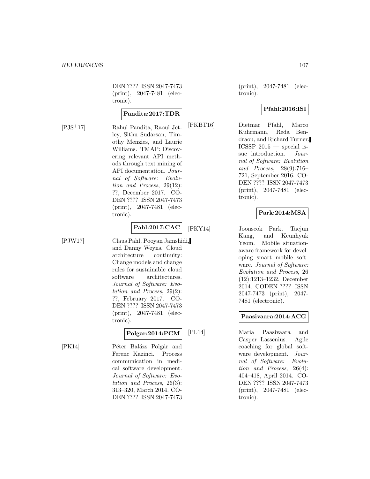DEN ???? ISSN 2047-7473 (print), 2047-7481 (electronic).

#### **Pandita:2017:TDR**

[PJS<sup>+</sup>17] Rahul Pandita, Raoul Jetley, Sithu Sudarsan, Timothy Menzies, and Laurie Williams. TMAP: Discovering relevant API methods through text mining of API documentation. Journal of Software: Evolution and Process, 29(12): ??, December 2017. CO-DEN ???? ISSN 2047-7473 (print), 2047-7481 (electronic).

# **Pahl:2017:CAC**

[PJW17] Claus Pahl, Pooyan Jamshidi, and Danny Weyns. Cloud architecture continuity: Change models and change rules for sustainable cloud software architectures. Journal of Software: Evolution and Process, 29(2): ??, February 2017. CO-DEN ???? ISSN 2047-7473 (print), 2047-7481 (electronic).

# **Polgar:2014:PCM**

[PK14] Péter Balázs Polgár and Ferenc Kazinci. Process communication in medical software development. Journal of Software: Evolution and Process, 26(3): 313–320, March 2014. CO-DEN ???? ISSN 2047-7473

(print), 2047-7481 (electronic).

# **Pfahl:2016:ISI**

[PKBT16] Dietmar Pfahl, Marco Kuhrmann, Reda Bendraou, and Richard Turner. ICSSP  $2015$  — special issue introduction. Journal of Software: Evolution and Process, 28(9):716– 721, September 2016. CO-DEN ???? ISSN 2047-7473 (print), 2047-7481 (electronic).

# **Park:2014:MSA**

[PKY14] Joonseok Park, Taejun Kang, and Keunhyuk Yeom. Mobile situationaware framework for developing smart mobile software. Journal of Software: Evolution and Process, 26 (12):1213–1232, December 2014. CODEN ???? ISSN 2047-7473 (print), 2047- 7481 (electronic).

## **Paasivaara:2014:ACG**

[PL14] Maria Paasivaara and Casper Lassenius. Agile coaching for global software development. Journal of Software: Evolution and Process, 26(4): 404–418, April 2014. CO-DEN ???? ISSN 2047-7473 (print), 2047-7481 (electronic).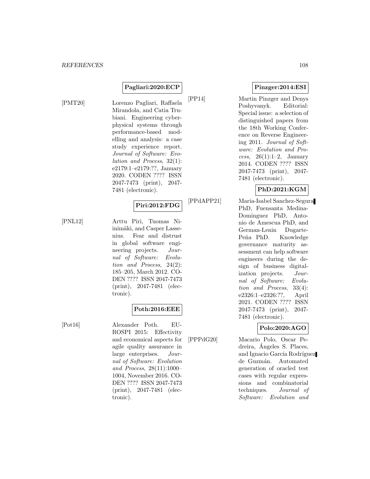# **Pagliari:2020:ECP**

[PMT20] Lorenzo Pagliari, Raffaela Mirandola, and Catia Trubiani. Engineering cyberphysical systems through performance-based modelling and analysis: a case study experience report. Journal of Software: Evolution and Process, 32(1): e2179:1–e2179:??, January 2020. CODEN ???? ISSN 2047-7473 (print), 2047- 7481 (electronic).

#### **Piri:2012:FDG**

[PNL12] Arttu Piri, Tuomas Niinimäki, and Casper Lassenius. Fear and distrust in global software engineering projects. Journal of Software: Evolution and Process, 24(2): 185–205, March 2012. CO-DEN ???? ISSN 2047-7473 (print), 2047-7481 (electronic).

## **Poth:2016:EEE**

[Pot16] Alexander Poth. EU-ROSPI 2015: Effectivity and economical aspects for agile quality assurance in large enterprises. Journal of Software: Evolution and Process, 28(11):1000– 1004, November 2016. CO-DEN ???? ISSN 2047-7473 (print), 2047-7481 (electronic).

**Pinzger:2014:ESI**

[PP14] Martin Pinzger and Denys Poshyvanyk. Editorial: Special issue: a selection of distinguished papers from the 18th Working Conference on Reverse Engineering 2011. Journal of Software: Evolution and Process,  $26(1):1-2$ , January 2014. CODEN ???? ISSN 2047-7473 (print), 2047- 7481 (electronic).

# **PhD:2021:KGM**

[PPdAPP21] Maria-Isabel Sanchez-Segura PhD, Fuensanta Medina-Dominguez PhD, Antonio de Amescua PhD, and German-Lenin Dugarte-Peña PhD. Knowledge governance maturity assessment can help software engineers during the design of business digitalization projects. Journal of Software: Evolution and Process, 33(4): e2326:1–e2326:??, April 2021. CODEN ???? ISSN 2047-7473 (print), 2047- 7481 (electronic).

## **Polo:2020:AGO**

[PPPdG20] Macario Polo, Oscar Pedreira, Angeles S. Places, ´ and Ignacio García Rodríguez de Guzmán. Automated generation of oracled test cases with regular expressions and combinatorial techniques. Journal of Software: Evolution and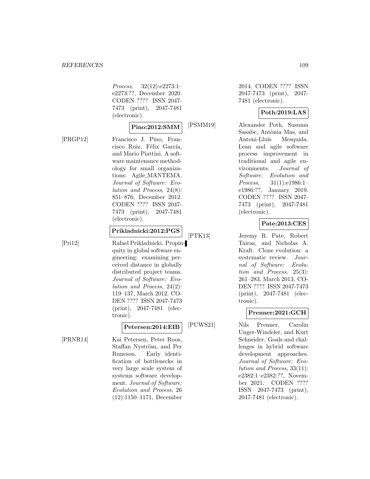Process, 32(12):e2273:1– e2273:??, December 2020. CODEN ???? ISSN 2047- 7473 (print), 2047-7481 (electronic).

#### **Pino:2012:SMM**

[PRGP12] Francisco J. Pino, Francisco Ruiz, Félix García, and Mario Piattini. A software maintenance methodology for small organizations: Agile MANTEMA. Journal of Software: Evolution and Process, 24(8): 851–876, December 2012. CODEN ???? ISSN 2047- 7473 (print), 2047-7481 (electronic).

## **Prikladnicki:2012:PGS**

[Pri12] Rafael Prikladnicki. Propinquity in global software engineering: examining perceived distance in globally distributed project teams. Journal of Software: Evolution and Process, 24(2): 119–137, March 2012. CO-DEN ???? ISSN 2047-7473 (print), 2047-7481 (electronic).

## **Petersen:2014:EIB**

[PRNR14] Kai Petersen, Peter Roos, Staffan Nyström, and Per Runeson. Early identification of bottlenecks in very large scale system of systems software development. Journal of Software: Evolution and Process, 26 (12):1150–1171, December 2014. CODEN ???? ISSN 2047-7473 (print), 2047- 7481 (electronic).

## **Poth:2019:LAS**

[PSMM19] Alexander Poth, Susumu Sasabe, Antònia Mas, and Antoni-Lluís Mesquida. Lean and agile software process improvement in traditional and agile environments. Journal of Software: Evolution and Process, 31(1):e1986:1– e1986:??, January 2019. CODEN ???? ISSN 2047- 7473 (print), 2047-7481 (electronic).

## **Pate:2013:CES**

[PTK13] Jeremy R. Pate, Robert Tairas, and Nicholas A. Kraft. Clone evolution: a systematic review. Journal of Software: Evolution and Process, 25(3): 261–283, March 2013. CO-DEN ???? ISSN 2047-7473 (print), 2047-7481 (electronic).

## **Prenner:2021:GCH**

[PUWS21] Nils Prenner, Carolin Unger-Windeler, and Kurt Schneider. Goals and challenges in hybrid software development approaches. Journal of Software: Evolution and Process, 33(11): e2382:1–e2382:??, November 2021. CODEN ???? ISSN 2047-7473 (print), 2047-7481 (electronic).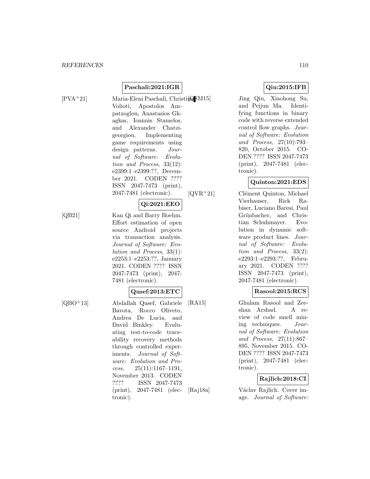## **Paschali:2021:IGR**

[PVA+21] Maria-Eleni Paschali, Christina M15] Volioti, Apostolos Ampatzoglou, Anastasios Gkagkas, Ioannis Stamelos, and Alexander Chatzigeorgiou. Implementing game requirements using design patterns. Journal of Software: Evolution and Process, 33(12): e2399:1–e2399:??, December 2021. CODEN ???? ISSN 2047-7473 (print), 2047-7481 (electronic).

#### **Qi:2021:EEO**

[QB21] Kan Qi and Barry Boehm. Effort estimation of open source Android projects via transaction analysis. Journal of Software: Evolution and Process, 33(1): e2253:1–e2253:??, January 2021. CODEN ???? ISSN 2047-7473 (print), 2047-

7481 (electronic).

#### **Qusef:2013:ETC**

[QBO<sup>+</sup>13] Abdallah Qusef, Gabriele Bavota, Rocco Oliveto, Andrea De Lucia, and David Binkley. Evaluating test-to-code traceability recovery methods through controlled experiments. Journal of Software: Evolution and Process, 25(11):1167–1191, November 2013. CODEN ???? ISSN 2047-7473 (print), 2047-7481 (electronic).

## **Qiu:2015:IFB**

Jing Qiu, Xiaohong Su, and Peijun Ma. Identifying functions in binary code with reverse extended control flow graphs. Journal of Software: Evolution and Process, 27(10):793– 820, October 2015. CO-DEN ???? ISSN 2047-7473 (print), 2047-7481 (electronic).

## **Quinton:2021:EDS**

 $[QVR^+21]$  Clément Quinton, Michael Vierhauser, Rick Rabiser, Luciano Baresi, Paul Grünbacher, and Christian Schuhmayer. Evolution in dynamic software product lines. *Jour*nal of Software: Evolution and Process, 33(2): e2293:1–e2293:??, February 2021. CODEN ???? ISSN 2047-7473 (print), 2047-7481 (electronic).

## **Rasool:2015:RCS**

[RA15] Ghulam Rasool and Zeeshan Arshad. A review of code smell mining techniques. Journal of Software: Evolution and Process, 27(11):867– 895, November 2015. CO-DEN ???? ISSN 2047-7473 (print), 2047-7481 (electronic).

## **Rajlich:2018:CI**

[Raj18a] Václav Rajlich. Cover image. Journal of Software: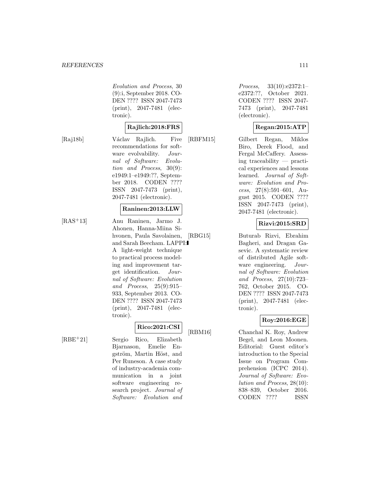Evolution and Process, 30 (9):i, September 2018. CO-DEN ???? ISSN 2047-7473 (print), 2047-7481 (electronic).

## **Rajlich:2018:FRS**

[Raj18b] Václav Rajlich. Five recommendations for software evolvability. Journal of Software: Evolution and Process, 30(9): e1949:1–e1949:??, September 2018. CODEN ???? ISSN 2047-7473 (print), 2047-7481 (electronic).

## **Raninen:2013:LLW**

[RAS<sup>+</sup>13] Anu Raninen, Jarmo J. Ahonen, Hanna-Miina Sihvonen, Paula Savolainen, and Sarah Beecham. LAPPI: A light-weight technique to practical process modeling and improvement target identification. Journal of Software: Evolution and Process, 25(9):915– 933, September 2013. CO-DEN ???? ISSN 2047-7473 (print), 2047-7481 (electronic).

## **Rico:2021:CSI**

[RBE<sup>+</sup>21] Sergio Rico, Elizabeth Bjarnason, Emelie Engström, Martin Höst, and Per Runeson. A case study of industry-academia communication in a joint software engineering research project. Journal of Software: Evolution and

Process, 33(10):e2372:1-<br>e2372:??, October 2021. October 2021. CODEN ???? ISSN 2047- 7473 (print), 2047-7481 (electronic).

#### **Regan:2015:ATP**

[RBFM15] Gilbert Regan, Miklos Biro, Derek Flood, and Fergal McCaffery. Assessing traceability — practical experiences and lessons learned. Journal of Software: Evolution and Process, 27(8):591–601, August 2015. CODEN ???? ISSN 2047-7473 (print), 2047-7481 (electronic).

## **Rizvi:2015:SRD**

[RBG15] Buturab Rizvi, Ebrahim Bagheri, and Dragan Gasevic. A systematic review of distributed Agile software engineering. Journal of Software: Evolution and Process, 27(10):723– 762, October 2015. CO-DEN ???? ISSN 2047-7473 (print), 2047-7481 (electronic).

## **Roy:2016:EGE**

[RBM16] Chanchal K. Roy, Andrew Begel, and Leon Moonen. Editorial: Guest editor's introduction to the Special Issue on Program Comprehension (ICPC 2014). Journal of Software: Evolution and Process, 28(10): 838–839, October 2016. CODEN ???? ISSN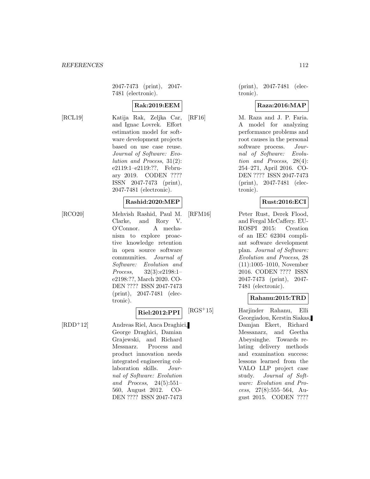2047-7473 (print), 2047- 7481 (electronic).

## **Rak:2019:EEM**

[RCL19] Katija Rak, Zeljka Car, and Ignac Lovrek. Effort estimation model for software development projects based on use case reuse. Journal of Software: Evolution and Process, 31(2): e2119:1–e2119:??, February 2019. CODEN ???? ISSN 2047-7473 (print), 2047-7481 (electronic).

#### **Rashid:2020:MEP**

[RCO20] Mehvish Rashid, Paul M. Clarke, and Rory V. O'Connor. A mechanism to explore proactive knowledge retention in open source software communities. Journal of Software: Evolution and Process, 32(3):e2198:1– e2198:??, March 2020. CO-DEN ???? ISSN 2047-7473 (print), 2047-7481 (electronic).

#### **Riel:2012:PPI**

[RDD<sup>+</sup>12] Andreas Riel, Anca Draghici, George Draghici, Damian Grajewski, and Richard Messnarz. Process and product innovation needs integrated engineering collaboration skills. Journal of Software: Evolution and Process, 24(5):551– 560, August 2012. CO-DEN ???? ISSN 2047-7473

(print), 2047-7481 (electronic).

#### **Raza:2016:MAP**

[RF16] M. Raza and J. P. Faria. A model for analyzing performance problems and root causes in the personal software process. Journal of Software: Evolution and Process, 28(4): 254–271, April 2016. CO-DEN ???? ISSN 2047-7473 (print), 2047-7481 (electronic).

#### **Rust:2016:ECI**

[RFM16] Peter Rust, Derek Flood, and Fergal McCaffery. EU-ROSPI 2015: Creation of an IEC 62304 compliant software development plan. Journal of Software: Evolution and Process, 28 (11):1005–1010, November 2016. CODEN ???? ISSN 2047-7473 (print), 2047- 7481 (electronic).

#### **Rahanu:2015:TRD**

[RGS<sup>+</sup>15] Harjinder Rahanu, Elli Georgiadou, Kerstin Siakas, Damjan Ekert, Richard Messanarz, and Geetha Abeysinghe. Towards relating delivery methods and examination success: lessons learned from the VALO LLP project case study. Journal of Software: Evolution and Process, 27(8):555–564, August 2015. CODEN ????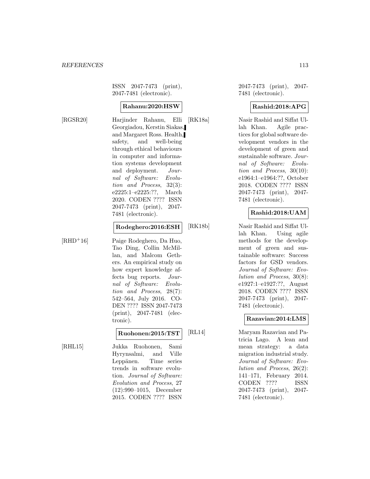ISSN 2047-7473 (print), 2047-7481 (electronic).

#### **Rahanu:2020:HSW**

[RGSR20] Harjinder Rahanu, Elli Georgiadou, Kerstin Siakas, and Margaret Ross. Health, safety, and well-being through ethical behaviours in computer and information systems development and deployment. Journal of Software: Evolution and Process, 32(3): e2225:1–e2225:??, March 2020. CODEN ???? ISSN 2047-7473 (print), 2047- 7481 (electronic).

#### **Rodeghero:2016:ESH**

[RHD<sup>+</sup>16] Paige Rodeghero, Da Huo, Tao Ding, Collin McMillan, and Malcom Gethers. An empirical study on how expert knowledge affects bug reports. Journal of Software: Evolution and Process, 28(7): 542–564, July 2016. CO-DEN ???? ISSN 2047-7473 (print), 2047-7481 (electronic).

#### **Ruohonen:2015:TST**

[RHL15] Jukka Ruohonen, Sami Hyrynsalmi, and Ville Leppänen. Time series trends in software evolution. Journal of Software: Evolution and Process, 27 (12):990–1015, December 2015. CODEN ???? ISSN

2047-7473 (print), 2047- 7481 (electronic).

## **Rashid:2018:APG**

[RK18a] Nasir Rashid and Siffat Ullah Khan. Agile practices for global software development vendors in the development of green and sustainable software. Journal of Software: Evolution and Process, 30(10): e1964:1–e1964:??, October 2018. CODEN ???? ISSN 2047-7473 (print), 2047- 7481 (electronic).

## **Rashid:2018:UAM**

[RK18b] Nasir Rashid and Siffat Ullah Khan. Using agile methods for the development of green and sustainable software: Success factors for GSD vendors. Journal of Software: Evolution and Process, 30(8): e1927:1–e1927:??, August 2018. CODEN ???? ISSN 2047-7473 (print), 2047- 7481 (electronic).

#### **Razavian:2014:LMS**

[RL14] Maryam Razavian and Patricia Lago. A lean and mean strategy: a data migration industrial study. Journal of Software: Evolution and Process, 26(2): 141–171, February 2014. CODEN ???? ISSN 2047-7473 (print), 2047- 7481 (electronic).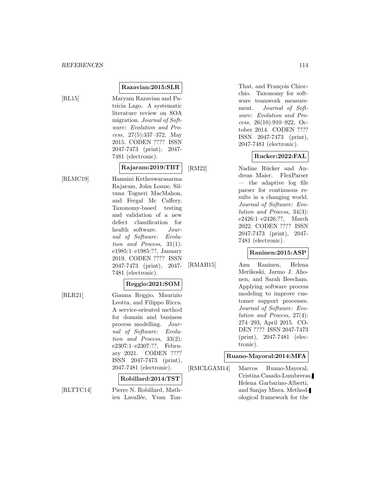**Razavian:2015:SLR**

[RL15] Maryam Razavian and Patricia Lago. A systematic literature review on SOA migration. Journal of Software: Evolution and Process, 27(5):337–372, May 2015. CODEN ???? ISSN 2047-7473 (print), 2047- 7481 (electronic).

## **Rajaram:2019:TBT**

[RLMC19] Hamsini Ketheswarasarma Rajaram, John Loane, Silvana Togneri MacMahon, and Fergal Mc Caffery. Taxonomy-based testing and validation of a new defect classification for health software. Journal of Software: Evolution and Process, 31(1): e1985:1–e1985:??, January 2019. CODEN ???? ISSN 2047-7473 (print), 2047- 7481 (electronic).

# **Reggio:2021:SOM**

[RLR21] Gianna Reggio, Maurizio Leotta, and Filippo Ricca. A service-oriented method for domain and business process modelling. Journal of Software: Evolution and Process, 33(2): e2307:1–e2307:??, February 2021. CODEN ???? ISSN 2047-7473 (print), 2047-7481 (electronic).

#### **Robillard:2014:TST**

[RLTTC14] Pierre N. Robillard, Mathieu Lavallée, Yvan TonThat, and François Chiocchio. Taxonomy for software teamwork measurement. Journal of Software: Evolution and Process, 26(10):910–922, October 2014. CODEN ???? ISSN 2047-7473 (print), 2047-7481 (electronic).

#### **Rucker:2022:FAL**

[RM22] Nadine Rücker and Andreas Maier. FlexParser — the adaptive log file parser for continuous results in a changing world. Journal of Software: Evolution and Process, 34(3): e2426:1–e2426:??, March 2022. CODEN ???? ISSN 2047-7473 (print), 2047- 7481 (electronic).

## **Raninen:2015:ASP**

[RMAB15] Anu Raninen, Helena Merikoski, Jarmo J. Ahonen, and Sarah Beecham. Applying software process modeling to improve customer support processes. Journal of Software: Evolution and Process, 27(4): 274–293, April 2015. CO-DEN ???? ISSN 2047-7473 (print), 2047-7481 (electronic).

#### **Ruano-Mayoral:2014:MFA**

[RMCLGAM14] Marcos Ruano-Mayoral, Cristina Casado-Lumbreras, Helena Garbarino-Alberti, and Sanjay Misra. Methodological framework for the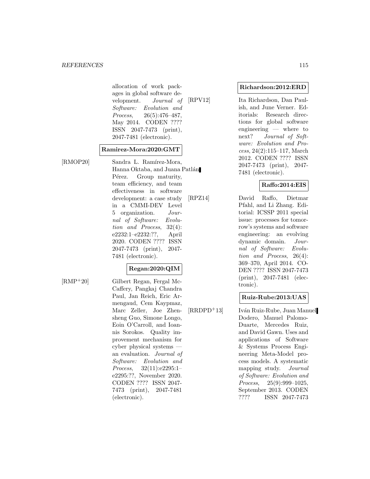allocation of work packages in global software development. Journal of Software: Evolution and Process, 26(5):476–487, May 2014. CODEN ???? ISSN 2047-7473 (print), 2047-7481 (electronic).

#### **Ramirez-Mora:2020:GMT**

[RMOP20] Sandra L. Ramírez-Mora, Hanna Oktaba, and Juana Patlán Pérez. Group maturity, team efficiency, and team effectiveness in software development: a case study in a CMMI-DEV Level 5 organization. Journal of Software: Evolution and Process, 32(4): e2232:1–e2232:??, April 2020. CODEN ???? ISSN 2047-7473 (print), 2047- 7481 (electronic).

## **Regan:2020:QIM**

[RMP<sup>+</sup>20] Gilbert Regan, Fergal Mc-Caffery, Pangkaj Chandra Paul, Jan Reich, Eric Armengaud, Cem Kaypmaz, Marc Zeller, Joe Zhensheng Guo, Simone Longo, Eoin O'Carroll, and Ioannis Sorokos. Quality improvement mechanism for cyber physical systems an evaluation. Journal of Software: Evolution and Process, 32(11):e2295:1– e2295:??, November 2020. CODEN ???? ISSN 2047- 7473 (print), 2047-7481 (electronic).

**Richardson:2012:ERD**

[RPV12] Ita Richardson, Dan Paulish, and June Verner. Editorials: Research directions for global software engineering — where to next? Journal of Software: Evolution and Process, 24(2):115–117, March 2012. CODEN ???? ISSN 2047-7473 (print), 2047- 7481 (electronic).

## **Raffo:2014:EIS**

[RPZ14] David Raffo, Dietmar Pfahl, and Li Zhang. Editorial: ICSSP 2011 special issue: processes for tomorrow's systems and software engineering: an evolving dynamic domain. Journal of Software: Evolution and Process, 26(4): 369–370, April 2014. CO-DEN ???? ISSN 2047-7473 (print), 2047-7481 (electronic).

## **Ruiz-Rube:2013:UAS**

[RRDPD<sup>+</sup>13] Iván Ruiz-Rube, Juan Manuel Dodero, Manuel Palomo-Duarte, Mercedes Ruiz, and David Gawn. Uses and applications of Software & Systems Process Engineering Meta-Model process models. A systematic mapping study. Journal of Software: Evolution and Process, 25(9):999-1025, September 2013. CODEN ???? ISSN 2047-7473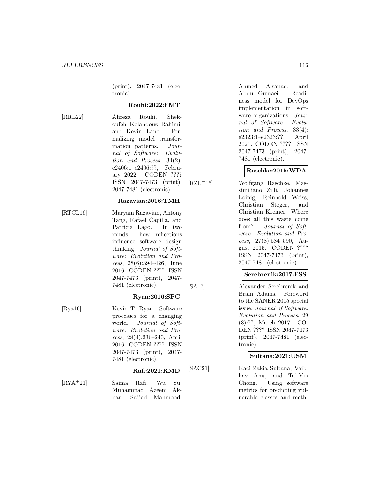(print), 2047-7481 (electronic).

#### **Rouhi:2022:FMT**

[RRL22] Alireza Rouhi, Shekoufeh Kolahdouz Rahimi, and Kevin Lano. Formalizing model transformation patterns. Journal of Software: Evolution and Process, 34(2): e2406:1–e2406:??, February 2022. CODEN ???? ISSN 2047-7473 (print), 2047-7481 (electronic).

#### **Razavian:2016:TMH**

[RTCL16] Maryam Razavian, Antony Tang, Rafael Capilla, and Patricia Lago. In two minds: how reflections influence software design thinking. Journal of Software: Evolution and Process, 28(6):394–426, June 2016. CODEN ???? ISSN 2047-7473 (print), 2047- 7481 (electronic).

#### **Ryan:2016:SPC**

[Rya16] Kevin T. Ryan. Software processes for a changing world. Journal of Software: Evolution and Process, 28(4):236–240, April 2016. CODEN ???? ISSN 2047-7473 (print), 2047- 7481 (electronic).

## **Rafi:2021:RMD**

[RYA<sup>+</sup>21] Saima Rafi, Wu Yu, Muhammad Azeem Akbar, Sajjad Mahmood, Ahmed Alsanad, and Abdu Gumaei. Readiness model for DevOps implementation in software organizations. Journal of Software: Evolution and Process, 33(4): e2323:1–e2323:??, April 2021. CODEN ???? ISSN 2047-7473 (print), 2047- 7481 (electronic).

#### **Raschke:2015:WDA**

[RZL<sup>+</sup>15] Wolfgang Raschke, Massimiliano Zilli, Johannes Loinig, Reinhold Weiss, Christian Steger, and Christian Kreiner. Where does all this waste come from? Journal of Software: Evolution and Process,  $27(8):584-590$ , August 2015. CODEN ???? ISSN 2047-7473 (print), 2047-7481 (electronic).

#### **Serebrenik:2017:FSS**

[SA17] Alexander Serebrenik and Bram Adams. Foreword to the SANER 2015 special issue. Journal of Software: Evolution and Process, 29 (3):??, March 2017. CO-DEN ???? ISSN 2047-7473 (print), 2047-7481 (electronic).

#### **Sultana:2021:USM**

[SAC21] Kazi Zakia Sultana, Vaibhav Anu, and Tai-Yin Chong. Using software metrics for predicting vulnerable classes and meth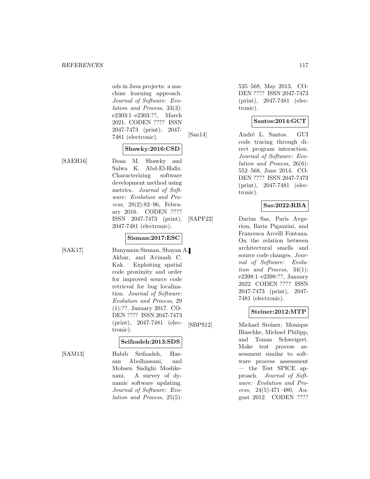ods in Java projects: a machine learning approach. Journal of Software: Evolution and Process, 33(3): e2303:1–e2303:??, March 2021. CODEN ???? ISSN 2047-7473 (print), 2047- 7481 (electronic).

## **Shawky:2016:CSD**

[SAEH16] Doaa M. Shawky and Salwa K. Abd-El-Hafiz. Characterizing software development method using metrics. Journal of Software: Evolution and Process, 28(2):82–96, February 2016. CODEN ???? ISSN 2047-7473 (print), 2047-7481 (electronic).

#### **Sisman:2017:ESC**

[SAK17] Bunyamin Sisman, Shayan A. Akbar, and Avinash C. Kak. Exploiting spatial code proximity and order for improved source code retrieval for bug localization. Journal of Software: Evolution and Process, 29 (1):??, January 2017. CO-DEN ???? ISSN 2047-7473 (print), 2047-7481 (electronic).

#### **Seifzadeh:2013:SDS**

[SAM13] Habib Seifzadeh, Hassan Abolhassani, and Mohsen Sadighi Moshkenani. A survey of dynamic software updating. Journal of Software: Evolution and Process, 25(5): 535–568, May 2013. CO-DEN ???? ISSN 2047-7473 (print), 2047-7481 (electronic).

## **Santos:2014:GCT**

[San14] André L. Santos. GUI code tracing through direct program interaction. Journal of Software: Evolution and Process, 26(6): 552–568, June 2014. CO-DEN ???? ISSN 2047-7473 (print), 2047-7481 (electronic).

#### **Sas:2022:RBA**

[SAPF22] Darius Sas, Paris Avgeriou, Ilaria Pigazzini, and Francesca Arcelli Fontana. On the relation between architectural smells and source code changes. Journal of Software: Evolution and Process, 34(1): e2398:1–e2398:??, January 2022. CODEN ???? ISSN 2047-7473 (print), 2047- 7481 (electronic).

## **Steiner:2012:MTP**

[SBPS12] Michael Steiner, Monique Blaschke, Michael Philipp, and Tomas Schweigert. Make test process assessment similar to software process assessment — the Test SPICE approach. Journal of Software: Evolution and Process, 24(5):471–480, August 2012. CODEN ????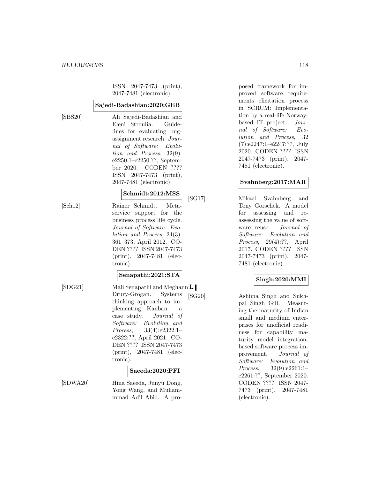ISSN 2047-7473 (print), 2047-7481 (electronic).

#### **Sajedi-Badashian:2020:GEB**

[SBS20] Ali Sajedi-Badashian and Eleni Stroulia. Guidelines for evaluating bugassignment research. Journal of Software: Evolution and Process, 32(9): e2250:1–e2250:??, September 2020. CODEN ???? ISSN 2047-7473 (print), 2047-7481 (electronic).

#### **Schmidt:2012:MSS**

[Sch12] Rainer Schmidt. Meta-

service support for the business process life cycle. Journal of Software: Evolution and Process, 24(3): 361–373, April 2012. CO-DEN ???? ISSN 2047-7473 (print), 2047-7481 (electronic).

#### **Senapathi:2021:STA**

- 
- [SDG21] Mali Senapathi and Meghann L. Drury-Grogan. Systems thinking approach to implementing Kanban: a case study. Journal of Software: Evolution and Process, 33(4):e2322:1– e2322:??, April 2021. CO-DEN ???? ISSN 2047-7473 (print), 2047-7481 (electronic).

#### **Saeeda:2020:PFI**

[SDWA20] Hina Saeeda, Junyu Dong, Yong Wang, and Muhammmad Adil Abid. A proposed framework for improved software requirements elicitation process in SCRUM: Implementation by a real-life Norwaybased IT project. Journal of Software: Evolution and Process, 32 (7):e2247:1–e2247:??, July 2020. CODEN ???? ISSN 2047-7473 (print), 2047- 7481 (electronic).

#### **Svahnberg:2017:MAR**

[SG17] Mikael Svahnberg and Tony Gorschek. A model for assessing and reassessing the value of software reuse. Journal of Software: Evolution and Process, 29(4):??, April 2017. CODEN ???? ISSN 2047-7473 (print), 2047- 7481 (electronic).

## **Singh:2020:MMI**

[SG20] Ashima Singh and Sukhpal Singh Gill. Measuring the maturity of Indian small and medium enterprises for unofficial readiness for capability maturity model integrationbased software process improvement. Journal of Software: Evolution and Process, 32(9):e2261:1– e2261:??, September 2020. CODEN ???? ISSN 2047- 7473 (print), 2047-7481 (electronic).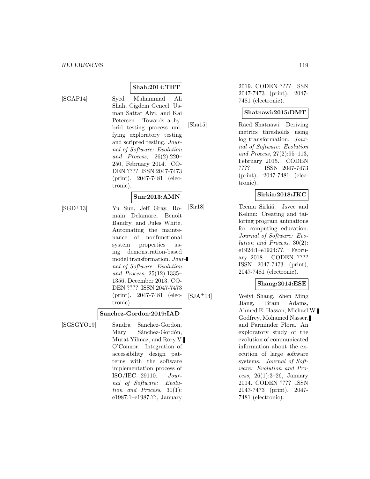$[SGAP14]$ 

| Syed Muhammad Ali            |
|------------------------------|
| Shah, Cigdem Gencel, Us-     |
| man Sattar Alvi, and Kai     |
| Petersen. Towards a hy-      |
| brid testing process uni-    |
| fying exploratory testing    |
| and scripted testing. Jour-  |
| nal of Software: Evolution   |
| and Process, $26(2):220-$    |
| 250, February 2014. CO-      |
| DEN ???? ISSN 2047-7473      |
| $(print)$ , 2047-7481 (elec- |
| tronic).                     |
|                              |

**Shah:2014:THT**

## **Sun:2013:AMN**

[SGD<sup>+</sup>13] Yu Sun, Jeff Gray, Romain Delamare, Benoit Baudry, and Jules White. Automating the maintenance of nonfunctional system properties using demonstration-based model transformation. Journal of Software: Evolution and Process, 25(12):1335– 1356, December 2013. CO-DEN ???? ISSN 2047-7473 (print), 2047-7481 (electronic).

## **Sanchez-Gordon:2019:IAD**

[SGSGYO19] Sandra Sanchez-Gordon, Mary Sánchez-Gordón, Murat Yilmaz, and Rory V. O'Connor. Integration of accessibility design patterns with the software implementation process of ISO/IEC 29110. Journal of Software: Evolution and Process, 31(1): e1987:1–e1987:??, January

2019. CODEN ???? ISSN 2047-7473 (print), 2047- 7481 (electronic).

## **Shatnawi:2015:DMT**

[Sha15] Raed Shatnawi. Deriving metrics thresholds using log transformation. Journal of Software: Evolution and Process, 27(2):95–113, February 2015. CODEN ???? ISSN 2047-7473 (print), 2047-7481 (electronic).

#### **Sirkia:2018:JKC**

[Sir18] Teemu Sirkiä. Jsvee and Kelmu: Creating and tailoring program animations for computing education. Journal of Software: Evolution and Process, 30(2): e1924:1–e1924:??, February 2018. CODEN ???? ISSN 2047-7473 (print), 2047-7481 (electronic).

## **Shang:2014:ESE**

[SJA<sup>+</sup>14] Weiyi Shang, Zhen Ming Jiang, Bram Adams, Ahmed E. Hassan, Michael W. Godfrey, Mohamed Nasser, and Parminder Flora. An exploratory study of the evolution of communicated information about the execution of large software systems. Journal of Software: Evolution and Process,  $26(1):3-26$ , January 2014. CODEN ???? ISSN 2047-7473 (print), 2047- 7481 (electronic).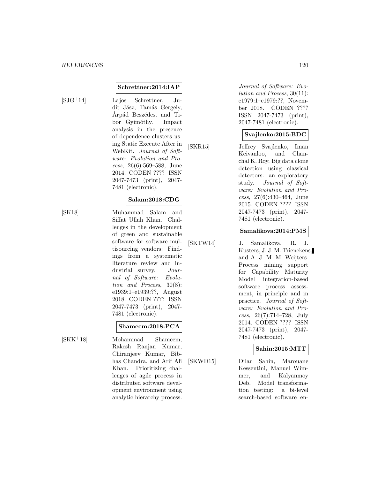#### **Schrettner:2014:IAP**

[SJG<sup>+</sup>14] Lajos Schrettner, Judit Jász, Tamás Gergely, Arpád Beszédes, and Tibor Gyimóthy. Impact analysis in the presence of dependence clusters using Static Execute After in WebKit. Journal of Software: Evolution and Process, 26(6):569–588, June 2014. CODEN ???? ISSN 2047-7473 (print), 2047- 7481 (electronic).

## **Salam:2018:CDG**

[SK18] Muhammad Salam and Siffat Ullah Khan. Challenges in the development of green and sustainable software for software multisourcing vendors: Findings from a systematic literature review and industrial survey. Journal of Software: Evolution and Process, 30(8): e1939:1–e1939:??, August 2018. CODEN ???? ISSN 2047-7473 (print), 2047- 7481 (electronic).

#### **Shameem:2018:PCA**

[SKK<sup>+</sup>18] Mohammad Shameem, Rakesh Ranjan Kumar, Chiranjeev Kumar, Bibhas Chandra, and Arif Ali Khan. Prioritizing challenges of agile process in distributed software development environment using analytic hierarchy process.

Journal of Software: Evolution and Process, 30(11): e1979:1–e1979:??, November 2018. CODEN ???? ISSN 2047-7473 (print), 2047-7481 (electronic).

#### **Svajlenko:2015:BDC**

[SKR15] Jeffrey Svajlenko, Iman Keivanloo, and Chanchal K. Roy. Big data clone detection using classical detectors: an exploratory study. Journal of Software: Evolution and Process, 27(6):430–464, June 2015. CODEN ???? ISSN 2047-7473 (print), 2047- 7481 (electronic).

#### **Samalikova:2014:PMS**

[SKTW14] J. Samalikova, R. J. Kusters, J. J. M. Trienekens, and A. J. M. M. Weijters. Process mining support for Capability Maturity Model integration-based software process assessment, in principle and in practice. Journal of Software: Evolution and Process, 26(7):714–728, July 2014. CODEN ???? ISSN 2047-7473 (print), 2047- 7481 (electronic).

#### **Sahin:2015:MTT**

[SKWD15] Dilan Sahin, Marouane Kessentini, Manuel Wimmer, and Kalyanmoy Deb. Model transformation testing: a bi-level search-based software en-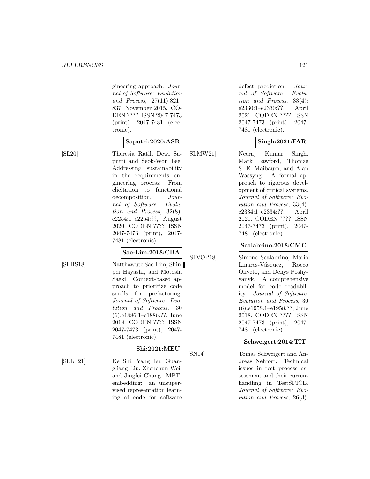gineering approach. Journal of Software: Evolution and Process, 27(11):821– 837, November 2015. CO-DEN ???? ISSN 2047-7473 (print), 2047-7481 (electronic).

## **Saputri:2020:ASR**

[SL20] Theresia Ratih Dewi Saputri and Seok-Won Lee. Addressing sustainability in the requirements engineering process: From elicitation to functional decomposition. Journal of Software: Evolution and Process, 32(8): e2254:1–e2254:??, August 2020. CODEN ???? ISSN 2047-7473 (print), 2047- 7481 (electronic).

# **Sae-Lim:2018:CBA**

[SLHS18] Natthawute Sae-Lim, Shinpei Hayashi, and Motoshi Saeki. Context-based approach to prioritize code smells for prefactoring. Journal of Software: Evolution and Process, 30 (6):e1886:1–e1886:??, June 2018. CODEN ???? ISSN 2047-7473 (print), 2047- 7481 (electronic).

## **Shi:2021:MEU**

[SLL<sup>+</sup>21] Ke Shi, Yang Lu, Guangliang Liu, Zhenchun Wei, and Jingfei Chang. MPTembedding: an unsupervised representation learning of code for software defect prediction. Journal of Software: Evolution and Process, 33(4): e2330:1–e2330:??, April 2021. CODEN ???? ISSN 2047-7473 (print), 2047- 7481 (electronic).

## **Singh:2021:FAR**

[SLMW21] Neeraj Kumar Singh, Mark Lawford, Thomas S. E. Maibaum, and Alan Wassyng. A formal approach to rigorous development of critical systems. Journal of Software: Evolution and Process, 33(4): e2334:1–e2334:??, April 2021. CODEN ???? ISSN 2047-7473 (print), 2047- 7481 (electronic).

#### **Scalabrino:2018:CMC**

[SLVOP18] Simone Scalabrino, Mario Linares-Vásquez, Rocco Oliveto, and Denys Poshyvanyk. A comprehensive model for code readability. Journal of Software: Evolution and Process, 30 (6):e1958:1–e1958:??, June 2018. CODEN ???? ISSN 2047-7473 (print), 2047- 7481 (electronic).

## **Schweigert:2014:TIT**

[SN14] Tomas Schweigert and Andreas Nehfort. Technical issues in test process assessment and their current handling in TestSPICE. Journal of Software: Evolution and Process, 26(3):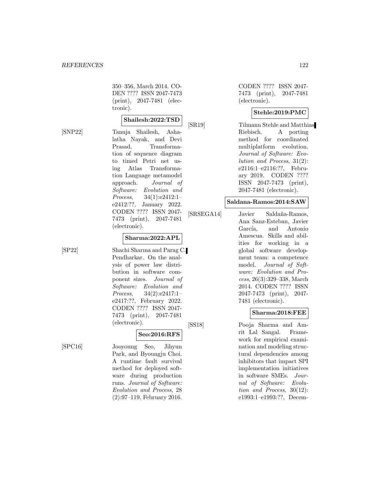350–356, March 2014. CO-DEN ???? ISSN 2047-7473 (print), 2047-7481 (electronic).

#### **Shailesh:2022:TSD**

[SNP22] Tanuja Shailesh, Ashalatha Nayak, and Devi Prasad. Transformation of sequence diagram to timed Petri net using Atlas Transformation Language metamodel approach. Journal of Software: Evolution and Process, 34(1):e2412:1– e2412:??, January 2022. CODEN ???? ISSN 2047- 7473 (print), 2047-7481 (electronic).

#### **Sharma:2022:APL**

[SP22] Shachi Sharma and Parag C. Pendharkar. On the analysis of power law distribution in software component sizes. Journal of Software: Evolution and Process, 34(2):e2417:1– e2417:??, February 2022. CODEN ???? ISSN 2047- 7473 (print), 2047-7481 (electronic).

#### **Seo:2016:RFS**

[SPC16] Jooyoung Seo, Jihyun Park, and Byoungju Choi. A runtime fault survival method for deployed software during production runs. Journal of Software: Evolution and Process, 28 (2):97–119, February 2016.

CODEN ???? ISSN 2047- 7473 (print), 2047-7481 (electronic).

## **Stehle:2019:PMC**

[SR19] Tilmann Stehle and Matthias Riebisch. A porting method for coordinated multiplatform evolution. Journal of Software: Evolution and Process, 31(2): e2116:1–e2116:??, February 2019. CODEN ???? ISSN 2047-7473 (print), 2047-7481 (electronic).

#### **Saldana-Ramos:2014:SAW**

[SRSEGA14] Javier Saldaña-Ramos, Ana Sanz-Esteban, Javier García, and Antonio Amescua. Skills and abilities for working in a global software development team: a competence model. Journal of Software: Evolution and Process, 26(3):329–338, March 2014. CODEN ???? ISSN 2047-7473 (print), 2047- 7481 (electronic).

#### **Sharma:2018:FEE**

[SS18] Pooja Sharma and Amrit Lal Sangal. Framework for empirical examination and modeling structural dependencies among inhibitors that impact SPI implementation initiatives in software SMEs. Journal of Software: Evolution and Process, 30(12): e1993:1–e1993:??, Decem-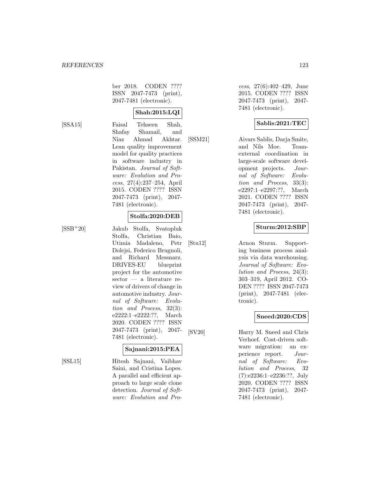ber 2018. CODEN ???? ISSN 2047-7473 (print), 2047-7481 (electronic).

## **Shah:2015:LQI**

[SSA15] Faisal Tehseen Shah, Shafay Shamail, and Niaz Ahmad Akhtar. Lean quality improvement model for quality practices in software industry in Pakistan. Journal of Software: Evolution and Process, 27(4):237–254, April 2015. CODEN ???? ISSN 2047-7473 (print), 2047- 7481 (electronic).

## **Stolfa:2020:DEB**

[SSB<sup>+</sup>20] Jakub Stolfa, Svatopluk Stolfa, Christian Baio, Utimia Madaleno, Petr Dolejsi, Federico Brugnoli, and Richard Messnarz. DRIVES-EU blueprint project for the automotive sector — a literature review of drivers of change in automotive industry. Journal of Software: Evolution and Process, 32(3): e2222:1–e2222:??, March 2020. CODEN ???? ISSN 2047-7473 (print), 2047- 7481 (electronic).

## **Sajnani:2015:PEA**

[SSL15] Hitesh Sajnani, Vaibhav Saini, and Cristina Lopes. A parallel and efficient approach to large scale clone detection. Journal of Software: Evolution and Pro-

cess, 27(6):402–429, June 2015. CODEN ???? ISSN 2047-7473 (print), 2047- 7481 (electronic).

## **Sablis:2021:TEC**

[SSM21] Aivars Sablis, Darja Smite, and Nils Moe. Teamexternal coordination in large-scale software development projects. Journal of Software: Evolution and Process, 33(3): e2297:1–e2297:??, March 2021. CODEN ???? ISSN 2047-7473 (print), 2047- 7481 (electronic).

#### **Sturm:2012:SBP**

[Stu12] Arnon Sturm. Supporting business process analysis via data warehousing. Journal of Software: Evolution and Process, 24(3): 303–319, April 2012. CO-DEN ???? ISSN 2047-7473 (print), 2047-7481 (electronic).

## **Sneed:2020:CDS**

[SV20] Harry M. Sneed and Chris Verhoef. Cost-driven software migration: an experience report. Journal of Software: Evolution and Process, 32 (7):e2236:1–e2236:??, July 2020. CODEN ???? ISSN 2047-7473 (print), 2047- 7481 (electronic).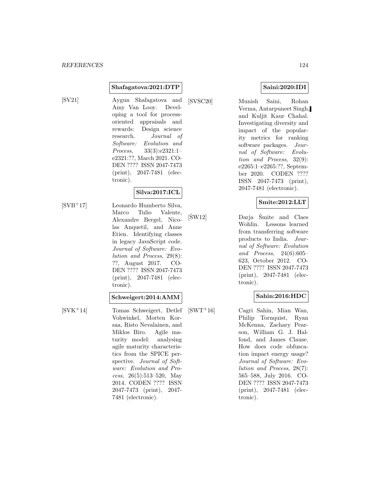#### **Shafagatova:2021:DTP**

[SV21] Aygun Shafagatova and Amy Van Looy. Developing a tool for processoriented appraisals and rewards: Design science research. Journal of Software: Evolution and Process, 33(3):e2321:1– e2321:??, March 2021. CO-DEN ???? ISSN 2047-7473 (print), 2047-7481 (electronic).

## **Silva:2017:ICL**

[SVB<sup>+</sup>17] Leonardo Humberto Silva, Marco Tulio Valente, Alexandre Bergel, Nicolas Anquetil, and Anne Etien. Identifying classes in legacy JavaScript code. Journal of Software: Evolution and Process, 29(8): ??, August 2017. CO-DEN ???? ISSN 2047-7473 (print), 2047-7481 (electronic).

#### **Schweigert:2014:AMM**

[SVK<sup>+</sup>14] Tomas Schweigert, Detlef Vohwinkel, Morten Korsaa, Risto Nevalainen, and Miklos Biro. Agile maturity model: analysing agile maturity characteristics from the SPICE perspective. Journal of Software: Evolution and Process, 26(5):513–520, May 2014. CODEN ???? ISSN 2047-7473 (print), 2047- 7481 (electronic).

**Saini:2020:IDI**

[SVSC20] Munish Saini, Rohan Verma, Antarpuneet Singh, and Kuljit Kaur Chahal. Investigating diversity and impact of the popularity metrics for ranking software packages. Journal of Software: Evolution and Process, 32(9): e2265:1–e2265:??, September 2020. CODEN ???? ISSN 2047-7473 (print), 2047-7481 (electronic).

## **Smite:2012:LLT**

 $[SW12]$  Darja  $\overline{S}$ mite and Claes Wohlin. Lessons learned from transferring software products to India. Journal of Software: Evolution and Process, 24(6):605– 623, October 2012. CO-DEN ???? ISSN 2047-7473 (print), 2047-7481 (electronic).

## **Sahin:2016:HDC**

[SWT<sup>+</sup>16] Cagri Sahin, Mian Wan, Philip Tornquist, Ryan McKenna, Zachary Pearson, William G. J. Halfond, and James Clause. How does code obfuscation impact energy usage? Journal of Software: Evolution and Process, 28(7): 565–588, July 2016. CO-DEN ???? ISSN 2047-7473 (print), 2047-7481 (electronic).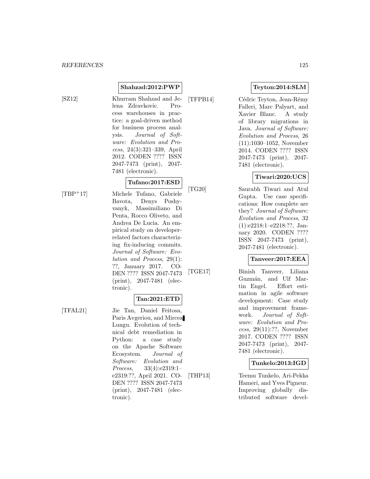## **Shahzad:2012:PWP**

[SZ12] Khurram Shahzad and Jelena Zdravkovic. Process warehouses in practice: a goal-driven method for business process analysis. Journal of Software: Evolution and Process, 24(3):321–339, April 2012. CODEN ???? ISSN 2047-7473 (print), 2047-

## 7481 (electronic). **Tufano:2017:ESD**

[TBP<sup>+</sup>17] Michele Tufano, Gabriele Bavota, Denys Poshyvanyk, Massimiliano Di Penta, Rocco Oliveto, and Andrea De Lucia. An empirical study on developerrelated factors characterizing fix-inducing commits. Journal of Software: Evolution and Process, 29(1): ??, January 2017. CO-DEN ???? ISSN 2047-7473 (print), 2047-7481 (electronic).

## **Tan:2021:ETD**

[TFAL21] Jie Tan, Daniel Feitosa, Paris Avgeriou, and Mircea Lungu. Evolution of technical debt remediation in Python: a case study on the Apache Software Ecosystem. Journal of Software: Evolution and Process, 33(4):e2319:1– e2319:??, April 2021. CO-DEN ???? ISSN 2047-7473 (print), 2047-7481 (electronic).

## **Teyton:2014:SLM**

[TFPB14] Cédric Teyton, Jean-Rémy Falleri, Marc Palyart, and Xavier Blanc. A study of library migrations in Java. Journal of Software: Evolution and Process, 26 (11):1030–1052, November 2014. CODEN ???? ISSN 2047-7473 (print), 2047- 7481 (electronic).

#### **Tiwari:2020:UCS**

[TG20] Saurabh Tiwari and Atul Gupta. Use case specifications: How complete are they? Journal of Software: Evolution and Process, 32 (1):e2218:1–e2218:??, January 2020. CODEN ???? ISSN 2047-7473 (print), 2047-7481 (electronic).

## **Tanveer:2017:EEA**

[TGE17] Binish Tanveer, Liliana Guzmán, and Ulf Martin Engel. Effort estimation in agile software development: Case study and improvement framework. Journal of Software: Evolution and Process, 29(11):??, November 2017. CODEN ???? ISSN 2047-7473 (print), 2047- 7481 (electronic).

#### **Tunkelo:2013:IGD**

[THP13] Teemu Tunkelo, Ari-Pekka Hameri, and Yves Pigneur. Improving globally distributed software devel-

- 
- 
- 

- 
-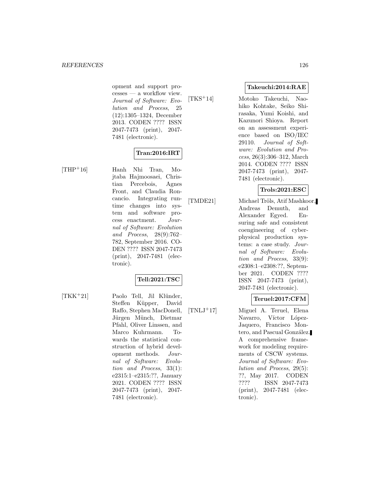opment and support processes — a workflow view. Journal of Software: Evolution and Process, 25 (12):1305–1324, December 2013. CODEN ???? ISSN 2047-7473 (print), 2047- 7481 (electronic).

## **Tran:2016:IRT**

[THP<sup>+</sup>16] Hanh Nhi Tran, Mojtaba Hajmoosaei, Christian Percebois, Agnes Front, and Claudia Roncancio. Integrating runtime changes into system and software process enactment. Journal of Software: Evolution and Process, 28(9):762– 782, September 2016. CO-DEN ???? ISSN 2047-7473 (print), 2047-7481 (electronic).

## **Tell:2021:TSC**

[TKK<sup>+</sup>21] Paolo Tell, Jil Klünder, Steffen Küpper, David Raffo, Stephen MacDonell, Jürgen Münch, Dietmar Pfahl, Oliver Linssen, and Marco Kuhrmann. Towards the statistical construction of hybrid development methods. Journal of Software: Evolution and Process, 33(1): e2315:1–e2315:??, January 2021. CODEN ???? ISSN 2047-7473 (print), 2047- 7481 (electronic).

**Takeuchi:2014:RAE**

[TKS<sup>+</sup>14] Motoko Takeuchi, Naohiko Kohtake, Seiko Shirasaka, Yumi Koishi, and Kazunori Shioya. Report on an assessment experience based on ISO/IEC 29110. Journal of Software: Evolution and Process, 26(3):306–312, March 2014. CODEN ???? ISSN 2047-7473 (print), 2047- 7481 (electronic).

## **Trols:2021:ESC**

[TMDE21] Michael Tröls, Atif Mashkoor, Andreas Demuth, and Alexander Egyed. Ensuring safe and consistent coengineering of cyberphysical production systems: a case study. Journal of Software: Evolution and Process, 33(9): e2308:1–e2308:??, September 2021. CODEN ???? ISSN 2047-7473 (print), 2047-7481 (electronic).

## **Teruel:2017:CFM**

[TNLJ<sup>+</sup>17] Miguel A. Teruel, Elena Navarro, Víctor López-Jaquero, Francisco Montero, and Pascual González. A comprehensive framework for modeling requirements of CSCW systems. Journal of Software: Evolution and Process, 29(5): ??, May 2017. CODEN ???? ISSN 2047-7473 (print), 2047-7481 (electronic).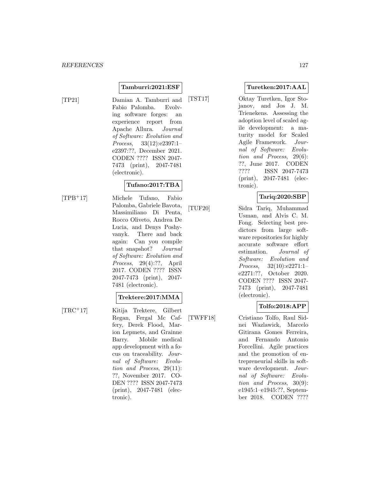#### **Tamburri:2021:ESF**

[TP21] Damian A. Tamburri and Fabio Palomba. Evolving software forges: an experience report from Apache Allura. Journal of Software: Evolution and Process, 33(12):e2397:1– e2397:??, December 2021. CODEN ???? ISSN 2047- 7473 (print), 2047-7481 (electronic).

## **Tufano:2017:TBA**

[TPB<sup>+</sup>17] Michele Tufano, Fabio Palomba, Gabriele Bavota, Massimiliano Di Penta, Rocco Oliveto, Andrea De Lucia, and Denys Poshyvanyk. There and back again: Can you compile that snapshot? Journal of Software: Evolution and Process, 29(4):??, April 2017. CODEN ???? ISSN 2047-7473 (print), 2047- 7481 (electronic).

#### **Trektere:2017:MMA**

[TRC<sup>+</sup>17] Kitija Trektere, Gilbert Regan, Fergal Mc Caffery, Derek Flood, Marion Lepmets, and Grainne Barry. Mobile medical app development with a focus on traceability. Journal of Software: Evolution and Process, 29(11): ??, November 2017. CO-DEN ???? ISSN 2047-7473 (print), 2047-7481 (electronic).

#### **Turetken:2017:AAL**

[TST17] Oktay Turetken, Igor Stojanov, and Jos J. M. Trienekens. Assessing the adoption level of scaled agile development: a maturity model for Scaled Agile Framework. Journal of Software: Evolution and Process, 29(6): ??, June 2017. CODEN ???? ISSN 2047-7473 (print), 2047-7481 (electronic).

## **Tariq:2020:SBP**

[TUF20] Sidra Tariq, Muhammad Usman, and Alvis C. M. Fong. Selecting best predictors from large software repositories for highly accurate software effort estimation. Journal of Software: Evolution and Process, 32(10):e2271:1– e2271:??, October 2020. CODEN ???? ISSN 2047- 7473 (print), 2047-7481 (electronic).

## **Tolfo:2018:APP**

[TWFF18] Cristiano Tolfo, Raul Sidnei Wazlawick, Marcelo Gitirana Gomes Ferreira, and Fernando Antonio Forcellini. Agile practices and the promotion of entrepreneurial skills in software development. Journal of Software: Evolution and Process, 30(9): e1945:1–e1945:??, September 2018. CODEN ????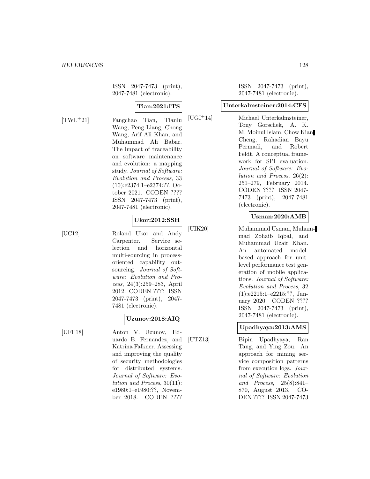ISSN 2047-7473 (print), 2047-7481 (electronic).

## **Tian:2021:ITS**

[TWL<sup>+</sup>21] Fangchao Tian, Tianlu Wang, Peng Liang, Chong Wang, Arif Ali Khan, and Muhammad Ali Babar. The impact of traceability on software maintenance and evolution: a mapping study. Journal of Software: Evolution and Process, 33 (10):e2374:1–e2374:??, October 2021. CODEN ???? ISSN 2047-7473 (print), 2047-7481 (electronic).

#### **Ukor:2012:SSH**

[UC12] Roland Ukor and Andy Carpenter. Service selection and horizontal multi-sourcing in processoriented capability outsourcing. *Journal of Soft*ware: Evolution and Process, 24(3):259–283, April 2012. CODEN ???? ISSN 2047-7473 (print), 2047- 7481 (electronic).

# **Uzunov:2018:AIQ**

[UFF18] Anton V. Uzunov, Eduardo B. Fernandez, and Katrina Falkner. Assessing and improving the quality of security methodologies for distributed systems. Journal of Software: Evolution and Process, 30(11): e1980:1–e1980:??, November 2018. CODEN ????

ISSN 2047-7473 (print), 2047-7481 (electronic).

#### **Unterkalmsteiner:2014:CFS**

[UGI<sup>+</sup>14] Michael Unterkalmsteiner, Tony Gorschek, A. K. M. Moinul Islam, Chow Kian Cheng, Rahadian Bayu Permadi, and Robert Feldt. A conceptual framework for SPI evaluation. Journal of Software: Evolution and Process, 26(2): 251–279, February 2014. CODEN ???? ISSN 2047- 7473 (print), 2047-7481 (electronic).

## **Usman:2020:AMB**

[UIK20] Muhammad Usman, Muhammad Zohaib Iqbal, and Muhammad Uzair Khan. An automated modelbased approach for unitlevel performance test generation of mobile applications. Journal of Software: Evolution and Process, 32 (1):e2215:1–e2215:??, January 2020. CODEN ???? ISSN 2047-7473 (print), 2047-7481 (electronic).

## **Upadhyaya:2013:AMS**

[UTZ13] Bipin Upadhyaya, Ran Tang, and Ying Zou. An approach for mining service composition patterns from execution logs. Journal of Software: Evolution and Process, 25(8):841– 870, August 2013. CO-DEN ???? ISSN 2047-7473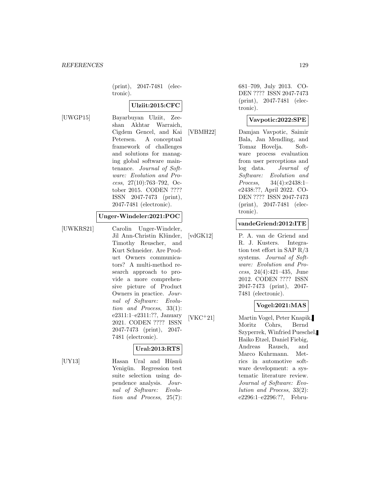(print), 2047-7481 (electronic).

## **Ulziit:2015:CFC**

[UWGP15] Bayarbuyan Ulziit, Zeeshan Akhtar Warraich, Cigdem Gencel, and Kai Petersen. A conceptual framework of challenges and solutions for managing global software maintenance. Journal of Software: Evolution and Process, 27(10):763–792, October 2015. CODEN ???? ISSN 2047-7473 (print), 2047-7481 (electronic).

#### **Unger-Windeler:2021:POC**

[UWKRS21] Carolin Unger-Windeler, Jil Ann-Christin Klünder, Timothy Reuscher, and Kurt Schneider. Are Product Owners communicators? A multi-method research approach to provide a more comprehensive picture of Product Owners in practice. Journal of Software: Evolution and Process, 33(1): e2311:1–e2311:??, January 2021. CODEN ???? ISSN 2047-7473 (print), 2047- 7481 (electronic).

## **Ural:2013:RTS**

[UY13] Hasan Ural and Hüsnü Yenigün. Regression test suite selection using dependence analysis. Journal of Software: Evolution and Process, 25(7):

681–709, July 2013. CO-DEN ???? ISSN 2047-7473 (print), 2047-7481 (electronic).

#### **Vavpotic:2022:SPE**

[VBMH22] Damjan Vavpotic, Saimir Bala, Jan Mendling, and Tomaz Hovelja. Software process evaluation from user perceptions and log data. Journal of Software: Evolution and Process, 34(4):e2438:1– e2438:??, April 2022. CO-DEN ???? ISSN 2047-7473 (print), 2047-7481 (electronic).

#### **vandeGriend:2012:ITE**

[vdGK12] P. A. van de Griend and R. J. Kusters. Integration test effort in SAP R/3 systems. Journal of Software: Evolution and Process, 24(4):421–435, June 2012. CODEN ???? ISSN 2047-7473 (print), 2047- 7481 (electronic).

#### **Vogel:2021:MAS**

[VKC<sup>+</sup>21] Martin Vogel, Peter Knapik, Moritz Cohrs, Bernd Szyperrek, Winfried Pueschel, Haiko Etzel, Daniel Fiebig, Andreas Rausch, and Marco Kuhrmann. Metrics in automotive software development: a systematic literature review. Journal of Software: Evolution and Process, 33(2): e2296:1–e2296:??, Febru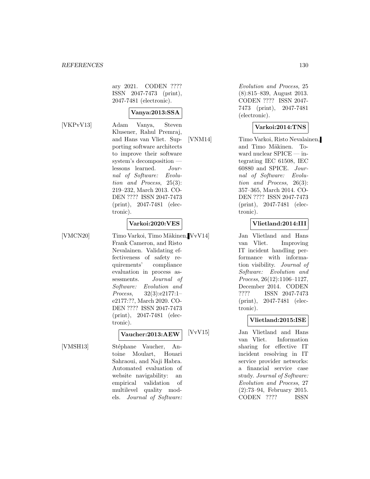ary 2021. CODEN ???? ISSN 2047-7473 (print), 2047-7481 (electronic).

## **Vanya:2013:SSA**

[VKPvV13] Adam Vanya, Steven Klusener, Rahul Premraj, and Hans van Vliet. Supporting software architects to improve their software system's decomposition lessons learned. Journal of Software: Evolution and Process, 25(3): 219–232, March 2013. CO-DEN ???? ISSN 2047-7473 (print), 2047-7481 (electronic).

#### **Varkoi:2020:VES**

[VMCN20] Timo Varkoi, Timo Mäkinen, VvV14] Frank Cameron, and Risto Nevalainen. Validating effectiveness of safety requirements' compliance evaluation in process assessments. Journal of Software: Evolution and Process, 32(3):e2177:1– e2177:??, March 2020. CO-DEN ???? ISSN 2047-7473 (print), 2047-7481 (electronic).

## **Vaucher:2013:AEW**

[VMSH13] Stéphane Vaucher, Antoine Moulart, Houari Sahraoui, and Naji Habra. Automated evaluation of website navigability: an empirical validation of multilevel quality models. Journal of Software:

Evolution and Process, 25 (8):815–839, August 2013. CODEN ???? ISSN 2047- 7473 (print), 2047-7481 (electronic).

#### **Varkoi:2014:TNS**

[VNM14] Timo Varkoi, Risto Nevalainen, and Timo Mäkinen. Toward nuclear SPICE — integrating IEC 61508, IEC 60880 and SPICE. Journal of Software: Evolution and Process, 26(3): 357–365, March 2014. CO-DEN ???? ISSN 2047-7473 (print), 2047-7481 (electronic).

#### **Vlietland:2014:III**

Jan Vlietland and Hans van Vliet. Improving IT incident handling performance with information visibility. Journal of Software: Evolution and Process, 26(12):1106–1127, December 2014. CODEN ???? ISSN 2047-7473 (print), 2047-7481 (electronic).

## **Vlietland:2015:ISE**

[VvV15] Jan Vlietland and Hans van Vliet. Information sharing for effective IT incident resolving in IT service provider networks: a financial service case study. Journal of Software: Evolution and Process, 27 (2):73–94, February 2015. CODEN ???? ISSN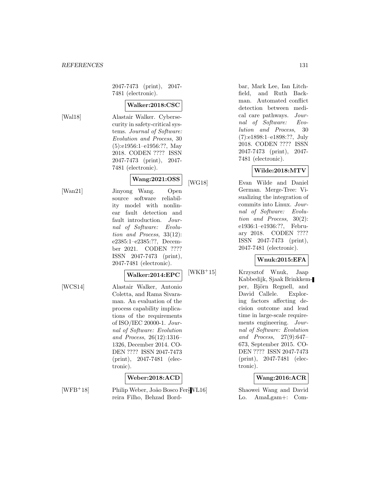2047-7473 (print), 2047- 7481 (electronic).

## **Walker:2018:CSC**

[Wal18] Alastair Walker. Cybersecurity in safety-critical systems. Journal of Software: Evolution and Process, 30 (5):e1956:1–e1956:??, May 2018. CODEN ???? ISSN 2047-7473 (print), 2047- 7481 (electronic).

## **Wang:2021:OSS**

[Wan21] Jinyong Wang. Open source software reliability model with nonlinear fault detection and fault introduction. Journal of Software: Evolution and Process, 33(12): e2385:1–e2385:??, December 2021. CODEN ???? ISSN 2047-7473 (print), 2047-7481 (electronic).

## **Walker:2014:EPC**

[WCS14] Alastair Walker, Antonio Coletta, and Rama Sivaraman. An evaluation of the process capability implications of the requirements of ISO/IEC 20000-1. Journal of Software: Evolution and Process, 26(12):1316– 1326, December 2014. CO-DEN ???? ISSN 2047-7473 (print), 2047-7481 (electronic).

## **Weber:2018:ACD**

[WFB<sup>+</sup>18] Philip Weber, João Bosco Fer-*[WL16]* reira Filho, Behzad Bordbar, Mark Lee, Ian Litchfield, and Ruth Backman. Automated conflict detection between medical care pathways. Journal of Software: Evolution and Process, 30 (7):e1898:1–e1898:??, July 2018. CODEN ???? ISSN 2047-7473 (print), 2047- 7481 (electronic).

## **Wilde:2018:MTV**

[WG18] Evan Wilde and Daniel German. Merge-Tree: Visualizing the integration of commits into Linux. Journal of Software: Evolution and Process, 30(2): e1936:1–e1936:??, February 2018. CODEN ???? ISSN 2047-7473 (print), 2047-7481 (electronic).

## **Wnuk:2015:EFA**

[WKB<sup>+</sup>15] Krzysztof Wnuk, Jaap Kabbedijk, Sjaak Brinkkemper, Björn Regnell, and David Callele. Exploring factors affecting decision outcome and lead time in large-scale requirements engineering. Journal of Software: Evolution and Process, 27(9):647– 673, September 2015. CO-DEN ???? ISSN 2047-7473 (print), 2047-7481 (electronic).

#### **Wang:2016:ACR**

Shaowei Wang and David Lo. AmaLgam+: Com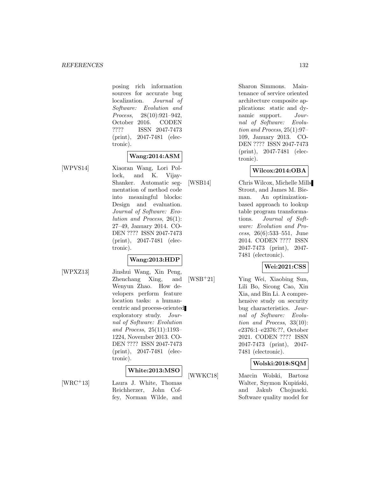posing rich information sources for accurate bug localization. Journal of Software: Evolution and Process, 28(10):921–942, October 2016. CODEN ???? ISSN 2047-7473 (print), 2047-7481 (electronic).

## **Wang:2014:ASM**

[WPVS14] Xiaoran Wang, Lori Pollock, and K. Vijay-Shanker. Automatic segmentation of method code into meaningful blocks: Design and evaluation. Journal of Software: Evolution and Process, 26(1): 27–49, January 2014. CO-DEN ???? ISSN 2047-7473 (print), 2047-7481 (electronic).

## **Wang:2013:HDP**

[WPXZ13] Jinshui Wang, Xin Peng, Zhenchang Xing, and Wenyun Zhao. How developers perform feature location tasks: a humancentric and process-oriented exploratory study. Journal of Software: Evolution and Process, 25(11):1193– 1224, November 2013. CO-DEN ???? ISSN 2047-7473 (print), 2047-7481 (electronic).

#### **White:2013:MSO**

[WRC<sup>+</sup>13] Laura J. White, Thomas Reichherzer, John Coffey, Norman Wilde, and

Sharon Simmons. Maintenance of service oriented architecture composite applications: static and dynamic support. Journal of Software: Evolution and Process, 25(1):97– 109, January 2013. CO-DEN ???? ISSN 2047-7473 (print), 2047-7481 (electronic).

## **Wilcox:2014:OBA**

[WSB14] Chris Wilcox, Michelle Mills Strout, and James M. Bieman. An optimizationbased approach to lookup table program transformations. Journal of Software: Evolution and Process, 26(6):533–551, June 2014. CODEN ???? ISSN 2047-7473 (print), 2047- 7481 (electronic).

## **Wei:2021:CSS**

[WSB<sup>+</sup>21] Ying Wei, Xiaobing Sun, Lili Bo, Sicong Cao, Xin Xia, and Bin Li. A comprehensive study on security bug characteristics. Journal of Software: Evolution and Process, 33(10): e2376:1–e2376:??, October 2021. CODEN ???? ISSN 2047-7473 (print), 2047- 7481 (electronic).

#### **Wolski:2018:SQM**

[WWKC18] Marcin Wolski, Bartosz Walter, Szymon Kupiński, and Jakub Chojnacki. Software quality model for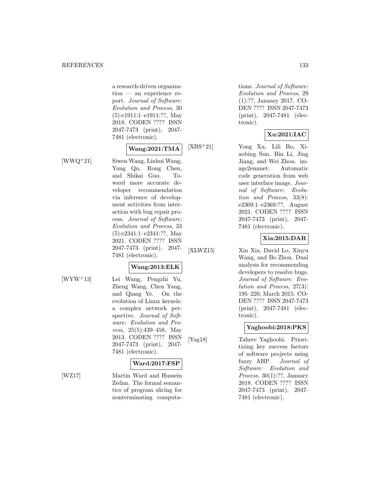a research-driven organization — an experience report. Journal of Software: Evolution and Process, 30 (5):e1911:1–e1911:??, May 2018. CODEN ???? ISSN 2047-7473 (print), 2047- 7481 (electronic).

## **Wang:2021:TMA**

[WWQ<sup>+</sup>21] Siwen Wang, Linhui Wang, Yang Qu, Rong Chen, and Shikai Guo. Toward more accurate developer recommendation via inference of development activities from interaction with bug repair process. Journal of Software: Evolution and Process, 33 (5):e2341:1–e2341:??, May 2021. CODEN ???? ISSN 2047-7473 (print), 2047- 7481 (electronic).

## **Wang:2013:ELK**

[WYW<sup>+</sup>13] Lei Wang, Pengzhi Yu, Zheng Wang, Chen Yang, and Qiang Ye. On the evolution of Linux kernels: a complex network perspective. Journal of Software: Evolution and Process, 25(5):439–458, May 2013. CODEN ???? ISSN 2047-7473 (print), 2047- 7481 (electronic).

#### **Ward:2017:FSP**

[WZ17] Martin Ward and Hussein Zedan. The formal semantics of program slicing for nonterminating computations. Journal of Software: Evolution and Process, 29 (1):??, January 2017. CO-DEN ???? ISSN 2047-7473 (print), 2047-7481 (electronic).

## **Xu:2021:IAC**

[XBS<sup>+</sup>21] Yong Xu, Lili Bo, Xiaobing Sun, Bin Li, Jing Jiang, and Wei Zhou. image2emmet: Automatic code generation from web user interface image. Journal of Software: Evolution and Process, 33(8): e2369:1–e2369:??, August 2021. CODEN ???? ISSN 2047-7473 (print), 2047- 7481 (electronic).

#### **Xia:2015:DAR**

[XLWZ15] Xin Xia, David Lo, Xinyu Wang, and Bo Zhou. Dual analysis for recommending developers to resolve bugs. Journal of Software: Evolution and Process, 27(3): 195–220, March 2015. CO-DEN ???? ISSN 2047-7473 (print), 2047-7481 (electronic).

## **Yaghoobi:2018:PKS**

[Yag18] Tahere Yaghoobi. Prioritizing key success factors of software projects using fuzzy AHP. Journal of Software: Evolution and Process, 30(1):??, January 2018. CODEN ???? ISSN 2047-7473 (print), 2047- 7481 (electronic).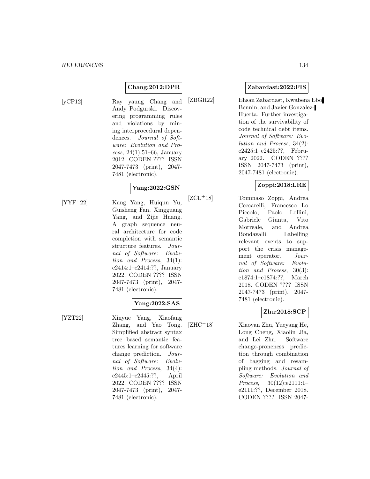## **Chang:2012:DPR**

[yCP12] Ray yaung Chang and Andy Podgurski. Discovering programming rules and violations by mining interprocedural dependences. Journal of Software: Evolution and Process, 24(1):51–66, January 2012. CODEN ???? ISSN 2047-7473 (print), 2047- 7481 (electronic).

## **Yang:2022:GSN**

[YYF<sup>+</sup>22] Kang Yang, Huiqun Yu, Guisheng Fan, Xingguang Yang, and Zijie Huang. A graph sequence neural architecture for code completion with semantic structure features. Journal of Software: Evolution and Process, 34(1): e2414:1–e2414:??, January 2022. CODEN ???? ISSN 2047-7473 (print), 2047- 7481 (electronic).

## **Yang:2022:SAS**

[YZT22] Xinyue Yang, Xiaofang Zhang, and Yao Tong. Simplified abstract syntax tree based semantic features learning for software change prediction. Journal of Software: Evolution and Process, 34(4): e2445:1–e2445:??, April 2022. CODEN ???? ISSN 2047-7473 (print), 2047- 7481 (electronic).

#### **Zabardast:2022:FIS**

[ZBGH22] Ehsan Zabardast, Kwabena Ebo Bennin, and Javier Gonzalez-Huerta. Further investigation of the survivability of code technical debt items. Journal of Software: Evolution and Process, 34(2): e2425:1–e2425:??, February 2022. CODEN ???? ISSN 2047-7473 (print), 2047-7481 (electronic).

## **Zoppi:2018:LRE**

[ZCL<sup>+</sup>18] Tommaso Zoppi, Andrea Ceccarelli, Francesco Lo Piccolo, Paolo Lollini, Gabriele Giunta, Vito Morreale, and Andrea Bondavalli. Labelling relevant events to support the crisis management operator. Journal of Software: Evolution and Process, 30(3): e1874:1–e1874:??, March 2018. CODEN ???? ISSN 2047-7473 (print), 2047- 7481 (electronic).

## **Zhu:2018:SCP**

[ZHC<sup>+</sup>18] Xiaoyan Zhu, Yueyang He, Long Cheng, Xiaolin Jia, and Lei Zhu. Software change-proneness prediction through combination of bagging and resampling methods. Journal of Software: Evolution and Process, 30(12):e2111:1– e2111:??, December 2018. CODEN ???? ISSN 2047-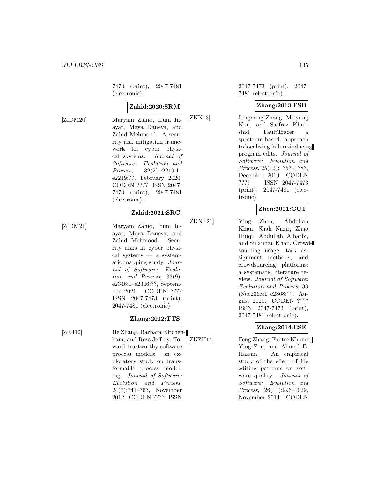7473 (print), 2047-7481 (electronic).

## **Zahid:2020:SRM**

[ZIDM20] Maryam Zahid, Irum Inayat, Maya Daneva, and Zahid Mehmood. A security risk mitigation framework for cyber physical systems. Journal of Software: Evolution and Process, 32(2):e2219:1– e2219:??, February 2020. CODEN ???? ISSN 2047- 7473 (print), 2047-7481 (electronic).

#### **Zahid:2021:SRC**

[ZIDM21] Maryam Zahid, Irum Inayat, Maya Daneva, and Zahid Mehmood. Security risks in cyber physical systems — a systematic mapping study. Journal of Software: Evolution and Process, 33(9): e2346:1–e2346:??, September 2021. CODEN ???? ISSN 2047-7473 (print), 2047-7481 (electronic).

**Zhang:2012:TTS**

[ZKJ12] He Zhang, Barbara Kitchenham, and Ross Jeffery. Toward trustworthy software process models: an exploratory study on transformable process modeling. Journal of Software: Evolution and Process, 24(7):741–763, November 2012. CODEN ???? ISSN

2047-7473 (print), 2047- 7481 (electronic).

#### **Zhang:2013:FSB**

[ZKK13] Lingming Zhang, Miryung Kim, and Sarfraz Khurshid. FaultTracer: a spectrum-based approach to localizing failure-inducing program edits. Journal of Software: Evolution and Process, 25(12):1357–1383, December 2013. CODEN ???? ISSN 2047-7473 (print), 2047-7481 (electronic).

#### **Zhen:2021:CUT**

[ZKN<sup>+</sup>21] Ying Zhen, Abdullah Khan, Shah Nazir, Zhao Huiqi, Abdullah Alharbi, and Sulaiman Khan. Crowdsourcing usage, task assignment methods, and crowdsourcing platforms: a systematic literature review. Journal of Software: Evolution and Process, 33 (8):e2368:1–e2368:??, August 2021. CODEN ???? ISSN 2047-7473 (print), 2047-7481 (electronic).

## **Zhang:2014:ESE**

[ZKZH14] Feng Zhang, Foutse Khomh, Ying Zou, and Ahmed E. Hassan. An empirical study of the effect of file editing patterns on software quality. Journal of Software: Evolution and Process, 26(11):996–1029, November 2014. CODEN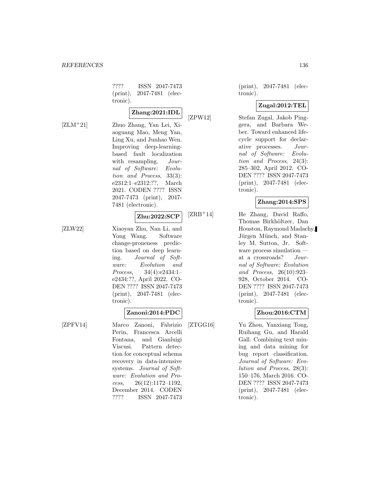???? ISSN 2047-7473 (print), 2047-7481 (electronic).

## **Zhang:2021:IDL**

[ZLM<sup>+</sup>21] Zhuo Zhang, Yan Lei, Xiaoguang Mao, Meng Yan, Ling Xu, and Junhao Wen. Improving deep-learningbased fault localization with resampling. *Jour*nal of Software: Evolution and Process, 33(3): e2312:1–e2312:??, March 2021. CODEN ???? ISSN 2047-7473 (print), 2047- 7481 (electronic).

## **Zhu:2022:SCP**

[ZLW22] Xiaoyan Zhu, Nan Li, and Yong Wang. Software change-proneness prediction based on deep learning. Journal of Software: Evolution and Process, 34(4):e2434:1– e2434:??, April 2022. CO-DEN ???? ISSN 2047-7473 (print), 2047-7481 (electronic).

## **Zanoni:2014:PDC**

[ZPFV14] Marco Zanoni, Fabrizio Perin, Francesca Arcelli Fontana, and Gianluigi Viscusi. Pattern detection for conceptual schema recovery in data-intensive systems. Journal of Software: Evolution and Process, 26(12):1172–1192, December 2014. CODEN ???? ISSN 2047-7473

(print), 2047-7481 (electronic).

## **Zugal:2012:TEL**

[ZPW12] Stefan Zugal, Jakob Pinggera, and Barbara Weber. Toward enhanced lifecycle support for declarative processes. Journal of Software: Evolution and Process, 24(3): 285–302, April 2012. CO-DEN ???? ISSN 2047-7473 (print), 2047-7481 (electronic).

## **Zhang:2014:SPS**

[ZRB<sup>+</sup>14] He Zhang, David Raffo, Thomas Birkhöltzer, Dan Houston, Raymond Madachy, Jürgen Münch, and Stanley M. Sutton, Jr. Software process simulation at a crossroads? Journal of Software: Evolution and Process, 26(10):923– 928, October 2014. CO-DEN ???? ISSN 2047-7473 (print), 2047-7481 (electronic).

## **Zhou:2016:CTM**

[ZTGG16] Yu Zhou, Yanxiang Tong, Ruihang Gu, and Harald Gall. Combining text mining and data mining for bug report classification. Journal of Software: Evolution and Process, 28(3): 150–176, March 2016. CO-DEN ???? ISSN 2047-7473 (print), 2047-7481 (electronic).